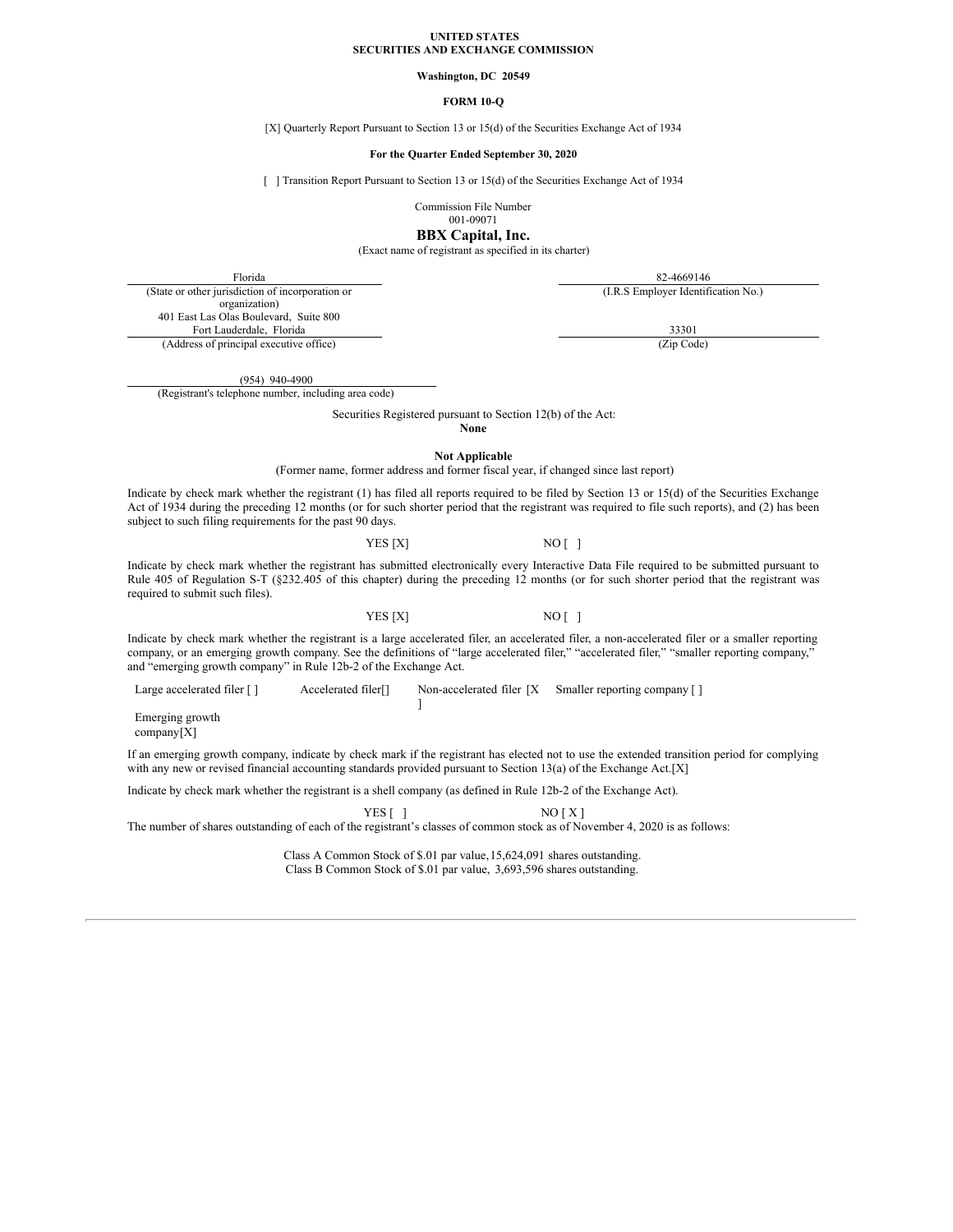#### **UNITED STATES SECURITIES AND EXCHANGE COMMISSION**

## **Washington, DC 20549**

## **FORM 10-Q**

#### [X] Quarterly Report Pursuant to Section 13 or 15(d) of the Securities Exchange Act of 1934

#### **For the Quarter Ended September 30, 2020**

[ ] Transition Report Pursuant to Section 13 or 15(d) of the Securities Exchange Act of 1934

Commission File Number

001-09071

**BBX Capital, Inc.**

(Exact name of registrant as specified in its charter)

Florida 82-4669146

(I.R.S Employer Identification No.)

(State or other jurisdiction of incorporation or organization) 401 East Las Olas Boulevard, Suite 800 Fort Lauderdale, Florida 33301 (Address of principal executive office) (Zip Code)

(954) 940-4900

(Registrant's telephone number, including area code)

Securities Registered pursuant to Section 12(b) of the Act:

**None**

**Not Applicable**

(Former name, former address and former fiscal year, if changed since last report)

Indicate by check mark whether the registrant (1) has filed all reports required to be filed by Section 13 or 15(d) of the Securities Exchange Act of 1934 during the preceding 12 months (or for such shorter period that the registrant was required to file such reports), and (2) has been subject to such filing requirements for the past 90 days.

## YES [X] NO [ ]

Indicate by check mark whether the registrant has submitted electronically every Interactive Data File required to be submitted pursuant to Rule 405 of Regulation S-T (§232.405 of this chapter) during the preceding 12 months (or for such shorter period that the registrant was required to submit such files).

YES [X] NO [ ]

Indicate by check mark whether the registrant is a large accelerated filer, an accelerated filer, a non-accelerated filer or a smaller reporting company, or an emerging growth company. See the definitions of "large accelerated filer," "accelerated filer," "smaller reporting company," and "emerging growth company" in Rule 12b-2 of the Exchange Act.

Large accelerated filer [] Accelerated filer<sup>[]</sup> Non-accelerated filer [X Smaller reporting company []

Emerging growth

company[X]

If an emerging growth company, indicate by check mark if the registrant has elected not to use the extended transition period for complying with any new or revised financial accounting standards provided pursuant to Section 13(a) of the Exchange Act.[X]

Indicate by check mark whether the registrant is a shell company (as defined in Rule 12b-2 of the Exchange Act).

YES [ ] NO [ X ]

The number of shares outstanding of each of the registrant's classes of common stock as of November 4, 2020 is as follows:

]

Class A Common Stock of \$.01 par value,15,624,091 shares outstanding. Class B Common Stock of \$.01 par value, 3,693,596 shares outstanding.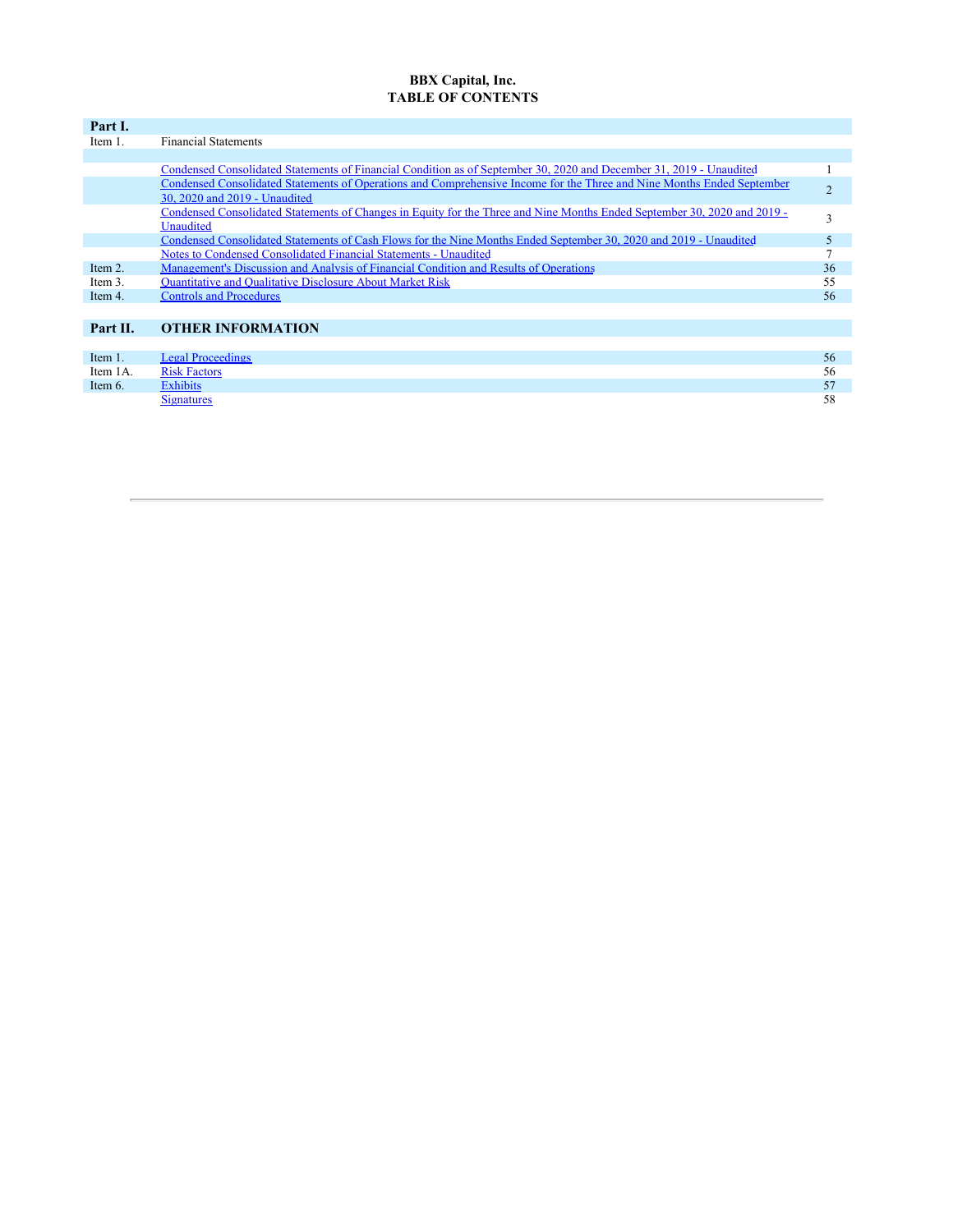# **BBX Capital, Inc. TABLE OF CONTENTS**

| Part I.  |                                                                                                                          |    |
|----------|--------------------------------------------------------------------------------------------------------------------------|----|
| Item 1.  | <b>Financial Statements</b>                                                                                              |    |
|          |                                                                                                                          |    |
|          | Condensed Consolidated Statements of Financial Condition as of September 30, 2020 and December 31, 2019 - Unaudited      |    |
|          | Condensed Consolidated Statements of Operations and Comprehensive Income for the Three and Nine Months Ended September   |    |
|          | 30, 2020 and 2019 - Unaudited                                                                                            |    |
|          | Condensed Consolidated Statements of Changes in Equity for the Three and Nine Months Ended September 30, 2020 and 2019 - | 3  |
|          | Unaudited                                                                                                                |    |
|          | Condensed Consolidated Statements of Cash Flows for the Nine Months Ended September 30, 2020 and 2019 - Unaudited        | 5  |
|          | Notes to Condensed Consolidated Financial Statements - Unaudited                                                         |    |
| Item 2.  | Management's Discussion and Analysis of Financial Condition and Results of Operations                                    | 36 |
| Item 3.  | <b>Ouantitative and Qualitative Disclosure About Market Risk</b>                                                         | 55 |
| Item 4.  | <b>Controls and Procedures</b>                                                                                           | 56 |
|          |                                                                                                                          |    |
| Part II. | <b>OTHER INFORMATION</b>                                                                                                 |    |
|          |                                                                                                                          |    |
| Item 1.  | <b>Legal Proceedings</b>                                                                                                 | 56 |
| Item 1A. | <b>Risk Factors</b>                                                                                                      | 56 |
| Item 6.  | <b>Exhibits</b>                                                                                                          | 57 |
|          | <b>Signatures</b>                                                                                                        | 58 |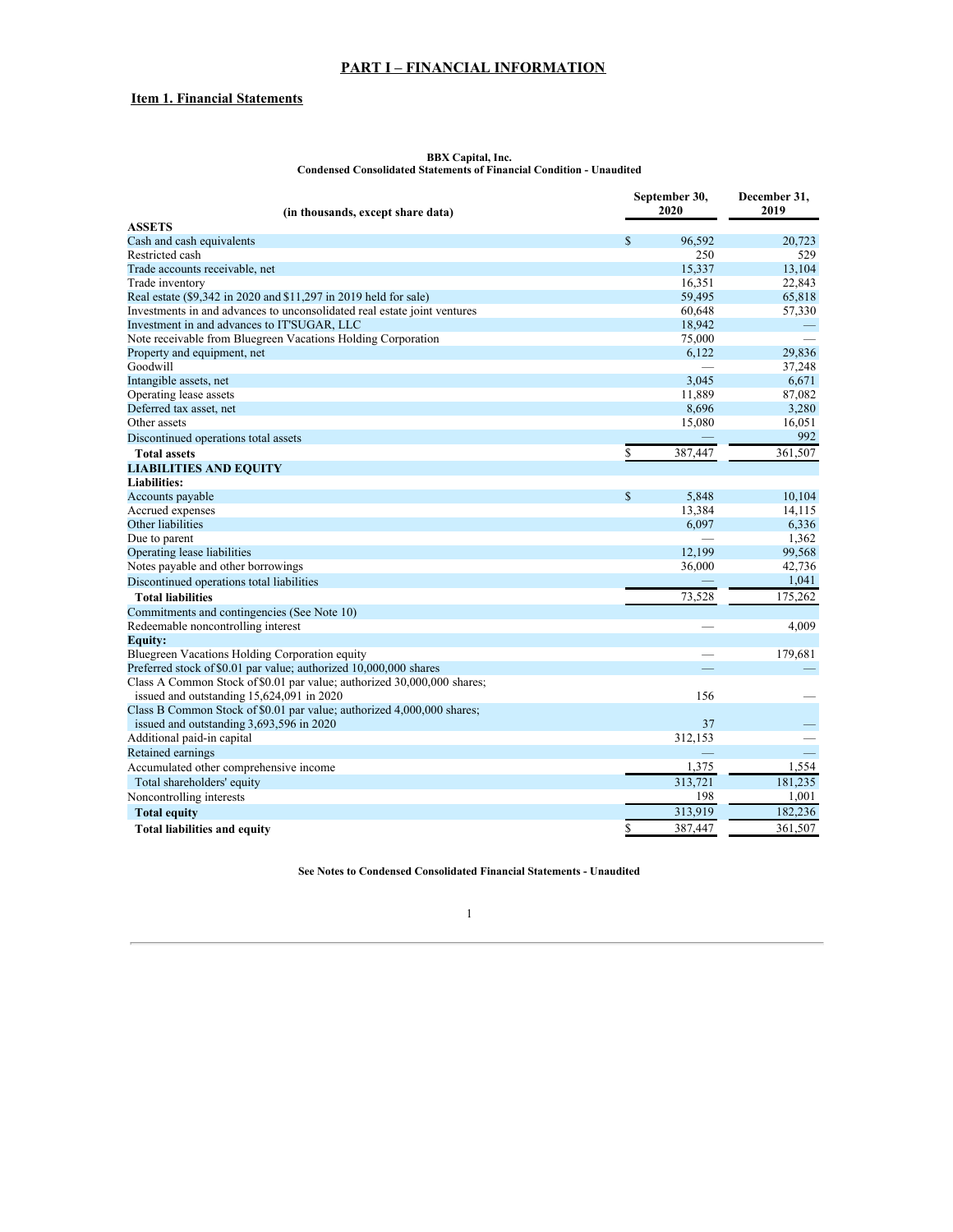# **PART I – FINANCIAL INFORMATION**

# <span id="page-2-0"></span>**Item 1. Financial Statements**

|                                                                          | September 30,<br>2020 |                          | December 31,<br>2019 |  |
|--------------------------------------------------------------------------|-----------------------|--------------------------|----------------------|--|
| (in thousands, except share data)                                        |                       |                          |                      |  |
| <b>ASSETS</b><br>Cash and cash equivalents                               | \$                    | 96,592                   | 20,723               |  |
| Restricted cash                                                          |                       | 250                      | 529                  |  |
|                                                                          |                       | 15,337                   | 13,104               |  |
| Trade accounts receivable, net                                           |                       | 16,351                   | 22,843               |  |
| Trade inventory                                                          |                       |                          |                      |  |
| Real estate (\$9,342 in 2020 and \$11,297 in 2019 held for sale)         |                       | 59,495                   | 65,818               |  |
| Investments in and advances to unconsolidated real estate joint ventures |                       | 60,648                   | 57,330               |  |
| Investment in and advances to IT'SUGAR, LLC                              |                       | 18,942                   |                      |  |
| Note receivable from Bluegreen Vacations Holding Corporation             |                       | 75,000                   |                      |  |
| Property and equipment, net                                              |                       | 6,122                    | 29,836               |  |
| Goodwill                                                                 |                       |                          | 37,248               |  |
| Intangible assets, net                                                   |                       | 3,045                    | 6,671                |  |
| Operating lease assets                                                   |                       | 11,889                   | 87,082               |  |
| Deferred tax asset, net                                                  |                       | 8,696                    | 3,280                |  |
| Other assets                                                             |                       | 15,080                   | 16,051               |  |
| Discontinued operations total assets                                     |                       |                          | 992                  |  |
| <b>Total assets</b>                                                      | \$                    | 387,447                  | 361,507              |  |
| <b>LIABILITIES AND EQUITY</b>                                            |                       |                          |                      |  |
| <b>Liabilities:</b>                                                      |                       |                          |                      |  |
| Accounts payable                                                         | $\mathbb{S}$          | 5,848                    | 10,104               |  |
| Accrued expenses                                                         |                       | 13,384                   | 14,115               |  |
| Other liabilities                                                        |                       | 6,097                    | 6,336                |  |
| Due to parent                                                            |                       |                          | 1,362                |  |
| Operating lease liabilities                                              |                       | 12,199                   | 99,568               |  |
| Notes payable and other borrowings                                       |                       | 36,000                   | 42,736               |  |
| Discontinued operations total liabilities                                |                       |                          | 1,041                |  |
| <b>Total liabilities</b>                                                 |                       | 73,528                   | 175,262              |  |
| Commitments and contingencies (See Note 10)                              |                       |                          |                      |  |
| Redeemable noncontrolling interest                                       |                       |                          | 4,009                |  |
| <b>Equity:</b>                                                           |                       |                          |                      |  |
| Bluegreen Vacations Holding Corporation equity                           |                       |                          | 179,681              |  |
| Preferred stock of \$0.01 par value; authorized 10,000,000 shares        |                       | $\overline{\phantom{0}}$ |                      |  |
| Class A Common Stock of \$0.01 par value; authorized 30,000,000 shares;  |                       |                          |                      |  |
| issued and outstanding 15,624,091 in 2020                                |                       | 156                      |                      |  |
| Class B Common Stock of \$0.01 par value; authorized 4,000,000 shares;   |                       |                          |                      |  |
| issued and outstanding 3,693,596 in 2020                                 |                       | 37                       |                      |  |
| Additional paid-in capital                                               |                       | 312,153                  |                      |  |
| Retained earnings                                                        |                       |                          |                      |  |
| Accumulated other comprehensive income                                   |                       | 1,375                    | 1,554                |  |
| Total shareholders' equity                                               |                       | 313,721                  | 181,235              |  |
|                                                                          |                       |                          |                      |  |
| Noncontrolling interests                                                 |                       | 198                      | 1,001                |  |
| <b>Total equity</b>                                                      |                       | 313,919                  | 182,236              |  |
| <b>Total liabilities and equity</b>                                      | \$                    | 387,447                  | 361,507              |  |

#### **BBX Capital, Inc. Condensed Consolidated Statements of Financial Condition - Unaudited**

**See Notes to Condensed Consolidated Financial Statements - Unaudited**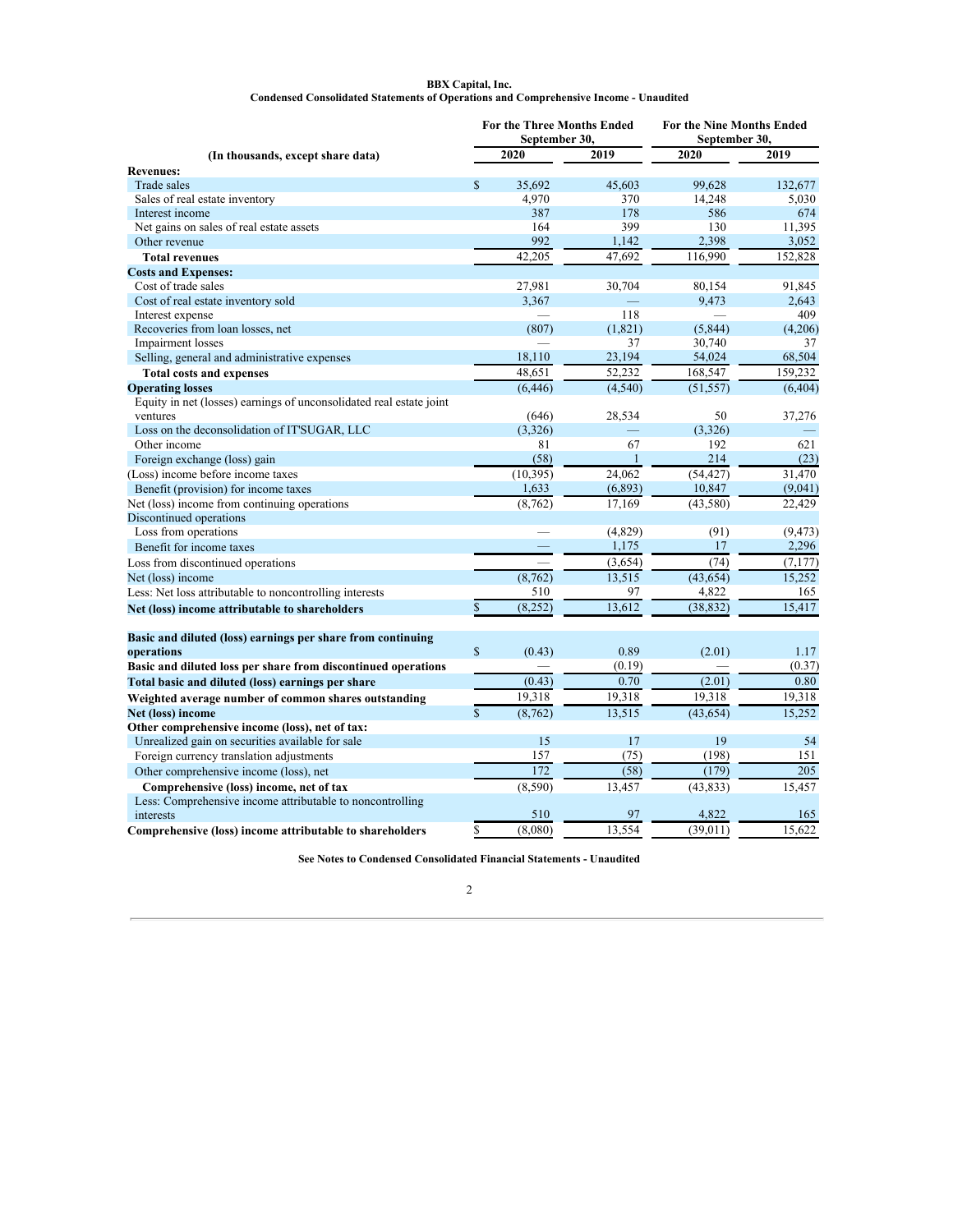#### **BBX Capital, Inc. Condensed Consolidated Statements of Operations and Comprehensive Income - Unaudited**

<span id="page-3-0"></span>

|                                                                     |              | September 30, | <b>For the Three Months Ended</b> | For the Nine Months Ended<br>September 30, |          |  |
|---------------------------------------------------------------------|--------------|---------------|-----------------------------------|--------------------------------------------|----------|--|
| (In thousands, except share data)                                   |              | 2020          | 2019                              | 2020                                       | 2019     |  |
| <b>Revenues:</b>                                                    |              |               |                                   |                                            |          |  |
| Trade sales                                                         | $\mathbb{S}$ | 35.692        | 45.603                            | 99.628                                     | 132,677  |  |
| Sales of real estate inventory                                      |              | 4,970         | 370                               | 14,248                                     | 5,030    |  |
| Interest income                                                     |              | 387           | 178                               | 586                                        | 674      |  |
| Net gains on sales of real estate assets                            |              | 164           | 399                               | 130                                        | 11,395   |  |
| Other revenue                                                       |              | 992           | 1,142                             | 2,398                                      | 3,052    |  |
| <b>Total revenues</b>                                               |              | 42,205        | 47,692                            | 116,990                                    | 152,828  |  |
| <b>Costs and Expenses:</b>                                          |              |               |                                   |                                            |          |  |
| Cost of trade sales                                                 |              | 27,981        | 30,704                            | 80,154                                     | 91,845   |  |
| Cost of real estate inventory sold                                  |              | 3,367         |                                   | 9,473                                      | 2,643    |  |
| Interest expense                                                    |              |               | 118                               |                                            | 409      |  |
| Recoveries from loan losses, net                                    |              | (807)         | (1,821)                           | (5, 844)                                   | (4,206)  |  |
| Impairment losses                                                   |              |               | 37                                | 30,740                                     | 37       |  |
| Selling, general and administrative expenses                        |              | 18,110        | 23,194                            | 54,024                                     | 68,504   |  |
| <b>Total costs and expenses</b>                                     |              | 48,651        | 52,232                            | 168,547                                    | 159,232  |  |
| <b>Operating losses</b>                                             |              | (6, 446)      | (4,540)                           | (51, 557)                                  | (6, 404) |  |
| Equity in net (losses) earnings of unconsolidated real estate joint |              |               |                                   |                                            |          |  |
| ventures                                                            |              | (646)         | 28,534                            | 50                                         | 37,276   |  |
| Loss on the deconsolidation of IT'SUGAR, LLC                        |              | (3,326)       |                                   | (3,326)                                    |          |  |
| Other income                                                        |              | 81            | 67                                | 192                                        | 621      |  |
| Foreign exchange (loss) gain                                        |              | (58)          | $\mathbf{1}$                      | 214                                        | (23)     |  |
| (Loss) income before income taxes                                   |              | (10, 395)     | 24,062                            | (54, 427)                                  | 31,470   |  |
| Benefit (provision) for income taxes                                |              | 1,633         | (6, 893)                          | 10,847                                     | (9,041)  |  |
| Net (loss) income from continuing operations                        |              | (8, 762)      | 17,169                            | (43, 580)                                  | 22,429   |  |
| Discontinued operations                                             |              |               |                                   |                                            |          |  |
| Loss from operations                                                |              |               | (4,829)                           | (91)                                       | (9, 473) |  |
| Benefit for income taxes                                            |              |               | 1,175                             | 17                                         | 2,296    |  |
| Loss from discontinued operations                                   |              |               | (3,654)                           | (74)                                       | (7, 177) |  |
| Net (loss) income                                                   |              | (8, 762)      | 13,515                            | (43, 654)                                  | 15,252   |  |
| Less: Net loss attributable to noncontrolling interests             |              | 510           | 97                                | 4,822                                      | 165      |  |
| Net (loss) income attributable to shareholders                      | $\mathbf{s}$ | (8, 252)      | 13,612                            | (38, 832)                                  | 15,417   |  |
|                                                                     |              |               |                                   |                                            |          |  |
|                                                                     |              |               |                                   |                                            |          |  |
| Basic and diluted (loss) earnings per share from continuing         | $\mathbb{S}$ |               | 0.89                              |                                            | 1.17     |  |
| operations                                                          |              | (0.43)        | (0.19)                            | (2.01)                                     | (0.37)   |  |
| Basic and diluted loss per share from discontinued operations       |              | (0.43)        | 0.70                              | (2.01)                                     | 0.80     |  |
| Total basic and diluted (loss) earnings per share                   |              |               |                                   |                                            |          |  |
| Weighted average number of common shares outstanding                |              | 19,318        | 19,318                            | 19.318                                     | 19,318   |  |
| Net (loss) income                                                   | $\mathbf{S}$ | (8, 762)      | 13,515                            | (43, 654)                                  | 15,252   |  |
| Other comprehensive income (loss), net of tax:                      |              |               |                                   |                                            |          |  |
| Unrealized gain on securities available for sale                    |              | 15            | 17                                | 19                                         | 54       |  |
| Foreign currency translation adjustments                            |              | 157           | (75)                              | (198)                                      | 151      |  |
| Other comprehensive income (loss), net                              |              | 172           | (58)                              | (179)                                      | 205      |  |
| Comprehensive (loss) income, net of tax                             |              | (8, 590)      | 13,457                            | (43, 833)                                  | 15,457   |  |
| Less: Comprehensive income attributable to noncontrolling           |              |               |                                   |                                            |          |  |
| interests                                                           |              | 510           | 97                                | 4,822                                      | 165      |  |
| Comprehensive (loss) income attributable to shareholders            | \$           | (8,080)       | 13,554                            | (39,011)                                   | 15,622   |  |

**See Notes to Condensed Consolidated Financial Statements - Unaudited**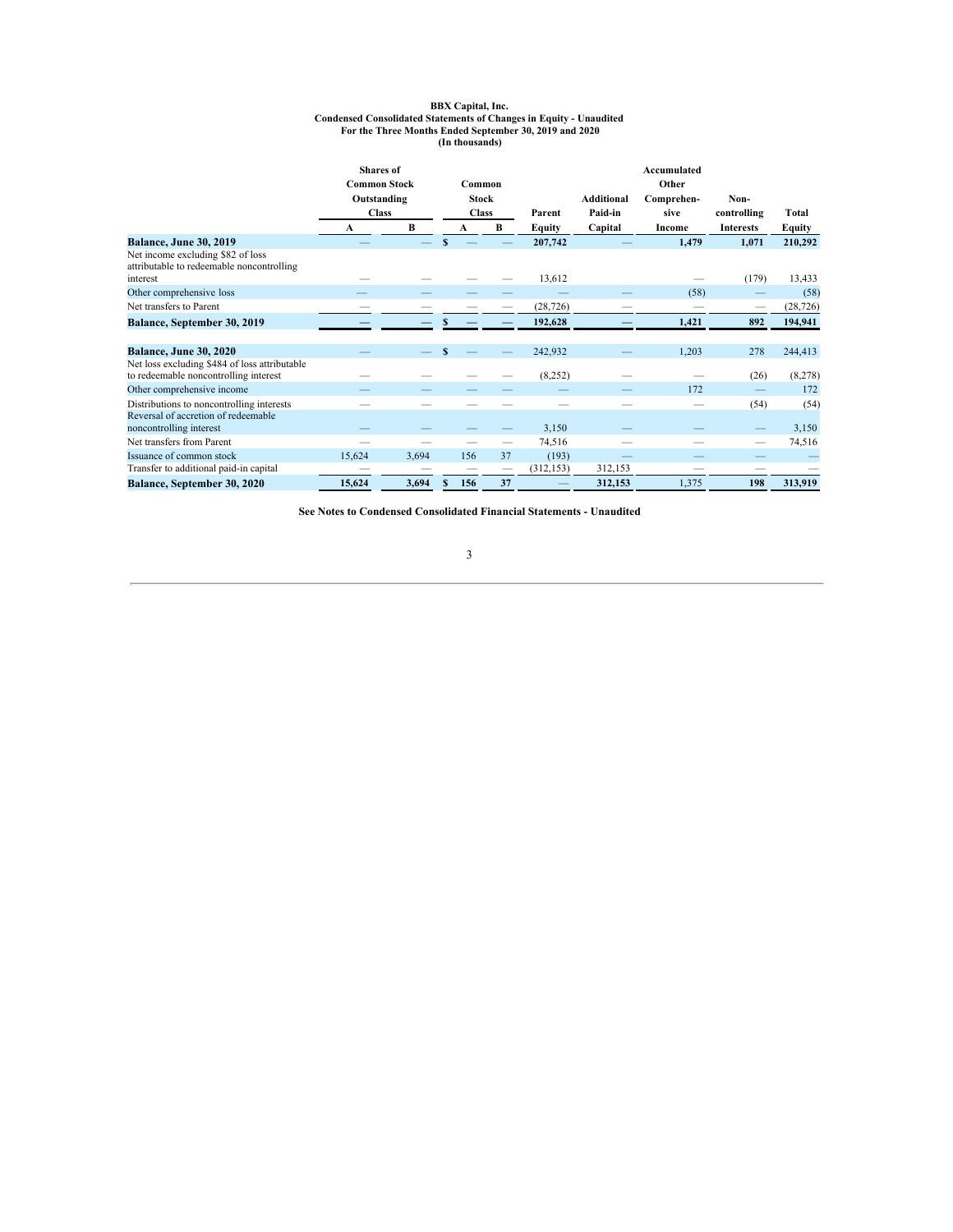# BBX Capital, Inc.<br>Condensed Consolidated Statements of Changes in Equity - Unaudited<br>For the Three Months Ended September 30, 2019 and 2020<br>In thousands)

<span id="page-4-0"></span>

|                                                                                        | <b>Shares</b> of<br><b>Common Stock</b> |       |   | Common       |    |            |                   | Accumulated<br>Other |                  |           |
|----------------------------------------------------------------------------------------|-----------------------------------------|-------|---|--------------|----|------------|-------------------|----------------------|------------------|-----------|
|                                                                                        | Outstanding                             |       |   | <b>Stock</b> |    |            | <b>Additional</b> | Comprehen-           | Non-             |           |
|                                                                                        | <b>Class</b>                            |       |   | <b>Class</b> |    | Parent     | Paid-in           | sive                 | controlling      | Total     |
|                                                                                        | A                                       | B     |   | A            | В  | Equity     | Capital           | Income               | <b>Interests</b> | Equity    |
| <b>Balance, June 30, 2019</b>                                                          |                                         |       | S |              |    | 207,742    |                   | 1,479                | 1,071            | 210,292   |
| Net income excluding \$82 of loss<br>attributable to redeemable noncontrolling         |                                         |       |   |              |    |            |                   |                      |                  |           |
| interest                                                                               |                                         |       |   |              |    | 13,612     |                   |                      | (179)            | 13,433    |
| Other comprehensive loss                                                               |                                         |       |   |              |    |            |                   | (58)                 |                  | (58)      |
| Net transfers to Parent                                                                |                                         |       |   |              |    | (28, 726)  |                   |                      |                  | (28, 726) |
| Balance, September 30, 2019                                                            |                                         |       |   |              |    | 192,628    |                   | 1.421                | 892              | 194,941   |
|                                                                                        |                                         |       |   |              |    |            |                   |                      |                  |           |
| <b>Balance, June 30, 2020</b>                                                          |                                         |       |   |              |    | 242,932    |                   | 1,203                | 278              | 244,413   |
| Net loss excluding \$484 of loss attributable<br>to redeemable noncontrolling interest |                                         |       |   |              |    | (8,252)    |                   |                      | (26)             | (8,278)   |
| Other comprehensive income                                                             |                                         |       |   |              |    |            |                   | 172                  |                  | 172       |
| Distributions to noncontrolling interests                                              |                                         |       |   |              |    |            |                   |                      | (54)             | (54)      |
| Reversal of accretion of redeemable<br>noncontrolling interest                         |                                         |       |   |              |    | 3,150      |                   |                      |                  | 3,150     |
| Net transfers from Parent                                                              |                                         |       |   |              |    | 74,516     |                   |                      |                  | 74,516    |
| Issuance of common stock                                                               | 15,624                                  | 3,694 |   | 156          | 37 | (193)      |                   |                      |                  |           |
| Transfer to additional paid-in capital                                                 |                                         |       |   |              |    | (312, 153) | 312,153           |                      |                  |           |
| Balance, September 30, 2020                                                            | 15,624                                  | 3,694 |   | 156          | 37 |            | 312,153           | 1,375                | 198              | 313,919   |

**See Notes to Condensed Consolidated Financial Statements - Unaudited**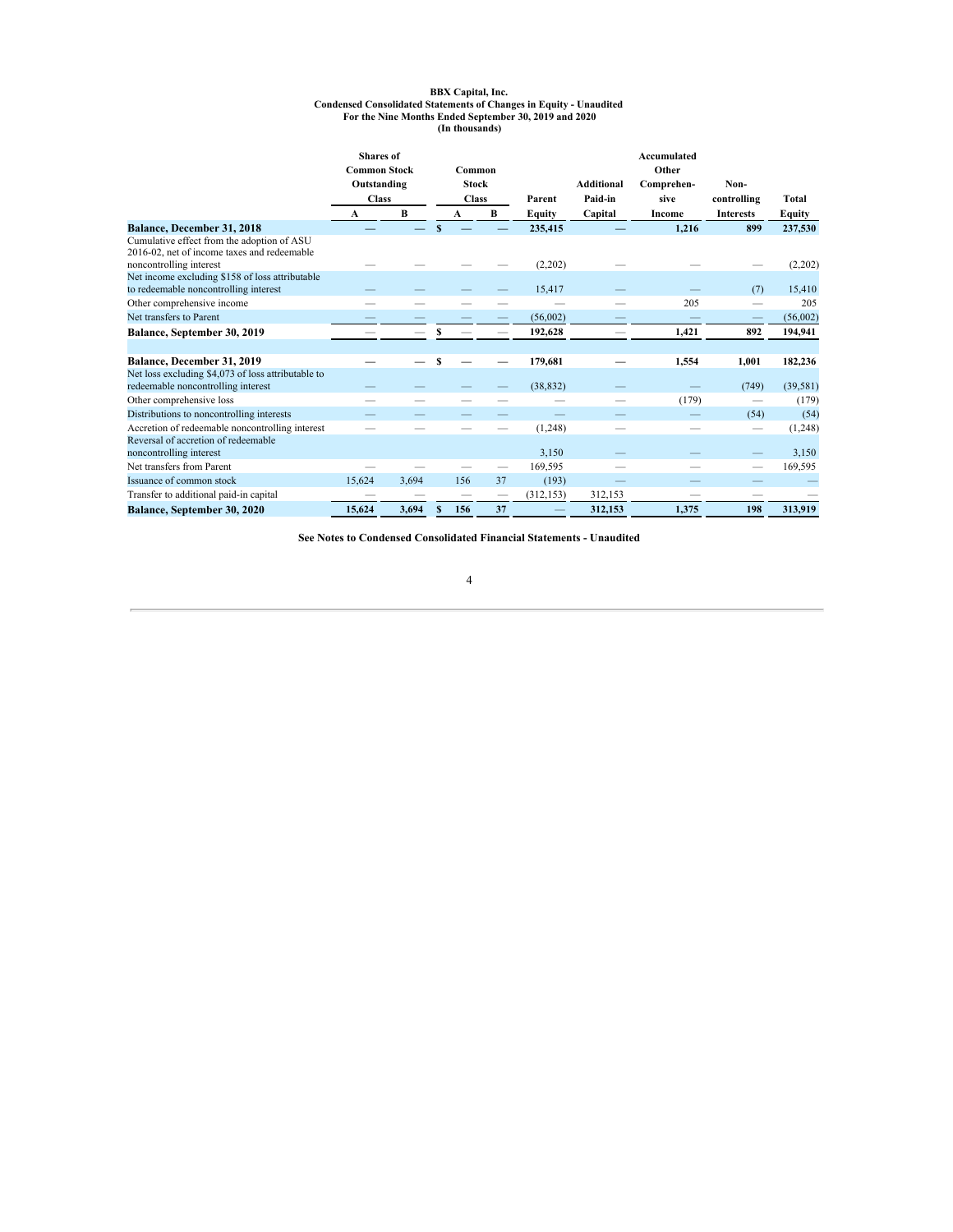# BBX Capital, Inc.<br>Condensed Consolidated Statements of Changes in Equity - Unaudited<br>For the Nine Months Ended September 30, 2019 and 2020<br>In thousands)

|                                                                                           | <b>Shares</b> of<br><b>Common Stock</b> |       |              | Common       |        |            |                   | Accumulated<br>Other |                  |           |
|-------------------------------------------------------------------------------------------|-----------------------------------------|-------|--------------|--------------|--------|------------|-------------------|----------------------|------------------|-----------|
|                                                                                           | Outstanding                             |       |              | <b>Stock</b> |        |            | <b>Additional</b> | Comprehen-           | Non-             |           |
|                                                                                           | <b>Class</b>                            |       | <b>Class</b> |              | Parent | Paid-in    | sive              | controlling          | Total            |           |
|                                                                                           | A                                       | B     |              | A            | B      | Equity     | Capital           | Income               | <b>Interests</b> | Equity    |
| Balance, December 31, 2018                                                                |                                         |       |              |              |        | 235,415    |                   | 1,216                | 899              | 237,530   |
| Cumulative effect from the adoption of ASU<br>2016-02, net of income taxes and redeemable |                                         |       |              |              |        |            |                   |                      |                  |           |
| noncontrolling interest                                                                   |                                         |       |              |              |        | (2,202)    |                   |                      |                  | (2,202)   |
| Net income excluding \$158 of loss attributable<br>to redeemable noncontrolling interest  |                                         |       |              |              |        | 15,417     |                   |                      | (7)              | 15,410    |
| Other comprehensive income                                                                |                                         |       |              |              |        |            |                   | 205                  |                  | 205       |
| Net transfers to Parent                                                                   |                                         |       |              |              |        | (56,002)   |                   |                      |                  | (56,002)  |
| Balance, September 30, 2019                                                               |                                         |       |              |              |        | 192,628    |                   | 1,421                | 892              | 194,941   |
|                                                                                           |                                         |       |              |              |        |            |                   |                      |                  |           |
| Balance, December 31, 2019                                                                |                                         |       | \$           |              |        | 179,681    |                   | 1,554                | 1,001            | 182,236   |
| Net loss excluding \$4,073 of loss attributable to<br>redeemable noncontrolling interest  |                                         |       |              |              |        | (38, 832)  |                   |                      | (749)            | (39, 581) |
| Other comprehensive loss                                                                  |                                         |       |              |              |        |            |                   | (179)                |                  | (179)     |
| Distributions to noncontrolling interests                                                 |                                         |       |              |              |        |            |                   |                      | (54)             | (54)      |
| Accretion of redeemable noncontrolling interest                                           |                                         |       |              |              |        | (1,248)    |                   |                      | $\qquad \qquad$  | (1,248)   |
| Reversal of accretion of redeemable<br>noncontrolling interest                            |                                         |       |              |              |        | 3,150      |                   |                      |                  | 3,150     |
| Net transfers from Parent                                                                 |                                         |       |              |              |        | 169,595    |                   |                      |                  | 169,595   |
| Issuance of common stock                                                                  | 15,624                                  | 3,694 |              | 156          | 37     | (193)      |                   |                      |                  |           |
| Transfer to additional paid-in capital                                                    |                                         |       |              |              |        | (312, 153) | 312,153           |                      |                  |           |
| Balance, September 30, 2020                                                               | 15,624                                  | 3,694 |              | 156          | 37     |            | 312,153           | 1,375                | 198              | 313,919   |

**See Notes to Condensed Consolidated Financial Statements - Unaudited**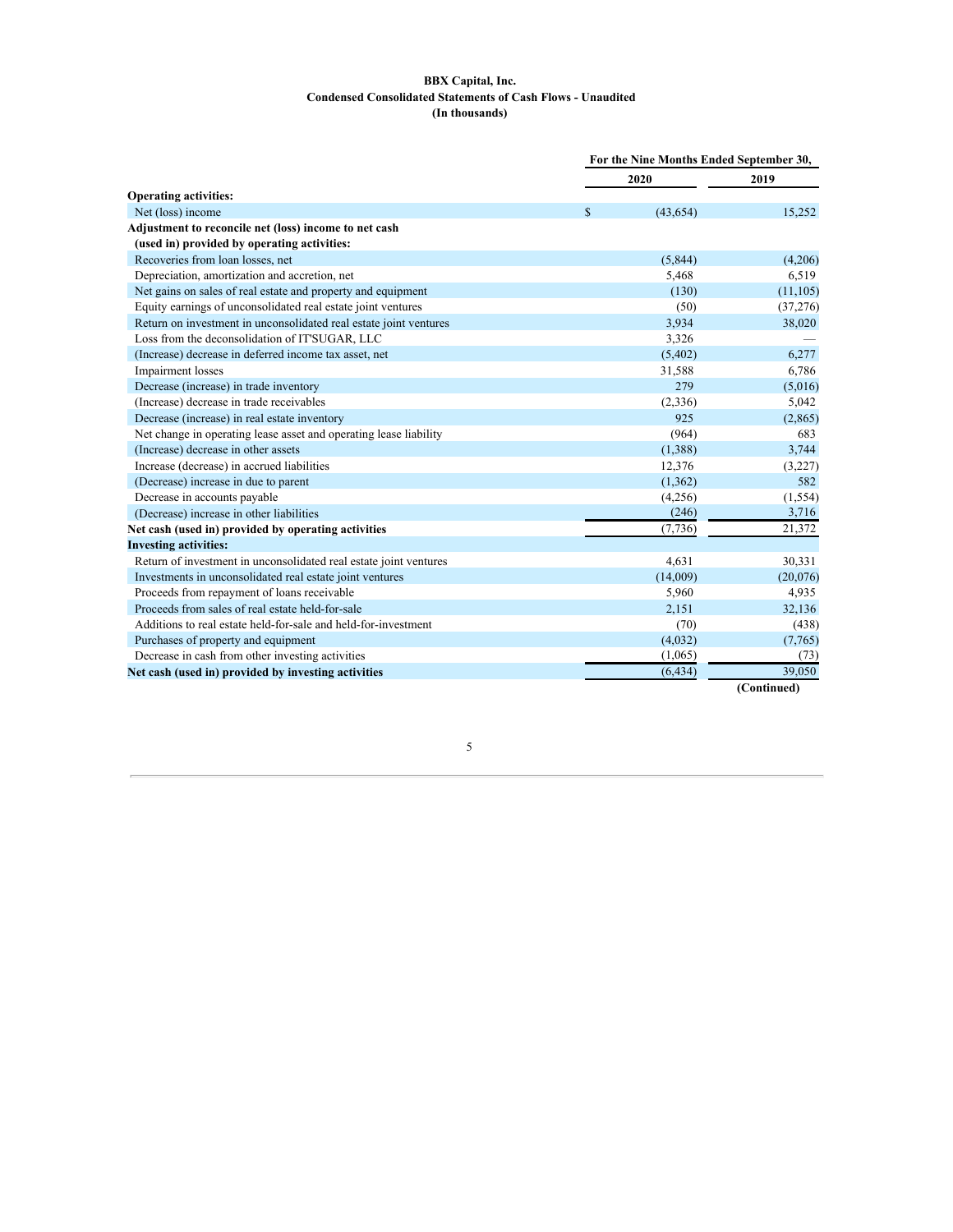# **BBX Capital, Inc. Condensed Consolidated Statements of Cash Flows - Unaudited (In thousands)**

<span id="page-6-0"></span>

|                                                                   | For the Nine Months Ended September 30, |           |             |
|-------------------------------------------------------------------|-----------------------------------------|-----------|-------------|
|                                                                   |                                         | 2020      | 2019        |
| <b>Operating activities:</b>                                      |                                         |           |             |
| Net (loss) income                                                 | \$                                      | (43, 654) | 15,252      |
| Adjustment to reconcile net (loss) income to net cash             |                                         |           |             |
| (used in) provided by operating activities:                       |                                         |           |             |
| Recoveries from loan losses, net                                  |                                         | (5,844)   | (4,206)     |
| Depreciation, amortization and accretion, net                     |                                         | 5,468     | 6,519       |
| Net gains on sales of real estate and property and equipment      |                                         | (130)     | (11, 105)   |
| Equity earnings of unconsolidated real estate joint ventures      |                                         | (50)      | (37,276)    |
| Return on investment in unconsolidated real estate joint ventures |                                         | 3,934     | 38,020      |
| Loss from the deconsolidation of IT'SUGAR, LLC                    |                                         | 3,326     |             |
| (Increase) decrease in deferred income tax asset, net             |                                         | (5, 402)  | 6,277       |
| <b>Impairment</b> losses                                          |                                         | 31,588    | 6,786       |
| Decrease (increase) in trade inventory                            |                                         | 279       | (5,016)     |
| (Increase) decrease in trade receivables                          |                                         | (2,336)   | 5,042       |
| Decrease (increase) in real estate inventory                      |                                         | 925       | (2,865)     |
| Net change in operating lease asset and operating lease liability |                                         | (964)     | 683         |
| (Increase) decrease in other assets                               |                                         | (1,388)   | 3,744       |
| Increase (decrease) in accrued liabilities                        |                                         | 12,376    | (3,227)     |
| (Decrease) increase in due to parent                              |                                         | (1,362)   | 582         |
| Decrease in accounts payable                                      |                                         | (4,256)   | (1, 554)    |
| (Decrease) increase in other liabilities                          |                                         | (246)     | 3,716       |
| Net cash (used in) provided by operating activities               |                                         | (7, 736)  | 21,372      |
| <b>Investing activities:</b>                                      |                                         |           |             |
| Return of investment in unconsolidated real estate joint ventures |                                         | 4,631     | 30,331      |
| Investments in unconsolidated real estate joint ventures          |                                         | (14,009)  | (20,076)    |
| Proceeds from repayment of loans receivable                       |                                         | 5,960     | 4,935       |
| Proceeds from sales of real estate held-for-sale                  |                                         | 2,151     | 32,136      |
| Additions to real estate held-for-sale and held-for-investment    |                                         | (70)      | (438)       |
| Purchases of property and equipment                               |                                         | (4.032)   | (7,765)     |
| Decrease in cash from other investing activities                  |                                         | (1,065)   | (73)        |
| Net cash (used in) provided by investing activities               |                                         | (6, 434)  | 39,050      |
|                                                                   |                                         |           | (Continued) |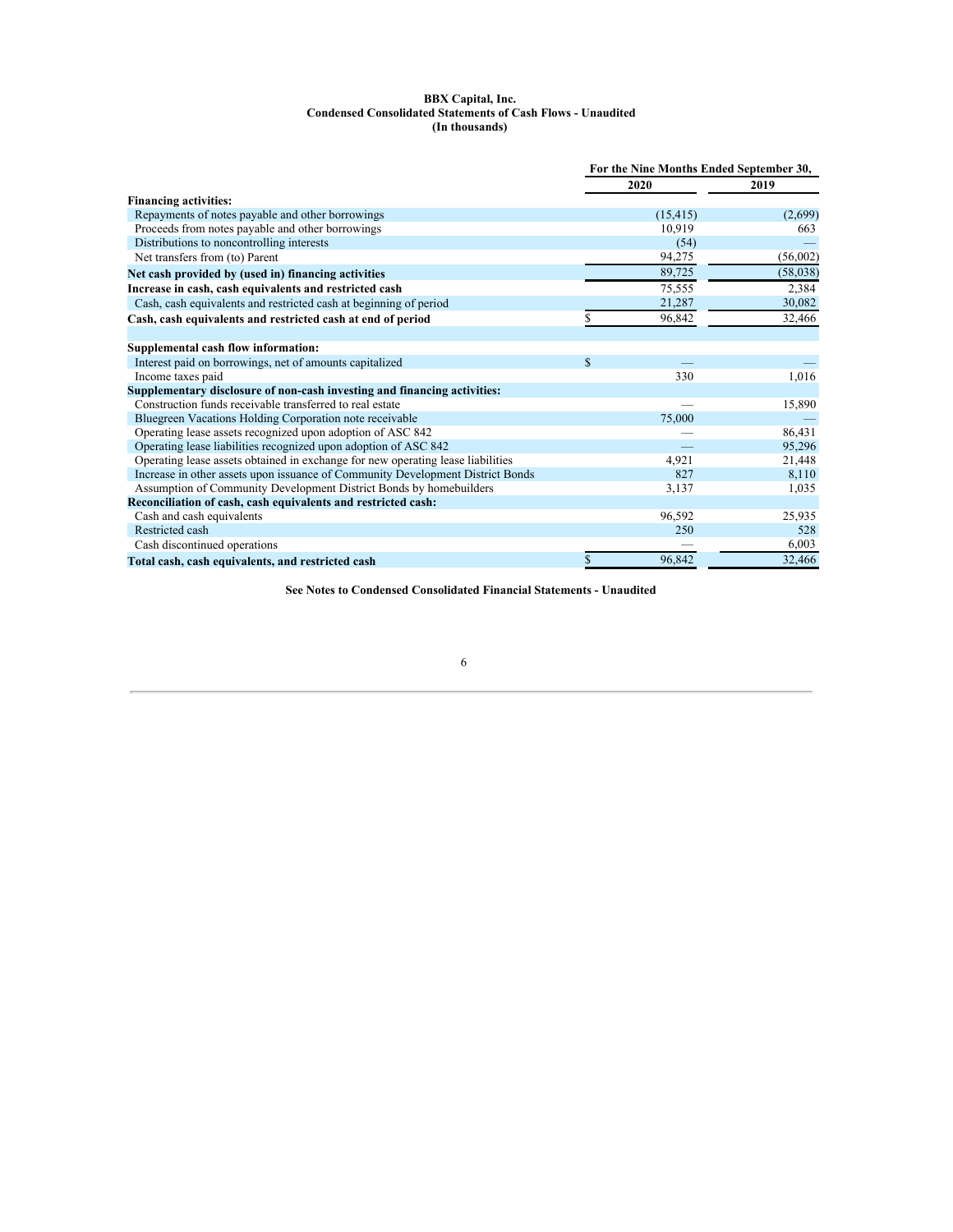#### **BBX Capital, Inc. Condensed Consolidated Statements of Cash Flows - Unaudited (In thousands)**

|                                                                                 | For the Nine Months Ended September 30, |           |          |  |
|---------------------------------------------------------------------------------|-----------------------------------------|-----------|----------|--|
|                                                                                 |                                         | 2020      | 2019     |  |
| <b>Financing activities:</b>                                                    |                                         |           |          |  |
| Repayments of notes payable and other borrowings                                |                                         | (15, 415) | (2,699)  |  |
| Proceeds from notes payable and other borrowings                                |                                         | 10,919    | 663      |  |
| Distributions to noncontrolling interests                                       |                                         | (54)      |          |  |
| Net transfers from (to) Parent                                                  |                                         | 94,275    | (56,002) |  |
| Net cash provided by (used in) financing activities                             |                                         | 89,725    | (58,038) |  |
| Increase in cash, cash equivalents and restricted cash                          |                                         | 75,555    | 2,384    |  |
| Cash, cash equivalents and restricted cash at beginning of period               |                                         | 21,287    | 30,082   |  |
| Cash, cash equivalents and restricted cash at end of period                     |                                         | 96.842    | 32,466   |  |
| Supplemental cash flow information:                                             |                                         |           |          |  |
| Interest paid on borrowings, net of amounts capitalized                         | $\mathbb{S}$                            |           |          |  |
| Income taxes paid                                                               |                                         | 330       | 1,016    |  |
| Supplementary disclosure of non-cash investing and financing activities:        |                                         |           |          |  |
| Construction funds receivable transferred to real estate                        |                                         |           | 15,890   |  |
| Bluegreen Vacations Holding Corporation note receivable                         |                                         | 75,000    |          |  |
| Operating lease assets recognized upon adoption of ASC 842                      |                                         |           | 86,431   |  |
| Operating lease liabilities recognized upon adoption of ASC 842                 |                                         |           | 95,296   |  |
| Operating lease assets obtained in exchange for new operating lease liabilities |                                         | 4.921     | 21,448   |  |
| Increase in other assets upon issuance of Community Development District Bonds  |                                         | 827       | 8,110    |  |
| Assumption of Community Development District Bonds by homebuilders              |                                         | 3,137     | 1,035    |  |
| Reconciliation of cash, cash equivalents and restricted cash:                   |                                         |           |          |  |
| Cash and cash equivalents                                                       |                                         | 96,592    | 25,935   |  |
| Restricted cash                                                                 |                                         | 250       | 528      |  |
| Cash discontinued operations                                                    |                                         |           | 6,003    |  |
| Total cash, cash equivalents, and restricted cash                               | \$                                      | 96.842    | 32,466   |  |

**See Notes to Condensed Consolidated Financial Statements - Unaudited**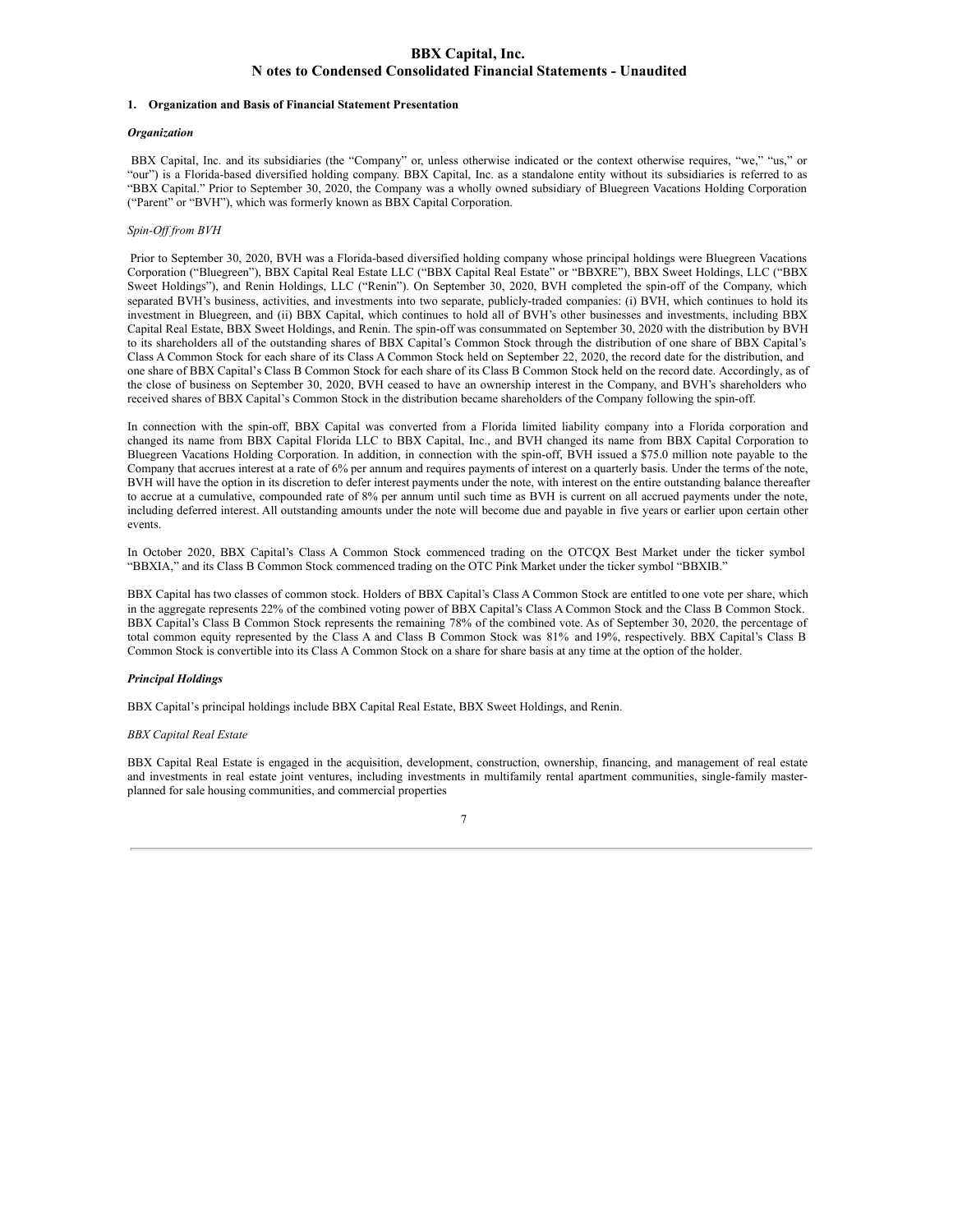# <span id="page-8-0"></span>**BBX Capital, Inc. N otes to Condensed Consolidated Financial Statements - Unaudited**

#### **1. Organization and Basis of Financial Statement Presentation**

#### *Organization*

BBX Capital, Inc. and its subsidiaries (the "Company" or, unless otherwise indicated or the context otherwise requires, "we," "us," or "our") is a Florida-based diversified holding company. BBX Capital, Inc. as a standalone entity without its subsidiaries is referred to as "BBX Capital." Prior to September 30, 2020, the Company was a wholly owned subsidiary of Bluegreen Vacations Holding Corporation ("Parent" or "BVH"), which was formerly known as BBX Capital Corporation.

#### *Spin-Of from BVH*

Prior to September 30, 2020, BVH was a Florida-based diversified holding company whose principal holdings were Bluegreen Vacations Corporation ("Bluegreen"), BBX Capital Real Estate LLC ("BBX Capital Real Estate" or "BBXRE"), BBX Sweet Holdings, LLC ("BBX Sweet Holdings"), and Renin Holdings, LLC ("Renin"). On September 30, 2020, BVH completed the spin-off of the Company, which separated BVH's business, activities, and investments into two separate, publicly-traded companies: (i) BVH, which continues to hold its investment in Bluegreen, and (ii) BBX Capital, which continues to hold all of BVH's other businesses and investments, including BBX Capital Real Estate, BBX Sweet Holdings, and Renin. The spin-off was consummated on September 30, 2020 with the distribution by BVH to its shareholders all of the outstanding shares of BBX Capital's Common Stock through the distribution of one share of BBX Capital's Class A Common Stock for each share of its Class A Common Stock held on September 22, 2020, the record date for the distribution, and one share of BBX Capital's Class B Common Stock for each share of its Class B Common Stock held on the record date. Accordingly, as of the close of business on September 30, 2020, BVH ceased to have an ownership interest in the Company, and BVH's shareholders who received shares of BBX Capital's Common Stock in the distribution became shareholders of the Company following the spin-off.

In connection with the spin-off, BBX Capital was converted from a Florida limited liability company into a Florida corporation and changed its name from BBX Capital Florida LLC to BBX Capital, Inc., and BVH changed its name from BBX Capital Corporation to Bluegreen Vacations Holding Corporation. In addition, in connection with the spin-off, BVH issued a \$75.0 million note payable to the Company that accrues interest at a rate of 6% per annum and requires payments of interest on a quarterly basis. Under the terms of the note, BVH will have the option in its discretion to defer interest payments under the note, with interest on the entire outstanding balance thereafter to accrue at a cumulative, compounded rate of 8% per annum until such time as BVH is current on all accrued payments under the note, including deferred interest. All outstanding amounts under the note will become due and payable in five years or earlier upon certain other events.

In October 2020, BBX Capital's Class A Common Stock commenced trading on the OTCQX Best Market under the ticker symbol "BBXIA," and its Class B Common Stock commenced trading on the OTC Pink Market under the ticker symbol "BBXIB."

BBX Capital has two classes of common stock. Holders of BBX Capital's Class A Common Stock are entitled to one vote per share, which in the aggregate represents 22% of the combined voting power of BBX Capital's Class A Common Stock and the Class B Common Stock. BBX Capital's Class B Common Stock represents the remaining 78% of the combined vote. As of September 30, 2020, the percentage of total common equity represented by the Class A and Class B Common Stock was 81% and 19%, respectively. BBX Capital's Class B Common Stock is convertible into its Class A Common Stock on a share for share basis at any time at the option of the holder.

#### *Principal Holdings*

BBX Capital's principal holdings include BBX Capital Real Estate, BBX Sweet Holdings, and Renin.

## *BBX Capital Real Estate*

BBX Capital Real Estate is engaged in the acquisition, development, construction, ownership, financing, and management of real estate and investments in real estate joint ventures, including investments in multifamily rental apartment communities, single-family masterplanned for sale housing communities, and commercial properties

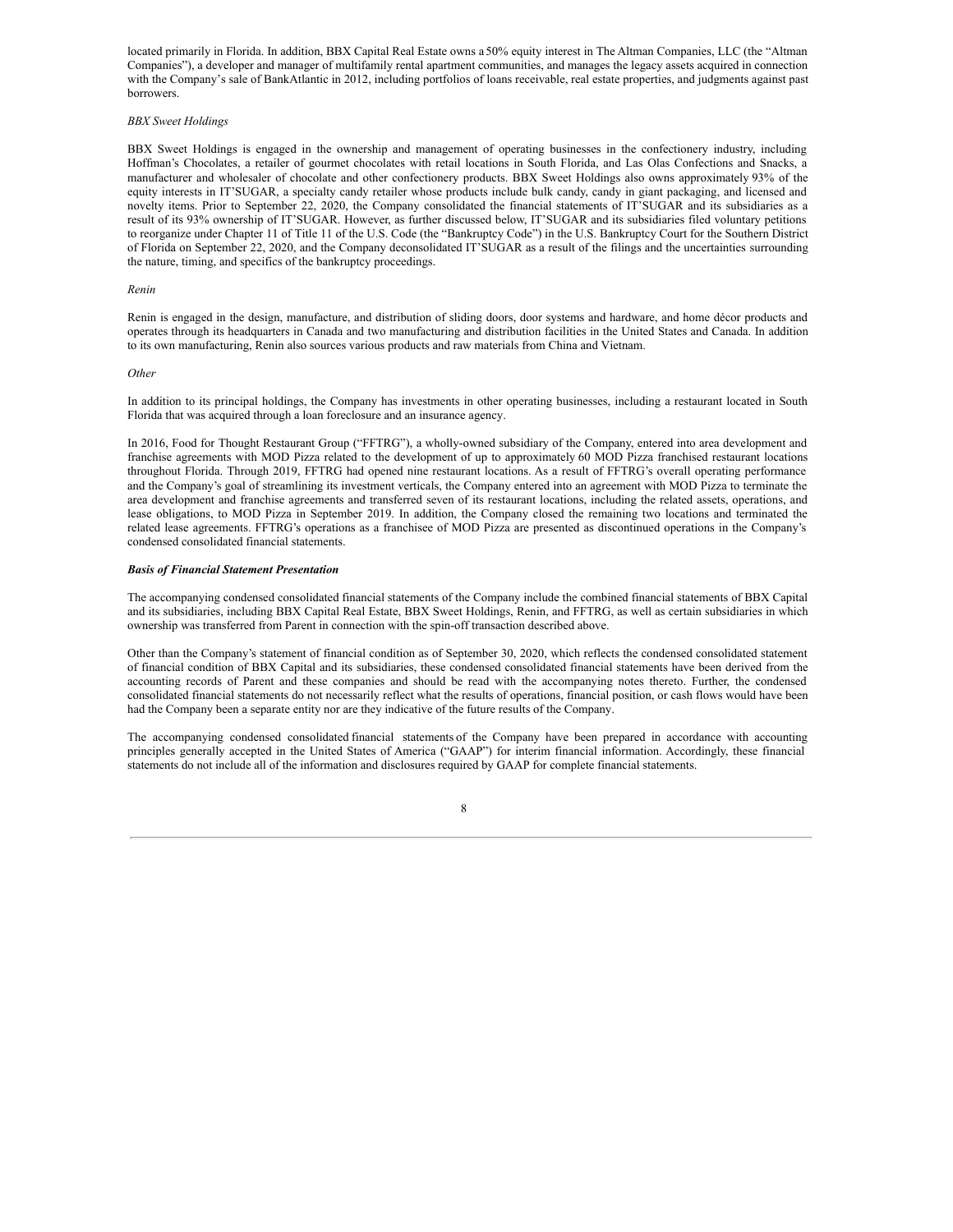located primarily in Florida. In addition, BBX Capital Real Estate owns a 50% equity interest in The Altman Companies, LLC (the "Altman Companies"), a developer and manager of multifamily rental apartment communities, and manages the legacy assets acquired in connection with the Company's sale of BankAtlantic in 2012, including portfolios of loans receivable, real estate properties, and judgments against past borrowers.

## *BBX Sweet Holdings*

BBX Sweet Holdings is engaged in the ownership and management of operating businesses in the confectionery industry, including Hoffman's Chocolates, a retailer of gourmet chocolates with retail locations in South Florida, and Las Olas Confections and Snacks, a manufacturer and wholesaler of chocolate and other confectionery products. BBX Sweet Holdings also owns approximately 93% of the equity interests in IT'SUGAR, a specialty candy retailer whose products include bulk candy, candy in giant packaging, and licensed and novelty items. Prior to September 22, 2020, the Company consolidated the financial statements of IT'SUGAR and its subsidiaries as a result of its 93% ownership of IT'SUGAR. However, as further discussed below, IT'SUGAR and its subsidiaries filed voluntary petitions to reorganize under Chapter 11 of Title 11 of the U.S. Code (the "Bankruptcy Code") in the U.S. Bankruptcy Court for the Southern District of Florida on September 22, 2020, and the Company deconsolidated IT'SUGAR as a result of the filings and the uncertainties surrounding the nature, timing, and specifics of the bankruptcy proceedings.

#### *Renin*

Renin is engaged in the design, manufacture, and distribution of sliding doors, door systems and hardware, and home décor products and operates through its headquarters in Canada and two manufacturing and distribution facilities in the United States and Canada. In addition to its own manufacturing, Renin also sources various products and raw materials from China and Vietnam.

### *Other*

In addition to its principal holdings, the Company has investments in other operating businesses, including a restaurant located in South Florida that was acquired through a loan foreclosure and an insurance agency.

In 2016, Food for Thought Restaurant Group ("FFTRG"), a wholly-owned subsidiary of the Company, entered into area development and franchise agreements with MOD Pizza related to the development of up to approximately 60 MOD Pizza franchised restaurant locations throughout Florida. Through 2019, FFTRG had opened nine restaurant locations. As a result of FFTRG's overall operating performance and the Company's goal of streamlining its investment verticals, the Company entered into an agreement with MOD Pizza to terminate the area development and franchise agreements and transferred seven of its restaurant locations, including the related assets, operations, and lease obligations, to MOD Pizza in September 2019. In addition, the Company closed the remaining two locations and terminated the related lease agreements. FFTRG's operations as a franchisee of MOD Pizza are presented as discontinued operations in the Company's condensed consolidated financial statements.

#### *Basis of Financial Statement Presentation*

The accompanying condensed consolidated financial statements of the Company include the combined financial statements of BBX Capital and its subsidiaries, including BBX Capital Real Estate, BBX Sweet Holdings, Renin, and FFTRG, as well as certain subsidiaries in which ownership was transferred from Parent in connection with the spin-off transaction described above.

Other than the Company's statement of financial condition as of September 30, 2020, which reflects the condensed consolidated statement of financial condition of BBX Capital and its subsidiaries, these condensed consolidated financial statements have been derived from the accounting records of Parent and these companies and should be read with the accompanying notes thereto. Further, the condensed consolidated financial statements do not necessarily reflect what the results of operations, financial position, or cash flows would have been had the Company been a separate entity nor are they indicative of the future results of the Company.

The accompanying condensed consolidated financial statements of the Company have been prepared in accordance with accounting principles generally accepted in the United States of America ("GAAP") for interim financial information. Accordingly, these financial statements do not include all of the information and disclosures required by GAAP for complete financial statements.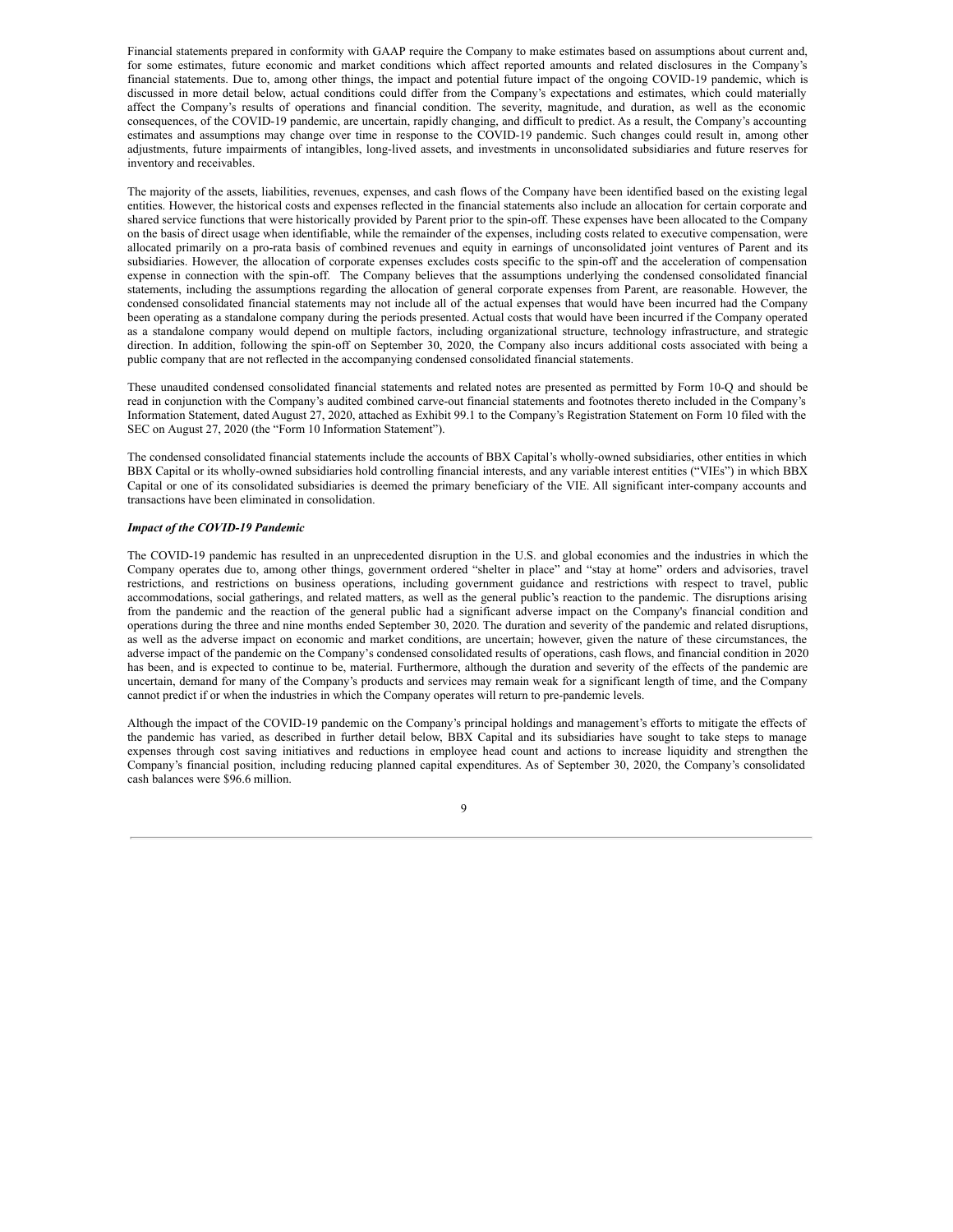Financial statements prepared in conformity with GAAP require the Company to make estimates based on assumptions about current and, for some estimates, future economic and market conditions which affect reported amounts and related disclosures in the Company's financial statements. Due to, among other things, the impact and potential future impact of the ongoing COVID-19 pandemic, which is discussed in more detail below, actual conditions could differ from the Company's expectations and estimates, which could materially affect the Company's results of operations and financial condition. The severity, magnitude, and duration, as well as the economic consequences, of the COVID-19 pandemic, are uncertain, rapidly changing, and difficult to predict. As a result, the Company's accounting estimates and assumptions may change over time in response to the COVID-19 pandemic. Such changes could result in, among other adjustments, future impairments of intangibles, long-lived assets, and investments in unconsolidated subsidiaries and future reserves for inventory and receivables.

The majority of the assets, liabilities, revenues, expenses, and cash flows of the Company have been identified based on the existing legal entities. However, the historical costs and expenses reflected in the financial statements also include an allocation for certain corporate and shared service functions that were historically provided by Parent prior to the spin-off. These expenses have been allocated to the Company on the basis of direct usage when identifiable, while the remainder of the expenses, including costs related to executive compensation, were allocated primarily on a pro-rata basis of combined revenues and equity in earnings of unconsolidated joint ventures of Parent and its subsidiaries. However, the allocation of corporate expenses excludes costs specific to the spin-off and the acceleration of compensation expense in connection with the spin-off. The Company believes that the assumptions underlying the condensed consolidated financial statements, including the assumptions regarding the allocation of general corporate expenses from Parent, are reasonable. However, the condensed consolidated financial statements may not include all of the actual expenses that would have been incurred had the Company been operating as a standalone company during the periods presented. Actual costs that would have been incurred if the Company operated as a standalone company would depend on multiple factors, including organizational structure, technology infrastructure, and strategic direction. In addition, following the spin-off on September 30, 2020, the Company also incurs additional costs associated with being a public company that are not reflected in the accompanying condensed consolidated financial statements.

These unaudited condensed consolidated financial statements and related notes are presented as permitted by Form 10-Q and should be read in conjunction with the Company's audited combined carve-out financial statements and footnotes thereto included in the Company's Information Statement, dated August 27, 2020, attached as Exhibit 99.1 to the Company's Registration Statement on Form 10 filed with the SEC on August 27, 2020 (the "Form 10 Information Statement").

The condensed consolidated financial statements include the accounts of BBX Capital's wholly-owned subsidiaries, other entities in which BBX Capital or its wholly-owned subsidiaries hold controlling financial interests, and any variable interest entities ("VIEs") in which BBX Capital or one of its consolidated subsidiaries is deemed the primary beneficiary of the VIE. All significant inter-company accounts and transactions have been eliminated in consolidation.

#### *Impact of the COVID-19 Pandemic*

The COVID-19 pandemic has resulted in an unprecedented disruption in the U.S. and global economies and the industries in which the Company operates due to, among other things, government ordered "shelter in place" and "stay at home" orders and advisories, travel restrictions, and restrictions on business operations, including government guidance and restrictions with respect to travel, public accommodations, social gatherings, and related matters, as well as the general public's reaction to the pandemic. The disruptions arising from the pandemic and the reaction of the general public had a significant adverse impact on the Company's financial condition and operations during the three and nine months ended September 30, 2020. The duration and severity of the pandemic and related disruptions, as well as the adverse impact on economic and market conditions, are uncertain; however, given the nature of these circumstances, the adverse impact of the pandemic on the Company's condensed consolidated results of operations, cash flows, and financial condition in 2020 has been, and is expected to continue to be, material. Furthermore, although the duration and severity of the effects of the pandemic are uncertain, demand for many of the Company's products and services may remain weak for a significant length of time, and the Company cannot predict if or when the industries in which the Company operates will return to pre-pandemic levels.

Although the impact of the COVID-19 pandemic on the Company's principal holdings and management's efforts to mitigate the effects of the pandemic has varied, as described in further detail below, BBX Capital and its subsidiaries have sought to take steps to manage expenses through cost saving initiatives and reductions in employee head count and actions to increase liquidity and strengthen the Company's financial position, including reducing planned capital expenditures. As of September 30, 2020, the Company's consolidated cash balances were \$96.6 million.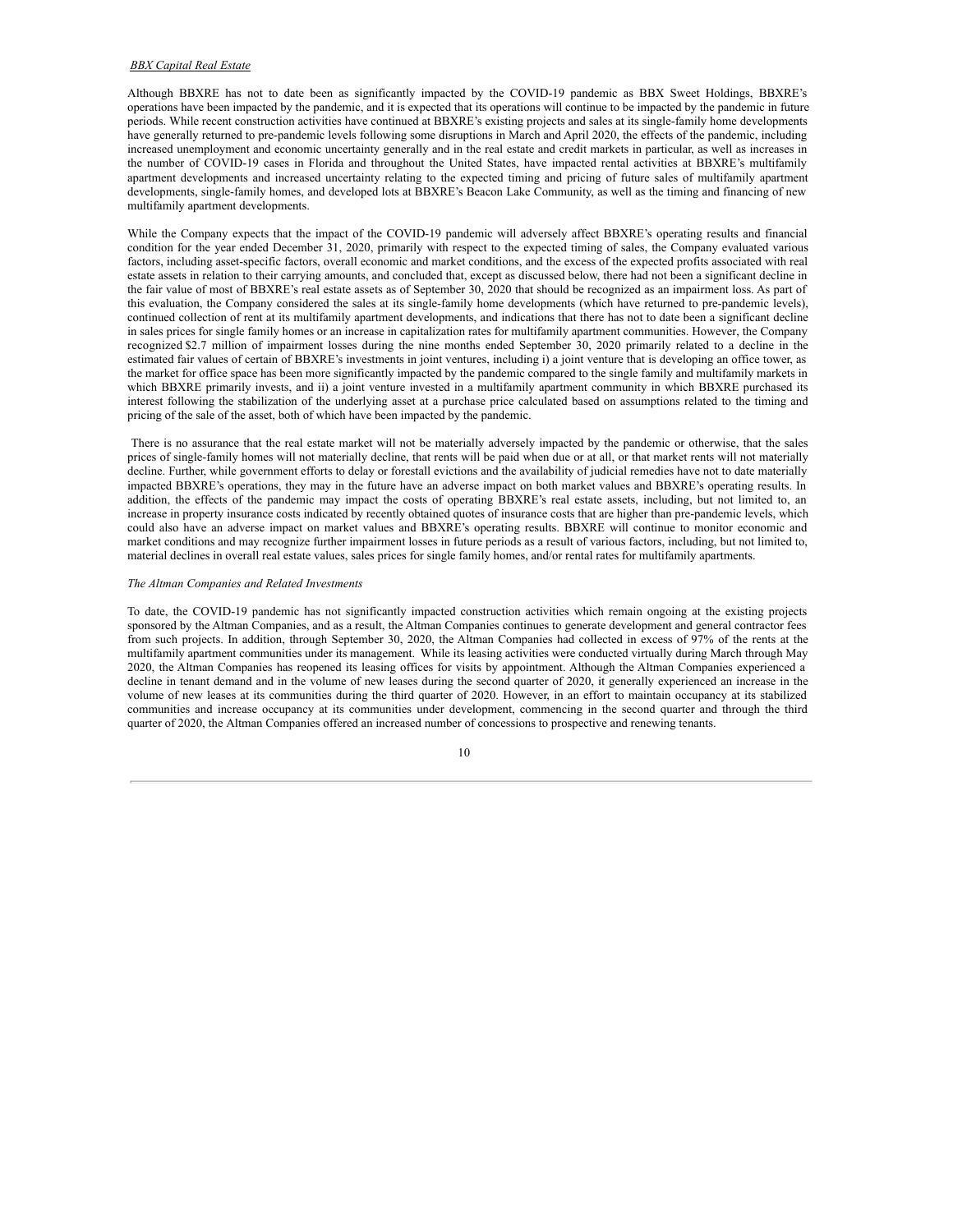## *BBX Capital Real Estate*

Although BBXRE has not to date been as significantly impacted by the COVID-19 pandemic as BBX Sweet Holdings, BBXRE's operations have been impacted by the pandemic, and it is expected that its operations will continue to be impacted by the pandemic in future periods. While recent construction activities have continued at BBXRE's existing projects and sales at its single-family home developments have generally returned to pre-pandemic levels following some disruptions in March and April 2020, the effects of the pandemic, including increased unemployment and economic uncertainty generally and in the real estate and credit markets in particular, as well as increases in the number of COVID-19 cases in Florida and throughout the United States, have impacted rental activities at BBXRE's multifamily apartment developments and increased uncertainty relating to the expected timing and pricing of future sales of multifamily apartment developments, single-family homes, and developed lots at BBXRE's Beacon Lake Community, as well as the timing and financing of new multifamily apartment developments.

While the Company expects that the impact of the COVID-19 pandemic will adversely affect BBXRE's operating results and financial condition for the year ended December 31, 2020, primarily with respect to the expected timing of sales, the Company evaluated various factors, including asset-specific factors, overall economic and market conditions, and the excess of the expected profits associated with real estate assets in relation to their carrying amounts, and concluded that, except as discussed below, there had not been a significant decline in the fair value of most of BBXRE's real estate assets as of September 30, 2020 that should be recognized as an impairment loss. As part of this evaluation, the Company considered the sales at its single-family home developments (which have returned to pre-pandemic levels), continued collection of rent at its multifamily apartment developments, and indications that there has not to date been a significant decline in sales prices for single family homes or an increase in capitalization rates for multifamily apartment communities. However, the Company recognized \$2.7 million of impairment losses during the nine months ended September 30, 2020 primarily related to a decline in the estimated fair values of certain of BBXRE's investments in joint ventures, including i) a joint venture that is developing an office tower, as the market for office space has been more significantly impacted by the pandemic compared to the single family and multifamily markets in which BBXRE primarily invests, and ii) a joint venture invested in a multifamily apartment community in which BBXRE purchased its interest following the stabilization of the underlying asset at a purchase price calculated based on assumptions related to the timing and pricing of the sale of the asset, both of which have been impacted by the pandemic.

There is no assurance that the real estate market will not be materially adversely impacted by the pandemic or otherwise, that the sales prices of single-family homes will not materially decline, that rents will be paid when due or at all, or that market rents will not materially decline. Further, while government efforts to delay or forestall evictions and the availability of judicial remedies have not to date materially impacted BBXRE's operations, they may in the future have an adverse impact on both market values and BBXRE's operating results. In addition, the effects of the pandemic may impact the costs of operating BBXRE's real estate assets, including, but not limited to, an increase in property insurance costs indicated by recently obtained quotes of insurance costs that are higher than pre-pandemic levels, which could also have an adverse impact on market values and BBXRE's operating results. BBXRE will continue to monitor economic and market conditions and may recognize further impairment losses in future periods as a result of various factors, including, but not limited to, material declines in overall real estate values, sales prices for single family homes, and/or rental rates for multifamily apartments.

## *The Altman Companies and Related Investments*

To date, the COVID-19 pandemic has not significantly impacted construction activities which remain ongoing at the existing projects sponsored by the Altman Companies, and as a result, the Altman Companies continues to generate development and general contractor fees from such projects. In addition, through September 30, 2020, the Altman Companies had collected in excess of 97% of the rents at the multifamily apartment communities under its management. While its leasing activities were conducted virtually during March through May 2020, the Altman Companies has reopened its leasing offices for visits by appointment. Although the Altman Companies experienced a decline in tenant demand and in the volume of new leases during the second quarter of 2020, it generally experienced an increase in the volume of new leases at its communities during the third quarter of 2020. However, in an effort to maintain occupancy at its stabilized communities and increase occupancy at its communities under development, commencing in the second quarter and through the third quarter of 2020, the Altman Companies offered an increased number of concessions to prospective and renewing tenants.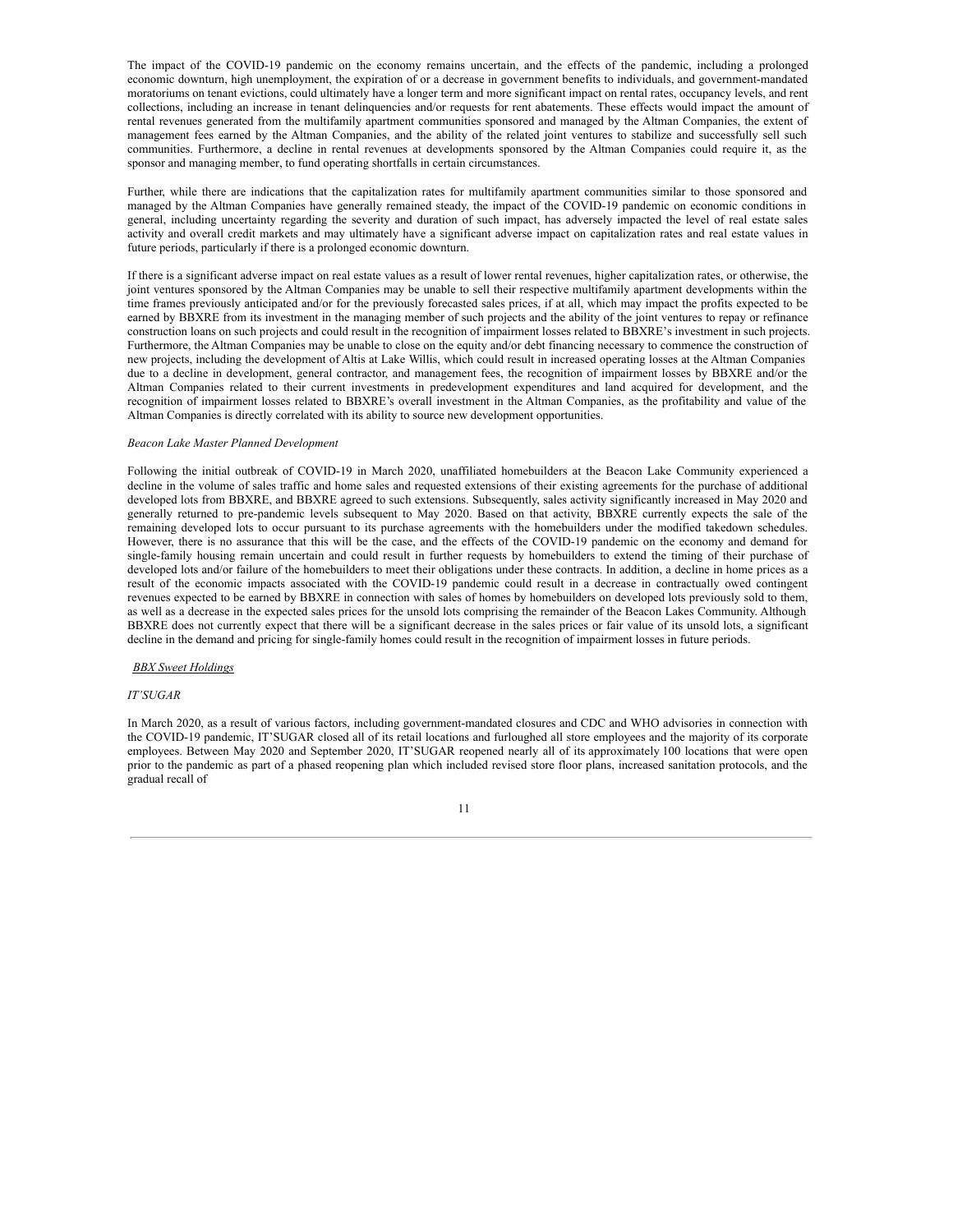The impact of the COVID-19 pandemic on the economy remains uncertain, and the effects of the pandemic, including a prolonged economic downturn, high unemployment, the expiration of or a decrease in government benefits to individuals, and government-mandated moratoriums on tenant evictions, could ultimately have a longer term and more significant impact on rental rates, occupancy levels, and rent collections, including an increase in tenant delinquencies and/or requests for rent abatements. These effects would impact the amount of rental revenues generated from the multifamily apartment communities sponsored and managed by the Altman Companies, the extent of management fees earned by the Altman Companies, and the ability of the related joint ventures to stabilize and successfully sell such communities. Furthermore, a decline in rental revenues at developments sponsored by the Altman Companies could require it, as the sponsor and managing member, to fund operating shortfalls in certain circumstances.

Further, while there are indications that the capitalization rates for multifamily apartment communities similar to those sponsored and managed by the Altman Companies have generally remained steady, the impact of the COVID-19 pandemic on economic conditions in general, including uncertainty regarding the severity and duration of such impact, has adversely impacted the level of real estate sales activity and overall credit markets and may ultimately have a significant adverse impact on capitalization rates and real estate values in future periods, particularly if there is a prolonged economic downturn.

If there is a significant adverse impact on real estate values as a result of lower rental revenues, higher capitalization rates, or otherwise, the joint ventures sponsored by the Altman Companies may be unable to sell their respective multifamily apartment developments within the time frames previously anticipated and/or for the previously forecasted sales prices, if at all, which may impact the profits expected to be earned by BBXRE from its investment in the managing member of such projects and the ability of the joint ventures to repay or refinance construction loans on such projects and could result in the recognition of impairment losses related to BBXRE's investment in such projects. Furthermore, the Altman Companies may be unable to close on the equity and/or debt financing necessary to commence the construction of new projects, including the development of Altis at Lake Willis, which could result in increased operating losses at the Altman Companies due to a decline in development, general contractor, and management fees, the recognition of impairment losses by BBXRE and/or the Altman Companies related to their current investments in predevelopment expenditures and land acquired for development, and the recognition of impairment losses related to BBXRE's overall investment in the Altman Companies, as the profitability and value of the Altman Companies is directly correlated with its ability to source new development opportunities.

#### *Beacon Lake Master Planned Development*

Following the initial outbreak of COVID-19 in March 2020, unaffiliated homebuilders at the Beacon Lake Community experienced a decline in the volume of sales traffic and home sales and requested extensions of their existing agreements for the purchase of additional developed lots from BBXRE, and BBXRE agreed to such extensions. Subsequently, sales activity significantly increased in May 2020 and generally returned to pre-pandemic levels subsequent to May 2020. Based on that activity, BBXRE currently expects the sale of the remaining developed lots to occur pursuant to its purchase agreements with the homebuilders under the modified takedown schedules. However, there is no assurance that this will be the case, and the effects of the COVID-19 pandemic on the economy and demand for single-family housing remain uncertain and could result in further requests by homebuilders to extend the timing of their purchase of developed lots and/or failure of the homebuilders to meet their obligations under these contracts. In addition, a decline in home prices as a result of the economic impacts associated with the COVID-19 pandemic could result in a decrease in contractually owed contingent revenues expected to be earned by BBXRE in connection with sales of homes by homebuilders on developed lots previously sold to them, as well as a decrease in the expected sales prices for the unsold lots comprising the remainder of the Beacon Lakes Community. Although BBXRE does not currently expect that there will be a significant decrease in the sales prices or fair value of its unsold lots, a significant decline in the demand and pricing for single-family homes could result in the recognition of impairment losses in future periods.

*BBX Sweet Holdings*

#### *IT'SUGAR*

In March 2020, as a result of various factors, including government-mandated closures and CDC and WHO advisories in connection with the COVID-19 pandemic, IT'SUGAR closed all of its retail locations and furloughed all store employees and the majority of its corporate employees. Between May 2020 and September 2020, IT'SUGAR reopened nearly all of its approximately 100 locations that were open prior to the pandemic as part of a phased reopening plan which included revised store floor plans, increased sanitation protocols, and the gradual recall of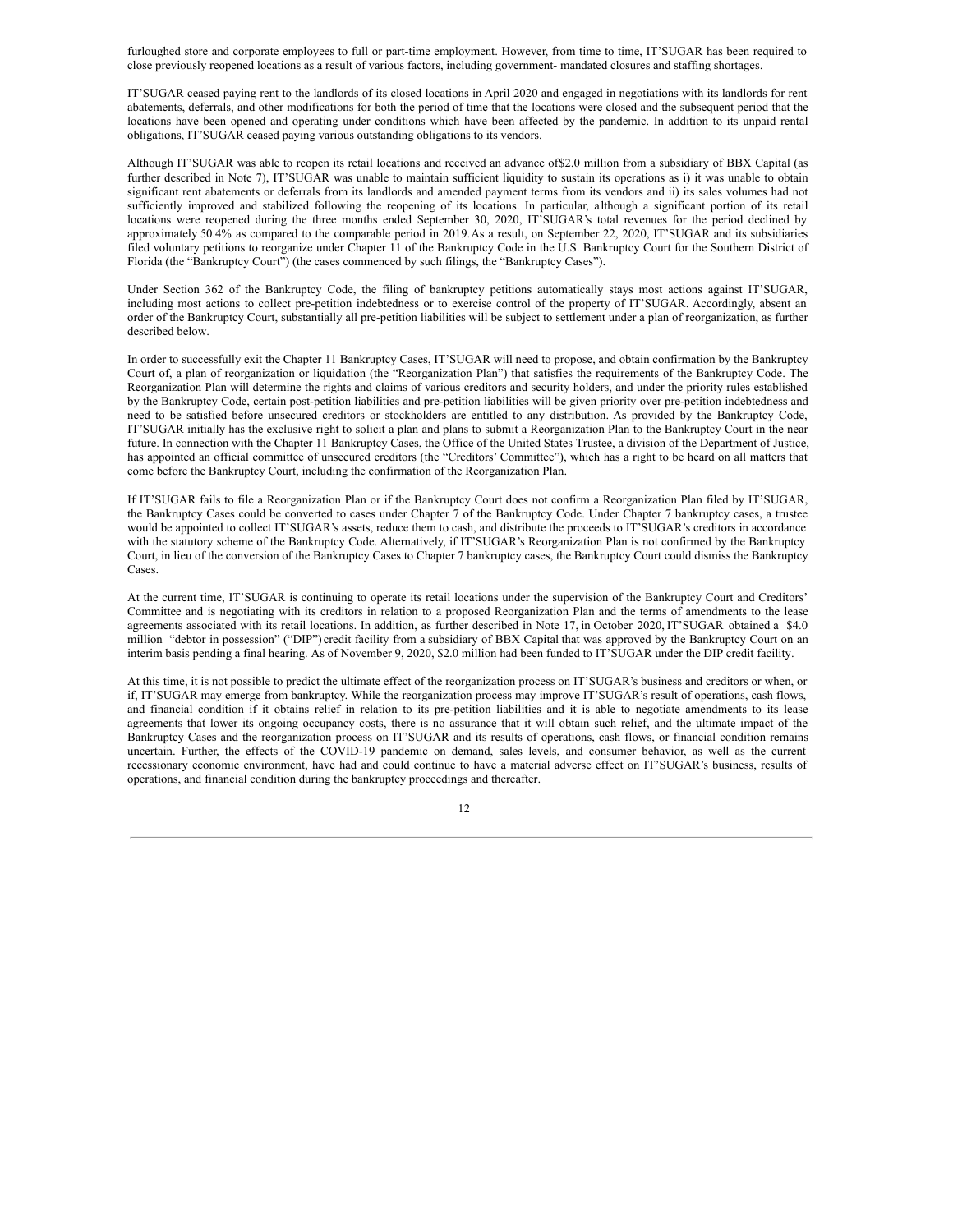furloughed store and corporate employees to full or part-time employment. However, from time to time, IT'SUGAR has been required to close previously reopened locations as a result of various factors, including government- mandated closures and staffing shortages.

IT'SUGAR ceased paying rent to the landlords of its closed locations in April 2020 and engaged in negotiations with its landlords for rent abatements, deferrals, and other modifications for both the period of time that the locations were closed and the subsequent period that the locations have been opened and operating under conditions which have been affected by the pandemic. In addition to its unpaid rental obligations, IT'SUGAR ceased paying various outstanding obligations to its vendors.

Although IT'SUGAR was able to reopen its retail locations and received an advance of\$2.0 million from a subsidiary of BBX Capital (as further described in Note 7), IT'SUGAR was unable to maintain sufficient liquidity to sustain its operations as i) it was unable to obtain significant rent abatements or deferrals from its landlords and amended payment terms from its vendors and ii) its sales volumes had not sufficiently improved and stabilized following the reopening of its locations. In particular, although a significant portion of its retail locations were reopened during the three months ended September 30, 2020, IT'SUGAR's total revenues for the period declined by approximately 50.4% as compared to the comparable period in 2019.As a result, on September 22, 2020, IT'SUGAR and its subsidiaries filed voluntary petitions to reorganize under Chapter 11 of the Bankruptcy Code in the U.S. Bankruptcy Court for the Southern District of Florida (the "Bankruptcy Court") (the cases commenced by such filings, the "Bankruptcy Cases").

Under Section 362 of the Bankruptcy Code, the filing of bankruptcy petitions automatically stays most actions against IT'SUGAR, including most actions to collect pre-petition indebtedness or to exercise control of the property of IT'SUGAR. Accordingly, absent an order of the Bankruptcy Court, substantially all pre-petition liabilities will be subject to settlement under a plan of reorganization, as further described below.

In order to successfully exit the Chapter 11 Bankruptcy Cases, IT'SUGAR will need to propose, and obtain confirmation by the Bankruptcy Court of, a plan of reorganization or liquidation (the "Reorganization Plan") that satisfies the requirements of the Bankruptcy Code. The Reorganization Plan will determine the rights and claims of various creditors and security holders, and under the priority rules established by the Bankruptcy Code, certain post-petition liabilities and pre-petition liabilities will be given priority over pre-petition indebtedness and need to be satisfied before unsecured creditors or stockholders are entitled to any distribution. As provided by the Bankruptcy Code, IT'SUGAR initially has the exclusive right to solicit a plan and plans to submit a Reorganization Plan to the Bankruptcy Court in the near future. In connection with the Chapter 11 Bankruptcy Cases, the Office of the United States Trustee, a division of the Department of Justice, has appointed an official committee of unsecured creditors (the "Creditors' Committee"), which has a right to be heard on all matters that come before the Bankruptcy Court, including the confirmation of the Reorganization Plan.

If IT'SUGAR fails to file a Reorganization Plan or if the Bankruptcy Court does not confirm a Reorganization Plan filed by IT'SUGAR, the Bankruptcy Cases could be converted to cases under Chapter 7 of the Bankruptcy Code. Under Chapter 7 bankruptcy cases, a trustee would be appointed to collect IT'SUGAR's assets, reduce them to cash, and distribute the proceeds to IT'SUGAR's creditors in accordance with the statutory scheme of the Bankruptcy Code. Alternatively, if IT'SUGAR's Reorganization Plan is not confirmed by the Bankruptcy Court, in lieu of the conversion of the Bankruptcy Cases to Chapter 7 bankruptcy cases, the Bankruptcy Court could dismiss the Bankruptcy Cases.

At the current time, IT'SUGAR is continuing to operate its retail locations under the supervision of the Bankruptcy Court and Creditors' Committee and is negotiating with its creditors in relation to a proposed Reorganization Plan and the terms of amendments to the lease agreements associated with its retail locations. In addition, as further described in Note 17, in October 2020, IT'SUGAR obtained a \$4.0 million "debtor in possession" ("DIP") credit facility from a subsidiary of BBX Capital that was approved by the Bankruptcy Court on an interim basis pending a final hearing. As of November 9, 2020, \$2.0 million had been funded to IT'SUGAR under the DIP credit facility.

At this time, it is not possible to predict the ultimate effect of the reorganization process on IT'SUGAR's business and creditors or when, or if, IT'SUGAR may emerge from bankruptcy. While the reorganization process may improve IT'SUGAR's result of operations, cash flows, and financial condition if it obtains relief in relation to its pre-petition liabilities and it is able to negotiate amendments to its lease agreements that lower its ongoing occupancy costs, there is no assurance that it will obtain such relief, and the ultimate impact of the Bankruptcy Cases and the reorganization process on IT'SUGAR and its results of operations, cash flows, or financial condition remains uncertain. Further, the effects of the COVID-19 pandemic on demand, sales levels, and consumer behavior, as well as the current recessionary economic environment, have had and could continue to have a material adverse effect on IT'SUGAR's business, results of operations, and financial condition during the bankruptcy proceedings and thereafter.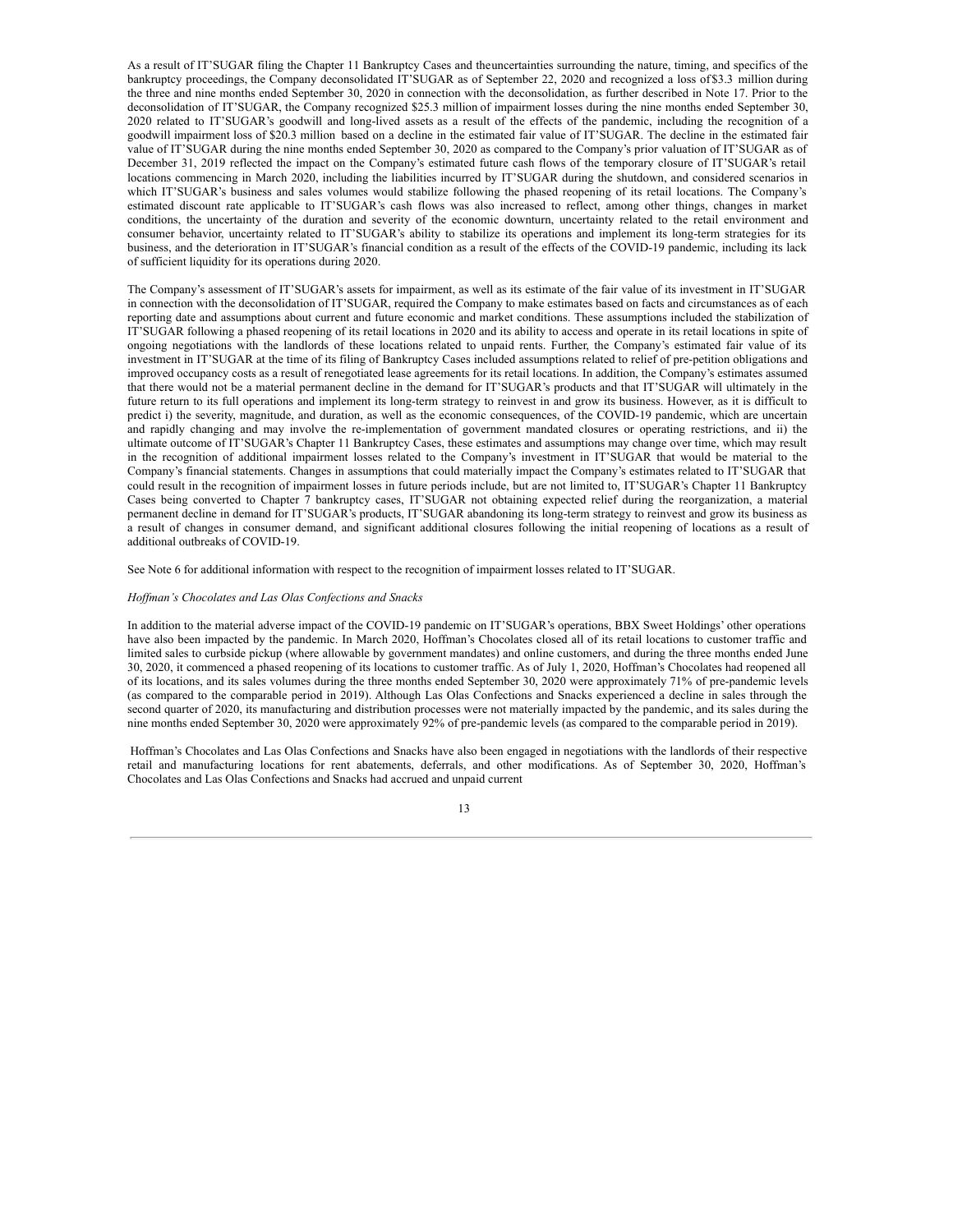As a result of IT'SUGAR filing the Chapter 11 Bankruptcy Cases and theuncertainties surrounding the nature, timing, and specifics of the bankruptcy proceedings, the Company deconsolidated IT'SUGAR as of September 22, 2020 and recognized a loss of \$3.3 million during the three and nine months ended September 30, 2020 in connection with the deconsolidation, as further described in Note 17. Prior to the deconsolidation of IT'SUGAR, the Company recognized \$25.3 million of impairment losses during the nine months ended September 30, 2020 related to IT'SUGAR's goodwill and long-lived assets as a result of the effects of the pandemic, including the recognition of a goodwill impairment loss of \$20.3 million based on a decline in the estimated fair value of IT'SUGAR. The decline in the estimated fair value of IT'SUGAR during the nine months ended September 30, 2020 as compared to the Company's prior valuation of IT'SUGAR as of December 31, 2019 reflected the impact on the Company's estimated future cash flows of the temporary closure of IT'SUGAR's retail locations commencing in March 2020, including the liabilities incurred by IT'SUGAR during the shutdown, and considered scenarios in which IT'SUGAR's business and sales volumes would stabilize following the phased reopening of its retail locations. The Company's estimated discount rate applicable to IT'SUGAR's cash flows was also increased to reflect, among other things, changes in market conditions, the uncertainty of the duration and severity of the economic downturn, uncertainty related to the retail environment and consumer behavior, uncertainty related to IT'SUGAR's ability to stabilize its operations and implement its long-term strategies for its business, and the deterioration in IT'SUGAR's financial condition as a result of the effects of the COVID-19 pandemic, including its lack of sufficient liquidity for its operations during 2020.

The Company's assessment of IT'SUGAR's assets for impairment, as well as its estimate of the fair value of its investment in IT'SUGAR in connection with the deconsolidation of IT'SUGAR, required the Company to make estimates based on facts and circumstances as of each reporting date and assumptions about current and future economic and market conditions. These assumptions included the stabilization of IT'SUGAR following a phased reopening of its retail locations in 2020 and its ability to access and operate in its retail locations in spite of ongoing negotiations with the landlords of these locations related to unpaid rents. Further, the Company's estimated fair value of its investment in IT'SUGAR at the time of its filing of Bankruptcy Cases included assumptions related to relief of pre-petition obligations and improved occupancy costs as a result of renegotiated lease agreements for its retail locations. In addition, the Company's estimates assumed that there would not be a material permanent decline in the demand for IT'SUGAR's products and that IT'SUGAR will ultimately in the future return to its full operations and implement its long-term strategy to reinvest in and grow its business. However, as it is difficult to predict i) the severity, magnitude, and duration, as well as the economic consequences, of the COVID-19 pandemic, which are uncertain and rapidly changing and may involve the re-implementation of government mandated closures or operating restrictions, and ii) the ultimate outcome of IT'SUGAR's Chapter 11 Bankruptcy Cases, these estimates and assumptions may change over time, which may result in the recognition of additional impairment losses related to the Company's investment in IT'SUGAR that would be material to the Company's financial statements. Changes in assumptions that could materially impact the Company's estimates related to IT'SUGAR that could result in the recognition of impairment losses in future periods include, but are not limited to, IT'SUGAR's Chapter 11 Bankruptcy Cases being converted to Chapter 7 bankruptcy cases, IT'SUGAR not obtaining expected relief during the reorganization, a material permanent decline in demand for IT'SUGAR's products, IT'SUGAR abandoning its long-term strategy to reinvest and grow its business as a result of changes in consumer demand, and significant additional closures following the initial reopening of locations as a result of additional outbreaks of COVID-19.

See Note 6 for additional information with respect to the recognition of impairment losses related to IT'SUGAR.

#### *Hof man's Chocolates and Las Olas Confections and Snacks*

In addition to the material adverse impact of the COVID-19 pandemic on IT'SUGAR's operations, BBX Sweet Holdings' other operations have also been impacted by the pandemic. In March 2020, Hoffman's Chocolates closed all of its retail locations to customer traffic and limited sales to curbside pickup (where allowable by government mandates) and online customers, and during the three months ended June 30, 2020, it commenced a phased reopening of its locations to customer traffic. As of July 1, 2020, Hoffman's Chocolates had reopened all of its locations, and its sales volumes during the three months ended September 30, 2020 were approximately 71% of pre-pandemic levels (as compared to the comparable period in 2019). Although Las Olas Confections and Snacks experienced a decline in sales through the second quarter of 2020, its manufacturing and distribution processes were not materially impacted by the pandemic, and its sales during the nine months ended September 30, 2020 were approximately 92% of pre-pandemic levels (as compared to the comparable period in 2019).

Hoffman's Chocolates and Las Olas Confections and Snacks have also been engaged in negotiations with the landlords of their respective retail and manufacturing locations for rent abatements, deferrals, and other modifications. As of September 30, 2020, Hoffman's Chocolates and Las Olas Confections and Snacks had accrued and unpaid current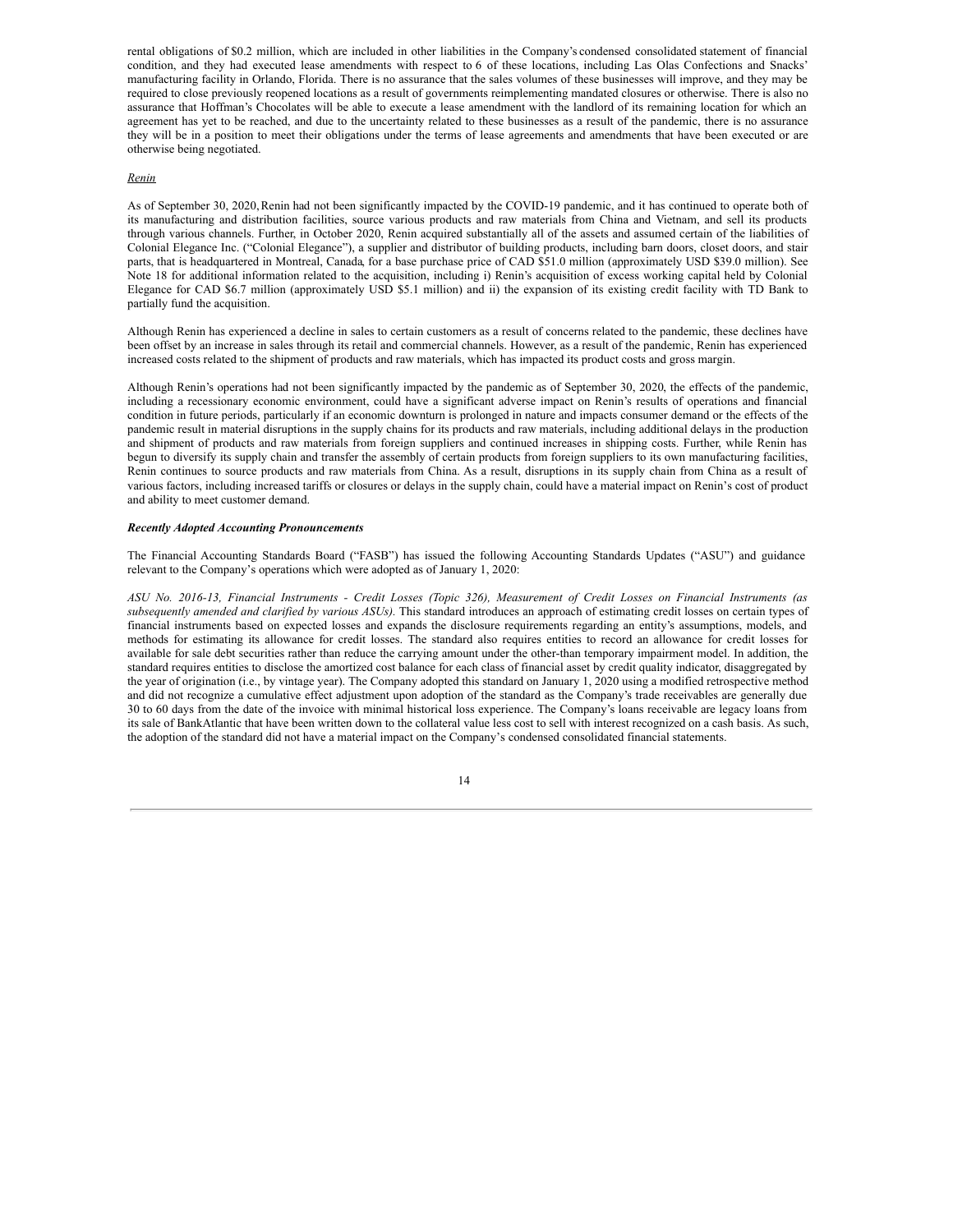rental obligations of \$0.2 million, which are included in other liabilities in the Company's condensed consolidated statement of financial condition, and they had executed lease amendments with respect to 6 of these locations, including Las Olas Confections and Snacks' manufacturing facility in Orlando, Florida. There is no assurance that the sales volumes of these businesses will improve, and they may be required to close previously reopened locations as a result of governments reimplementing mandated closures or otherwise. There is also no assurance that Hoffman's Chocolates will be able to execute a lease amendment with the landlord of its remaining location for which an agreement has yet to be reached, and due to the uncertainty related to these businesses as a result of the pandemic, there is no assurance they will be in a position to meet their obligations under the terms of lease agreements and amendments that have been executed or are otherwise being negotiated.

## *Renin*

As of September 30, 2020,Renin had not been significantly impacted by the COVID-19 pandemic, and it has continued to operate both of its manufacturing and distribution facilities, source various products and raw materials from China and Vietnam, and sell its products through various channels. Further, in October 2020, Renin acquired substantially all of the assets and assumed certain of the liabilities of Colonial Elegance Inc. ("Colonial Elegance"), a supplier and distributor of building products, including barn doors, closet doors, and stair parts, that is headquartered in Montreal, Canada, for a base purchase price of CAD \$51.0 million (approximately USD \$39.0 million). See Note 18 for additional information related to the acquisition, including i) Renin's acquisition of excess working capital held by Colonial Elegance for CAD \$6.7 million (approximately USD \$5.1 million) and ii) the expansion of its existing credit facility with TD Bank to partially fund the acquisition.

Although Renin has experienced a decline in sales to certain customers as a result of concerns related to the pandemic, these declines have been offset by an increase in sales through its retail and commercial channels. However, as a result of the pandemic, Renin has experienced increased costs related to the shipment of products and raw materials, which has impacted its product costs and gross margin.

Although Renin's operations had not been significantly impacted by the pandemic as of September 30, 2020, the effects of the pandemic, including a recessionary economic environment, could have a significant adverse impact on Renin's results of operations and financial condition in future periods, particularly if an economic downturn is prolonged in nature and impacts consumer demand or the effects of the pandemic result in material disruptions in the supply chains for its products and raw materials, including additional delays in the production and shipment of products and raw materials from foreign suppliers and continued increases in shipping costs. Further, while Renin has begun to diversify its supply chain and transfer the assembly of certain products from foreign suppliers to its own manufacturing facilities, Renin continues to source products and raw materials from China. As a result, disruptions in its supply chain from China as a result of various factors, including increased tariffs or closures or delays in the supply chain, could have a material impact on Renin's cost of product and ability to meet customer demand.

#### *Recently Adopted Accounting Pronouncements*

The Financial Accounting Standards Board ("FASB") has issued the following Accounting Standards Updates ("ASU") and guidance relevant to the Company's operations which were adopted as of January 1, 2020:

ASU No. 2016-13, Financial Instruments - Credit Losses (Topic 326), Measurement of Credit Losses on Financial Instruments (as *subsequently amended and clarified by various ASUs).* This standard introduces an approach of estimating credit losses on certain types of financial instruments based on expected losses and expands the disclosure requirements regarding an entity's assumptions, models, and methods for estimating its allowance for credit losses. The standard also requires entities to record an allowance for credit losses for available for sale debt securities rather than reduce the carrying amount under the other-than temporary impairment model. In addition, the standard requires entities to disclose the amortized cost balance for each class of financial asset by credit quality indicator, disaggregated by the year of origination (i.e., by vintage year). The Company adopted this standard on January 1, 2020 using a modified retrospective method and did not recognize a cumulative effect adjustment upon adoption of the standard as the Company's trade receivables are generally due 30 to 60 days from the date of the invoice with minimal historical loss experience. The Company's loans receivable are legacy loans from its sale of BankAtlantic that have been written down to the collateral value less cost to sell with interest recognized on a cash basis. As such, the adoption of the standard did not have a material impact on the Company's condensed consolidated financial statements.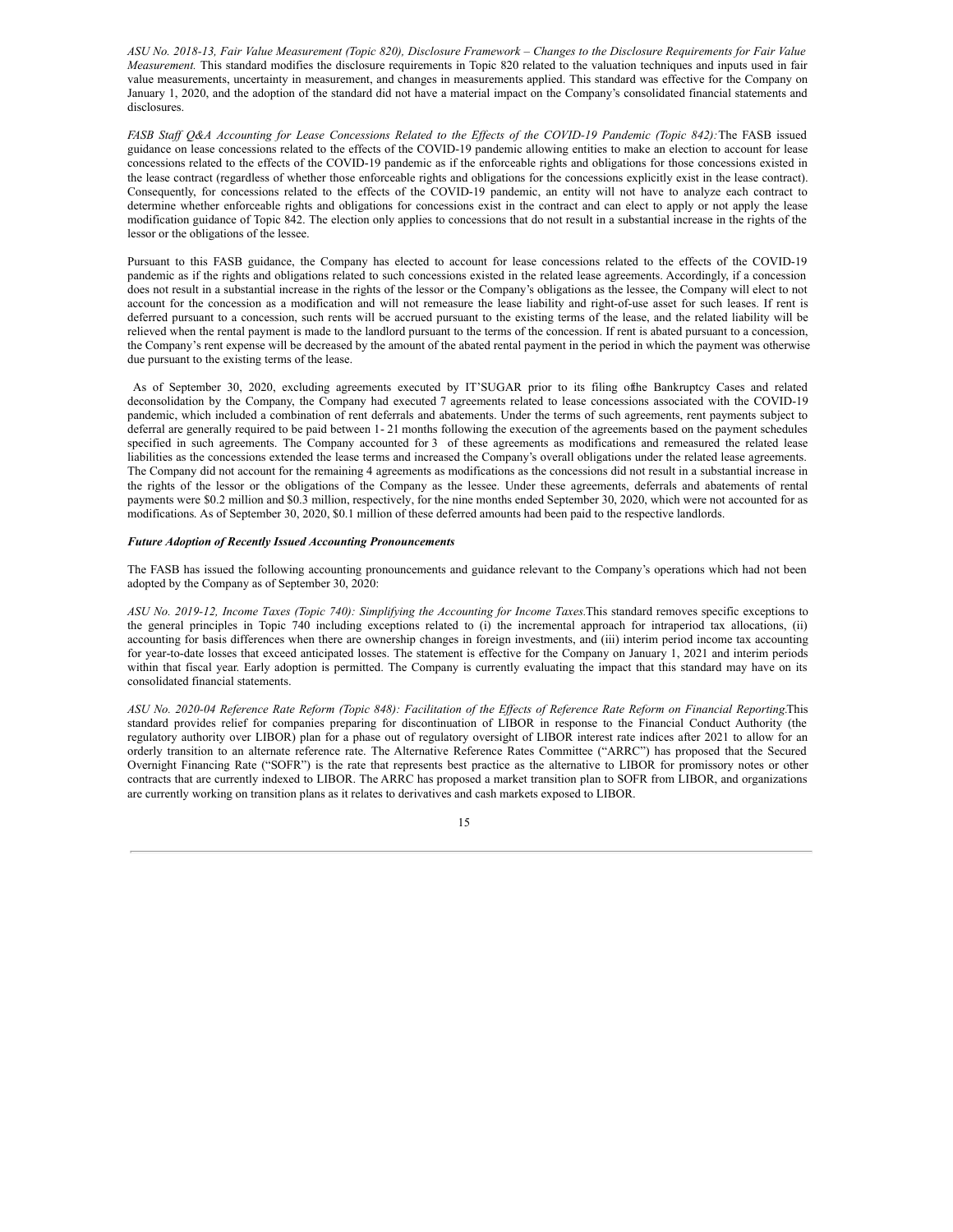ASU No. 2018-13, Fair Value Measurement (Topic 820), Disclosure Framework - Changes to the Disclosure Requirements for Fair Value *Measurement.* This standard modifies the disclosure requirements in Topic 820 related to the valuation techniques and inputs used in fair value measurements, uncertainty in measurement, and changes in measurements applied. This standard was effective for the Company on January 1, 2020, and the adoption of the standard did not have a material impact on the Company's consolidated financial statements and disclosures.

FASB Staff Q&A Accounting for Lease Concessions Related to the Effects of the COVID-19 Pandemic (Topic 842): The FASB issued guidance on lease concessions related to the effects of the COVID-19 pandemic allowing entities to make an election to account for lease concessions related to the effects of the COVID-19 pandemic as if the enforceable rights and obligations for those concessions existed in the lease contract (regardless of whether those enforceable rights and obligations for the concessions explicitly exist in the lease contract). Consequently, for concessions related to the effects of the COVID-19 pandemic, an entity will not have to analyze each contract to determine whether enforceable rights and obligations for concessions exist in the contract and can elect to apply or not apply the lease modification guidance of Topic 842. The election only applies to concessions that do not result in a substantial increase in the rights of the lessor or the obligations of the lessee.

Pursuant to this FASB guidance, the Company has elected to account for lease concessions related to the effects of the COVID-19 pandemic as if the rights and obligations related to such concessions existed in the related lease agreements. Accordingly, if a concession does not result in a substantial increase in the rights of the lessor or the Company's obligations as the lessee, the Company will elect to not account for the concession as a modification and will not remeasure the lease liability and right-of-use asset for such leases. If rent is deferred pursuant to a concession, such rents will be accrued pursuant to the existing terms of the lease, and the related liability will be relieved when the rental payment is made to the landlord pursuant to the terms of the concession. If rent is abated pursuant to a concession, the Company's rent expense will be decreased by the amount of the abated rental payment in the period in which the payment was otherwise due pursuant to the existing terms of the lease.

As of September 30, 2020, excluding agreements executed by IT'SUGAR prior to its filing ofthe Bankruptcy Cases and related deconsolidation by the Company, the Company had executed 7 agreements related to lease concessions associated with the COVID-19 pandemic, which included a combination of rent deferrals and abatements. Under the terms of such agreements, rent payments subject to deferral are generally required to be paid between 1- 21 months following the execution of the agreements based on the payment schedules specified in such agreements. The Company accounted for 3 of these agreements as modifications and remeasured the related lease liabilities as the concessions extended the lease terms and increased the Company's overall obligations under the related lease agreements. The Company did not account for the remaining 4 agreements as modifications as the concessions did not result in a substantial increase in the rights of the lessor or the obligations of the Company as the lessee. Under these agreements, deferrals and abatements of rental payments were \$0.2 million and \$0.3 million, respectively, for the nine months ended September 30, 2020, which were not accounted for as modifications. As of September 30, 2020, \$0.1 million of these deferred amounts had been paid to the respective landlords.

#### *Future Adoption of Recently Issued Accounting Pronouncements*

The FASB has issued the following accounting pronouncements and guidance relevant to the Company's operations which had not been adopted by the Company as of September 30, 2020:

*ASU No. 2019-12, Income Taxes (Topic 740): Simplifying the Accounting for Income Taxes.*This standard removes specific exceptions to the general principles in Topic 740 including exceptions related to (i) the incremental approach for intraperiod tax allocations, (ii) accounting for basis differences when there are ownership changes in foreign investments, and (iii) interim period income tax accounting for year-to-date losses that exceed anticipated losses. The statement is effective for the Company on January 1, 2021 and interim periods within that fiscal year. Early adoption is permitted. The Company is currently evaluating the impact that this standard may have on its consolidated financial statements.

ASU No. 2020-04 Reference Rate Reform (Topic 848): Facilitation of the Effects of Reference Rate Reform on Financial Reporting.This standard provides relief for companies preparing for discontinuation of LIBOR in response to the Financial Conduct Authority (the regulatory authority over LIBOR) plan for a phase out of regulatory oversight of LIBOR interest rate indices after 2021 to allow for an orderly transition to an alternate reference rate. The Alternative Reference Rates Committee ("ARRC") has proposed that the Secured Overnight Financing Rate ("SOFR") is the rate that represents best practice as the alternative to LIBOR for promissory notes or other contracts that are currently indexed to LIBOR. The ARRC has proposed a market transition plan to SOFR from LIBOR, and organizations are currently working on transition plans as it relates to derivatives and cash markets exposed to LIBOR.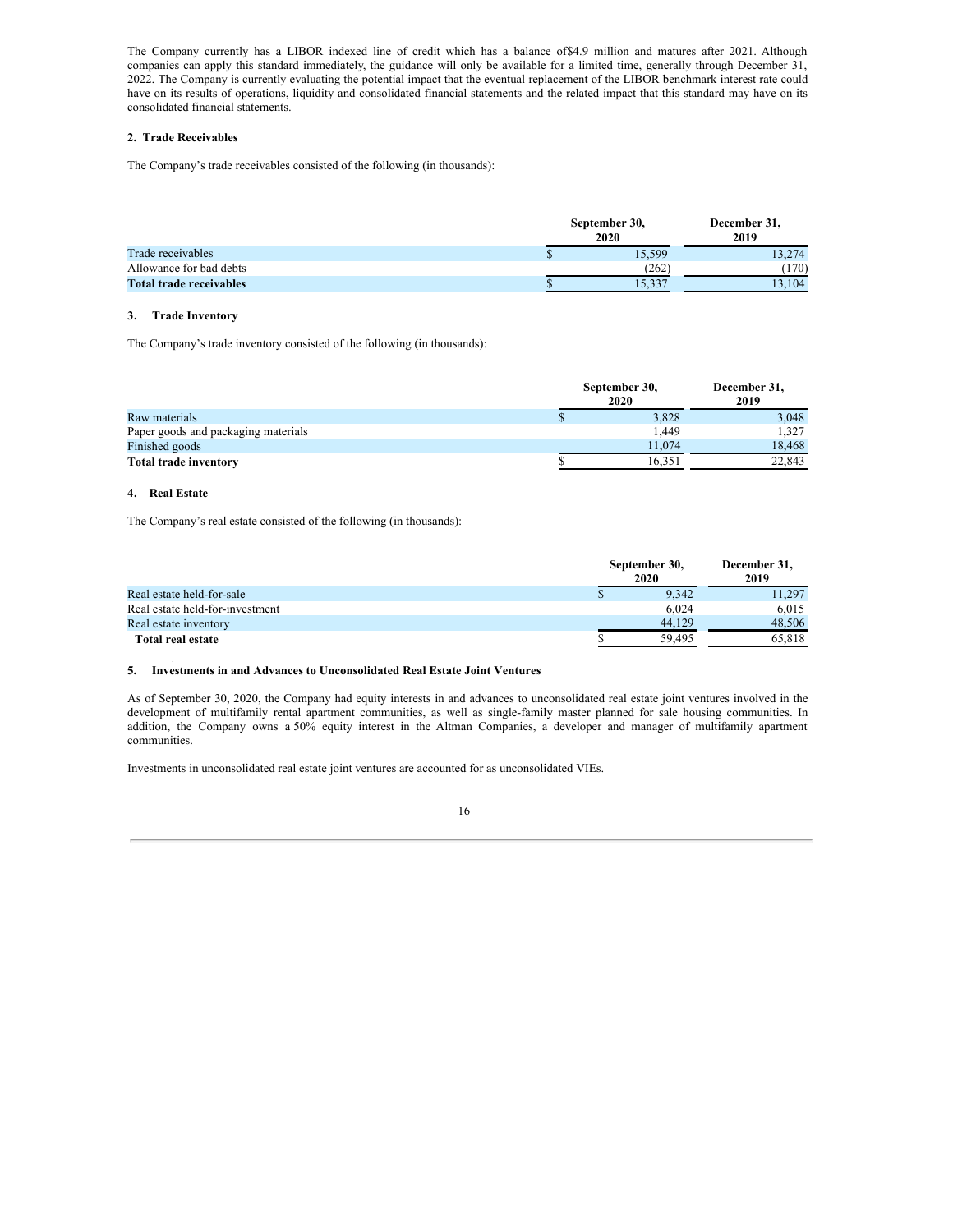The Company currently has a LIBOR indexed line of credit which has a balance of\$4.9 million and matures after 2021. Although companies can apply this standard immediately, the guidance will only be available for a limited time, generally through December 31, 2022. The Company is currently evaluating the potential impact that the eventual replacement of the LIBOR benchmark interest rate could have on its results of operations, liquidity and consolidated financial statements and the related impact that this standard may have on its consolidated financial statements.

## **2. Trade Receivables**

The Company's trade receivables consisted of the following (in thousands):

|                                | September 30, | December 31,<br>2019 |        |
|--------------------------------|---------------|----------------------|--------|
| Trade receivables              | P             | 15.599               | 13.274 |
| Allowance for bad debts        |               | (262)                | 170)   |
| <b>Total trade receivables</b> |               | 19.99                | 13.104 |

## **3. Trade Inventory**

The Company's trade inventory consisted of the following (in thousands):

|                                     | September 30, | December 31,<br>2019 |        |
|-------------------------------------|---------------|----------------------|--------|
| Raw materials                       |               | 3,828                | 3.048  |
| Paper goods and packaging materials |               | 1.449                | 1.327  |
| Finished goods                      |               | 11.074               | 18.468 |
| <b>Total trade inventory</b>        |               | 16.351               | 22.843 |

## **4. Real Estate**

The Company's real estate consisted of the following (in thousands):

|                                 | September 30,<br>2020 | December 31,<br>2019 |  |
|---------------------------------|-----------------------|----------------------|--|
| Real estate held-for-sale       | 9.342                 | 11.297               |  |
| Real estate held-for-investment | 6.024                 | 6.015                |  |
| Real estate inventory           | 44.129                | 48.506               |  |
| Total real estate               | 59.495                | 65.818               |  |

## 0 **5. Investments in and Advances to Unconsolidated Real Estate Joint Ventures**

As of September 30, 2020, the Company had equity interests in and advances to unconsolidated real estate joint ventures involved in the development of multifamily rental apartment communities, as well as single-family master planned for sale housing communities. In addition, the Company owns a 50% equity interest in the Altman Companies, a developer and manager of multifamily apartment communities.

Investments in unconsolidated real estate joint ventures are accounted for as unconsolidated VIEs.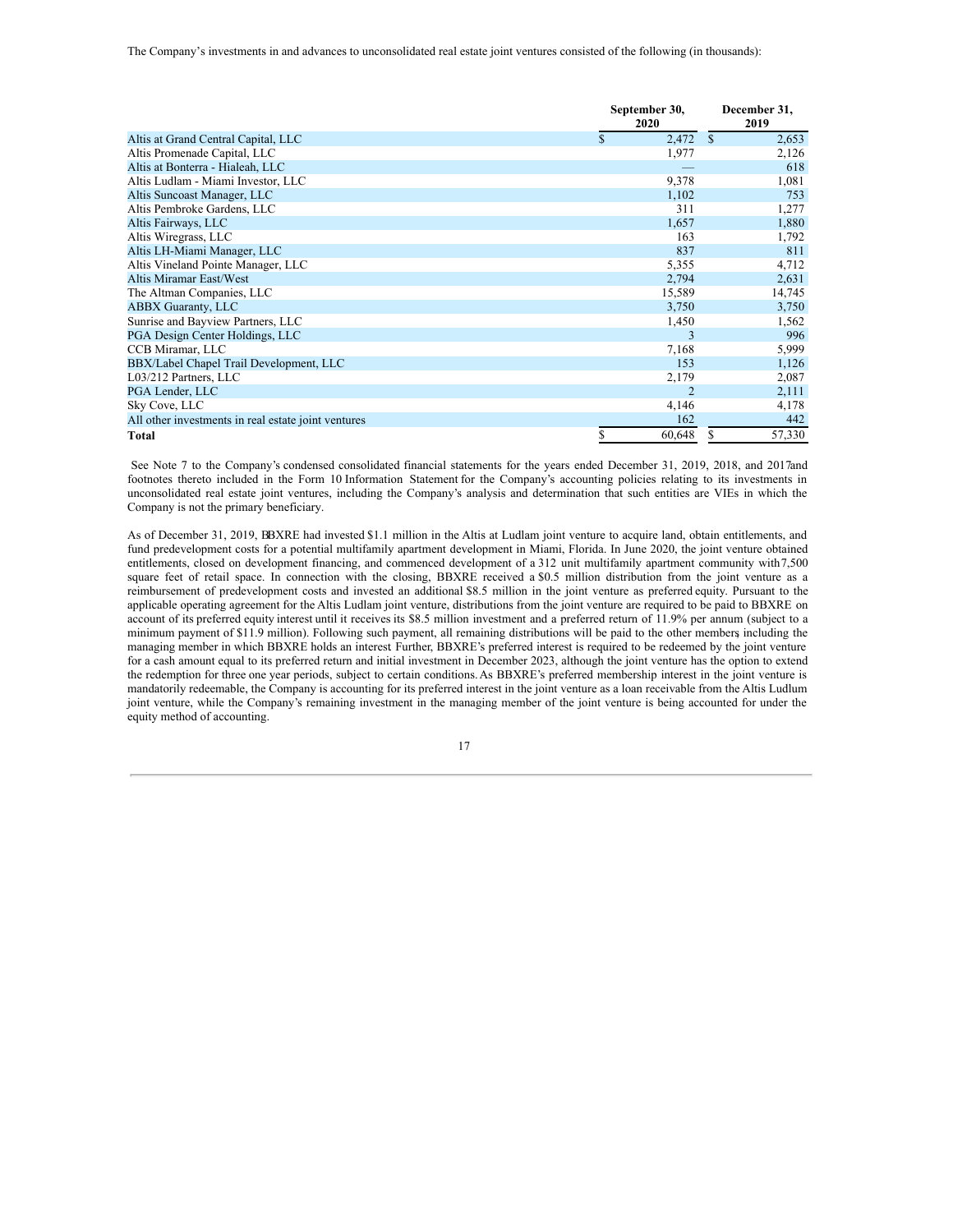|                                                     | September 30,<br>2020 | December 31,<br>2019   |
|-----------------------------------------------------|-----------------------|------------------------|
| Altis at Grand Central Capital, LLC                 | \$<br>2,472           | <sup>\$</sup><br>2,653 |
| Altis Promenade Capital, LLC                        | 1,977                 | 2,126                  |
| Altis at Bonterra - Hialeah, LLC                    |                       | 618                    |
| Altis Ludlam - Miami Investor, LLC                  | 9,378                 | 1,081                  |
| Altis Suncoast Manager, LLC                         | 1,102                 | 753                    |
| Altis Pembroke Gardens, LLC                         | 311                   | 1,277                  |
| Altis Fairways, LLC                                 | 1,657                 | 1,880                  |
| Altis Wiregrass, LLC                                | 163                   | 1,792                  |
| Altis LH-Miami Manager, LLC                         | 837                   | 811                    |
| Altis Vineland Pointe Manager, LLC                  | 5,355                 | 4,712                  |
| Altis Miramar East/West                             | 2,794                 | 2,631                  |
| The Altman Companies, LLC                           | 15,589                | 14,745                 |
| <b>ABBX Guaranty, LLC</b>                           | 3,750                 | 3,750                  |
| Sunrise and Bayview Partners, LLC                   | 1,450                 | 1,562                  |
| PGA Design Center Holdings, LLC                     | $\mathbf{3}$          | 996                    |
| CCB Miramar, LLC                                    | 7,168                 | 5,999                  |
| BBX/Label Chapel Trail Development, LLC             | 153                   | 1,126                  |
| L03/212 Partners, LLC                               | 2,179                 | 2,087                  |
| PGA Lender, LLC                                     | $\overline{2}$        | 2,111                  |
| Sky Cove, LLC                                       | 4,146                 | 4,178                  |
| All other investments in real estate joint ventures | 162                   | 442                    |
| Total                                               | \$<br>60,648          | 57,330<br>S            |

See Note 7 to the Company's condensed consolidated financial statements for the years ended December 31, 2019, 2018, and 2017and footnotes thereto included in the Form 10 Information Statement for the Company's accounting policies relating to its investments in unconsolidated real estate joint ventures, including the Company's analysis and determination that such entities are VIEs in which the Company is not the primary beneficiary.

As of December 31, 2019, BBXRE had invested \$1.1 million in the Altis at Ludlam joint venture to acquire land, obtain entitlements, and fund predevelopment costs for a potential multifamily apartment development in Miami, Florida. In June 2020, the joint venture obtained entitlements, closed on development financing, and commenced development of a 312 unit multifamily apartment community with7,500 square feet of retail space. In connection with the closing, BBXRE received a \$0.5 million distribution from the joint venture as a reimbursement of predevelopment costs and invested an additional \$8.5 million in the joint venture as preferred equity. Pursuant to the applicable operating agreement for the Altis Ludlam joint venture, distributions from the joint venture are required to be paid to BBXRE on account of its preferred equity interest until it receives its \$8.5 million investment and a preferred return of 11.9% per annum (subject to a minimum payment of \$11.9 million). Following such payment, all remaining distributions will be paid to the other members, including the managing member in which BBXRE holds an interest Further, BBXRE's preferred interest is required to be redeemed by the joint venture for a cash amount equal to its preferred return and initial investment in December 2023, although the joint venture has the option to extend the redemption for three one year periods, subject to certain conditions.As BBXRE's preferred membership interest in the joint venture is mandatorily redeemable, the Company is accounting for its preferred interest in the joint venture as a loan receivable from the Altis Ludlum joint venture, while the Company's remaining investment in the managing member of the joint venture is being accounted for under the equity method of accounting.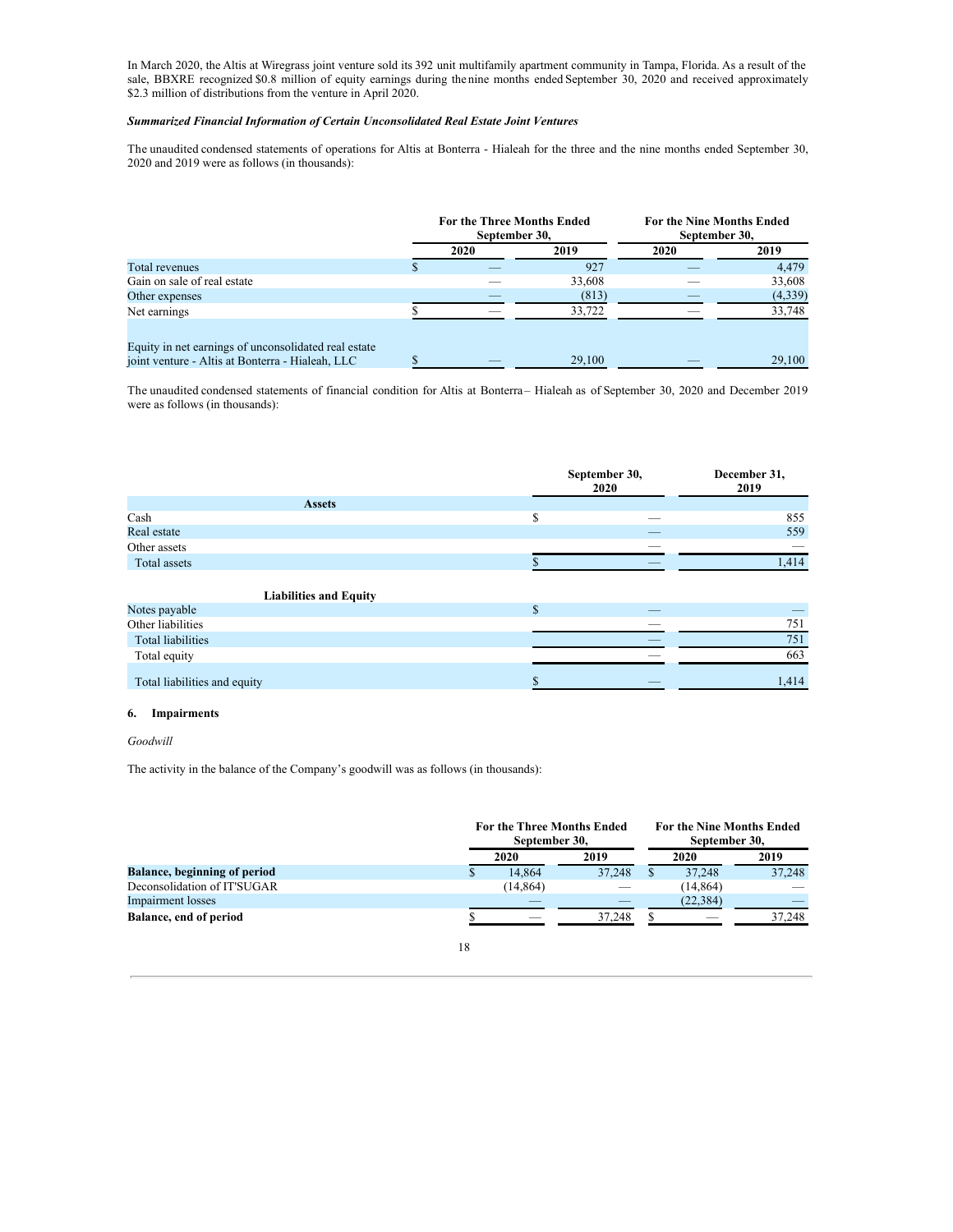In March 2020, the Altis at Wiregrass joint venture sold its 392 unit multifamily apartment community in Tampa, Florida. As a result of the sale, BBXRE recognized \$0.8 million of equity earnings during the nine months ended September 30, 2020 and received approximately \$2.3 million of distributions from the venture in April 2020.

## *Summarized Financial Information of Certain Unconsolidated Real Estate Joint Ventures*

The unaudited condensed statements of operations for Altis at Bonterra - Hialeah for the three and the nine months ended September 30, 2020 and 2019 were as follows (in thousands):

|                                                                                                          | For the Three Months Ended<br>September 30, |      |        | <b>For the Nine Months Ended</b><br>September 30, |         |  |
|----------------------------------------------------------------------------------------------------------|---------------------------------------------|------|--------|---------------------------------------------------|---------|--|
|                                                                                                          |                                             | 2020 | 2019   | 2020                                              | 2019    |  |
| Total revenues                                                                                           |                                             |      | 927    |                                                   | 4.479   |  |
| Gain on sale of real estate                                                                              |                                             |      | 33,608 |                                                   | 33,608  |  |
| Other expenses                                                                                           |                                             |      | (813)  |                                                   | (4,339) |  |
| Net earnings                                                                                             |                                             |      | 33,722 |                                                   | 33,748  |  |
| Equity in net earnings of unconsolidated real estate<br>joint venture - Altis at Bonterra - Hialeah, LLC |                                             | _    | 29,100 |                                                   | 29,100  |  |

The unaudited condensed statements of financial condition for Altis at Bonterra– Hialeah as of September 30, 2020 and December 2019 were as follows (in thousands):

|                               | September 30,<br>2020 |  | December 31,<br>2019 |
|-------------------------------|-----------------------|--|----------------------|
| <b>Assets</b>                 |                       |  |                      |
| Cash                          | \$                    |  | 855                  |
| Real estate                   |                       |  | 559                  |
| Other assets                  |                       |  |                      |
| Total assets                  |                       |  | 1,414                |
| <b>Liabilities and Equity</b> |                       |  |                      |
| Notes payable                 | \$                    |  |                      |
| Other liabilities             |                       |  | 751                  |
| <b>Total liabilities</b>      |                       |  | 751                  |
| Total equity                  |                       |  | 663                  |
| Total liabilities and equity  | \$                    |  | 1,414                |

## **6. Impairments**

## *Goodwill*

The activity in the balance of the Company's goodwill was as follows (in thousands):

|                                     |   | <b>For the Three Months Ended</b><br>September 30. |        |  | For the Nine Months Ended<br>September 30. |        |  |
|-------------------------------------|---|----------------------------------------------------|--------|--|--------------------------------------------|--------|--|
|                                     |   | 2020                                               | 2019   |  | 2020                                       | 2019   |  |
| <b>Balance, beginning of period</b> | S | 14.864                                             | 37.248 |  | 37.248                                     | 37,248 |  |
| Deconsolidation of IT'SUGAR         |   | (14, 864)                                          |        |  | (14, 864)                                  |        |  |
| Impairment losses                   |   |                                                    |        |  | (22, 384)                                  |        |  |
| Balance, end of period              |   |                                                    | 37.248 |  |                                            | 37.248 |  |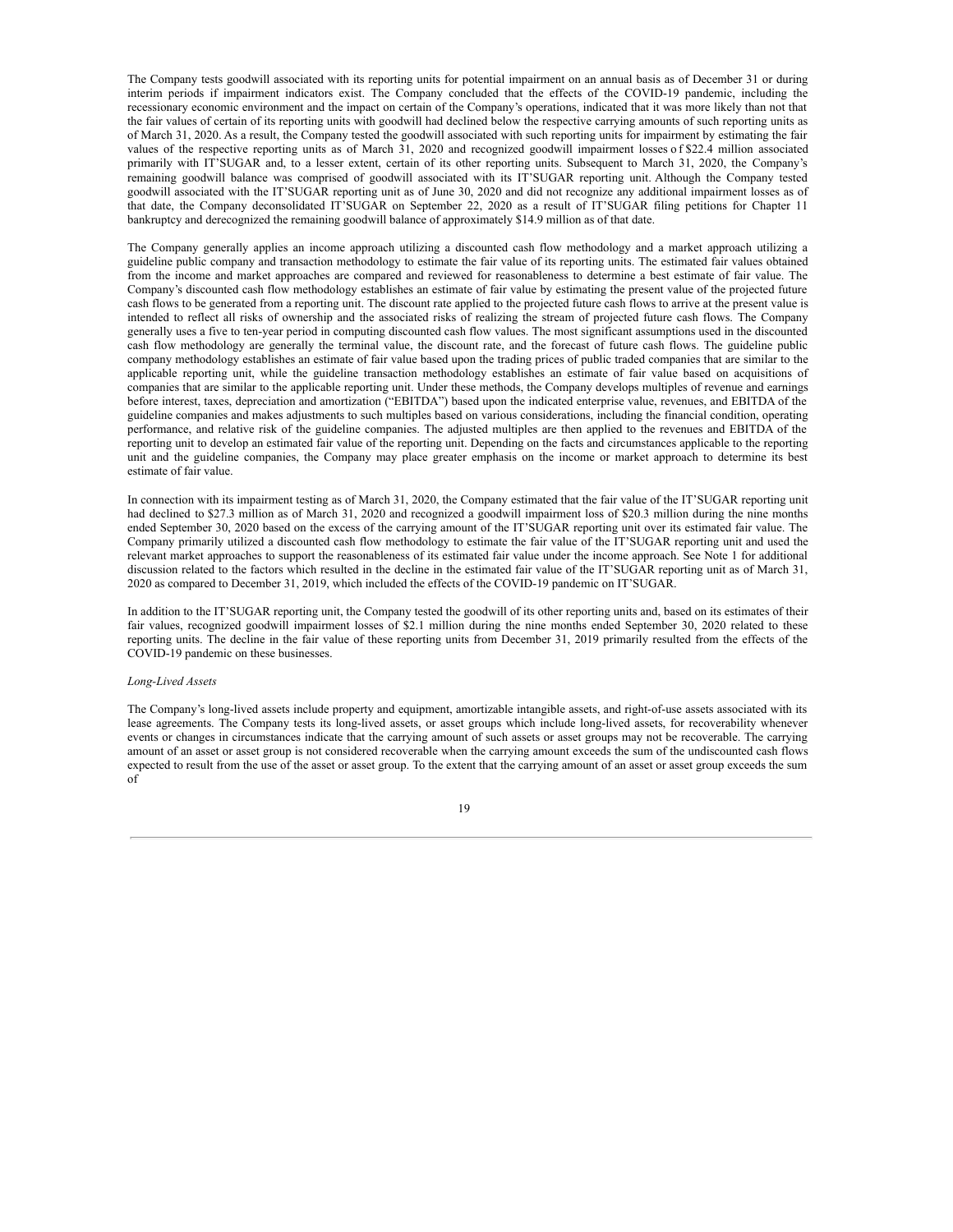The Company tests goodwill associated with its reporting units for potential impairment on an annual basis as of December 31 or during interim periods if impairment indicators exist. The Company concluded that the effects of the COVID-19 pandemic, including the recessionary economic environment and the impact on certain of the Company's operations, indicated that it was more likely than not that the fair values of certain of its reporting units with goodwill had declined below the respective carrying amounts of such reporting units as of March 31, 2020. As a result, the Company tested the goodwill associated with such reporting units for impairment by estimating the fair values of the respective reporting units as of March 31, 2020 and recognized goodwill impairment losses o f \$22.4 million associated primarily with IT'SUGAR and, to a lesser extent, certain of its other reporting units. Subsequent to March 31, 2020, the Company's remaining goodwill balance was comprised of goodwill associated with its IT'SUGAR reporting unit. Although the Company tested goodwill associated with the IT'SUGAR reporting unit as of June 30, 2020 and did not recognize any additional impairment losses as of that date, the Company deconsolidated IT'SUGAR on September 22, 2020 as a result of IT'SUGAR filing petitions for Chapter 11 bankruptcy and derecognized the remaining goodwill balance of approximately \$14.9 million as of that date.

The Company generally applies an income approach utilizing a discounted cash flow methodology and a market approach utilizing a guideline public company and transaction methodology to estimate the fair value of its reporting units. The estimated fair values obtained from the income and market approaches are compared and reviewed for reasonableness to determine a best estimate of fair value. The Company's discounted cash flow methodology establishes an estimate of fair value by estimating the present value of the projected future cash flows to be generated from a reporting unit. The discount rate applied to the projected future cash flows to arrive at the present value is intended to reflect all risks of ownership and the associated risks of realizing the stream of projected future cash flows. The Company generally uses a five to ten-year period in computing discounted cash flow values. The most significant assumptions used in the discounted cash flow methodology are generally the terminal value, the discount rate, and the forecast of future cash flows. The guideline public company methodology establishes an estimate of fair value based upon the trading prices of public traded companies that are similar to the applicable reporting unit, while the guideline transaction methodology establishes an estimate of fair value based on acquisitions of companies that are similar to the applicable reporting unit. Under these methods, the Company develops multiples of revenue and earnings before interest, taxes, depreciation and amortization ("EBITDA") based upon the indicated enterprise value, revenues, and EBITDA of the guideline companies and makes adjustments to such multiples based on various considerations, including the financial condition, operating performance, and relative risk of the guideline companies. The adjusted multiples are then applied to the revenues and EBITDA of the reporting unit to develop an estimated fair value of the reporting unit. Depending on the facts and circumstances applicable to the reporting unit and the guideline companies, the Company may place greater emphasis on the income or market approach to determine its best estimate of fair value.

In connection with its impairment testing as of March 31, 2020, the Company estimated that the fair value of the IT'SUGAR reporting unit had declined to \$27.3 million as of March 31, 2020 and recognized a goodwill impairment loss of \$20.3 million during the nine months ended September 30, 2020 based on the excess of the carrying amount of the IT'SUGAR reporting unit over its estimated fair value. The Company primarily utilized a discounted cash flow methodology to estimate the fair value of the IT'SUGAR reporting unit and used the relevant market approaches to support the reasonableness of its estimated fair value under the income approach. See Note 1 for additional discussion related to the factors which resulted in the decline in the estimated fair value of the IT'SUGAR reporting unit as of March 31, 2020 as compared to December 31, 2019, which included the effects of the COVID-19 pandemic on IT'SUGAR.

In addition to the IT'SUGAR reporting unit, the Company tested the goodwill of its other reporting units and, based on its estimates of their fair values, recognized goodwill impairment losses of \$2.1 million during the nine months ended September 30, 2020 related to these reporting units. The decline in the fair value of these reporting units from December 31, 2019 primarily resulted from the effects of the COVID-19 pandemic on these businesses.

## *Long-Lived Assets*

The Company's long-lived assets include property and equipment, amortizable intangible assets, and right-of-use assets associated with its lease agreements. The Company tests its long-lived assets, or asset groups which include long-lived assets, for recoverability whenever events or changes in circumstances indicate that the carrying amount of such assets or asset groups may not be recoverable. The carrying amount of an asset or asset group is not considered recoverable when the carrying amount exceeds the sum of the undiscounted cash flows expected to result from the use of the asset or asset group. To the extent that the carrying amount of an asset or asset group exceeds the sum of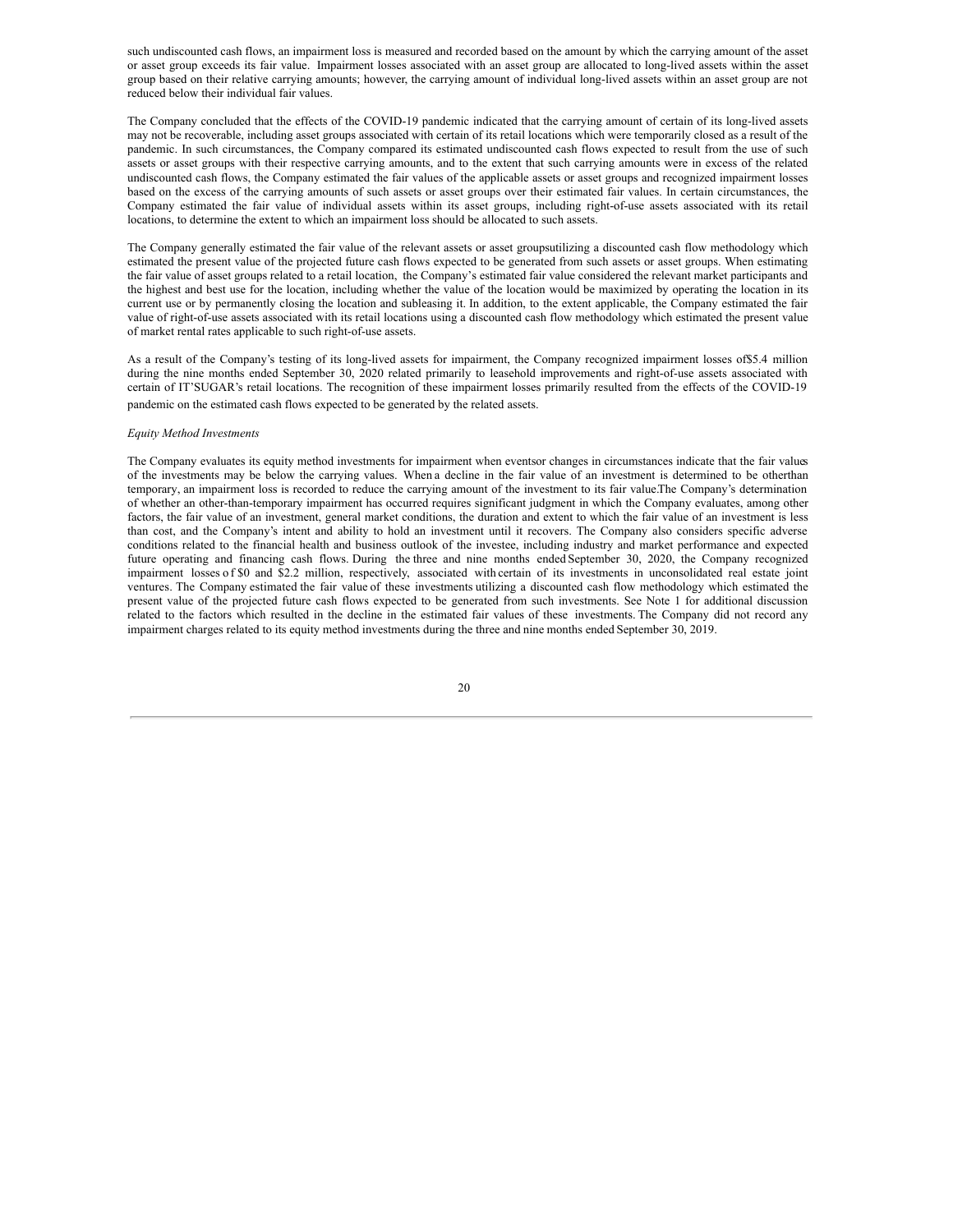such undiscounted cash flows, an impairment loss is measured and recorded based on the amount by which the carrying amount of the asset or asset group exceeds its fair value. Impairment losses associated with an asset group are allocated to long-lived assets within the asset group based on their relative carrying amounts; however, the carrying amount of individual long-lived assets within an asset group are not reduced below their individual fair values.

The Company concluded that the effects of the COVID-19 pandemic indicated that the carrying amount of certain of its long-lived assets may not be recoverable, including asset groups associated with certain of its retail locations which were temporarily closed as a result of the pandemic. In such circumstances, the Company compared its estimated undiscounted cash flows expected to result from the use of such assets or asset groups with their respective carrying amounts, and to the extent that such carrying amounts were in excess of the related undiscounted cash flows, the Company estimated the fair values of the applicable assets or asset groups and recognized impairment losses based on the excess of the carrying amounts of such assets or asset groups over their estimated fair values. In certain circumstances, the Company estimated the fair value of individual assets within its asset groups, including right-of-use assets associated with its retail locations, to determine the extent to which an impairment loss should be allocated to such assets.

The Company generally estimated the fair value of the relevant assets or asset groupsutilizing a discounted cash flow methodology which estimated the present value of the projected future cash flows expected to be generated from such assets or asset groups. When estimating the fair value of asset groups related to a retail location, the Company's estimated fair value considered the relevant market participants and the highest and best use for the location, including whether the value of the location would be maximized by operating the location in its current use or by permanently closing the location and subleasing it. In addition, to the extent applicable, the Company estimated the fair value of right-of-use assets associated with its retail locations using a discounted cash flow methodology which estimated the present value of market rental rates applicable to such right-of-use assets.

As a result of the Company's testing of its long-lived assets for impairment, the Company recognized impairment losses of\$5.4 million during the nine months ended September 30, 2020 related primarily to leasehold improvements and right-of-use assets associated with certain of IT'SUGAR's retail locations. The recognition of these impairment losses primarily resulted from the effects of the COVID-19 pandemic on the estimated cash flows expected to be generated by the related assets.

#### *Equity Method Investments*

The Company evaluates its equity method investments for impairment when eventsor changes in circumstances indicate that the fair values of the investments may be below the carrying values. When a decline in the fair value of an investment is determined to be otherthan temporary, an impairment loss is recorded to reduce the carrying amount of the investment to its fair value.The Company's determination of whether an other-than-temporary impairment has occurred requires significant judgment in which the Company evaluates, among other factors, the fair value of an investment, general market conditions, the duration and extent to which the fair value of an investment is less than cost, and the Company's intent and ability to hold an investment until it recovers. The Company also considers specific adverse conditions related to the financial health and business outlook of the investee, including industry and market performance and expected future operating and financing cash flows. During the three and nine months ended September 30, 2020, the Company recognized impairment losses o f \$0 and \$2.2 million, respectively, associated with certain of its investments in unconsolidated real estate joint ventures. The Company estimated the fair value of these investments utilizing a discounted cash flow methodology which estimated the present value of the projected future cash flows expected to be generated from such investments. See Note 1 for additional discussion related to the factors which resulted in the decline in the estimated fair values of these investments. The Company did not record any impairment charges related to its equity method investments during the three and nine months ended September 30, 2019.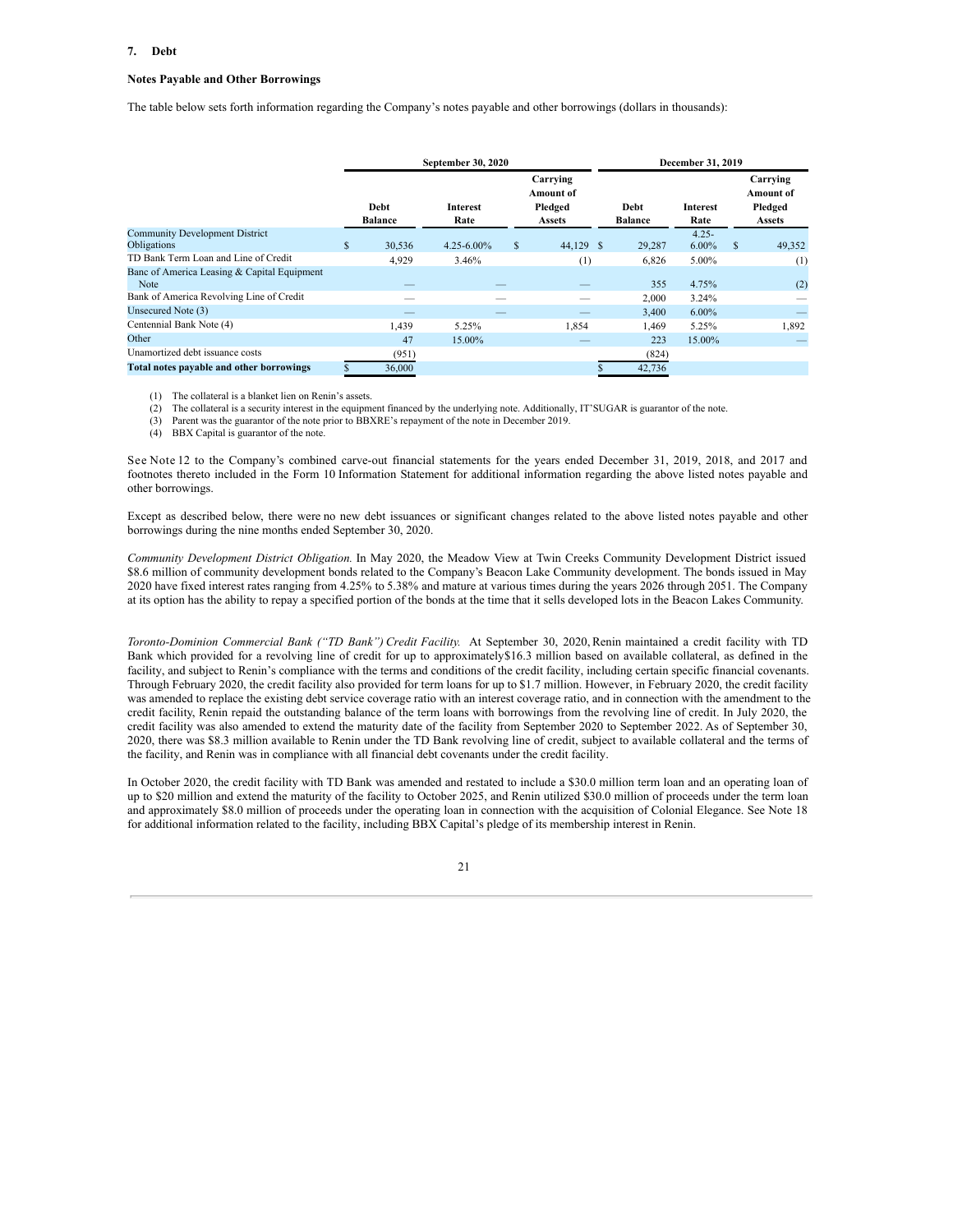#### **7. Debt**

#### **Notes Payable and Other Borrowings**

The table below sets forth information regarding the Company's notes payable and other borrowings (dollars in thousands):

|                                                                                                 | September 30, 2020     | December 31, 2019       |                                                          |                        |                      |   |                                                   |
|-------------------------------------------------------------------------------------------------|------------------------|-------------------------|----------------------------------------------------------|------------------------|----------------------|---|---------------------------------------------------|
|                                                                                                 | Debt<br><b>Balance</b> | <b>Interest</b><br>Rate | Carrying<br><b>Amount</b> of<br>Pledged<br><b>Assets</b> | Debt<br><b>Balance</b> | Interest<br>Rate     |   | Carrying<br><b>Amount of</b><br>Pledged<br>Assets |
| <b>Community Development District</b><br><b>Obligations</b>                                     | \$<br>30,536           | $4.25 - 6.00\%$         | \$<br>44,129 \$                                          | 29,287                 | $4.25 -$<br>$6.00\%$ | S | 49,352                                            |
| TD Bank Term Loan and Line of Credit                                                            | 4,929                  | 3.46%                   | (1)                                                      | 6,826                  | 5.00%                |   | (1)                                               |
| Banc of America Leasing & Capital Equipment<br>Note<br>Bank of America Revolving Line of Credit |                        |                         |                                                          | 355                    | 4.75%                |   | (2)                                               |
| Unsecured Note (3)                                                                              |                        |                         |                                                          | 2,000<br>3.400         | 3.24%<br>$6.00\%$    |   |                                                   |
| Centennial Bank Note (4)                                                                        | 1,439                  | 5.25%                   | 1,854                                                    | 1,469                  | 5.25%                |   | 1,892                                             |
| Other                                                                                           | 47                     | 15.00%                  |                                                          | 223                    | 15.00%               |   |                                                   |
| Unamortized debt issuance costs                                                                 | (951)                  |                         |                                                          | (824)                  |                      |   |                                                   |
| Total notes payable and other borrowings                                                        | 36,000                 |                         |                                                          | 42,736                 |                      |   |                                                   |

(1) The collateral is a blanket lien on Renin's assets.

(2) The collateral is a security interest in the equipment financed by the underlying note. Additionally, IT'SUGAR is guarantor of the note.

(3) Parent was the guarantor of the note prior to BBXRE's repayment of the note in December 2019.

(4) BBX Capital is guarantor of the note.

See Note 12 to the Company's combined carve-out financial statements for the years ended December 31, 2019, 2018, and 2017 and footnotes thereto included in the Form 10 Information Statement for additional information regarding the above listed notes payable and other borrowings.

Except as described below, there were no new debt issuances or significant changes related to the above listed notes payable and other borrowings during the nine months ended September 30, 2020.

*Community Development District Obligation.* In May 2020, the Meadow View at Twin Creeks Community Development District issued \$8.6 million of community development bonds related to the Company's Beacon Lake Community development. The bonds issued in May 2020 have fixed interest rates ranging from 4.25% to 5.38% and mature at various times during the years 2026 through 2051. The Company at its option has the ability to repay a specified portion of the bonds at the time that it sells developed lots in the Beacon Lakes Community.

*Toronto-Dominion Commercial Bank ("TD Bank") Credit Facility.* At September 30, 2020, Renin maintained a credit facility with TD Bank which provided for a revolving line of credit for up to approximately\$16.3 million based on available collateral, as defined in the facility, and subject to Renin's compliance with the terms and conditions of the credit facility, including certain specific financial covenants. Through February 2020, the credit facility also provided for term loans for up to \$1.7 million. However, in February 2020, the credit facility was amended to replace the existing debt service coverage ratio with an interest coverage ratio, and in connection with the amendment to the credit facility, Renin repaid the outstanding balance of the term loans with borrowings from the revolving line of credit. In July 2020, the credit facility was also amended to extend the maturity date of the facility from September 2020 to September 2022. As of September 30, 2020, there was \$8.3 million available to Renin under the TD Bank revolving line of credit, subject to available collateral and the terms of the facility, and Renin was in compliance with all financial debt covenants under the credit facility.

In October 2020, the credit facility with TD Bank was amended and restated to include a \$30.0 million term loan and an operating loan of up to \$20 million and extend the maturity of the facility to October 2025, and Renin utilized \$30.0 million of proceeds under the term loan and approximately \$8.0 million of proceeds under the operating loan in connection with the acquisition of Colonial Elegance. See Note 18 for additional information related to the facility, including BBX Capital's pledge of its membership interest in Renin.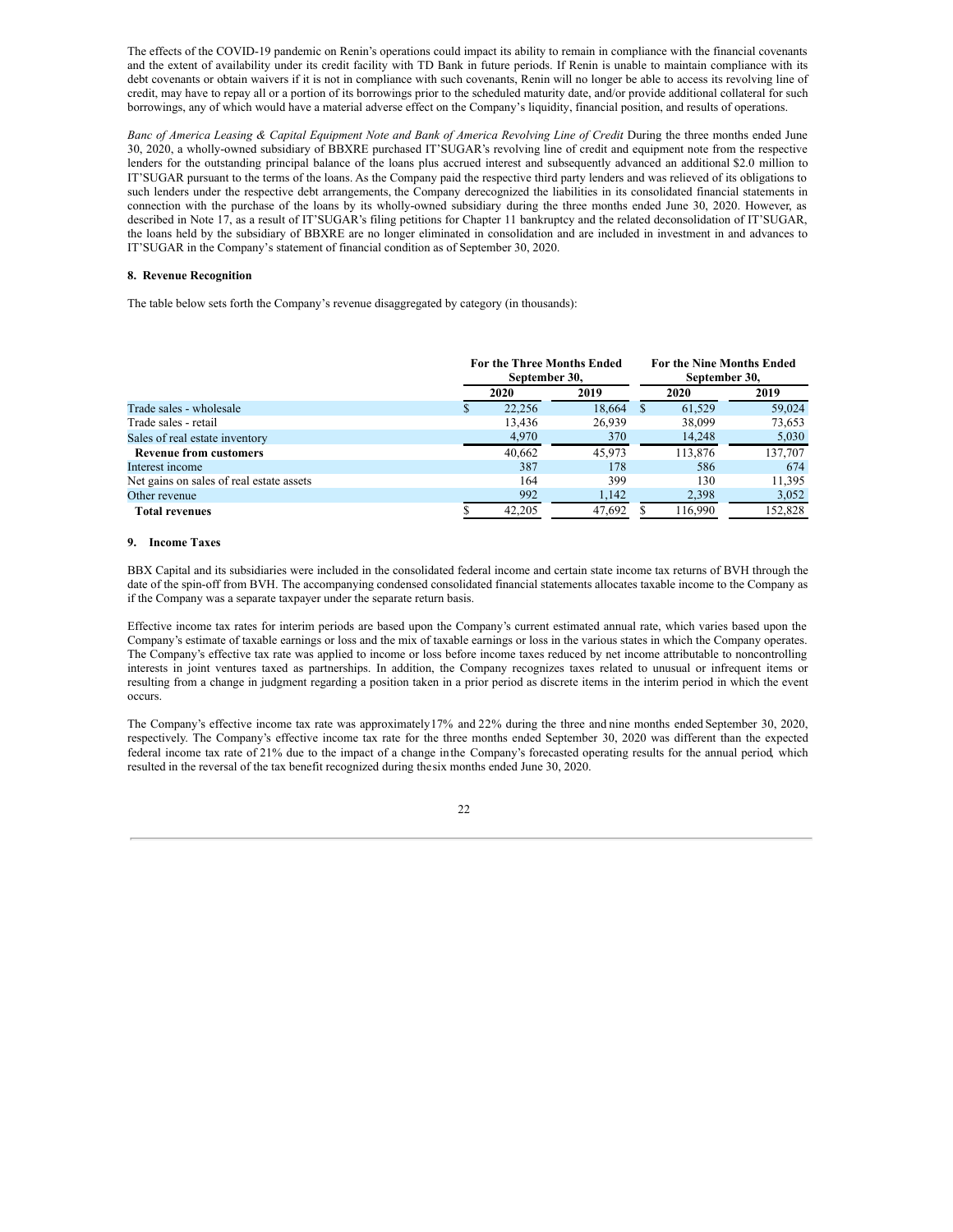The effects of the COVID-19 pandemic on Renin's operations could impact its ability to remain in compliance with the financial covenants and the extent of availability under its credit facility with TD Bank in future periods. If Renin is unable to maintain compliance with its debt covenants or obtain waivers if it is not in compliance with such covenants, Renin will no longer be able to access its revolving line of credit, may have to repay all or a portion of its borrowings prior to the scheduled maturity date, and/or provide additional collateral for such borrowings, any of which would have a material adverse effect on the Company's liquidity, financial position, and results of operations.

Banc of America Leasing & Capital Equipment Note and Bank of America Revolving Line of Credit During the three months ended June 30, 2020, a wholly-owned subsidiary of BBXRE purchased IT'SUGAR's revolving line of credit and equipment note from the respective lenders for the outstanding principal balance of the loans plus accrued interest and subsequently advanced an additional \$2.0 million to IT'SUGAR pursuant to the terms of the loans. As the Company paid the respective third party lenders and was relieved of its obligations to such lenders under the respective debt arrangements, the Company derecognized the liabilities in its consolidated financial statements in connection with the purchase of the loans by its wholly-owned subsidiary during the three months ended June 30, 2020. However, as described in Note 17, as a result of IT'SUGAR's filing petitions for Chapter 11 bankruptcy and the related deconsolidation of IT'SUGAR, the loans held by the subsidiary of BBXRE are no longer eliminated in consolidation and are included in investment in and advances to IT'SUGAR in the Company's statement of financial condition as of September 30, 2020.

## **8. Revenue Recognition**

The table below sets forth the Company's revenue disaggregated by category (in thousands):

|                                          | <b>For the Three Months Ended</b><br>September 30, |        |   | September 30, | <b>For the Nine Months Ended</b> |  |
|------------------------------------------|----------------------------------------------------|--------|---|---------------|----------------------------------|--|
|                                          | 2020                                               | 2019   |   | 2020          | 2019                             |  |
| Trade sales - wholesale                  | 22,256                                             | 18.664 | S | 61.529        | 59,024                           |  |
| Trade sales - retail                     | 13,436                                             | 26.939 |   | 38,099        | 73,653                           |  |
| Sales of real estate inventory           | 4,970                                              | 370    |   | 14,248        | 5,030                            |  |
| <b>Revenue from customers</b>            | 40.662                                             | 45,973 |   | 113.876       | 137.707                          |  |
| Interest income                          | 387                                                | 178    |   | 586           | 674                              |  |
| Net gains on sales of real estate assets | 164                                                | 399    |   | 130           | 11,395                           |  |
| Other revenue                            | 992                                                | 1.142  |   | 2,398         | 3,052                            |  |
| <b>Total revenues</b>                    | 42,205                                             | 47,692 |   | 116,990       | 152.828                          |  |

#### **9. Income Taxes**

BBX Capital and its subsidiaries were included in the consolidated federal income and certain state income tax returns of BVH through the date of the spin-off from BVH. The accompanying condensed consolidated financial statements allocates taxable income to the Company as if the Company was a separate taxpayer under the separate return basis.

Effective income tax rates for interim periods are based upon the Company's current estimated annual rate, which varies based upon the Company's estimate of taxable earnings or loss and the mix of taxable earnings or loss in the various states in which the Company operates. The Company's effective tax rate was applied to income or loss before income taxes reduced by net income attributable to noncontrolling interests in joint ventures taxed as partnerships. In addition, the Company recognizes taxes related to unusual or infrequent items or resulting from a change in judgment regarding a position taken in a prior period as discrete items in the interim period in which the event occurs.

The Company's effective income tax rate was approximately17% and 22% during the three and nine months ended September 30, 2020, respectively. The Company's effective income tax rate for the three months ended September 30, 2020 was different than the expected federal income tax rate of 21% due to the impact of a change inthe Company's forecasted operating results for the annual period, which resulted in the reversal of the tax benefit recognized during thesix months ended June 30, 2020.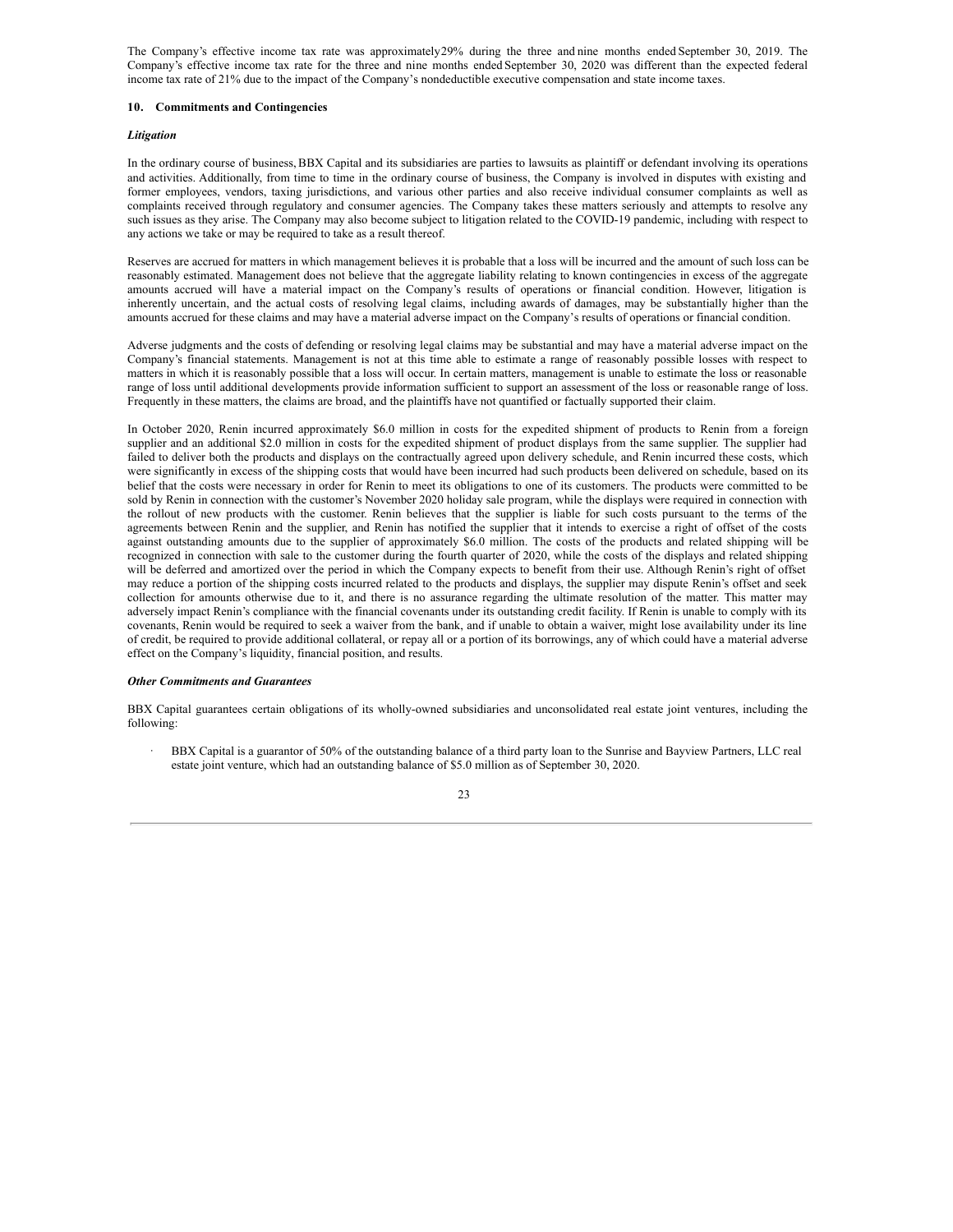The Company's effective income tax rate was approximately29% during the three and nine months ended September 30, 2019. The Company's effective income tax rate for the three and nine months ended September 30, 2020 was different than the expected federal income tax rate of 21% due to the impact of the Company's nondeductible executive compensation and state income taxes.

#### **10. Commitments and Contingencies**

#### *Litigation*

In the ordinary course of business,BBX Capital and its subsidiaries are parties to lawsuits as plaintiff or defendant involving its operations and activities. Additionally, from time to time in the ordinary course of business, the Company is involved in disputes with existing and former employees, vendors, taxing jurisdictions, and various other parties and also receive individual consumer complaints as well as complaints received through regulatory and consumer agencies. The Company takes these matters seriously and attempts to resolve any such issues as they arise. The Company may also become subject to litigation related to the COVID-19 pandemic, including with respect to any actions we take or may be required to take as a result thereof.

Reserves are accrued for matters in which management believes it is probable that a loss will be incurred and the amount of such loss can be reasonably estimated. Management does not believe that the aggregate liability relating to known contingencies in excess of the aggregate amounts accrued will have a material impact on the Company's results of operations or financial condition. However, litigation is inherently uncertain, and the actual costs of resolving legal claims, including awards of damages, may be substantially higher than the amounts accrued for these claims and may have a material adverse impact on the Company's results of operations or financial condition.

Adverse judgments and the costs of defending or resolving legal claims may be substantial and may have a material adverse impact on the Company's financial statements. Management is not at this time able to estimate a range of reasonably possible losses with respect to matters in which it is reasonably possible that a loss will occur. In certain matters, management is unable to estimate the loss or reasonable range of loss until additional developments provide information sufficient to support an assessment of the loss or reasonable range of loss. Frequently in these matters, the claims are broad, and the plaintiffs have not quantified or factually supported their claim.

In October 2020, Renin incurred approximately \$6.0 million in costs for the expedited shipment of products to Renin from a foreign supplier and an additional \$2.0 million in costs for the expedited shipment of product displays from the same supplier. The supplier had failed to deliver both the products and displays on the contractually agreed upon delivery schedule, and Renin incurred these costs, which were significantly in excess of the shipping costs that would have been incurred had such products been delivered on schedule, based on its belief that the costs were necessary in order for Renin to meet its obligations to one of its customers. The products were committed to be sold by Renin in connection with the customer's November 2020 holiday sale program, while the displays were required in connection with the rollout of new products with the customer. Renin believes that the supplier is liable for such costs pursuant to the terms of the agreements between Renin and the supplier, and Renin has notified the supplier that it intends to exercise a right of offset of the costs against outstanding amounts due to the supplier of approximately \$6.0 million. The costs of the products and related shipping will be recognized in connection with sale to the customer during the fourth quarter of 2020, while the costs of the displays and related shipping will be deferred and amortized over the period in which the Company expects to benefit from their use. Although Renin's right of offset may reduce a portion of the shipping costs incurred related to the products and displays, the supplier may dispute Renin's offset and seek collection for amounts otherwise due to it, and there is no assurance regarding the ultimate resolution of the matter. This matter may adversely impact Renin's compliance with the financial covenants under its outstanding credit facility. If Renin is unable to comply with its covenants, Renin would be required to seek a waiver from the bank, and if unable to obtain a waiver, might lose availability under its line of credit, be required to provide additional collateral, or repay all or a portion of its borrowings, any of which could have a material adverse effect on the Company's liquidity, financial position, and results.

## *Other Commitments and Guarantees*

BBX Capital guarantees certain obligations of its wholly-owned subsidiaries and unconsolidated real estate joint ventures, including the following:

BBX Capital is a guarantor of 50% of the outstanding balance of a third party loan to the Sunrise and Bayview Partners, LLC real estate joint venture, which had an outstanding balance of \$5.0 million as of September 30, 2020.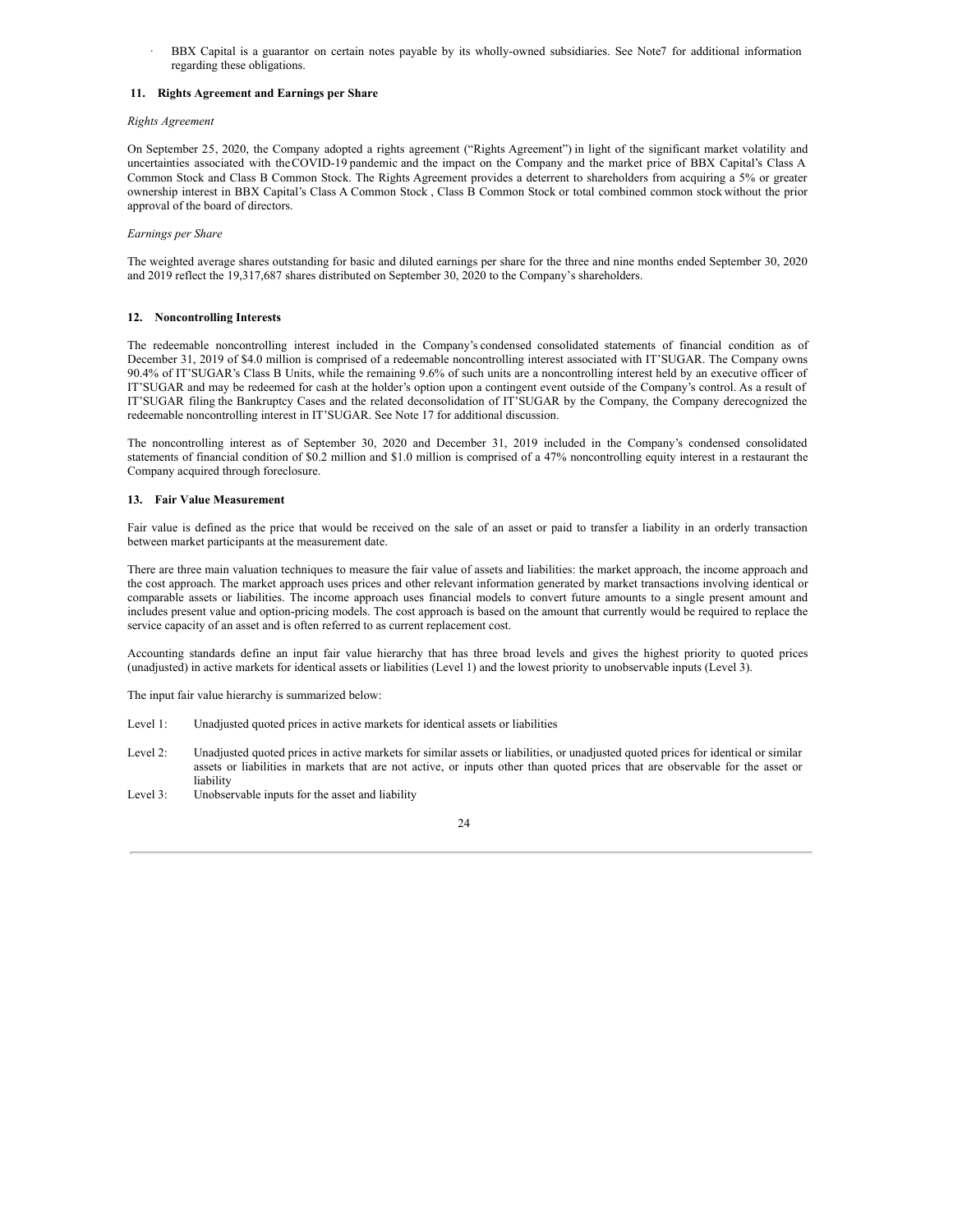BBX Capital is a guarantor on certain notes payable by its wholly-owned subsidiaries. See Note7 for additional information regarding these obligations.

## **11. Rights Agreement and Earnings per Share**

#### *Rights Agreement*

On September 25, 2020, the Company adopted a rights agreement ("Rights Agreement") in light of the significant market volatility and uncertainties associated with theCOVID-19 pandemic and the impact on the Company and the market price of BBX Capital's Class A Common Stock and Class B Common Stock. The Rights Agreement provides a deterrent to shareholders from acquiring a 5% or greater ownership interest in BBX Capital's Class A Common Stock , Class B Common Stock or total combined common stock without the prior approval of the board of directors.

#### *Earnings per Share*

The weighted average shares outstanding for basic and diluted earnings per share for the three and nine months ended September 30, 2020 and 2019 reflect the 19,317,687 shares distributed on September 30, 2020 to the Company's shareholders.

## **12. Noncontrolling Interests**

The redeemable noncontrolling interest included in the Company's condensed consolidated statements of financial condition as of December 31, 2019 of \$4.0 million is comprised of a redeemable noncontrolling interest associated with IT'SUGAR. The Company owns 90.4% of IT'SUGAR's Class B Units, while the remaining 9.6% of such units are a noncontrolling interest held by an executive officer of IT'SUGAR and may be redeemed for cash at the holder's option upon a contingent event outside of the Company's control. As a result of IT'SUGAR filing the Bankruptcy Cases and the related deconsolidation of IT'SUGAR by the Company, the Company derecognized the redeemable noncontrolling interest in IT'SUGAR. See Note 17 for additional discussion.

The noncontrolling interest as of September 30, 2020 and December 31, 2019 included in the Company's condensed consolidated statements of financial condition of \$0.2 million and \$1.0 million is comprised of a 47% noncontrolling equity interest in a restaurant the Company acquired through foreclosure.

#### **13. Fair Value Measurement**

Fair value is defined as the price that would be received on the sale of an asset or paid to transfer a liability in an orderly transaction between market participants at the measurement date.

There are three main valuation techniques to measure the fair value of assets and liabilities: the market approach, the income approach and the cost approach. The market approach uses prices and other relevant information generated by market transactions involving identical or comparable assets or liabilities. The income approach uses financial models to convert future amounts to a single present amount and includes present value and option-pricing models. The cost approach is based on the amount that currently would be required to replace the service capacity of an asset and is often referred to as current replacement cost.

Accounting standards define an input fair value hierarchy that has three broad levels and gives the highest priority to quoted prices (unadjusted) in active markets for identical assets or liabilities (Level 1) and the lowest priority to unobservable inputs (Level 3).

The input fair value hierarchy is summarized below:

- Level 1: Unadjusted quoted prices in active markets for identical assets or liabilities
- Level 2: Unadjusted quoted prices in active markets for similar assets or liabilities, or unadjusted quoted prices for identical or similar assets or liabilities in markets that are not active, or inputs other than quoted prices that are observable for the asset or liability
- Level 3: Unobservable inputs for the asset and liability

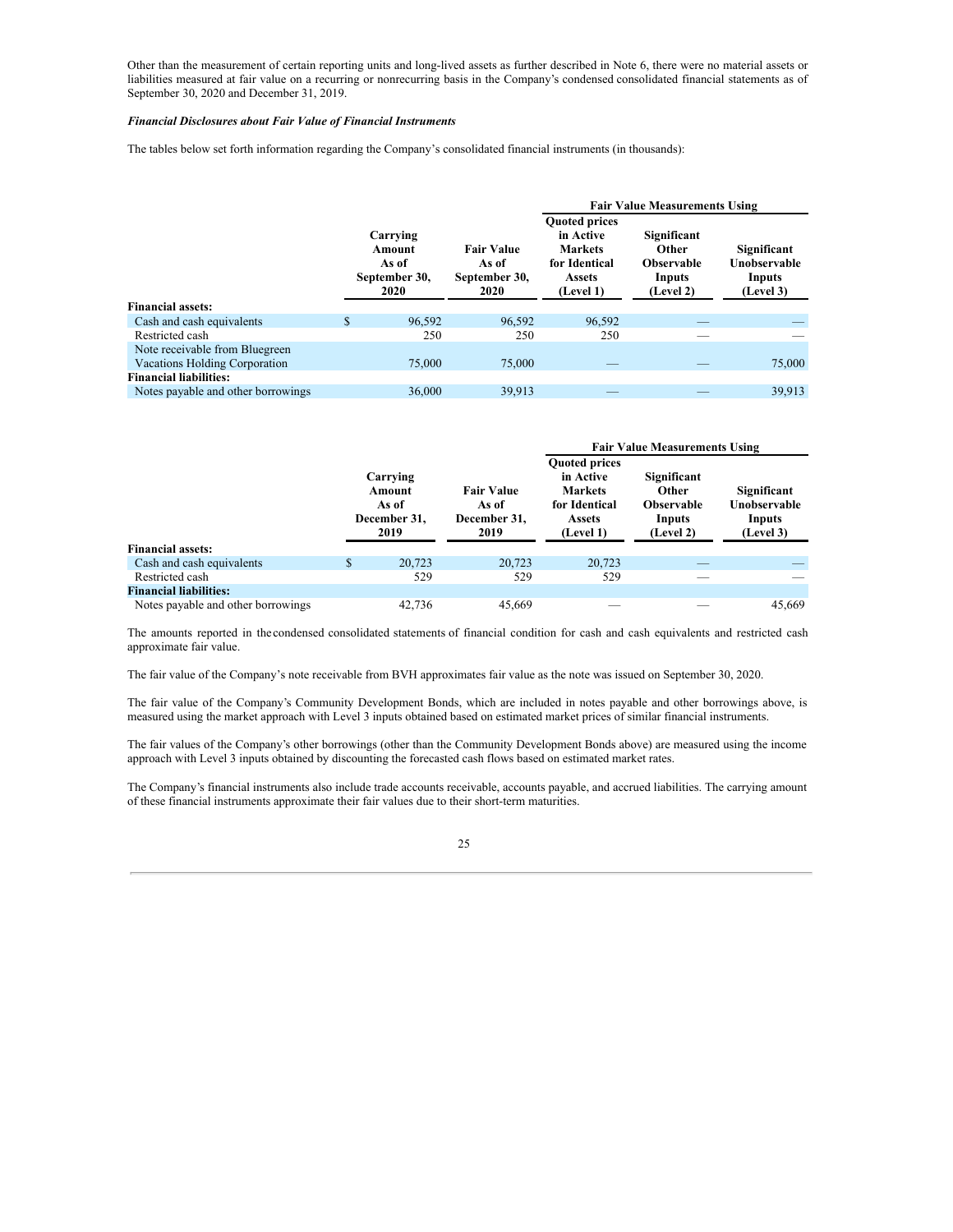Other than the measurement of certain reporting units and long-lived assets as further described in Note 6, there were no material assets or liabilities measured at fair value on a recurring or nonrecurring basis in the Company's condensed consolidated financial statements as of September 30, 2020 and December 31, 2019.

#### *Financial Disclosures about Fair Value of Financial Instruments*

The tables below set forth information regarding the Company's consolidated financial instruments (in thousands):

|                                    |                                                                                                             |        | <b>Fair Value Measurements Using</b>                                                               |                                                                  |                                                    |  |  |
|------------------------------------|-------------------------------------------------------------------------------------------------------------|--------|----------------------------------------------------------------------------------------------------|------------------------------------------------------------------|----------------------------------------------------|--|--|
|                                    | Carrying<br><b>Fair Value</b><br>Amount<br>As of<br>As of<br>September 30,<br>September 30,<br>2020<br>2020 |        | <b>Quoted prices</b><br>in Active<br><b>Markets</b><br>for Identical<br><b>Assets</b><br>(Level 1) | Significant<br>Other<br><b>Observable</b><br>Inputs<br>(Level 2) | Significant<br>Unobservable<br>Inputs<br>(Level 3) |  |  |
| <b>Financial assets:</b>           |                                                                                                             |        |                                                                                                    |                                                                  |                                                    |  |  |
| Cash and cash equivalents          | \$<br>96,592                                                                                                | 96,592 | 96.592                                                                                             |                                                                  |                                                    |  |  |
| Restricted cash                    | 250                                                                                                         | 250    | 250                                                                                                |                                                                  |                                                    |  |  |
| Note receivable from Bluegreen     |                                                                                                             |        |                                                                                                    |                                                                  |                                                    |  |  |
| Vacations Holding Corporation      | 75,000                                                                                                      | 75,000 |                                                                                                    |                                                                  | 75,000                                             |  |  |
| <b>Financial liabilities:</b>      |                                                                                                             |        |                                                                                                    |                                                                  |                                                    |  |  |
| Notes payable and other borrowings | 36,000                                                                                                      | 39.913 |                                                                                                    |                                                                  | 39.913                                             |  |  |

|                                    |                                                     |                                                    | <b>Fair Value Measurements Using</b>                                                        |                                                                  |                                                    |  |  |
|------------------------------------|-----------------------------------------------------|----------------------------------------------------|---------------------------------------------------------------------------------------------|------------------------------------------------------------------|----------------------------------------------------|--|--|
|                                    | Carrying<br>Amount<br>As of<br>December 31,<br>2019 | <b>Fair Value</b><br>As of<br>December 31,<br>2019 | <b>Quoted prices</b><br>in Active<br><b>Markets</b><br>for Identical<br>Assets<br>(Level 1) | Significant<br>Other<br><b>Observable</b><br>Inputs<br>(Level 2) | Significant<br>Unobservable<br>Inputs<br>(Level 3) |  |  |
| <b>Financial assets:</b>           |                                                     |                                                    |                                                                                             |                                                                  |                                                    |  |  |
| Cash and cash equivalents          | \$<br>20.723                                        | 20,723                                             | 20,723                                                                                      |                                                                  |                                                    |  |  |
| Restricted cash                    | 529                                                 | 529                                                | 529                                                                                         |                                                                  |                                                    |  |  |
| <b>Financial liabilities:</b>      |                                                     |                                                    |                                                                                             |                                                                  |                                                    |  |  |
| Notes payable and other borrowings | 42.736                                              | 45,669                                             |                                                                                             |                                                                  | 45,669                                             |  |  |

The amounts reported in the condensed consolidated statements of financial condition for cash and cash equivalents and restricted cash approximate fair value.

The fair value of the Company's note receivable from BVH approximates fair value as the note was issued on September 30, 2020.

The fair value of the Company's Community Development Bonds, which are included in notes payable and other borrowings above, is measured using the market approach with Level 3 inputs obtained based on estimated market prices of similar financial instruments.

The fair values of the Company's other borrowings (other than the Community Development Bonds above) are measured using the income approach with Level 3 inputs obtained by discounting the forecasted cash flows based on estimated market rates.

The Company's financial instruments also include trade accounts receivable, accounts payable, and accrued liabilities. The carrying amount of these financial instruments approximate their fair values due to their short-term maturities.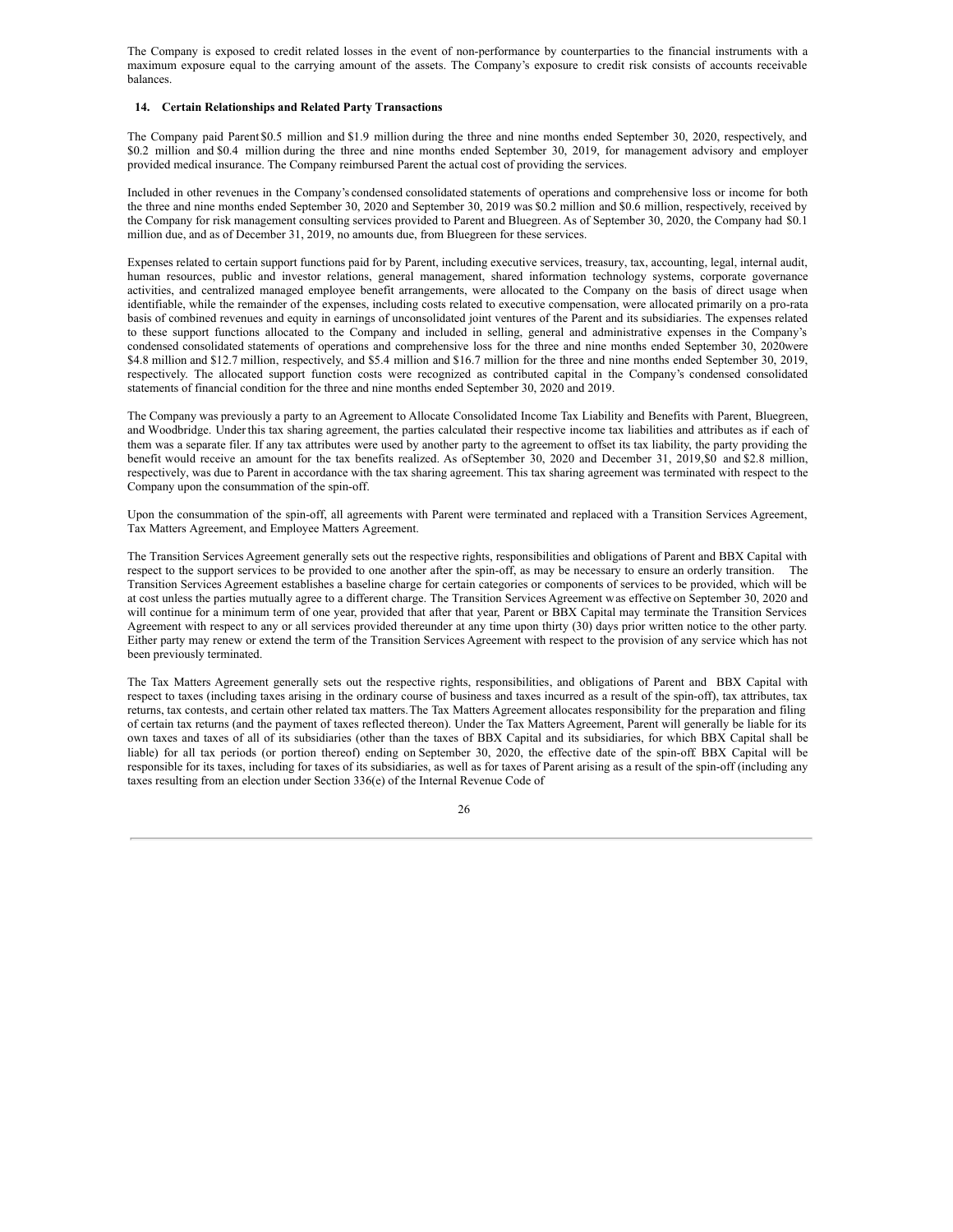The Company is exposed to credit related losses in the event of non-performance by counterparties to the financial instruments with a maximum exposure equal to the carrying amount of the assets. The Company's exposure to credit risk consists of accounts receivable balances.

#### **14. Certain Relationships and Related Party Transactions**

The Company paid Parent \$0.5 million and \$1.9 million during the three and nine months ended September 30, 2020, respectively, and \$0.2 million and \$0.4 million during the three and nine months ended September 30, 2019, for management advisory and employer provided medical insurance. The Company reimbursed Parent the actual cost of providing the services.

Included in other revenues in the Company's condensed consolidated statements of operations and comprehensive loss or income for both the three and nine months ended September 30, 2020 and September 30, 2019 was \$0.2 million and \$0.6 million, respectively, received by the Company for risk management consulting services provided to Parent and Bluegreen. As of September 30, 2020, the Company had \$0.1 million due, and as of December 31, 2019, no amounts due, from Bluegreen for these services.

Expenses related to certain support functions paid for by Parent, including executive services, treasury, tax, accounting, legal, internal audit, human resources, public and investor relations, general management, shared information technology systems, corporate governance activities, and centralized managed employee benefit arrangements, were allocated to the Company on the basis of direct usage when identifiable, while the remainder of the expenses, including costs related to executive compensation, were allocated primarily on a pro-rata basis of combined revenues and equity in earnings of unconsolidated joint ventures of the Parent and its subsidiaries. The expenses related to these support functions allocated to the Company and included in selling, general and administrative expenses in the Company's condensed consolidated statements of operations and comprehensive loss for the three and nine months ended September 30, 2020were \$4.8 million and \$12.7 million, respectively, and \$5.4 million and \$16.7 million for the three and nine months ended September 30, 2019, respectively. The allocated support function costs were recognized as contributed capital in the Company's condensed consolidated statements of financial condition for the three and nine months ended September 30, 2020 and 2019.

The Company was previously a party to an Agreement to Allocate Consolidated Income Tax Liability and Benefits with Parent, Bluegreen, and Woodbridge. Underthis tax sharing agreement, the parties calculated their respective income tax liabilities and attributes as if each of them was a separate filer. If any tax attributes were used by another party to the agreement to offset its tax liability, the party providing the benefit would receive an amount for the tax benefits realized. As ofSeptember 30, 2020 and December 31, 2019,\$0 and \$2.8 million, respectively, was due to Parent in accordance with the tax sharing agreement. This tax sharing agreement was terminated with respect to the Company upon the consummation of the spin-off.

Upon the consummation of the spin-off, all agreements with Parent were terminated and replaced with a Transition Services Agreement, Tax Matters Agreement, and Employee Matters Agreement.

The Transition Services Agreement generally sets out the respective rights, responsibilities and obligations of Parent and BBX Capital with respect to the support services to be provided to one another after the spin-off, as may be necessary to ensure an orderly transition. The Transition Services Agreement establishes a baseline charge for certain categories or components of services to be provided, which will be at cost unless the parties mutually agree to a different charge. The Transition Services Agreement was effective on September 30, 2020 and will continue for a minimum term of one year, provided that after that year, Parent or BBX Capital may terminate the Transition Services Agreement with respect to any or all services provided thereunder at any time upon thirty (30) days prior written notice to the other party. Either party may renew or extend the term of the Transition Services Agreement with respect to the provision of any service which has not been previously terminated.

The Tax Matters Agreement generally sets out the respective rights, responsibilities, and obligations of Parent and BBX Capital with respect to taxes (including taxes arising in the ordinary course of business and taxes incurred as a result of the spin-off), tax attributes, tax returns, tax contests, and certain other related tax matters.The Tax Matters Agreement allocates responsibility for the preparation and filing of certain tax returns (and the payment of taxes reflected thereon). Under the Tax Matters Agreement, Parent will generally be liable for its own taxes and taxes of all of its subsidiaries (other than the taxes of BBX Capital and its subsidiaries, for which BBX Capital shall be liable) for all tax periods (or portion thereof) ending on September 30, 2020, the effective date of the spin-off. BBX Capital will be responsible for its taxes, including for taxes of its subsidiaries, as well as for taxes of Parent arising as a result of the spin-off (including any taxes resulting from an election under Section 336(e) of the Internal Revenue Code of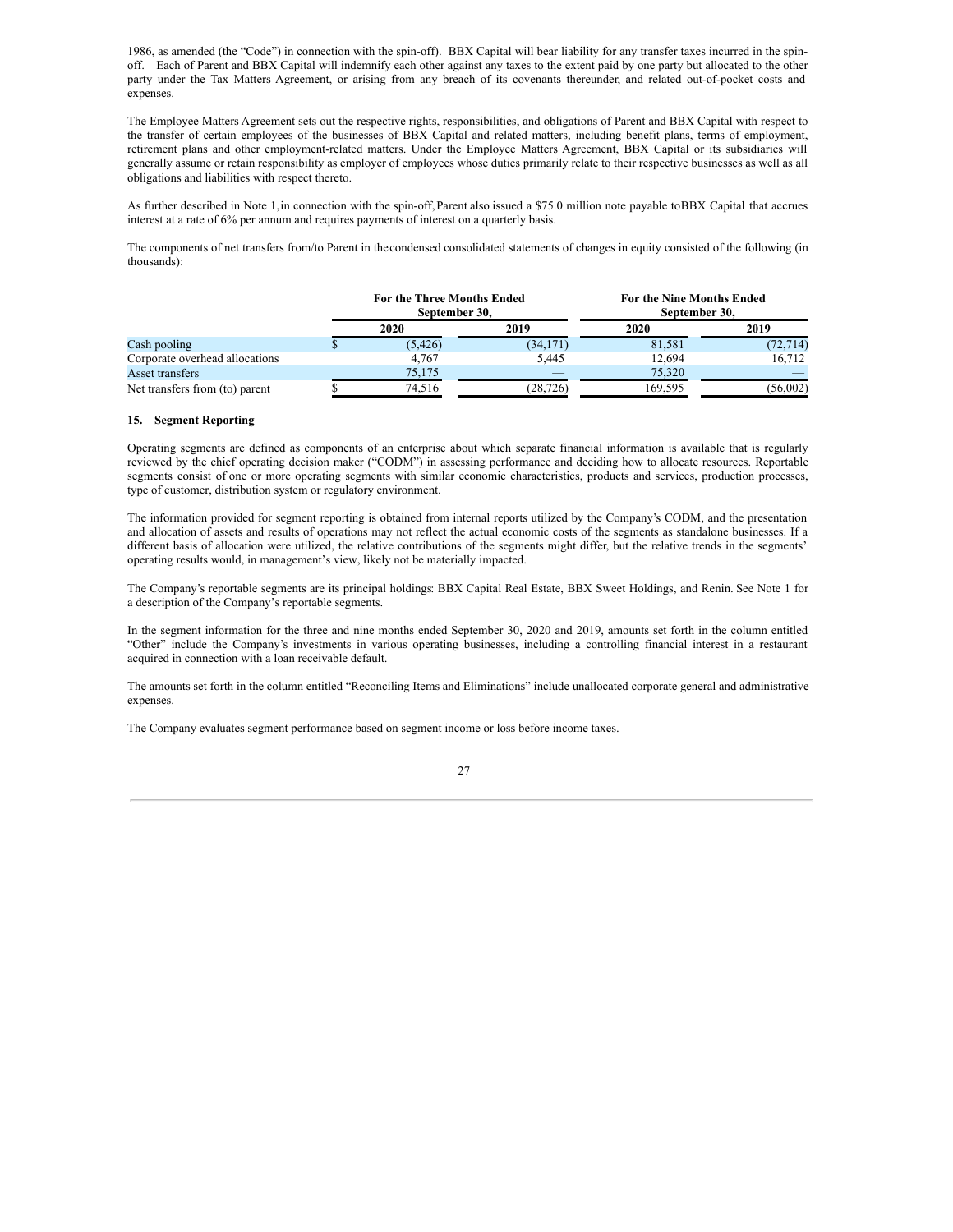1986, as amended (the "Code") in connection with the spin-off). BBX Capital will bear liability for any transfer taxes incurred in the spinoff. Each of Parent and BBX Capital will indemnify each other against any taxes to the extent paid by one party but allocated to the other party under the Tax Matters Agreement, or arising from any breach of its covenants thereunder, and related out-of-pocket costs and expenses.

The Employee Matters Agreement sets out the respective rights, responsibilities, and obligations of Parent and BBX Capital with respect to the transfer of certain employees of the businesses of BBX Capital and related matters, including benefit plans, terms of employment, retirement plans and other employment-related matters. Under the Employee Matters Agreement, BBX Capital or its subsidiaries will generally assume or retain responsibility as employer of employees whose duties primarily relate to their respective businesses as well as all obligations and liabilities with respect thereto.

As further described in Note 1,in connection with the spin-off,Parent also issued a \$75.0 million note payable toBBX Capital that accrues interest at a rate of 6% per annum and requires payments of interest on a quarterly basis.

The components of net transfers from/to Parent in the condensed consolidated statements of changes in equity consisted of the following (in thousands):

|                                | <b>For the Three Months Ended</b><br>September 30. |           | For the Nine Months Ended<br>September 30. |           |  |
|--------------------------------|----------------------------------------------------|-----------|--------------------------------------------|-----------|--|
|                                | 2020                                               | 2019      | 2020                                       | 2019      |  |
| Cash pooling                   | (5, 426)                                           | (34, 171) | 81,581                                     | (72, 714) |  |
| Corporate overhead allocations | 4.767                                              | 5.445     | 12,694                                     | 16.712    |  |
| Asset transfers                | 75.175                                             |           | 75.320                                     |           |  |
| Net transfers from (to) parent | 74.516                                             | (28, 726) | 169.595                                    | (56,002)  |  |

### **15. Segment Reporting**

Operating segments are defined as components of an enterprise about which separate financial information is available that is regularly reviewed by the chief operating decision maker ("CODM") in assessing performance and deciding how to allocate resources. Reportable segments consist of one or more operating segments with similar economic characteristics, products and services, production processes, type of customer, distribution system or regulatory environment.

The information provided for segment reporting is obtained from internal reports utilized by the Company's CODM, and the presentation and allocation of assets and results of operations may not reflect the actual economic costs of the segments as standalone businesses. If a different basis of allocation were utilized, the relative contributions of the segments might differ, but the relative trends in the segments' operating results would, in management's view, likely not be materially impacted.

The Company's reportable segments are its principal holdings: BBX Capital Real Estate, BBX Sweet Holdings, and Renin. See Note 1 for a description of the Company's reportable segments.

In the segment information for the three and nine months ended September 30, 2020 and 2019, amounts set forth in the column entitled "Other" include the Company's investments in various operating businesses, including a controlling financial interest in a restaurant acquired in connection with a loan receivable default.

The amounts set forth in the column entitled "Reconciling Items and Eliminations" include unallocated corporate general and administrative expenses.

The Company evaluates segment performance based on segment income or loss before income taxes.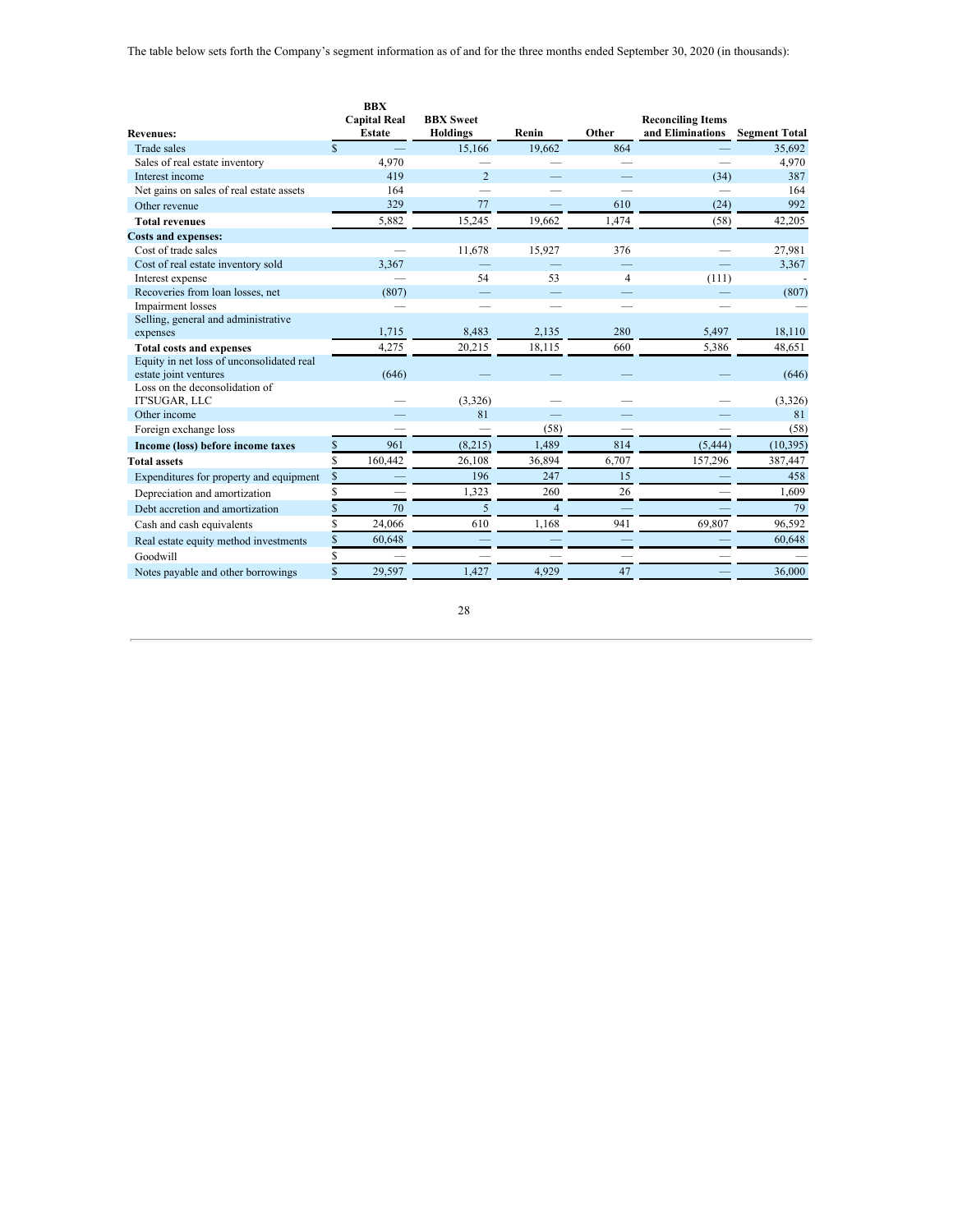| <b>Revenues:</b>                                        | <b>BBX</b><br><b>Capital Real</b><br><b>Estate</b> | <b>BBX</b> Sweet<br><b>Holdings</b> | Renin                 | Other                    | <b>Reconciling Items</b><br>and Eliminations | <b>Segment Total</b> |
|---------------------------------------------------------|----------------------------------------------------|-------------------------------------|-----------------------|--------------------------|----------------------------------------------|----------------------|
| <b>Trade sales</b>                                      | <sup>\$</sup>                                      | 15,166                              | 19,662                | 864                      |                                              | 35,692               |
| Sales of real estate inventory                          | 4,970                                              |                                     |                       | $\overline{\phantom{0}}$ |                                              | 4,970                |
| Interest income                                         |                                                    | 419                                 | $\overline{2}$        |                          | (34)                                         | 387                  |
| Net gains on sales of real estate assets                |                                                    | 164                                 |                       |                          |                                              | 164                  |
| Other revenue                                           |                                                    | 329                                 | 77                    | 610                      | (24)                                         | 992                  |
| <b>Total revenues</b>                                   | 5,882                                              | 15,245                              | 19,662                | 1,474                    | (58)                                         | 42,205               |
| <b>Costs and expenses:</b>                              |                                                    |                                     |                       |                          |                                              |                      |
| Cost of trade sales                                     |                                                    | 11,678                              | 15,927                | 376                      |                                              | 27,981               |
| Cost of real estate inventory sold                      | 3,367                                              |                                     |                       |                          |                                              | 3,367                |
| Interest expense                                        |                                                    |                                     | 54<br>53              | $\overline{4}$           | (111)                                        |                      |
| Recoveries from loan losses, net                        |                                                    | (807)                               |                       |                          |                                              | (807)                |
| Impairment losses                                       |                                                    |                                     |                       |                          |                                              |                      |
| Selling, general and administrative                     |                                                    |                                     |                       |                          |                                              |                      |
| expenses                                                | 1,715                                              | 8,483                               | 2.135                 | 280                      | 5,497                                        | 18,110               |
| <b>Total costs and expenses</b>                         | 4,275                                              | 20,215                              | 18,115                | 660                      | 5,386                                        | 48,651               |
| Equity in net loss of unconsolidated real               |                                                    |                                     |                       |                          |                                              |                      |
| estate joint ventures<br>Loss on the deconsolidation of |                                                    | (646)                               |                       |                          |                                              | (646)                |
| IT'SUGAR, LLC                                           |                                                    | (3,326)                             |                       |                          |                                              | (3,326)              |
| Other income                                            |                                                    |                                     | 81                    |                          |                                              | 81                   |
| Foreign exchange loss                                   |                                                    |                                     | (58)<br>$\frac{1}{2}$ | $\overline{\phantom{a}}$ |                                              | (58)                 |
| Income (loss) before income taxes                       | \$                                                 | (8,215)<br>961                      | 1,489                 | 814                      | (5, 444)                                     | (10, 395)            |
| <b>Total assets</b>                                     | 160,442                                            | 26,108                              | 36,894                | 6,707                    | 157,296                                      | 387,447              |
|                                                         | \$                                                 | 196                                 | 247                   | 15                       |                                              | 458                  |
| Expenditures for property and equipment                 |                                                    |                                     |                       | 26                       |                                              |                      |
| Depreciation and amortization                           |                                                    | 1,323                               | 260                   |                          |                                              | 1,609                |
| Debt accretion and amortization                         |                                                    | 70                                  | 5<br>$\overline{4}$   |                          |                                              | 79                   |
| Cash and cash equivalents                               | 24,066                                             | 610                                 | 1,168                 | 941                      | 69,807                                       | 96,592               |
| Real estate equity method investments                   | \$<br>60,648                                       |                                     |                       |                          |                                              | 60,648               |
| Goodwill                                                | \$                                                 |                                     |                       |                          |                                              |                      |
| Notes payable and other borrowings                      | \$<br>29,597                                       | 1.427                               | 4.929                 | 47                       |                                              | 36,000               |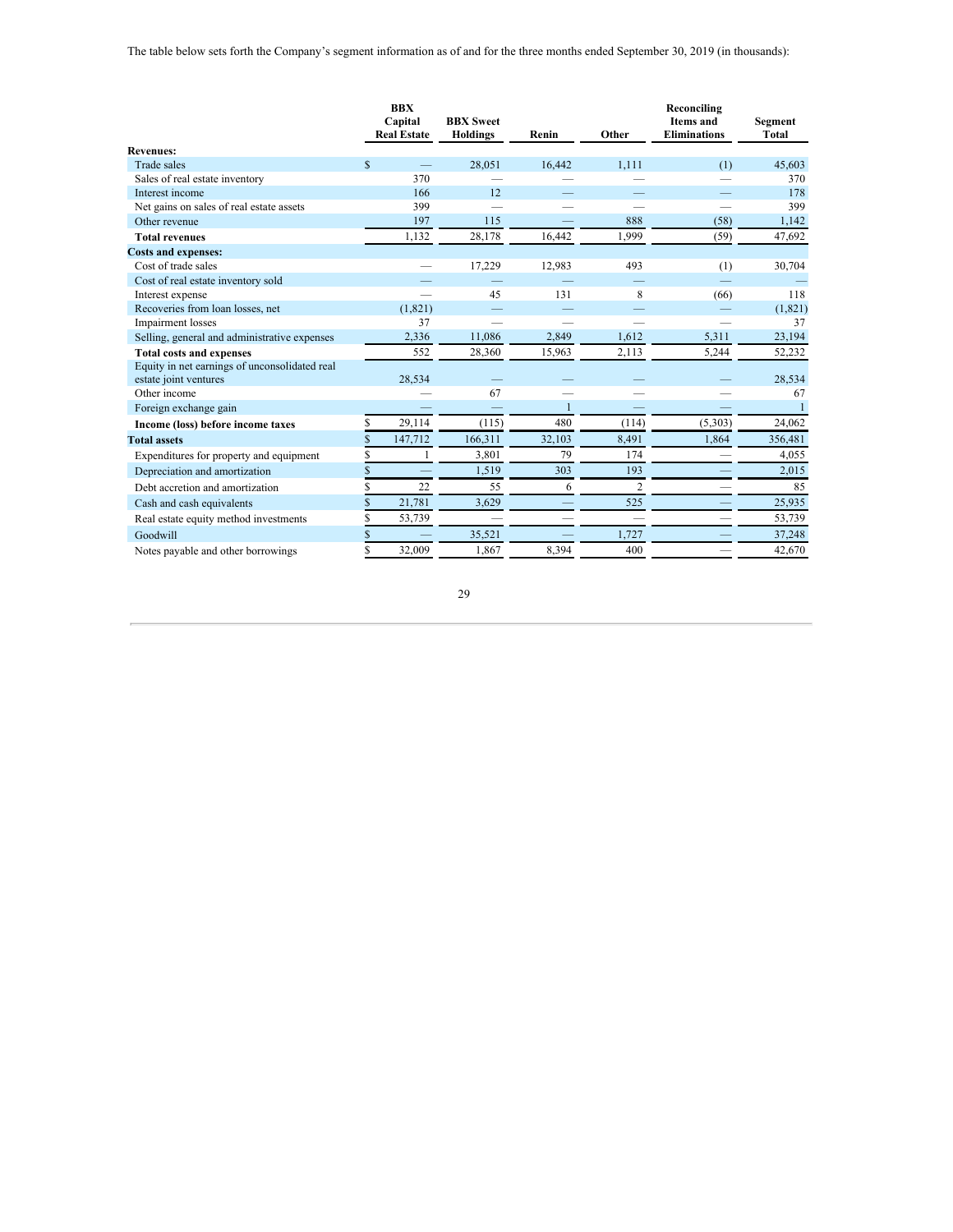The table below sets forth the Company's segment information as of and for the three months ended September 30, 2019 (in thousands):

|                                                                        |              | <b>BBX</b><br>Capital<br><b>Real Estate</b> | <b>BBX</b> Sweet<br><b>Holdings</b> | Renin        | Other | Reconciling<br><b>Items</b> and<br><b>Eliminations</b> | Segment<br>Total |
|------------------------------------------------------------------------|--------------|---------------------------------------------|-------------------------------------|--------------|-------|--------------------------------------------------------|------------------|
| <b>Revenues:</b>                                                       |              |                                             |                                     |              |       |                                                        |                  |
| <b>Trade sales</b>                                                     | $\mathbb{S}$ |                                             | 28.051                              | 16.442       | 1.111 | (1)                                                    | 45,603           |
| Sales of real estate inventory                                         |              | 370                                         |                                     |              |       |                                                        | 370              |
| Interest income                                                        |              | 166                                         | 12                                  |              |       |                                                        | 178              |
| Net gains on sales of real estate assets                               |              | 399                                         |                                     |              |       |                                                        | 399              |
| Other revenue                                                          |              | 197                                         | 115                                 |              | 888   | (58)                                                   | 1,142            |
| <b>Total revenues</b>                                                  |              | 1,132                                       | 28,178                              | 16,442       | 1,999 | (59)                                                   | 47,692           |
| <b>Costs and expenses:</b>                                             |              |                                             |                                     |              |       |                                                        |                  |
| Cost of trade sales                                                    |              |                                             | 17,229                              | 12,983       | 493   | (1)                                                    | 30,704           |
| Cost of real estate inventory sold                                     |              |                                             |                                     |              |       |                                                        |                  |
| Interest expense                                                       |              |                                             | 45                                  | 131          | 8     | (66)                                                   | 118              |
| Recoveries from loan losses, net                                       |              | (1,821)                                     |                                     |              |       |                                                        | (1,821)          |
| Impairment losses                                                      |              | 37                                          |                                     |              |       |                                                        | 37               |
| Selling, general and administrative expenses                           |              | 2,336                                       | 11,086                              | 2,849        | 1.612 | 5,311                                                  | 23,194           |
| <b>Total costs and expenses</b>                                        |              | 552                                         | 28,360                              | 15,963       | 2,113 | 5,244                                                  | 52,232           |
| Equity in net earnings of unconsolidated real<br>estate joint ventures |              | 28,534                                      |                                     |              |       |                                                        | 28,534           |
| Other income                                                           |              |                                             | 67                                  |              |       |                                                        | 67               |
| Foreign exchange gain                                                  |              |                                             |                                     | $\mathbf{1}$ |       |                                                        |                  |
| Income (loss) before income taxes                                      | Ś            | 29,114                                      | (115)                               | 480          | (114) | (5,303)                                                | 24,062           |
| <b>Total assets</b>                                                    |              | 147,712                                     | 166,311                             | 32,103       | 8,491 | 1,864                                                  | 356,481          |
| Expenditures for property and equipment                                | Ś            |                                             | 3.801                               | 79           | 174   |                                                        | 4,055            |
| Depreciation and amortization                                          | \$           |                                             | 1.519                               | 303          | 193   |                                                        | 2,015            |
| Debt accretion and amortization                                        |              | 22                                          | 55                                  | 6            | 2     |                                                        | 85               |
| Cash and cash equivalents                                              | \$           | 21,781                                      | 3.629                               |              | 525   |                                                        | 25,935           |
| Real estate equity method investments                                  |              | 53,739                                      |                                     |              |       |                                                        | 53,739           |
| Goodwill                                                               |              |                                             | 35,521                              |              | 1.727 |                                                        | 37,248           |
| Notes payable and other borrowings                                     | \$           | 32,009                                      | 1.867                               | 8.394        | 400   |                                                        | 42,670           |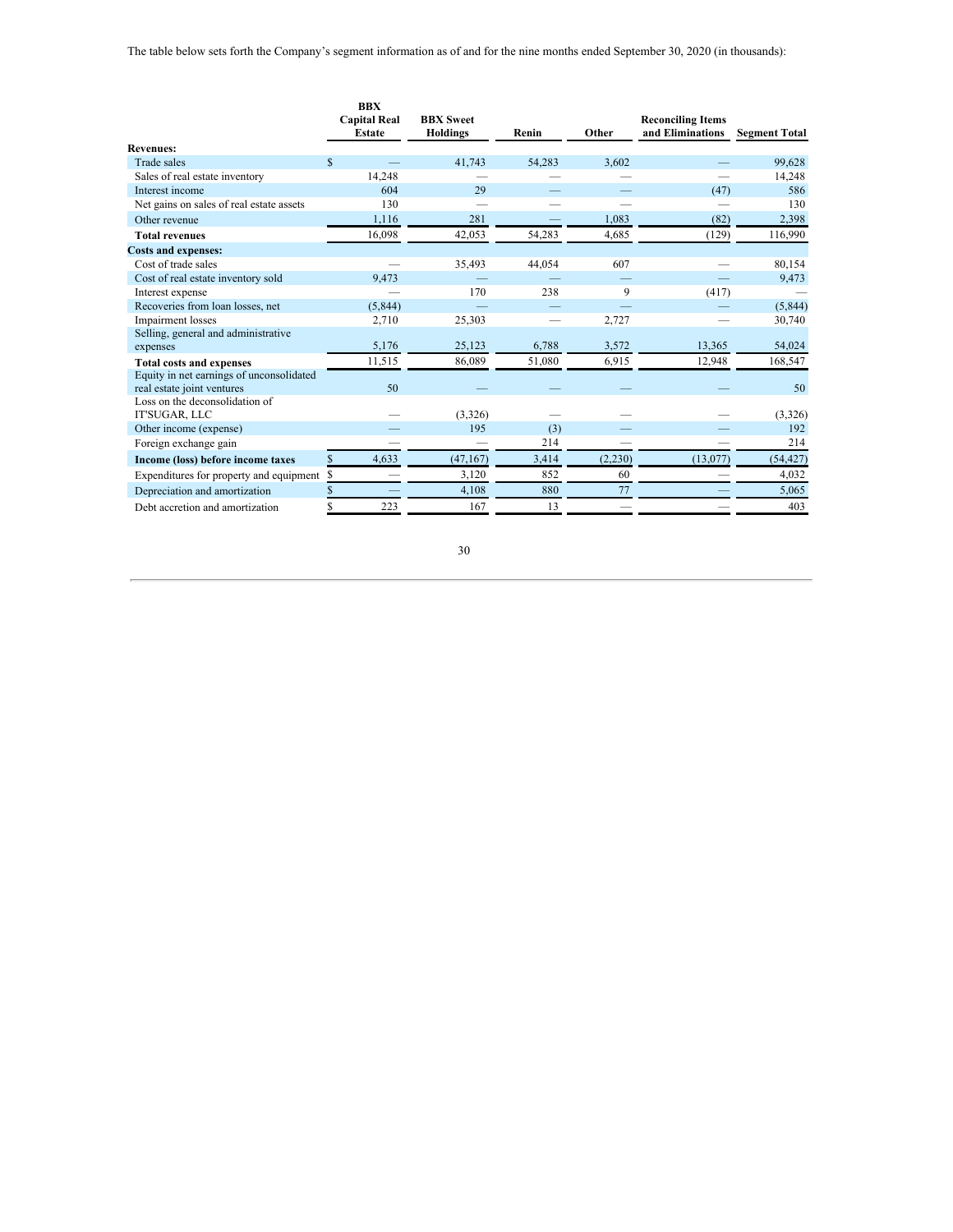|                                                                        | <b>BBX</b><br><b>Capital Real</b> | <b>BBX</b> Sweet |        |         |                  |                      |  |
|------------------------------------------------------------------------|-----------------------------------|------------------|--------|---------|------------------|----------------------|--|
|                                                                        | <b>Estate</b>                     | <b>Holdings</b>  | Renin  | Other   | and Eliminations | <b>Segment Total</b> |  |
| <b>Revenues:</b>                                                       |                                   |                  |        |         |                  |                      |  |
| Trade sales                                                            | $\mathbb{S}$                      | 41.743           | 54.283 | 3.602   |                  | 99,628               |  |
| Sales of real estate inventory                                         | 14,248                            |                  |        |         |                  | 14,248               |  |
| Interest income                                                        | 604                               | 29               |        |         | (47)             | 586                  |  |
| Net gains on sales of real estate assets                               | 130                               |                  |        |         |                  | 130                  |  |
| Other revenue                                                          | 1,116                             | 281              |        | 1.083   | (82)             | 2,398                |  |
| <b>Total revenues</b>                                                  | 16,098                            | 42.053           | 54,283 | 4,685   | (129)            | 116,990              |  |
| <b>Costs and expenses:</b>                                             |                                   |                  |        |         |                  |                      |  |
| Cost of trade sales                                                    |                                   | 35.493           | 44,054 | 607     |                  | 80,154               |  |
| Cost of real estate inventory sold                                     | 9,473                             |                  |        |         |                  | 9,473                |  |
| Interest expense                                                       |                                   | 170              | 238    | 9       | (417)            |                      |  |
| Recoveries from loan losses, net                                       | (5,844)                           |                  |        |         |                  | (5,844)              |  |
| Impairment losses                                                      | 2,710                             | 25,303           |        | 2,727   |                  | 30,740               |  |
| Selling, general and administrative                                    |                                   |                  |        |         |                  |                      |  |
| expenses                                                               | 5,176                             | 25,123           | 6,788  | 3,572   | 13,365           | 54,024               |  |
| <b>Total costs and expenses</b>                                        | 11,515                            | 86,089           | 51,080 | 6,915   | 12,948           | 168,547              |  |
| Equity in net earnings of unconsolidated<br>real estate joint ventures | 50                                |                  |        |         |                  | 50                   |  |
| Loss on the deconsolidation of<br>IT'SUGAR, LLC                        |                                   | (3,326)          |        |         |                  | (3,326)              |  |
| Other income (expense)                                                 |                                   | 195              | (3)    |         |                  | 192                  |  |
| Foreign exchange gain                                                  |                                   |                  | 214    |         |                  | 214                  |  |
| Income (loss) before income taxes                                      | 4,633<br>S                        | (47, 167)        | 3,414  | (2,230) | (13,077)         | (54, 427)            |  |
|                                                                        |                                   |                  |        |         |                  |                      |  |
| Expenditures for property and equipment                                | \$                                | 3,120            | 852    | 60      |                  | 4,032                |  |
| Depreciation and amortization                                          | \$                                | 4,108            | 880    | 77      |                  | 5,065                |  |
| Debt accretion and amortization                                        | 223<br>S                          | 167              | 13     |         |                  | 403                  |  |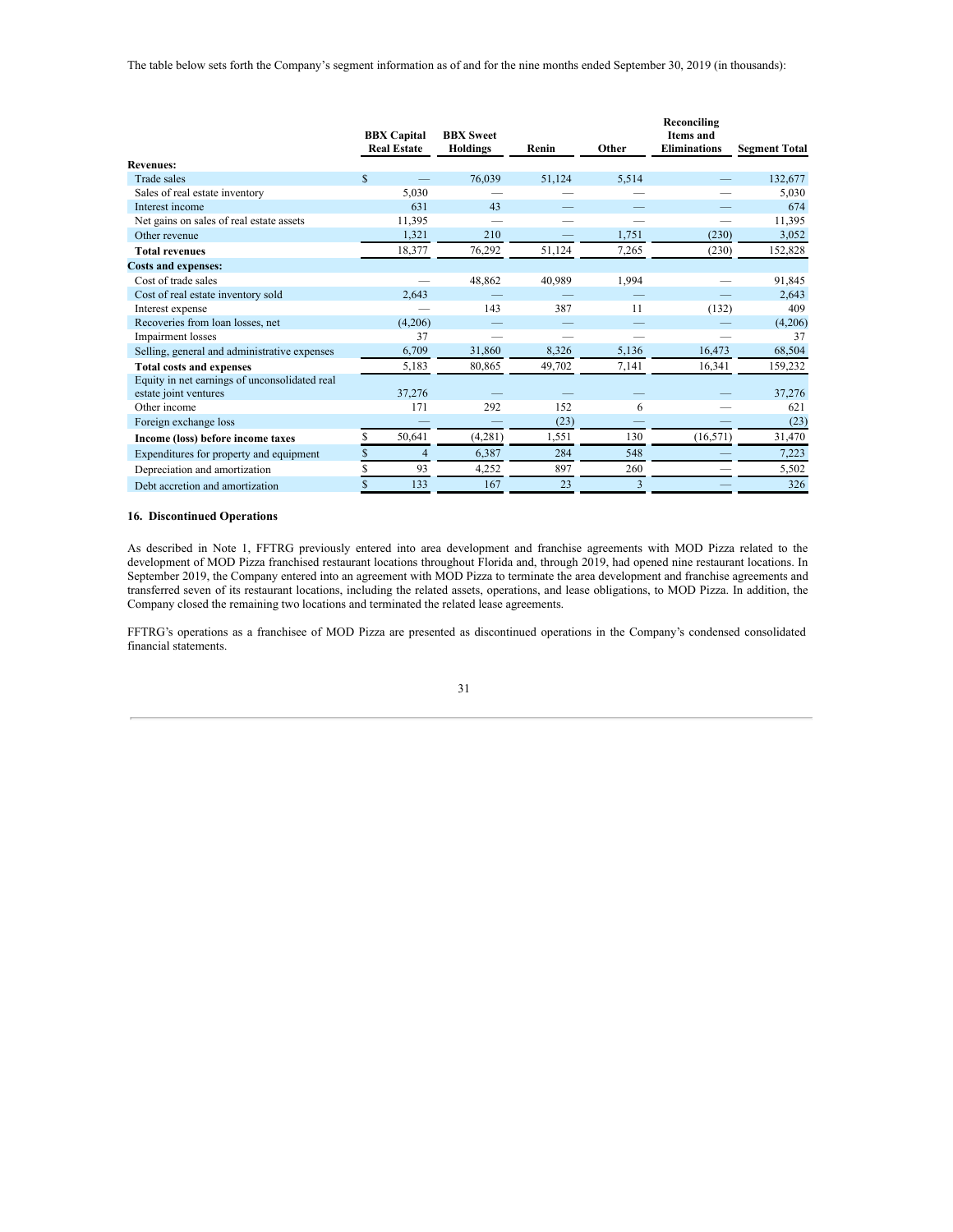The table below sets forth the Company's segment information as of and for the nine months ended September 30, 2019 (in thousands):

|                                               |              | <b>BBX</b> Capital<br><b>Real Estate</b> | <b>BBX</b> Sweet<br><b>Holdings</b> | Renin  | Other | Reconciling<br><b>Items</b> and<br><b>Eliminations</b> | <b>Segment Total</b> |
|-----------------------------------------------|--------------|------------------------------------------|-------------------------------------|--------|-------|--------------------------------------------------------|----------------------|
| <b>Revenues:</b>                              |              |                                          |                                     |        |       |                                                        |                      |
| Trade sales                                   | $\mathbb{S}$ |                                          | 76,039                              | 51,124 | 5,514 |                                                        | 132,677              |
| Sales of real estate inventory                |              | 5,030                                    |                                     |        |       |                                                        | 5,030                |
| Interest income                               |              | 631                                      | 43                                  |        |       |                                                        | 674                  |
| Net gains on sales of real estate assets      |              | 11,395                                   |                                     |        |       |                                                        | 11,395               |
| Other revenue                                 |              | 1,321                                    | 210                                 |        | 1,751 | (230)                                                  | 3,052                |
| <b>Total revenues</b>                         |              | 18,377                                   | 76,292                              | 51,124 | 7,265 | (230)                                                  | 152,828              |
| <b>Costs and expenses:</b>                    |              |                                          |                                     |        |       |                                                        |                      |
| Cost of trade sales                           |              |                                          | 48,862                              | 40,989 | 1,994 |                                                        | 91,845               |
| Cost of real estate inventory sold            |              | 2,643                                    |                                     |        |       |                                                        | 2,643                |
| Interest expense                              |              |                                          | 143                                 | 387    | 11    | (132)                                                  | 409                  |
| Recoveries from loan losses, net              |              | (4,206)                                  |                                     |        |       |                                                        | (4,206)              |
| Impairment losses                             |              | 37                                       |                                     |        |       |                                                        | 37                   |
| Selling, general and administrative expenses  |              | 6,709                                    | 31,860                              | 8,326  | 5,136 | 16,473                                                 | 68,504               |
| <b>Total costs and expenses</b>               |              | 5,183                                    | 80,865                              | 49,702 | 7,141 | 16,341                                                 | 159,232              |
| Equity in net earnings of unconsolidated real |              |                                          |                                     |        |       |                                                        |                      |
| estate joint ventures                         |              | 37,276                                   |                                     |        |       |                                                        | 37,276               |
| Other income                                  |              | 171                                      | 292                                 | 152    | 6     |                                                        | 621                  |
| Foreign exchange loss                         |              |                                          |                                     | (23)   |       |                                                        | (23)                 |
| Income (loss) before income taxes             |              | 50,641                                   | (4,281)                             | 1,551  | 130   | (16, 571)                                              | 31,470               |
| Expenditures for property and equipment       | \$           | 4                                        | 6,387                               | 284    | 548   |                                                        | 7,223                |
| Depreciation and amortization                 | S            | 93                                       | 4,252                               | 897    | 260   |                                                        | 5,502                |
| Debt accretion and amortization               | \$           | 133                                      | 167                                 | 23     | 3     |                                                        | 326                  |

## **16. Discontinued Operations**

As described in Note 1, FFTRG previously entered into area development and franchise agreements with MOD Pizza related to the development of MOD Pizza franchised restaurant locations throughout Florida and, through 2019, had opened nine restaurant locations. In September 2019, the Company entered into an agreement with MOD Pizza to terminate the area development and franchise agreements and transferred seven of its restaurant locations, including the related assets, operations, and lease obligations, to MOD Pizza. In addition, the Company closed the remaining two locations and terminated the related lease agreements.

FFTRG's operations as a franchisee of MOD Pizza are presented as discontinued operations in the Company's condensed consolidated financial statements.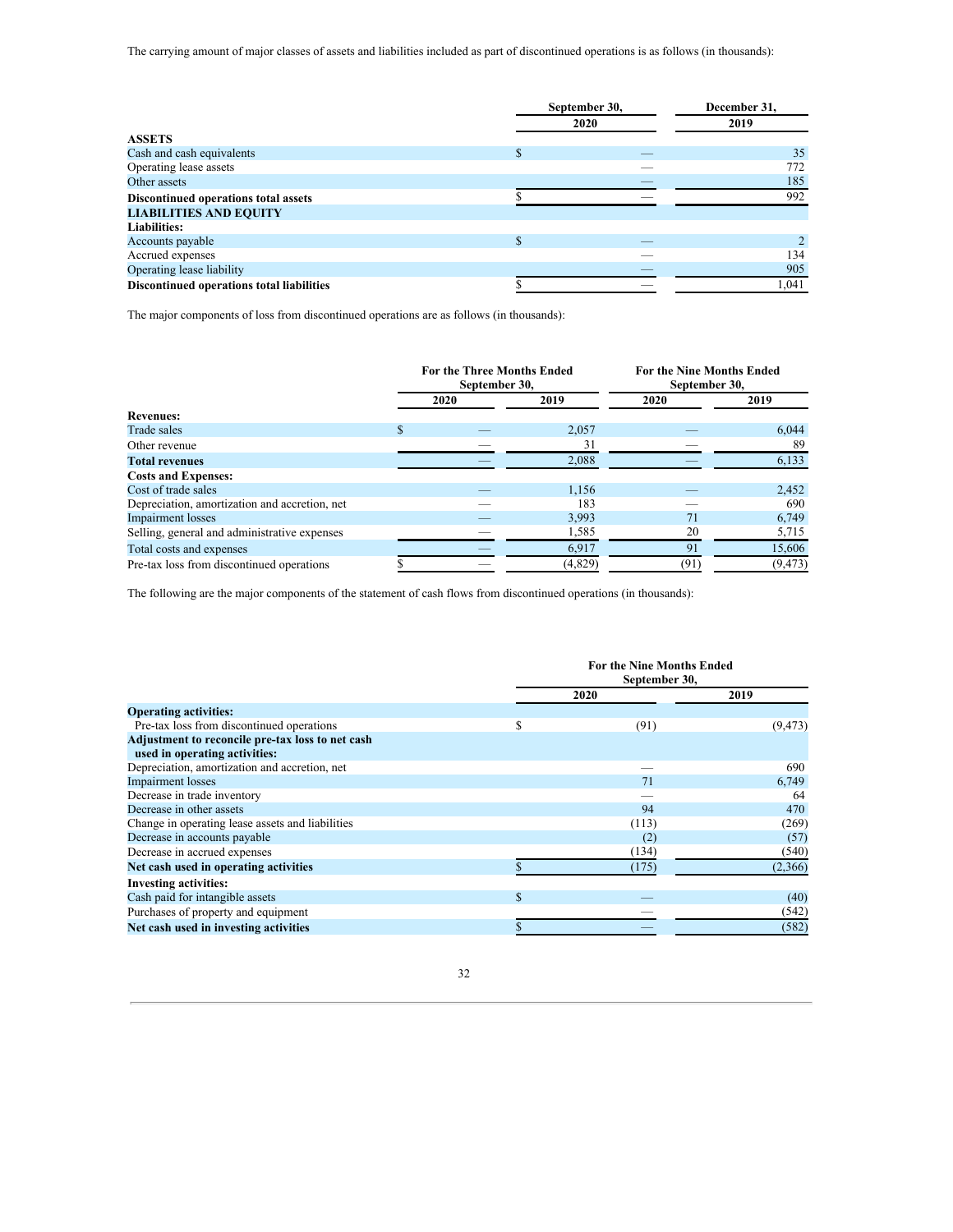The carrying amount of major classes of assets and liabilities included as part of discontinued operations is as follows (in thousands):

|                                           | September 30, | December 31,<br>2019 |       |
|-------------------------------------------|---------------|----------------------|-------|
|                                           |               |                      |       |
| <b>ASSETS</b>                             |               |                      |       |
| Cash and cash equivalents                 |               |                      | 35    |
| Operating lease assets                    |               |                      | 772   |
| Other assets                              |               |                      | 185   |
| Discontinued operations total assets      |               |                      | 992   |
| <b>LIABILITIES AND EQUITY</b>             |               |                      |       |
| <b>Liabilities:</b>                       |               |                      |       |
| Accounts payable                          | S             |                      |       |
| Accrued expenses                          |               |                      | 134   |
| Operating lease liability                 |               |                      | 905   |
| Discontinued operations total liabilities |               |                      | 1,041 |

The major components of loss from discontinued operations are as follows (in thousands):

|                                               | <b>For the Three Months Ended</b><br>September 30, |      |         | <b>For the Nine Months Ended</b><br>September 30, |          |  |
|-----------------------------------------------|----------------------------------------------------|------|---------|---------------------------------------------------|----------|--|
|                                               |                                                    | 2020 | 2019    | 2020                                              | 2019     |  |
| <b>Revenues:</b>                              |                                                    |      |         |                                                   |          |  |
| Trade sales                                   | \$                                                 |      | 2,057   |                                                   | 6.044    |  |
| Other revenue                                 |                                                    |      | 31      |                                                   | 89       |  |
| <b>Total revenues</b>                         |                                                    |      | 2,088   |                                                   | 6,133    |  |
| <b>Costs and Expenses:</b>                    |                                                    |      |         |                                                   |          |  |
| Cost of trade sales                           |                                                    |      | 1,156   |                                                   | 2,452    |  |
| Depreciation, amortization and accretion, net |                                                    |      | 183     |                                                   | 690      |  |
| <b>Impairment</b> losses                      |                                                    |      | 3,993   | 71                                                | 6,749    |  |
| Selling, general and administrative expenses  |                                                    |      | 1,585   | 20                                                | 5,715    |  |
| Total costs and expenses                      |                                                    |      | 6,917   | 91                                                | 15,606   |  |
| Pre-tax loss from discontinued operations     |                                                    |      | (4,829) | (91)                                              | (9, 473) |  |

The following are the major components of the statement of cash flows from discontinued operations (in thousands):

|                                                  | <b>For the Nine Months Ended</b><br>September 30, |       |          |  |  |  |
|--------------------------------------------------|---------------------------------------------------|-------|----------|--|--|--|
|                                                  |                                                   | 2020  | 2019     |  |  |  |
| <b>Operating activities:</b>                     |                                                   |       |          |  |  |  |
| Pre-tax loss from discontinued operations        | S                                                 | (91)  | (9, 473) |  |  |  |
| Adjustment to reconcile pre-tax loss to net cash |                                                   |       |          |  |  |  |
| used in operating activities:                    |                                                   |       |          |  |  |  |
| Depreciation, amortization and accretion, net    |                                                   |       | 690      |  |  |  |
| <b>Impairment</b> losses                         |                                                   | 71    | 6,749    |  |  |  |
| Decrease in trade inventory                      |                                                   |       | 64       |  |  |  |
| Decrease in other assets                         |                                                   | 94    | 470      |  |  |  |
| Change in operating lease assets and liabilities |                                                   | (113) | (269)    |  |  |  |
| Decrease in accounts payable                     |                                                   | (2)   | (57)     |  |  |  |
| Decrease in accrued expenses                     |                                                   | (134) | (540)    |  |  |  |
| Net cash used in operating activities            |                                                   | (175) | (2,366)  |  |  |  |
| <b>Investing activities:</b>                     |                                                   |       |          |  |  |  |
| Cash paid for intangible assets                  | S                                                 |       | (40)     |  |  |  |
| Purchases of property and equipment              |                                                   |       | (542)    |  |  |  |
| Net cash used in investing activities            |                                                   |       | (582)    |  |  |  |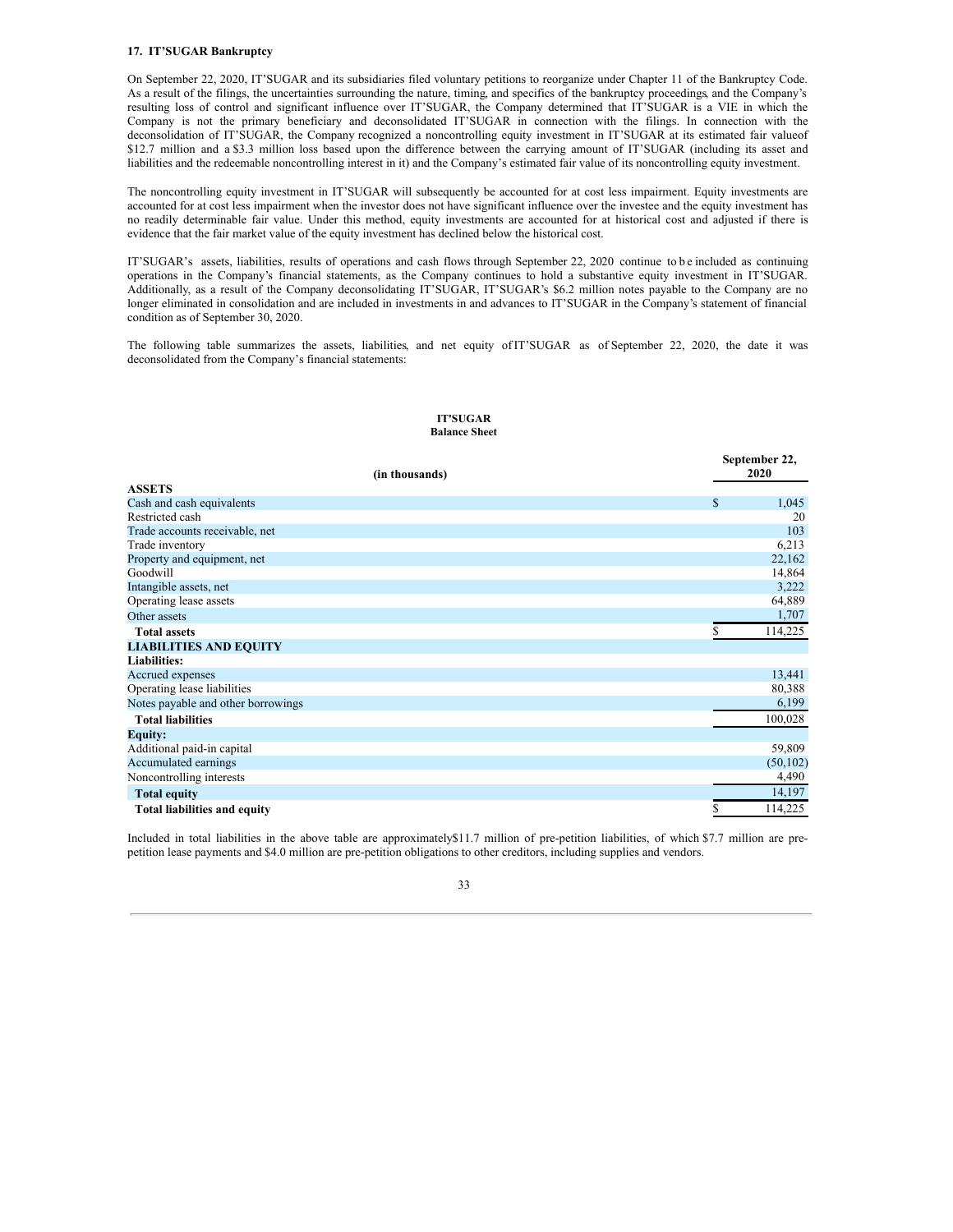## **17. IT'SUGAR Bankruptcy**

On September 22, 2020, IT'SUGAR and its subsidiaries filed voluntary petitions to reorganize under Chapter 11 of the Bankruptcy Code. As a result of the filings, the uncertainties surrounding the nature, timing, and specifics of the bankruptcy proceedings, and the Company's resulting loss of control and significant influence over IT'SUGAR, the Company determined that IT'SUGAR is a VIE in which the Company is not the primary beneficiary and deconsolidated IT'SUGAR in connection with the filings. In connection with the deconsolidation of IT'SUGAR, the Company recognized a noncontrolling equity investment in IT'SUGAR at its estimated fair valueof \$12.7 million and a \$3.3 million loss based upon the difference between the carrying amount of IT'SUGAR (including its asset and liabilities and the redeemable noncontrolling interest in it) and the Company's estimated fair value of its noncontrolling equity investment.

The noncontrolling equity investment in IT'SUGAR will subsequently be accounted for at cost less impairment. Equity investments are accounted for at cost less impairment when the investor does not have significant influence over the investee and the equity investment has no readily determinable fair value. Under this method, equity investments are accounted for at historical cost and adjusted if there is evidence that the fair market value of the equity investment has declined below the historical cost.

IT'SUGAR's assets, liabilities, results of operations and cash flows through September 22, 2020 continue to b e included as continuing operations in the Company's financial statements, as the Company continues to hold a substantive equity investment in IT'SUGAR. Additionally, as a result of the Company deconsolidating IT'SUGAR, IT'SUGAR's \$6.2 million notes payable to the Company are no longer eliminated in consolidation and are included in investments in and advances to IT'SUGAR in the Company's statement of financial condition as of September 30, 2020.

The following table summarizes the assets, liabilities, and net equity ofIT'SUGAR as of September 22, 2020, the date it was deconsolidated from the Company's financial statements:

#### **IT'SUGAR Balance Sheet**

|                                     | September 22, |
|-------------------------------------|---------------|
| (in thousands)<br><b>ASSETS</b>     | 2020          |
|                                     |               |
| Cash and cash equivalents           | \$<br>1,045   |
| Restricted cash                     | 20            |
| Trade accounts receivable, net      | 103           |
| Trade inventory                     | 6,213         |
| Property and equipment, net         | 22,162        |
| Goodwill                            | 14,864        |
| Intangible assets, net              | 3,222         |
| Operating lease assets              | 64,889        |
| Other assets                        | 1,707         |
| <b>Total assets</b>                 | 114,225<br>ς  |
| <b>LIABILITIES AND EQUITY</b>       |               |
| <b>Liabilities:</b>                 |               |
| Accrued expenses                    | 13,441        |
| Operating lease liabilities         | 80,388        |
| Notes payable and other borrowings  | 6,199         |
| <b>Total liabilities</b>            | 100,028       |
| <b>Equity:</b>                      |               |
| Additional paid-in capital          | 59,809        |
| Accumulated earnings                | (50, 102)     |
| Noncontrolling interests            | 4,490         |
| <b>Total equity</b>                 | 14,197        |
| <b>Total liabilities and equity</b> | 114,225       |

Included in total liabilities in the above table are approximately\$11.7 million of pre-petition liabilities, of which \$7.7 million are prepetition lease payments and \$4.0 million are pre-petition obligations to other creditors, including supplies and vendors.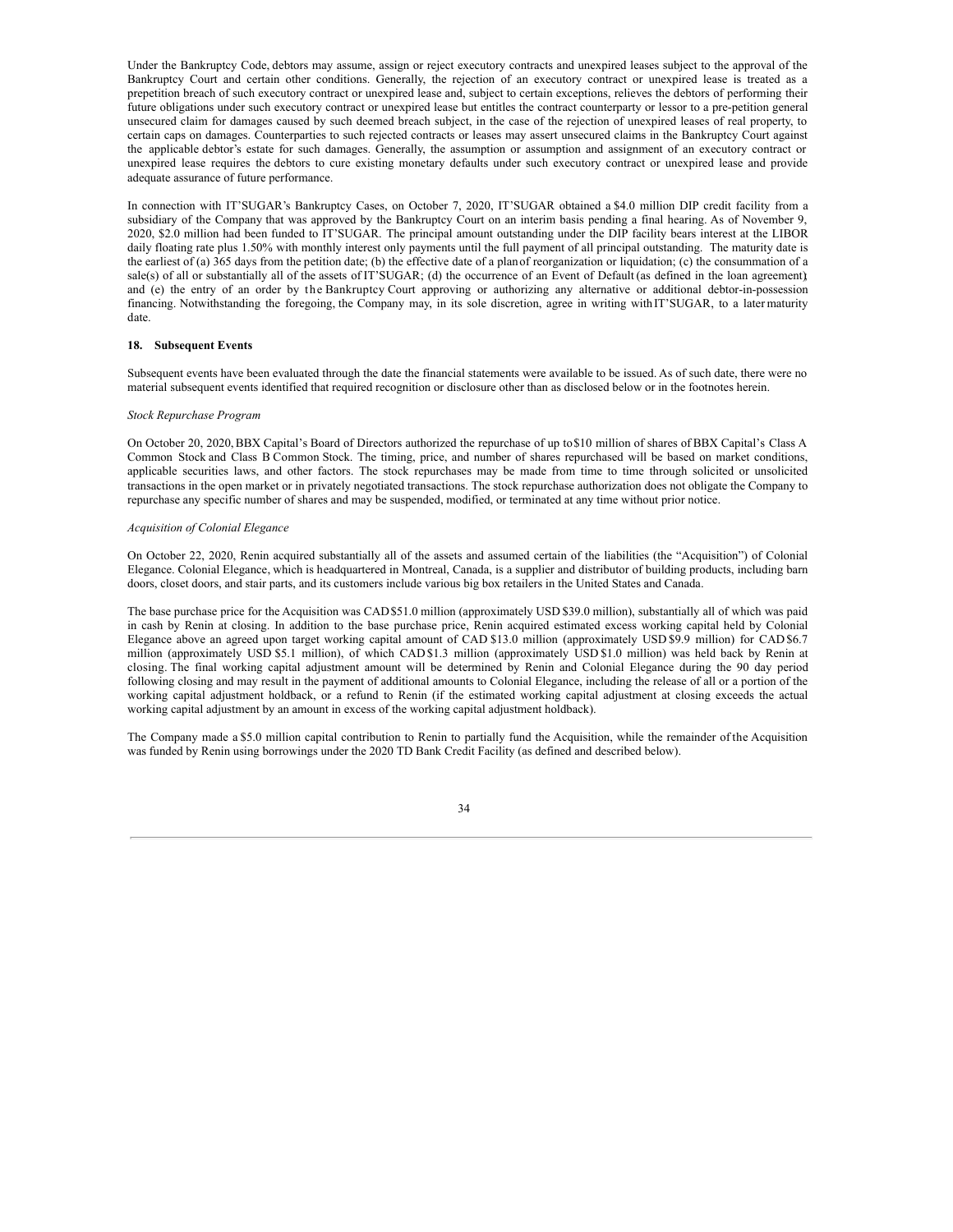Under the Bankruptcy Code, debtors may assume, assign or reject executory contracts and unexpired leases subject to the approval of the Bankruptcy Court and certain other conditions. Generally, the rejection of an executory contract or unexpired lease is treated as a prepetition breach of such executory contract or unexpired lease and, subject to certain exceptions, relieves the debtors of performing their future obligations under such executory contract or unexpired lease but entitles the contract counterparty or lessor to a pre-petition general unsecured claim for damages caused by such deemed breach subject, in the case of the rejection of unexpired leases of real property, to certain caps on damages. Counterparties to such rejected contracts or leases may assert unsecured claims in the Bankruptcy Court against the applicable debtor's estate for such damages. Generally, the assumption or assumption and assignment of an executory contract or unexpired lease requires the debtors to cure existing monetary defaults under such executory contract or unexpired lease and provide adequate assurance of future performance.

In connection with IT'SUGAR's Bankruptcy Cases, on October 7, 2020, IT'SUGAR obtained a \$4.0 million DIP credit facility from a subsidiary of the Company that was approved by the Bankruptcy Court on an interim basis pending a final hearing. As of November 9, 2020, \$2.0 million had been funded to IT'SUGAR. The principal amount outstanding under the DIP facility bears interest at the LIBOR daily floating rate plus 1.50% with monthly interest only payments until the full payment of all principal outstanding. The maturity date is the earliest of (a) 365 days from the petition date; (b) the effective date of a planof reorganization or liquidation; (c) the consummation of a sale(s) of all or substantially all of the assets of IT'SUGAR; (d) the occurrence of an Event of Default (as defined in the loan agreement); and (e) the entry of an order by the Bankruptcy Court approving or authorizing any alternative or additional debtor-in-possession financing. Notwithstanding the foregoing, the Company may, in its sole discretion, agree in writing withIT'SUGAR, to a later maturity date.

#### **18. Subsequent Events**

Subsequent events have been evaluated through the date the financial statements were available to be issued. As of such date, there were no material subsequent events identified that required recognition or disclosure other than as disclosed below or in the footnotes herein.

#### *Stock Repurchase Program*

On October 20, 2020,BBX Capital's Board of Directors authorized the repurchase of up to\$10 million of shares of BBX Capital's Class A Common Stock and Class B Common Stock. The timing, price, and number of shares repurchased will be based on market conditions, applicable securities laws, and other factors. The stock repurchases may be made from time to time through solicited or unsolicited transactions in the open market or in privately negotiated transactions. The stock repurchase authorization does not obligate the Company to repurchase any specific number of shares and may be suspended, modified, or terminated at any time without prior notice.

#### *Acquisition of Colonial Elegance*

On October 22, 2020, Renin acquired substantially all of the assets and assumed certain of the liabilities (the "Acquisition") of Colonial Elegance. Colonial Elegance, which is headquartered in Montreal, Canada, is a supplier and distributor of building products, including barn doors, closet doors, and stair parts, and its customers include various big box retailers in the United States and Canada.

The base purchase price for the Acquisition was CAD\$51.0 million (approximately USD \$39.0 million), substantially all of which was paid in cash by Renin at closing. In addition to the base purchase price, Renin acquired estimated excess working capital held by Colonial Elegance above an agreed upon target working capital amount of CAD \$13.0 million (approximately USD \$9.9 million) for CAD \$6.7 million (approximately USD \$5.1 million), of which CAD \$1.3 million (approximately USD \$1.0 million) was held back by Renin at closing. The final working capital adjustment amount will be determined by Renin and Colonial Elegance during the 90 day period following closing and may result in the payment of additional amounts to Colonial Elegance, including the release of all or a portion of the working capital adjustment holdback, or a refund to Renin (if the estimated working capital adjustment at closing exceeds the actual working capital adjustment by an amount in excess of the working capital adjustment holdback).

The Company made a \$5.0 million capital contribution to Renin to partially fund the Acquisition, while the remainder of the Acquisition was funded by Renin using borrowings under the 2020 TD Bank Credit Facility (as defined and described below).

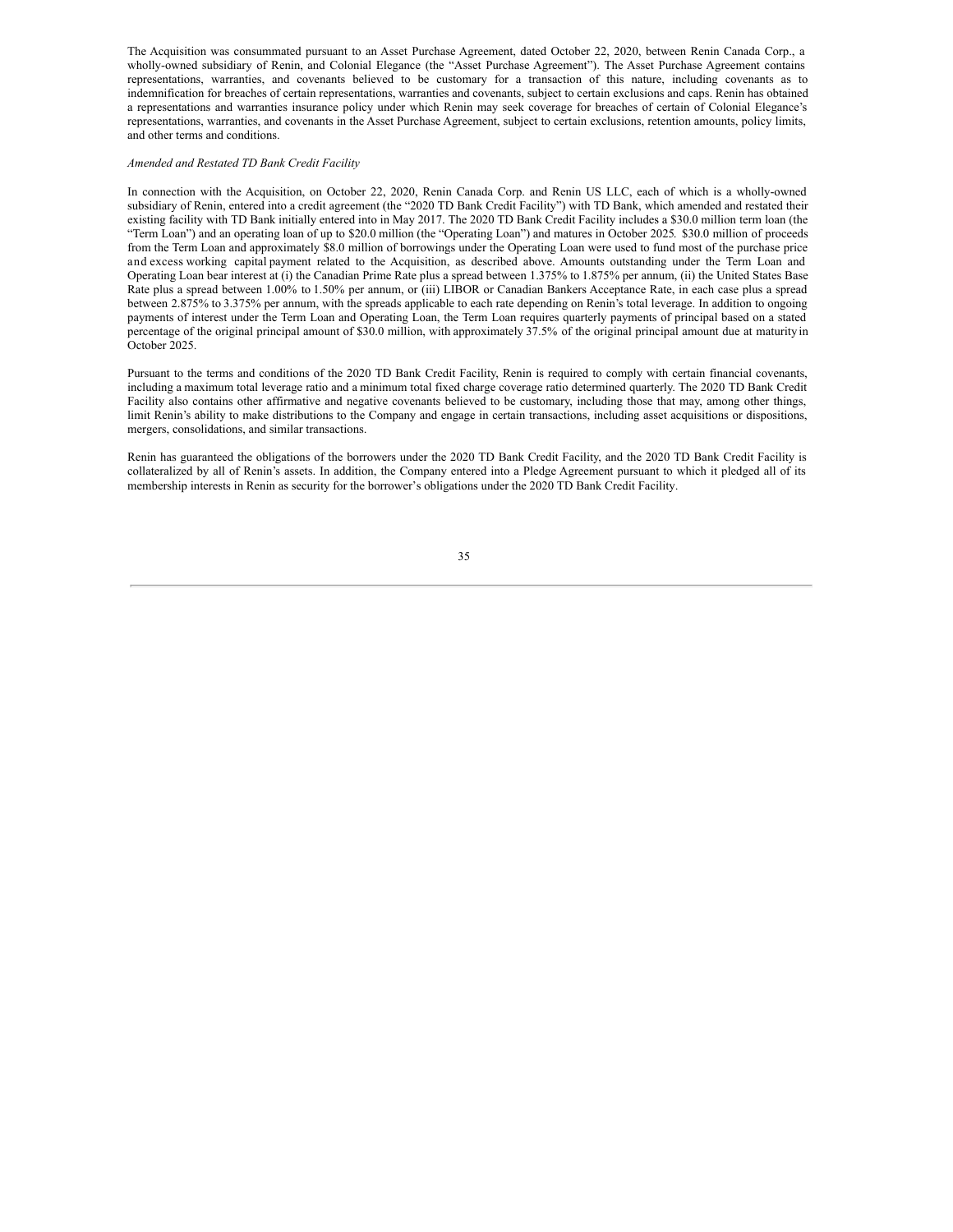The Acquisition was consummated pursuant to an Asset Purchase Agreement, dated October 22, 2020, between Renin Canada Corp., a wholly-owned subsidiary of Renin, and Colonial Elegance (the "Asset Purchase Agreement"). The Asset Purchase Agreement contains representations, warranties, and covenants believed to be customary for a transaction of this nature, including covenants as to indemnification for breaches of certain representations, warranties and covenants, subject to certain exclusions and caps. Renin has obtained a representations and warranties insurance policy under which Renin may seek coverage for breaches of certain of Colonial Elegance's representations, warranties, and covenants in the Asset Purchase Agreement, subject to certain exclusions, retention amounts, policy limits, and other terms and conditions.

## *Amended and Restated TD Bank Credit Facility*

In connection with the Acquisition, on October 22, 2020, Renin Canada Corp. and Renin US LLC, each of which is a wholly-owned subsidiary of Renin, entered into a credit agreement (the "2020 TD Bank Credit Facility") with TD Bank, which amended and restated their existing facility with TD Bank initially entered into in May 2017. The 2020 TD Bank Credit Facility includes a \$30.0 million term loan (the "Term Loan") and an operating loan of up to \$20.0 million (the "Operating Loan") and matures in October 2025. \$30.0 million of proceeds from the Term Loan and approximately \$8.0 million of borrowings under the Operating Loan were used to fund most of the purchase price and excess working capital payment related to the Acquisition, as described above. Amounts outstanding under the Term Loan and Operating Loan bear interest at (i) the Canadian Prime Rate plus a spread between 1.375% to 1.875% per annum, (ii) the United States Base Rate plus a spread between 1.00% to 1.50% per annum, or (iii) LIBOR or Canadian Bankers Acceptance Rate, in each case plus a spread between 2.875% to 3.375% per annum, with the spreads applicable to each rate depending on Renin's total leverage. In addition to ongoing payments of interest under the Term Loan and Operating Loan, the Term Loan requires quarterly payments of principal based on a stated percentage of the original principal amount of \$30.0 million, with approximately 37.5% of the original principal amount due at maturity in October 2025.

Pursuant to the terms and conditions of the 2020 TD Bank Credit Facility, Renin is required to comply with certain financial covenants, including a maximum total leverage ratio and a minimum total fixed charge coverage ratio determined quarterly. The 2020 TD Bank Credit Facility also contains other affirmative and negative covenants believed to be customary, including those that may, among other things, limit Renin's ability to make distributions to the Company and engage in certain transactions, including asset acquisitions or dispositions, mergers, consolidations, and similar transactions.

Renin has guaranteed the obligations of the borrowers under the 2020 TD Bank Credit Facility, and the 2020 TD Bank Credit Facility is collateralized by all of Renin's assets. In addition, the Company entered into a Pledge Agreement pursuant to which it pledged all of its membership interests in Renin as security for the borrower's obligations under the 2020 TD Bank Credit Facility.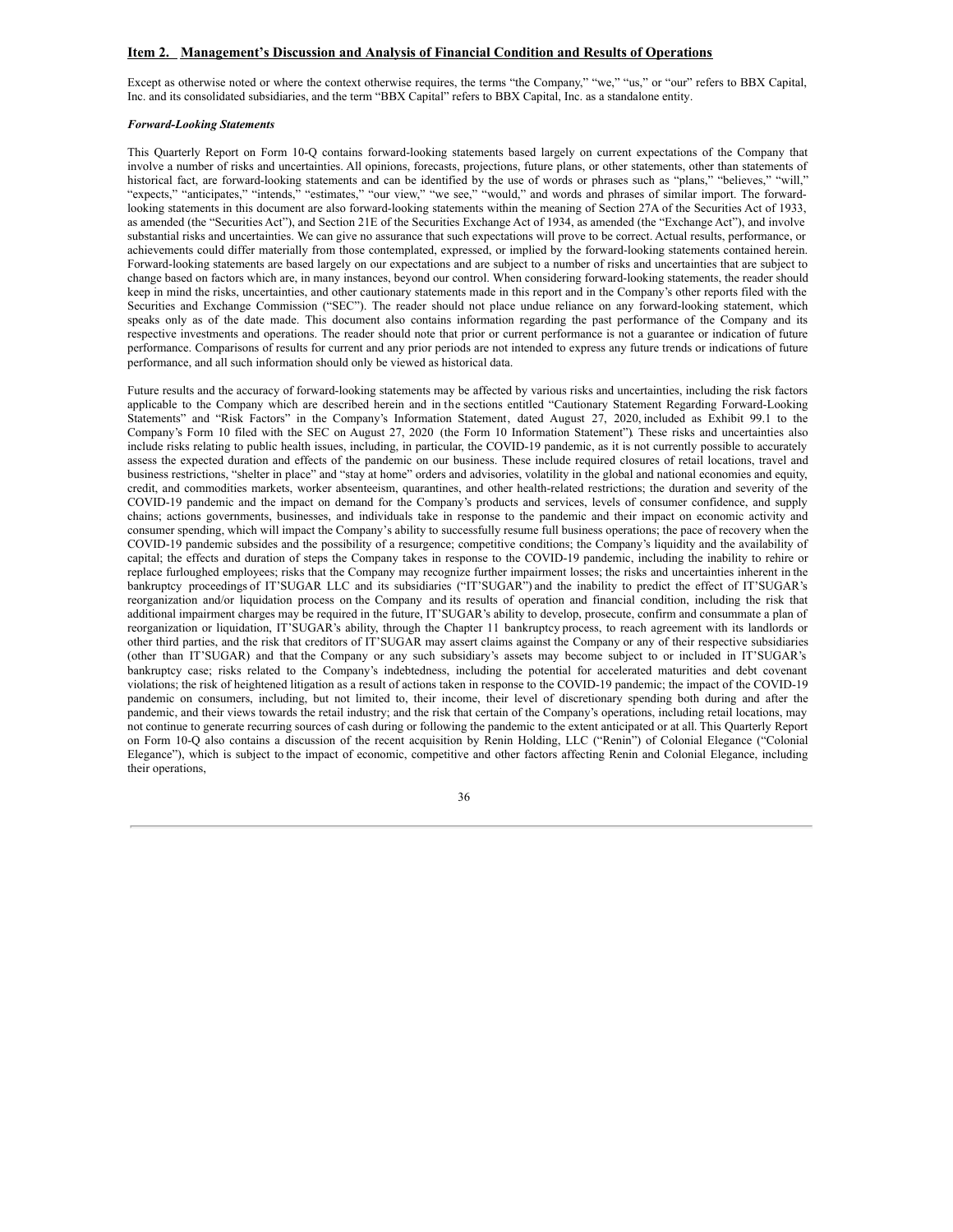## <span id="page-37-0"></span>**Item 2. Management's Discussion and Analysis of Financial Condition and Results of Operations**

Except as otherwise noted or where the context otherwise requires, the terms "the Company," "we," "us," or "our" refers to BBX Capital, Inc. and its consolidated subsidiaries, and the term "BBX Capital" refers to BBX Capital, Inc. as a standalone entity.

#### *Forward-Looking Statements*

This Quarterly Report on Form 10-Q contains forward-looking statements based largely on current expectations of the Company that involve a number of risks and uncertainties. All opinions, forecasts, projections, future plans, or other statements, other than statements of historical fact, are forward-looking statements and can be identified by the use of words or phrases such as "plans," "believes," "will," "expects," "anticipates," "intends," "estimates," "our view," "we see," "would," and words and phrases of similar import. The forwardlooking statements in this document are also forward-looking statements within the meaning of Section 27A of the Securities Act of 1933, as amended (the "Securities Act"), and Section 21E of the Securities Exchange Act of 1934, as amended (the "Exchange Act"), and involve substantial risks and uncertainties. We can give no assurance that such expectations will prove to be correct. Actual results, performance, or achievements could differ materially from those contemplated, expressed, or implied by the forward-looking statements contained herein. Forward-looking statements are based largely on our expectations and are subject to a number of risks and uncertainties that are subject to change based on factors which are, in many instances, beyond our control. When considering forward-looking statements, the reader should keep in mind the risks, uncertainties, and other cautionary statements made in this report and in the Company's other reports filed with the Securities and Exchange Commission ("SEC"). The reader should not place undue reliance on any forward-looking statement, which speaks only as of the date made. This document also contains information regarding the past performance of the Company and its respective investments and operations. The reader should note that prior or current performance is not a guarantee or indication of future performance. Comparisons of results for current and any prior periods are not intended to express any future trends or indications of future performance, and all such information should only be viewed as historical data.

Future results and the accuracy of forward-looking statements may be affected by various risks and uncertainties, including the risk factors applicable to the Company which are described herein and in the sections entitled "Cautionary Statement Regarding Forward-Looking Statements" and "Risk Factors" in the Company's Information Statement, dated August 27, 2020, included as Exhibit 99.1 to the Company's Form 10 filed with the SEC on August 27, 2020 (the Form 10 Information Statement"). These risks and uncertainties also include risks relating to public health issues, including, in particular, the COVID-19 pandemic, as it is not currently possible to accurately assess the expected duration and effects of the pandemic on our business. These include required closures of retail locations, travel and business restrictions, "shelter in place" and "stay at home" orders and advisories, volatility in the global and national economies and equity, credit, and commodities markets, worker absenteeism, quarantines, and other health-related restrictions; the duration and severity of the COVID-19 pandemic and the impact on demand for the Company's products and services, levels of consumer confidence, and supply chains; actions governments, businesses, and individuals take in response to the pandemic and their impact on economic activity and consumer spending, which will impact the Company's ability to successfully resume full business operations; the pace of recovery when the COVID-19 pandemic subsides and the possibility of a resurgence; competitive conditions; the Company's liquidity and the availability of capital; the effects and duration of steps the Company takes in response to the COVID-19 pandemic, including the inability to rehire or replace furloughed employees; risks that the Company may recognize further impairment losses; the risks and uncertainties inherent in the bankruptcy proceedings of IT'SUGAR LLC and its subsidiaries ("IT'SUGAR") and the inability to predict the effect of IT'SUGAR's reorganization and/or liquidation process on the Company and its results of operation and financial condition, including the risk that additional impairment charges may be required in the future, IT'SUGAR's ability to develop, prosecute, confirm and consummate a plan of reorganization or liquidation, IT'SUGAR's ability, through the Chapter 11 bankruptcy process, to reach agreement with its landlords or other third parties, and the risk that creditors of IT'SUGAR may assert claims against the Company or any of their respective subsidiaries (other than IT'SUGAR) and that the Company or any such subsidiary's assets may become subject to or included in IT'SUGAR's bankruptcy case; risks related to the Company's indebtedness, including the potential for accelerated maturities and debt covenant violations; the risk of heightened litigation as a result of actions taken in response to the COVID-19 pandemic; the impact of the COVID-19 pandemic on consumers, including, but not limited to, their income, their level of discretionary spending both during and after the pandemic, and their views towards the retail industry; and the risk that certain of the Company's operations, including retail locations, may not continue to generate recurring sources of cash during or following the pandemic to the extent anticipated or at all. This Quarterly Report on Form 10-Q also contains a discussion of the recent acquisition by Renin Holding, LLC ("Renin") of Colonial Elegance ("Colonial Elegance"), which is subject to the impact of economic, competitive and other factors affecting Renin and Colonial Elegance, including their operations,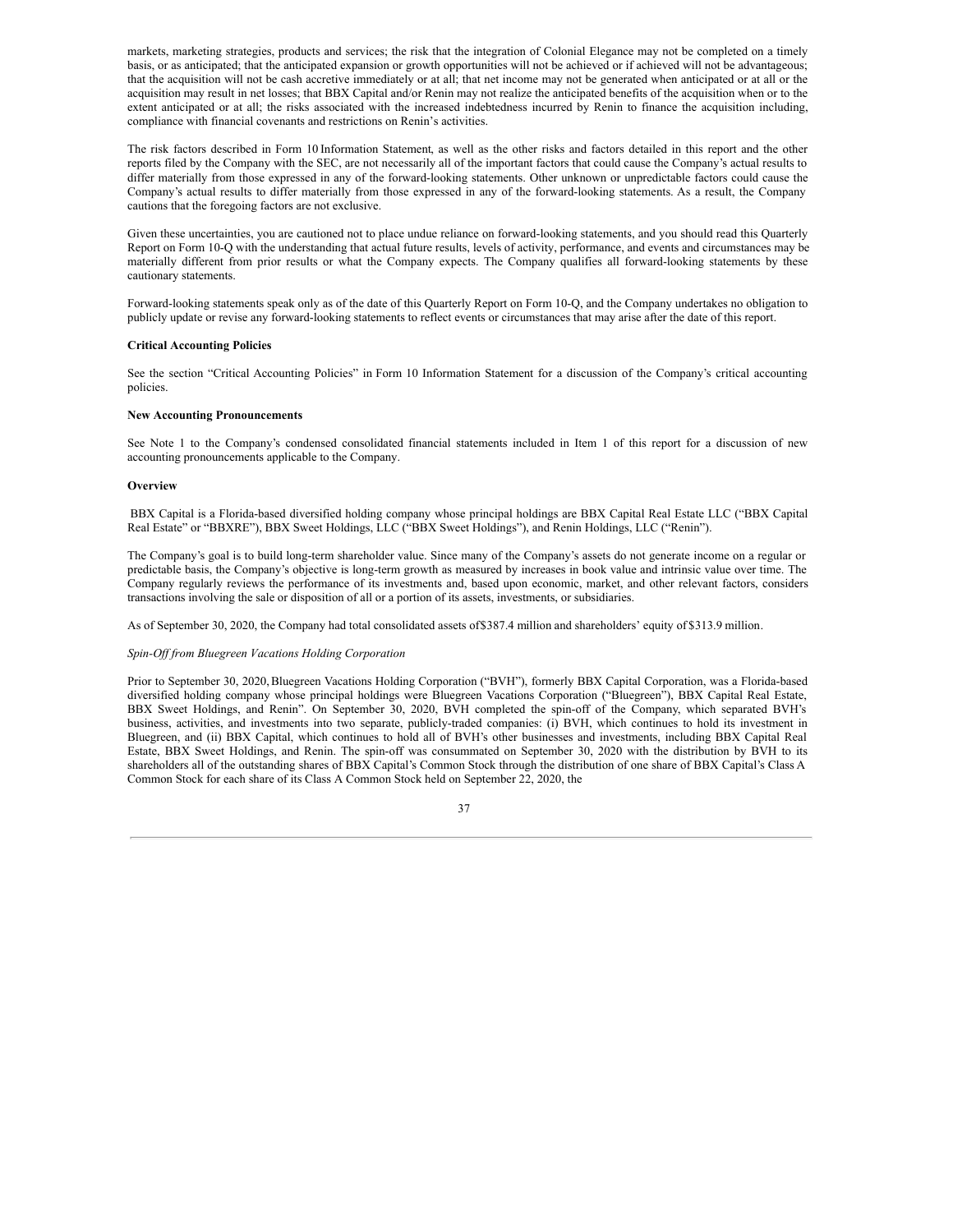markets, marketing strategies, products and services; the risk that the integration of Colonial Elegance may not be completed on a timely basis, or as anticipated; that the anticipated expansion or growth opportunities will not be achieved or if achieved will not be advantageous; that the acquisition will not be cash accretive immediately or at all; that net income may not be generated when anticipated or at all or the acquisition may result in net losses; that BBX Capital and/or Renin may not realize the anticipated benefits of the acquisition when or to the extent anticipated or at all; the risks associated with the increased indebtedness incurred by Renin to finance the acquisition including, compliance with financial covenants and restrictions on Renin's activities.

The risk factors described in Form 10 Information Statement, as well as the other risks and factors detailed in this report and the other reports filed by the Company with the SEC, are not necessarily all of the important factors that could cause the Company's actual results to differ materially from those expressed in any of the forward-looking statements. Other unknown or unpredictable factors could cause the Company's actual results to differ materially from those expressed in any of the forward-looking statements. As a result, the Company cautions that the foregoing factors are not exclusive.

Given these uncertainties, you are cautioned not to place undue reliance on forward-looking statements, and you should read this Quarterly Report on Form 10-Q with the understanding that actual future results, levels of activity, performance, and events and circumstances may be materially different from prior results or what the Company expects. The Company qualifies all forward-looking statements by these cautionary statements.

Forward-looking statements speak only as of the date of this Quarterly Report on Form 10-Q, and the Company undertakes no obligation to publicly update or revise any forward-looking statements to reflect events or circumstances that may arise after the date of this report.

#### **Critical Accounting Policies**

See the section "Critical Accounting Policies" in Form 10 Information Statement for a discussion of the Company's critical accounting policies.

#### **New Accounting Pronouncements**

See Note 1 to the Company's condensed consolidated financial statements included in Item 1 of this report for a discussion of new accounting pronouncements applicable to the Company.

#### **Overview**

BBX Capital is a Florida-based diversified holding company whose principal holdings are BBX Capital Real Estate LLC ("BBX Capital Real Estate" or "BBXRE"), BBX Sweet Holdings, LLC ("BBX Sweet Holdings"), and Renin Holdings, LLC ("Renin").

The Company's goal is to build long-term shareholder value. Since many of the Company's assets do not generate income on a regular or predictable basis, the Company's objective is long-term growth as measured by increases in book value and intrinsic value over time. The Company regularly reviews the performance of its investments and, based upon economic, market, and other relevant factors, considers transactions involving the sale or disposition of all or a portion of its assets, investments, or subsidiaries.

As of September 30, 2020, the Company had total consolidated assets of\$387.4 million and shareholders' equity of \$313.9 million.

#### *Spin-Of from Bluegreen Vacations Holding Corporation*

Prior to September 30, 2020,Bluegreen Vacations Holding Corporation ("BVH"), formerly BBX Capital Corporation, was a Florida-based diversified holding company whose principal holdings were Bluegreen Vacations Corporation ("Bluegreen"), BBX Capital Real Estate, BBX Sweet Holdings, and Renin". On September 30, 2020, BVH completed the spin-off of the Company, which separated BVH's business, activities, and investments into two separate, publicly-traded companies: (i) BVH, which continues to hold its investment in Bluegreen, and (ii) BBX Capital, which continues to hold all of BVH's other businesses and investments, including BBX Capital Real Estate, BBX Sweet Holdings, and Renin. The spin-off was consummated on September 30, 2020 with the distribution by BVH to its shareholders all of the outstanding shares of BBX Capital's Common Stock through the distribution of one share of BBX Capital's Class A Common Stock for each share of its Class A Common Stock held on September 22, 2020, the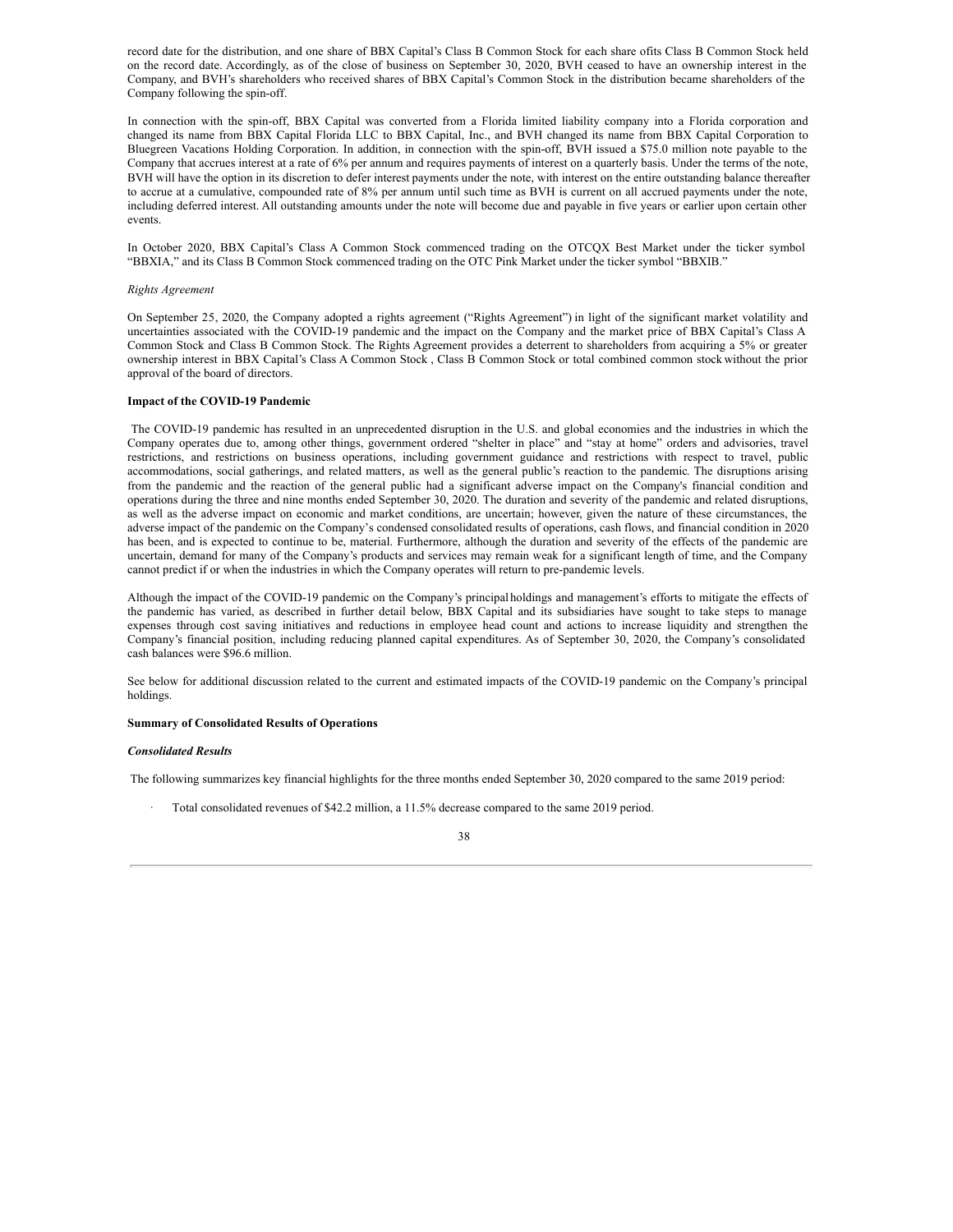record date for the distribution, and one share of BBX Capital's Class B Common Stock for each share ofits Class B Common Stock held on the record date. Accordingly, as of the close of business on September 30, 2020, BVH ceased to have an ownership interest in the Company, and BVH's shareholders who received shares of BBX Capital's Common Stock in the distribution became shareholders of the Company following the spin-off.

In connection with the spin-off, BBX Capital was converted from a Florida limited liability company into a Florida corporation and changed its name from BBX Capital Florida LLC to BBX Capital, Inc., and BVH changed its name from BBX Capital Corporation to Bluegreen Vacations Holding Corporation. In addition, in connection with the spin-off, BVH issued a \$75.0 million note payable to the Company that accrues interest at a rate of 6% per annum and requires payments of interest on a quarterly basis. Under the terms of the note, BVH will have the option in its discretion to defer interest payments under the note, with interest on the entire outstanding balance thereafter to accrue at a cumulative, compounded rate of 8% per annum until such time as BVH is current on all accrued payments under the note, including deferred interest. All outstanding amounts under the note will become due and payable in five years or earlier upon certain other events.

In October 2020, BBX Capital's Class A Common Stock commenced trading on the OTCQX Best Market under the ticker symbol "BBXIA," and its Class B Common Stock commenced trading on the OTC Pink Market under the ticker symbol "BBXIB."

#### *Rights Agreement*

On September 25, 2020, the Company adopted a rights agreement ("Rights Agreement") in light of the significant market volatility and uncertainties associated with the COVID-19 pandemic and the impact on the Company and the market price of BBX Capital's Class A Common Stock and Class B Common Stock. The Rights Agreement provides a deterrent to shareholders from acquiring a 5% or greater ownership interest in BBX Capital's Class A Common Stock , Class B Common Stock or total combined common stock without the prior approval of the board of directors.

## **Impact of the COVID-19 Pandemic**

The COVID-19 pandemic has resulted in an unprecedented disruption in the U.S. and global economies and the industries in which the Company operates due to, among other things, government ordered "shelter in place" and "stay at home" orders and advisories, travel restrictions, and restrictions on business operations, including government guidance and restrictions with respect to travel, public accommodations, social gatherings, and related matters, as well as the general public's reaction to the pandemic. The disruptions arising from the pandemic and the reaction of the general public had a significant adverse impact on the Company's financial condition and operations during the three and nine months ended September 30, 2020. The duration and severity of the pandemic and related disruptions, as well as the adverse impact on economic and market conditions, are uncertain; however, given the nature of these circumstances, the adverse impact of the pandemic on the Company's condensed consolidated results of operations, cash flows, and financial condition in 2020 has been, and is expected to continue to be, material. Furthermore, although the duration and severity of the effects of the pandemic are uncertain, demand for many of the Company's products and services may remain weak for a significant length of time, and the Company cannot predict if or when the industries in which the Company operates will return to pre-pandemic levels.

Although the impact of the COVID-19 pandemic on the Company's principalholdings and management's efforts to mitigate the effects of the pandemic has varied, as described in further detail below, BBX Capital and its subsidiaries have sought to take steps to manage expenses through cost saving initiatives and reductions in employee head count and actions to increase liquidity and strengthen the Company's financial position, including reducing planned capital expenditures. As of September 30, 2020, the Company's consolidated cash balances were \$96.6 million.

See below for additional discussion related to the current and estimated impacts of the COVID-19 pandemic on the Company's principal holdings.

#### **Summary of Consolidated Results of Operations**

## *Consolidated Results*

The following summarizes key financial highlights for the three months ended September 30, 2020 compared to the same 2019 period:

· Total consolidated revenues of \$42.2 million, a 11.5% decrease compared to the same 2019 period.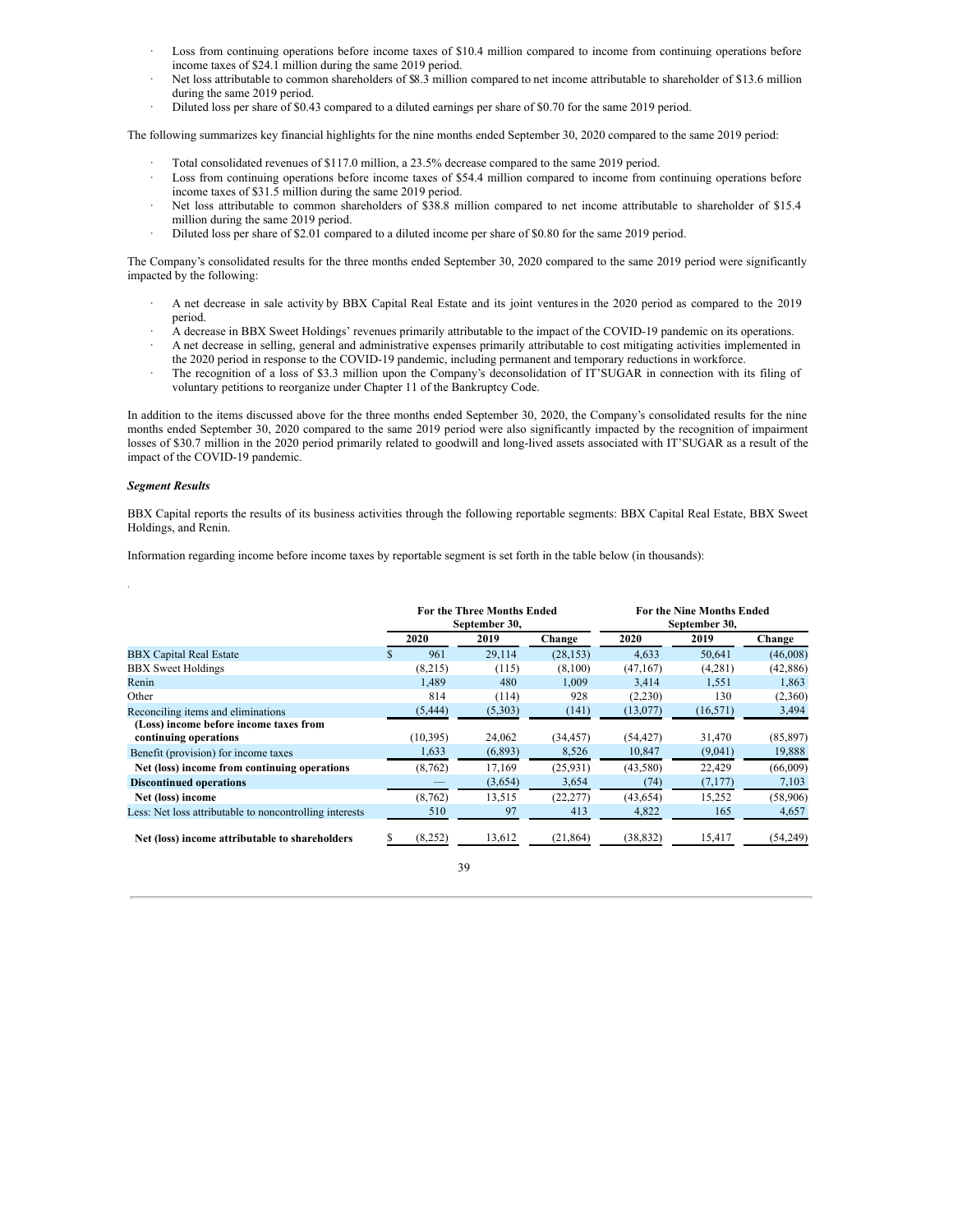- Loss from continuing operations before income taxes of \$10.4 million compared to income from continuing operations before income taxes of \$24.1 million during the same 2019 period.
- Net loss attributable to common shareholders of \$8.3 million compared to net income attributable to shareholder of \$13.6 million during the same 2019 period.
- · Diluted loss per share of \$0.43 compared to a diluted earnings per share of \$0.70 for the same 2019 period.

The following summarizes key financial highlights for the nine months ended September 30, 2020 compared to the same 2019 period:

- Total consolidated revenues of \$117.0 million, a 23.5% decrease compared to the same 2019 period.
- Loss from continuing operations before income taxes of \$54.4 million compared to income from continuing operations before income taxes of \$31.5 million during the same 2019 period.
- Net loss attributable to common shareholders of \$38.8 million compared to net income attributable to shareholder of \$15.4 million during the same 2019 period.
- Diluted loss per share of \$2.01 compared to a diluted income per share of \$0.80 for the same 2019 period.

The Company's consolidated results for the three months ended September 30, 2020 compared to the same 2019 period were significantly impacted by the following:

- · A net decrease in sale activity by BBX Capital Real Estate and its joint venturesin the 2020 period as compared to the 2019 period.
- · A decrease in BBX Sweet Holdings' revenues primarily attributable to the impact of the COVID-19 pandemic on its operations. · A net decrease in selling, general and administrative expenses primarily attributable to cost mitigating activities implemented in
- the 2020 period in response to the COVID-19 pandemic, including permanent and temporary reductions in workforce.
- The recognition of a loss of \$3.3 million upon the Company's deconsolidation of IT'SUGAR in connection with its filing of voluntary petitions to reorganize under Chapter 11 of the Bankruptcy Code.

In addition to the items discussed above for the three months ended September 30, 2020, the Company's consolidated results for the nine months ended September 30, 2020 compared to the same 2019 period were also significantly impacted by the recognition of impairment losses of \$30.7 million in the 2020 period primarily related to goodwill and long-lived assets associated with IT'SUGAR as a result of the impact of the COVID-19 pandemic.

## *Segment Results*

1

BBX Capital reports the results of its business activities through the following reportable segments: BBX Capital Real Estate, BBX Sweet Holdings, and Renin.

Information regarding income before income taxes by reportable segment is set forth in the table below (in thousands):

|                                                                 | <b>For the Three Months Ended</b><br>September 30, |           |         |           | <b>For the Nine Months Ended</b><br>September 30, |           |           |
|-----------------------------------------------------------------|----------------------------------------------------|-----------|---------|-----------|---------------------------------------------------|-----------|-----------|
|                                                                 |                                                    | 2020      | 2019    | Change    | 2020                                              | 2019      | Change    |
| <b>BBX Capital Real Estate</b>                                  | S.                                                 | 961       | 29.114  | (28, 153) | 4.633                                             | 50.641    | (46,008)  |
| <b>BBX</b> Sweet Holdings                                       |                                                    | (8,215)   | (115)   | (8,100)   | (47,167)                                          | (4,281)   | (42,886)  |
| Renin                                                           |                                                    | 1.489     | 480     | 1.009     | 3.414                                             | 1,551     | 1,863     |
| Other                                                           |                                                    | 814       | (114)   | 928       | (2,230)                                           | 130       | (2,360)   |
| Reconciling items and eliminations                              |                                                    | (5, 444)  | (5,303) | (141)     | (13,077)                                          | (16, 571) | 3,494     |
| (Loss) income before income taxes from<br>continuing operations |                                                    | (10, 395) | 24,062  | (34, 457) | (54, 427)                                         | 31,470    | (85, 897) |
| Benefit (provision) for income taxes                            |                                                    | 1,633     | (6,893) | 8,526     | 10,847                                            | (9,041)   | 19,888    |
| Net (loss) income from continuing operations                    |                                                    | (8, 762)  | 17,169  | (25,931)  | (43,580)                                          | 22,429    | (66,009)  |
| <b>Discontinued operations</b>                                  |                                                    |           | (3,654) | 3,654     | (74)                                              | (7,177)   | 7,103     |
| Net (loss) income                                               |                                                    | (8,762)   | 13,515  | (22, 277) | (43, 654)                                         | 15,252    | (58,906)  |
| Less: Net loss attributable to noncontrolling interests         |                                                    | 510       | 97      | 413       | 4,822                                             | 165       | 4,657     |
| Net (loss) income attributable to shareholders                  |                                                    | (8,252)   | 13,612  | (21, 864) | (38, 832)                                         | 15,417    | (54,249)  |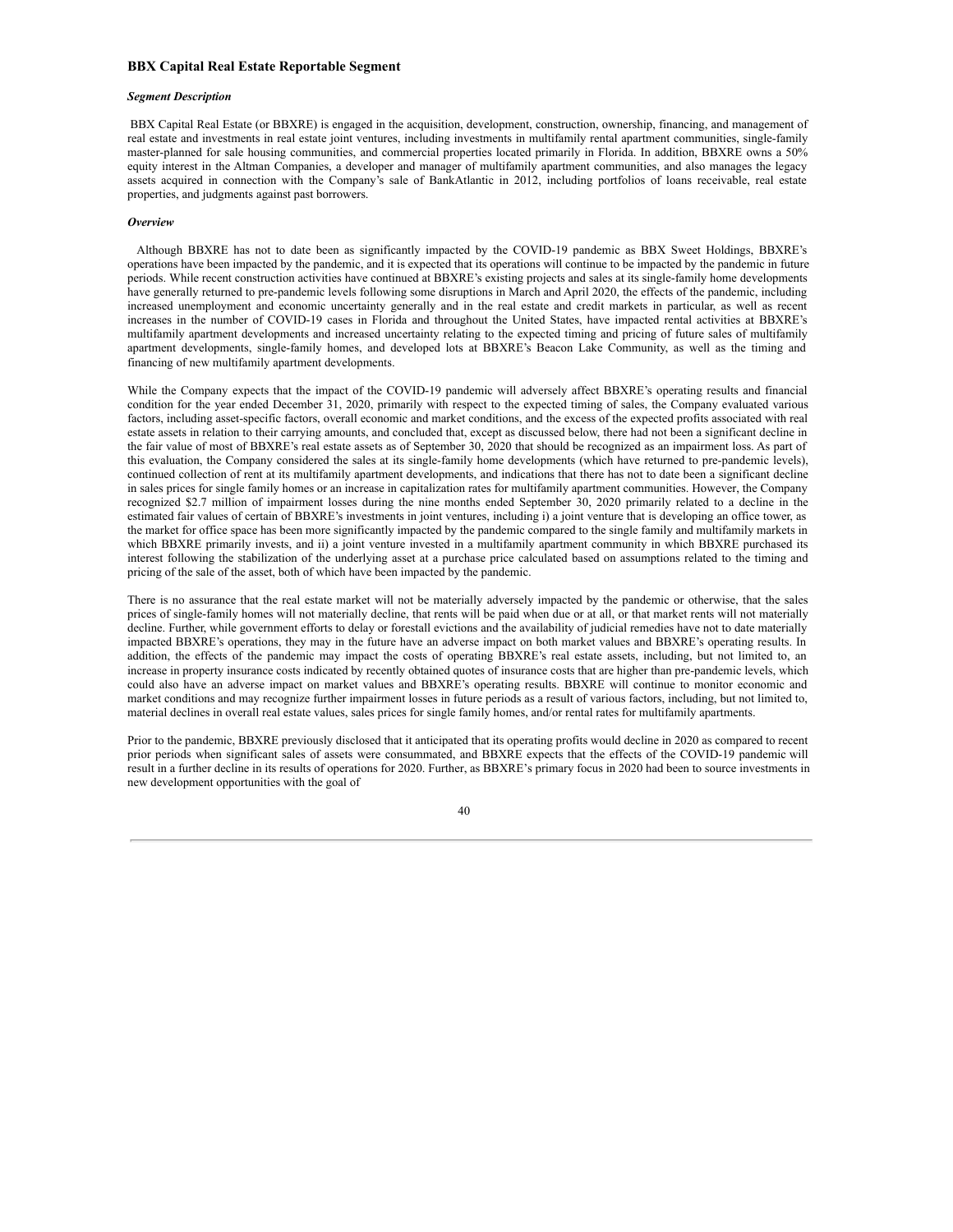## **BBX Capital Real Estate Reportable Segment**

#### *Segment Description*

BBX Capital Real Estate (or BBXRE) is engaged in the acquisition, development, construction, ownership, financing, and management of real estate and investments in real estate joint ventures, including investments in multifamily rental apartment communities, single-family master-planned for sale housing communities, and commercial properties located primarily in Florida. In addition, BBXRE owns a 50% equity interest in the Altman Companies, a developer and manager of multifamily apartment communities, and also manages the legacy assets acquired in connection with the Company's sale of BankAtlantic in 2012, including portfolios of loans receivable, real estate properties, and judgments against past borrowers.

## *Overview*

Although BBXRE has not to date been as significantly impacted by the COVID-19 pandemic as BBX Sweet Holdings, BBXRE's operations have been impacted by the pandemic, and it is expected that its operations will continue to be impacted by the pandemic in future periods. While recent construction activities have continued at BBXRE's existing projects and sales at its single-family home developments have generally returned to pre-pandemic levels following some disruptions in March and April 2020, the effects of the pandemic, including increased unemployment and economic uncertainty generally and in the real estate and credit markets in particular, as well as recent increases in the number of COVID-19 cases in Florida and throughout the United States, have impacted rental activities at BBXRE's multifamily apartment developments and increased uncertainty relating to the expected timing and pricing of future sales of multifamily apartment developments, single-family homes, and developed lots at BBXRE's Beacon Lake Community, as well as the timing and financing of new multifamily apartment developments.

While the Company expects that the impact of the COVID-19 pandemic will adversely affect BBXRE's operating results and financial condition for the year ended December 31, 2020, primarily with respect to the expected timing of sales, the Company evaluated various factors, including asset-specific factors, overall economic and market conditions, and the excess of the expected profits associated with real estate assets in relation to their carrying amounts, and concluded that, except as discussed below, there had not been a significant decline in the fair value of most of BBXRE's real estate assets as of September 30, 2020 that should be recognized as an impairment loss. As part of this evaluation, the Company considered the sales at its single-family home developments (which have returned to pre-pandemic levels), continued collection of rent at its multifamily apartment developments, and indications that there has not to date been a significant decline in sales prices for single family homes or an increase in capitalization rates for multifamily apartment communities. However, the Company recognized \$2.7 million of impairment losses during the nine months ended September 30, 2020 primarily related to a decline in the estimated fair values of certain of BBXRE's investments in joint ventures, including i) a joint venture that is developing an office tower, as the market for office space has been more significantly impacted by the pandemic compared to the single family and multifamily markets in which BBXRE primarily invests, and ii) a joint venture invested in a multifamily apartment community in which BBXRE purchased its interest following the stabilization of the underlying asset at a purchase price calculated based on assumptions related to the timing and pricing of the sale of the asset, both of which have been impacted by the pandemic.

There is no assurance that the real estate market will not be materially adversely impacted by the pandemic or otherwise, that the sales prices of single-family homes will not materially decline, that rents will be paid when due or at all, or that market rents will not materially decline. Further, while government efforts to delay or forestall evictions and the availability of judicial remedies have not to date materially impacted BBXRE's operations, they may in the future have an adverse impact on both market values and BBXRE's operating results. In addition, the effects of the pandemic may impact the costs of operating BBXRE's real estate assets, including, but not limited to, an increase in property insurance costs indicated by recently obtained quotes of insurance costs that are higher than pre-pandemic levels, which could also have an adverse impact on market values and BBXRE's operating results. BBXRE will continue to monitor economic and market conditions and may recognize further impairment losses in future periods as a result of various factors, including, but not limited to, material declines in overall real estate values, sales prices for single family homes, and/or rental rates for multifamily apartments.

Prior to the pandemic, BBXRE previously disclosed that it anticipated that its operating profits would decline in 2020 as compared to recent prior periods when significant sales of assets were consummated, and BBXRE expects that the effects of the COVID-19 pandemic will result in a further decline in its results of operations for 2020. Further, as BBXRE's primary focus in 2020 had been to source investments in new development opportunities with the goal of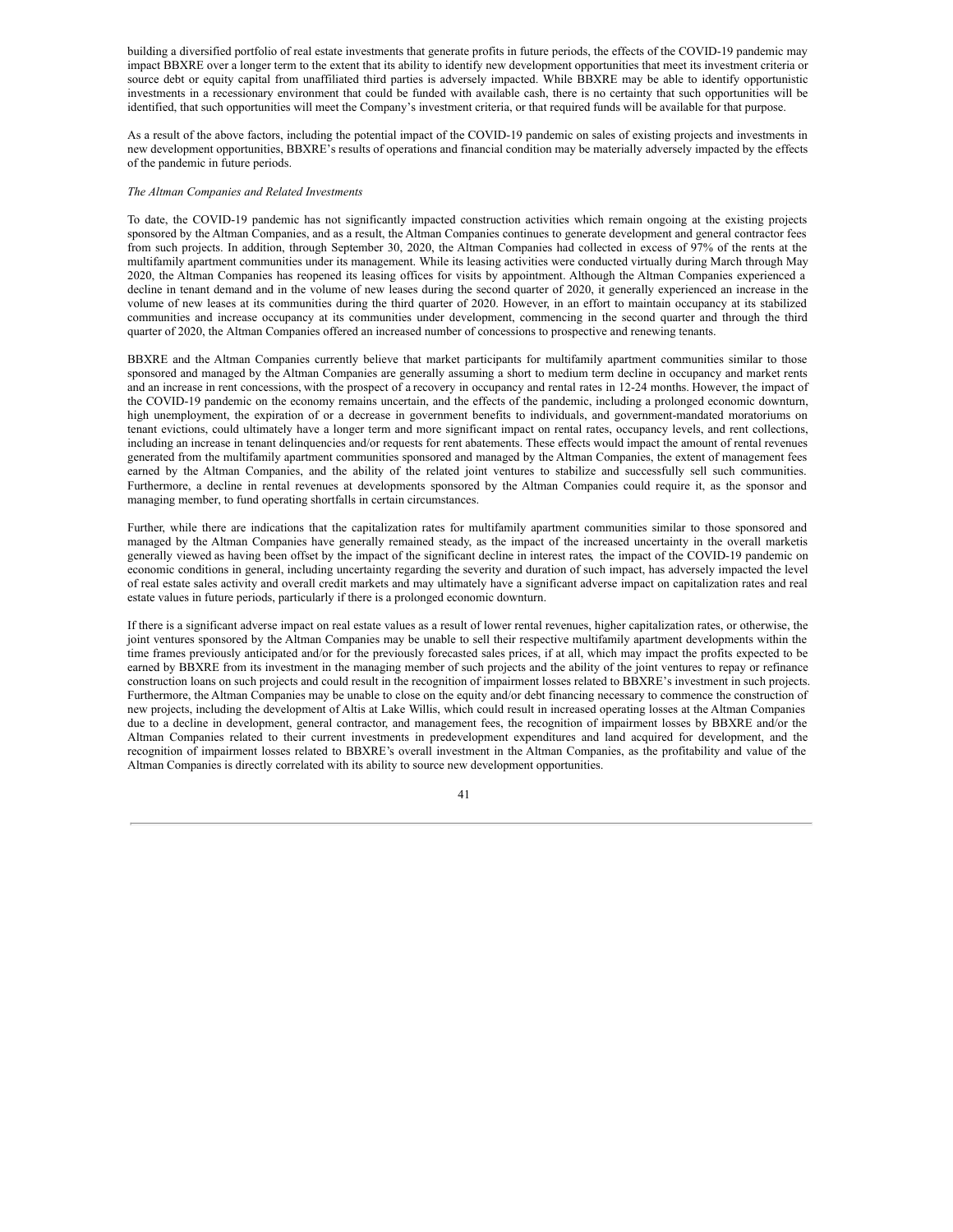building a diversified portfolio of real estate investments that generate profits in future periods, the effects of the COVID-19 pandemic may impact BBXRE over a longer term to the extent that its ability to identify new development opportunities that meet its investment criteria or source debt or equity capital from unaffiliated third parties is adversely impacted. While BBXRE may be able to identify opportunistic investments in a recessionary environment that could be funded with available cash, there is no certainty that such opportunities will be identified, that such opportunities will meet the Company's investment criteria, or that required funds will be available for that purpose.

As a result of the above factors, including the potential impact of the COVID-19 pandemic on sales of existing projects and investments in new development opportunities, BBXRE's results of operations and financial condition may be materially adversely impacted by the effects of the pandemic in future periods.

#### *The Altman Companies and Related Investments*

To date, the COVID-19 pandemic has not significantly impacted construction activities which remain ongoing at the existing projects sponsored by the Altman Companies, and as a result, the Altman Companies continues to generate development and general contractor fees from such projects. In addition, through September 30, 2020, the Altman Companies had collected in excess of 97% of the rents at the multifamily apartment communities under its management. While its leasing activities were conducted virtually during March through May 2020, the Altman Companies has reopened its leasing offices for visits by appointment. Although the Altman Companies experienced a decline in tenant demand and in the volume of new leases during the second quarter of 2020, it generally experienced an increase in the volume of new leases at its communities during the third quarter of 2020. However, in an effort to maintain occupancy at its stabilized communities and increase occupancy at its communities under development, commencing in the second quarter and through the third quarter of 2020, the Altman Companies offered an increased number of concessions to prospective and renewing tenants.

BBXRE and the Altman Companies currently believe that market participants for multifamily apartment communities similar to those sponsored and managed by the Altman Companies are generally assuming a short to medium term decline in occupancy and market rents and an increase in rent concessions, with the prospect of a recovery in occupancy and rental rates in 12-24 months. However, the impact of the COVID-19 pandemic on the economy remains uncertain, and the effects of the pandemic, including a prolonged economic downturn, high unemployment, the expiration of or a decrease in government benefits to individuals, and government-mandated moratoriums on tenant evictions, could ultimately have a longer term and more significant impact on rental rates, occupancy levels, and rent collections, including an increase in tenant delinquencies and/or requests for rent abatements. These effects would impact the amount of rental revenues generated from the multifamily apartment communities sponsored and managed by the Altman Companies, the extent of management fees earned by the Altman Companies, and the ability of the related joint ventures to stabilize and successfully sell such communities. Furthermore, a decline in rental revenues at developments sponsored by the Altman Companies could require it, as the sponsor and managing member, to fund operating shortfalls in certain circumstances.

Further, while there are indications that the capitalization rates for multifamily apartment communities similar to those sponsored and managed by the Altman Companies have generally remained steady, as the impact of the increased uncertainty in the overall marketis generally viewed as having been offset by the impact of the significant decline in interest rates, the impact of the COVID-19 pandemic on economic conditions in general, including uncertainty regarding the severity and duration of such impact, has adversely impacted the level of real estate sales activity and overall credit markets and may ultimately have a significant adverse impact on capitalization rates and real estate values in future periods, particularly if there is a prolonged economic downturn.

If there is a significant adverse impact on real estate values as a result of lower rental revenues, higher capitalization rates, or otherwise, the joint ventures sponsored by the Altman Companies may be unable to sell their respective multifamily apartment developments within the time frames previously anticipated and/or for the previously forecasted sales prices, if at all, which may impact the profits expected to be earned by BBXRE from its investment in the managing member of such projects and the ability of the joint ventures to repay or refinance construction loans on such projects and could result in the recognition of impairment losses related to BBXRE's investment in such projects. Furthermore, the Altman Companies may be unable to close on the equity and/or debt financing necessary to commence the construction of new projects, including the development of Altis at Lake Willis, which could result in increased operating losses at the Altman Companies due to a decline in development, general contractor, and management fees, the recognition of impairment losses by BBXRE and/or the Altman Companies related to their current investments in predevelopment expenditures and land acquired for development, and the recognition of impairment losses related to BBXRE's overall investment in the Altman Companies, as the profitability and value of the Altman Companies is directly correlated with its ability to source new development opportunities.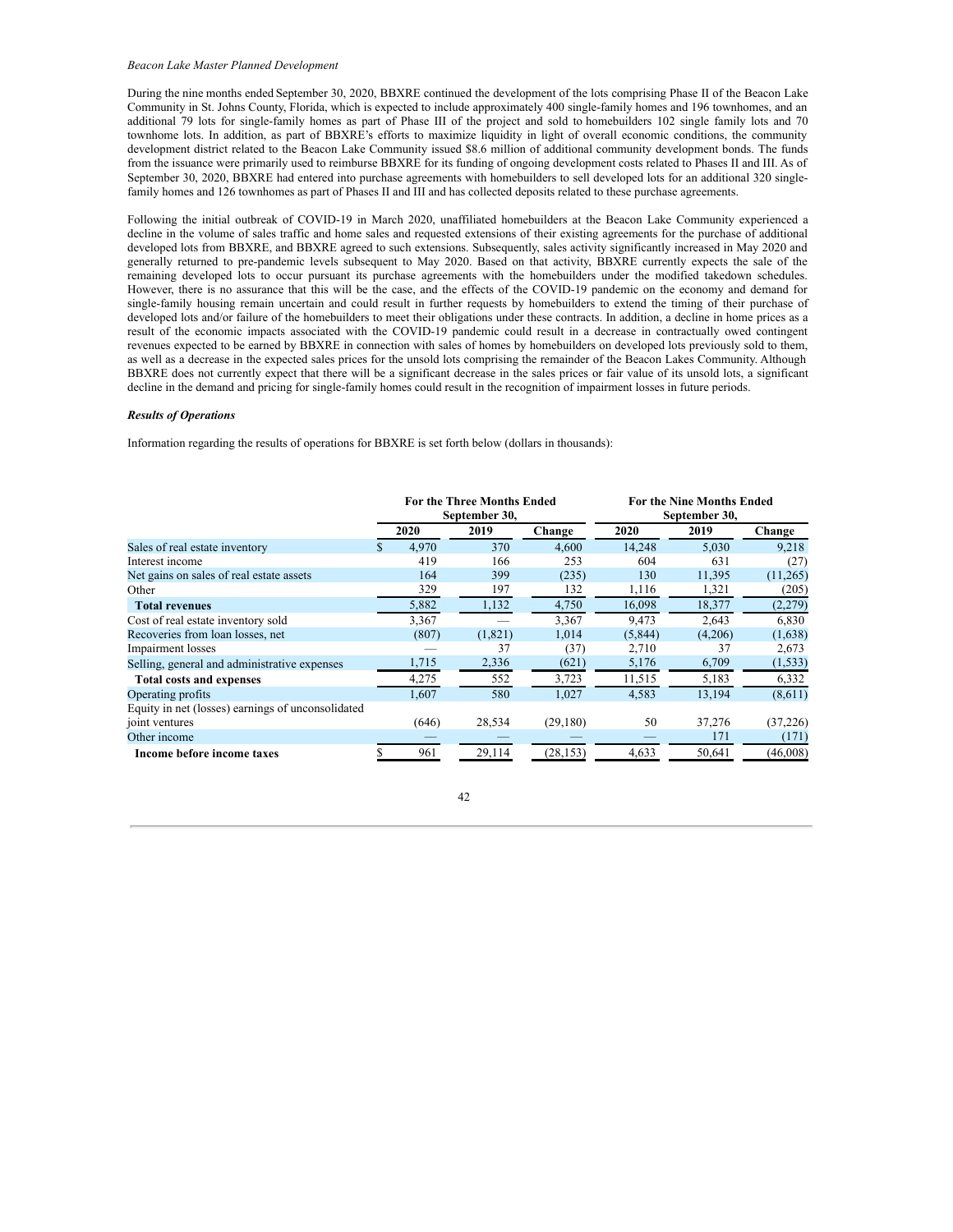## *Beacon Lake Master Planned Development*

During the nine months ended September 30, 2020, BBXRE continued the development of the lots comprising Phase II of the Beacon Lake Community in St. Johns County, Florida, which is expected to include approximately 400 single-family homes and 196 townhomes, and an additional 79 lots for single-family homes as part of Phase III of the project and sold to homebuilders 102 single family lots and 70 townhome lots. In addition, as part of BBXRE's efforts to maximize liquidity in light of overall economic conditions, the community development district related to the Beacon Lake Community issued \$8.6 million of additional community development bonds. The funds from the issuance were primarily used to reimburse BBXRE for its funding of ongoing development costs related to Phases II and III. As of September 30, 2020, BBXRE had entered into purchase agreements with homebuilders to sell developed lots for an additional 320 singlefamily homes and 126 townhomes as part of Phases II and III and has collected deposits related to these purchase agreements.

Following the initial outbreak of COVID-19 in March 2020, unaffiliated homebuilders at the Beacon Lake Community experienced a decline in the volume of sales traffic and home sales and requested extensions of their existing agreements for the purchase of additional developed lots from BBXRE, and BBXRE agreed to such extensions. Subsequently, sales activity significantly increased in May 2020 and generally returned to pre-pandemic levels subsequent to May 2020. Based on that activity, BBXRE currently expects the sale of the remaining developed lots to occur pursuant its purchase agreements with the homebuilders under the modified takedown schedules. However, there is no assurance that this will be the case, and the effects of the COVID-19 pandemic on the economy and demand for single-family housing remain uncertain and could result in further requests by homebuilders to extend the timing of their purchase of developed lots and/or failure of the homebuilders to meet their obligations under these contracts. In addition, a decline in home prices as a result of the economic impacts associated with the COVID-19 pandemic could result in a decrease in contractually owed contingent revenues expected to be earned by BBXRE in connection with sales of homes by homebuilders on developed lots previously sold to them, as well as a decrease in the expected sales prices for the unsold lots comprising the remainder of the Beacon Lakes Community. Although BBXRE does not currently expect that there will be a significant decrease in the sales prices or fair value of its unsold lots, a significant decline in the demand and pricing for single-family homes could result in the recognition of impairment losses in future periods.

#### *Results of Operations*

Information regarding the results of operations for BBXRE is set forth below (dollars in thousands):

|                                                   | <b>For the Three Months Ended</b><br>September 30, |       |         |           | <b>For the Nine Months Ended</b><br>September 30, |         |          |
|---------------------------------------------------|----------------------------------------------------|-------|---------|-----------|---------------------------------------------------|---------|----------|
|                                                   |                                                    | 2020  | 2019    | Change    | 2020                                              | 2019    | Change   |
| Sales of real estate inventory                    |                                                    | 4,970 | 370     | 4,600     | 14,248                                            | 5,030   | 9,218    |
| Interest income                                   |                                                    | 419   | 166     | 253       | 604                                               | 631     | (27)     |
| Net gains on sales of real estate assets          |                                                    | 164   | 399     | (235)     | 130                                               | 11,395  | (11,265) |
| Other                                             |                                                    | 329   | 197     | 132       | 1,116                                             | 1,321   | (205)    |
| <b>Total revenues</b>                             |                                                    | 5,882 | 1,132   | 4,750     | 16,098                                            | 18,377  | (2,279)  |
| Cost of real estate inventory sold                |                                                    | 3,367 |         | 3,367     | 9,473                                             | 2,643   | 6,830    |
| Recoveries from loan losses, net                  |                                                    | (807) | (1,821) | 1,014     | (5, 844)                                          | (4,206) | (1,638)  |
| Impairment losses                                 |                                                    |       | 37      | (37)      | 2,710                                             | 37      | 2,673    |
| Selling, general and administrative expenses      |                                                    | 1,715 | 2,336   | (621)     | 5,176                                             | 6,709   | (1, 533) |
| <b>Total costs and expenses</b>                   |                                                    | 4,275 | 552     | 3,723     | 11,515                                            | 5,183   | 6,332    |
| Operating profits                                 |                                                    | 1,607 | 580     | 1,027     | 4,583                                             | 13,194  | (8,611)  |
| Equity in net (losses) earnings of unconsolidated |                                                    |       |         |           |                                                   |         |          |
| joint ventures                                    |                                                    | (646) | 28,534  | (29, 180) | 50                                                | 37,276  | (37,226) |
| Other income                                      |                                                    |       |         |           |                                                   | 171     | (171)    |
| Income before income taxes                        |                                                    | 961   | 29,114  | (28, 153) | 4,633                                             | 50,641  | (46,008) |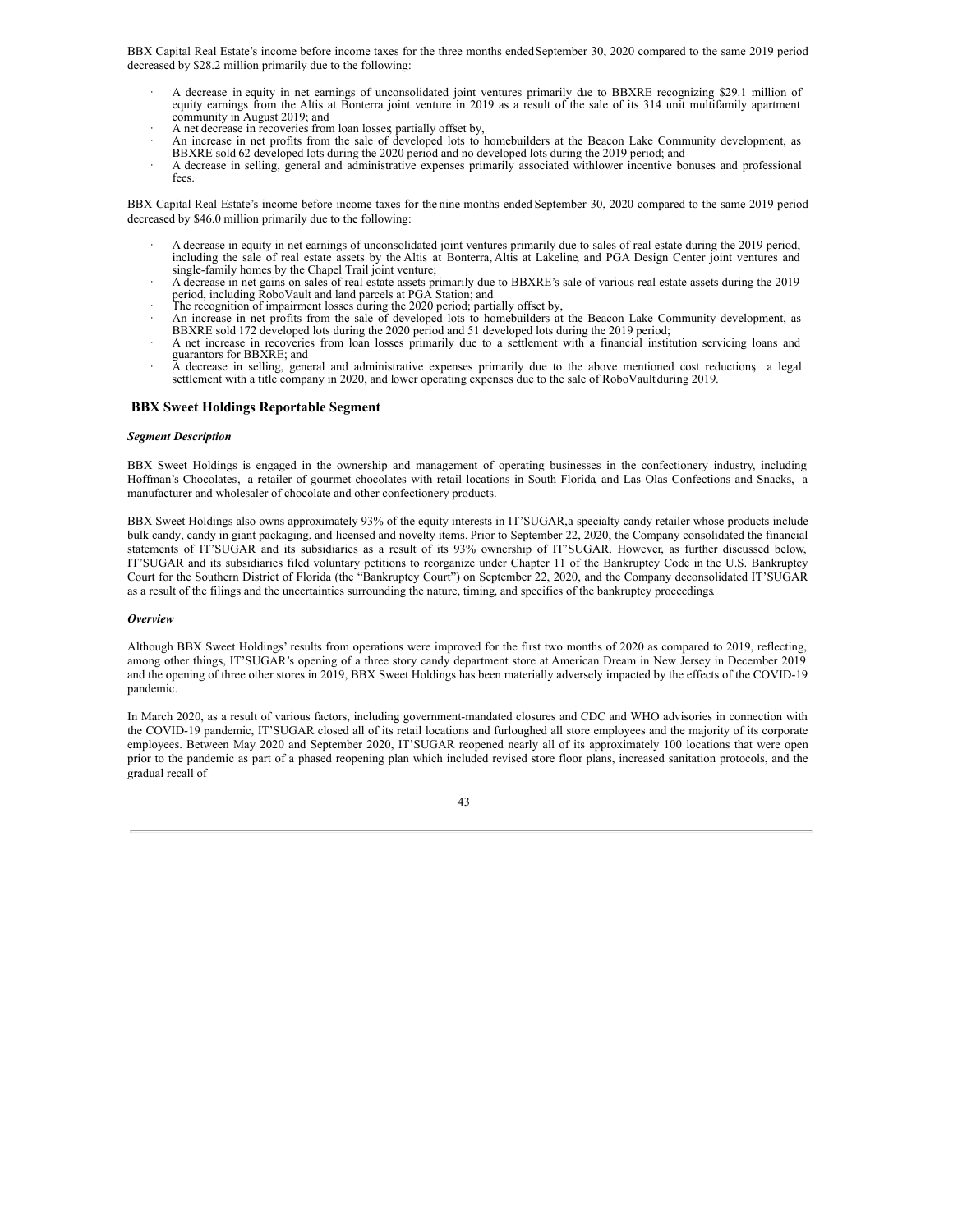BBX Capital Real Estate's income before income taxes for the three months endedSeptember 30, 2020 compared to the same 2019 period decreased by \$28.2 million primarily due to the following:

- · A decrease in equity in net earnings of unconsolidated joint ventures primarily due to BBXRE recognizing \$29.1 million of equity earnings from the Altis at Bonterra joint venture in 2019 as a result of the sale of its 314 unit multifamily apartment community in August 2019; and
- A net decrease in recoveries from loan losses partially offset by,
- · An increase in net profits from the sale of developed lots to homebuilders at the Beacon Lake Community development, as BBXRE sold 62 developed lots during the 2020 period and no developed lots during the 2019 period; and
- A decrease in selling, general and administrative expenses primarily associated withlower incentive bonuses and professional fees.

BBX Capital Real Estate's income before income taxes for the nine months ended September 30, 2020 compared to the same 2019 period decreased by \$46.0 million primarily due to the following:

- · A decrease in equity in net earnings of unconsolidated joint ventures primarily due to sales of real estate during the 2019 period, including the sale of real estate assets by the Altis at Bonterra, Altis at Lakeline, and PGA Design Center joint ventures and single-family homes by the Chapel Trail joint venture;
- · A decrease in net gains on sales of real estate assets primarily due to BBXRE's sale of various real estate assets during the 2019 period, including RoboVault and land parcels at PGA Station; and
- 
- The recognition of impairment losses during the 2020 period; partially offset by,<br>An increase in net profits from the sale of developed lots to homebuilders at the Beacon Lake Community development, as BBXRE sold 172 developed lots during the 2020 period and 51 developed lots during the 2019 period;
- · A net increase in recoveries from loan losses primarily due to a settlement with a financial institution servicing loans and guarantors for BBXRE; and · A decrease in selling, general and administrative expenses primarily due to the above mentioned cost reductions, a legal
- settlement with a title company in 2020, and lower operating expenses due to the sale of RoboVaultduring 2019.

## **BBX Sweet Holdings Reportable Segment**

### *Segment Description*

BBX Sweet Holdings is engaged in the ownership and management of operating businesses in the confectionery industry, including Hoffman's Chocolates, a retailer of gourmet chocolates with retail locations in South Florida, and Las Olas Confections and Snacks, a manufacturer and wholesaler of chocolate and other confectionery products.

BBX Sweet Holdings also owns approximately 93% of the equity interests in IT'SUGAR,a specialty candy retailer whose products include bulk candy, candy in giant packaging, and licensed and novelty items. Prior to September 22, 2020, the Company consolidated the financial statements of IT'SUGAR and its subsidiaries as a result of its 93% ownership of IT'SUGAR. However, as further discussed below, IT'SUGAR and its subsidiaries filed voluntary petitions to reorganize under Chapter 11 of the Bankruptcy Code in the U.S. Bankruptcy Court for the Southern District of Florida (the "Bankruptcy Court") on September 22, 2020, and the Company deconsolidated IT'SUGAR as a result of the filings and the uncertainties surrounding the nature, timing, and specifics of the bankruptcy proceedings.

## *Overview*

Although BBX Sweet Holdings' results from operations were improved for the first two months of 2020 as compared to 2019, reflecting, among other things, IT'SUGAR's opening of a three story candy department store at American Dream in New Jersey in December 2019 and the opening of three other stores in 2019, BBX Sweet Holdings has been materially adversely impacted by the effects of the COVID-19 pandemic.

In March 2020, as a result of various factors, including government-mandated closures and CDC and WHO advisories in connection with the COVID-19 pandemic, IT'SUGAR closed all of its retail locations and furloughed all store employees and the majority of its corporate employees. Between May 2020 and September 2020, IT'SUGAR reopened nearly all of its approximately 100 locations that were open prior to the pandemic as part of a phased reopening plan which included revised store floor plans, increased sanitation protocols, and the gradual recall of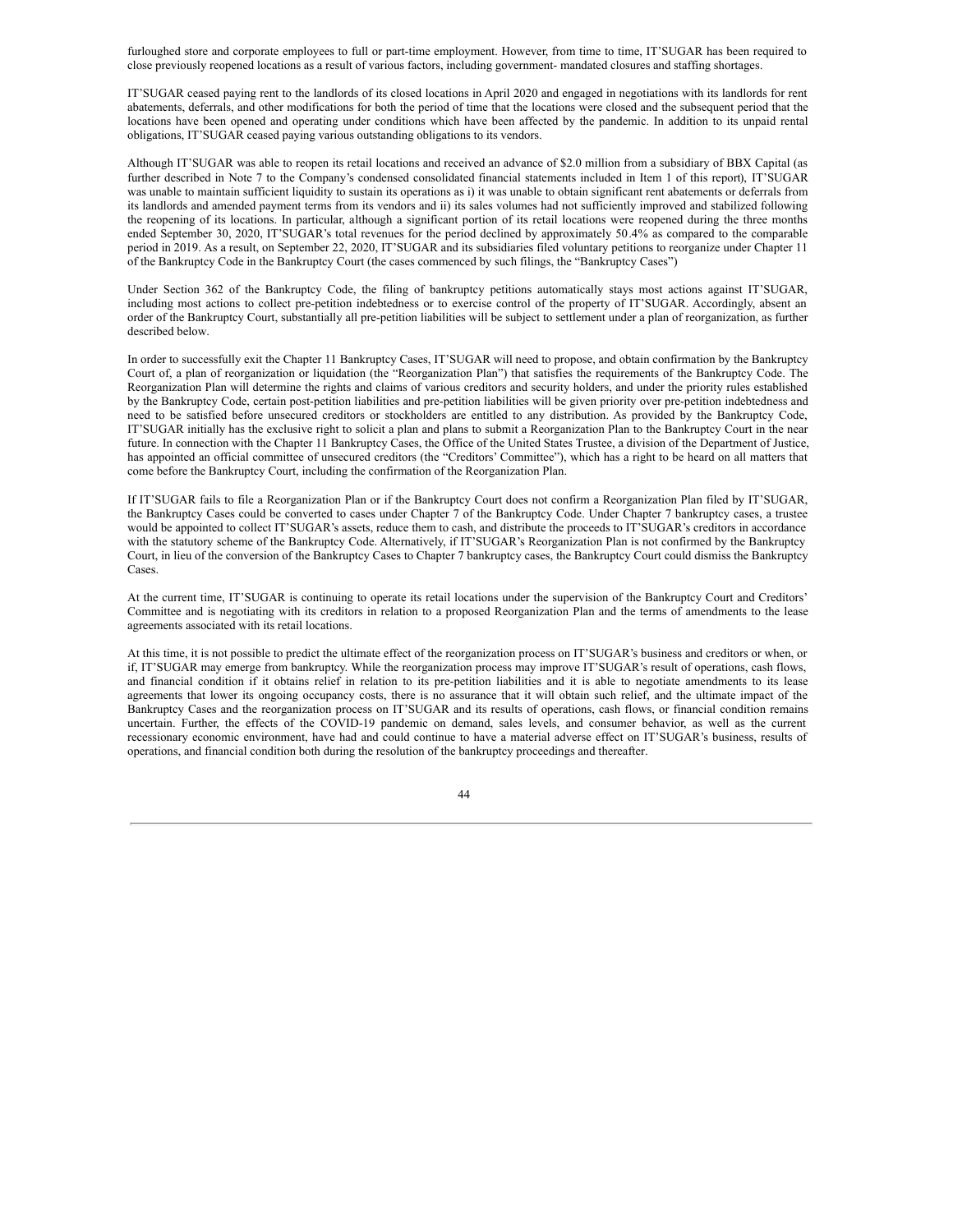furloughed store and corporate employees to full or part-time employment. However, from time to time, IT'SUGAR has been required to close previously reopened locations as a result of various factors, including government- mandated closures and staffing shortages.

IT'SUGAR ceased paying rent to the landlords of its closed locations in April 2020 and engaged in negotiations with its landlords for rent abatements, deferrals, and other modifications for both the period of time that the locations were closed and the subsequent period that the locations have been opened and operating under conditions which have been affected by the pandemic. In addition to its unpaid rental obligations, IT'SUGAR ceased paying various outstanding obligations to its vendors.

Although IT'SUGAR was able to reopen its retail locations and received an advance of \$2.0 million from a subsidiary of BBX Capital (as further described in Note 7 to the Company's condensed consolidated financial statements included in Item 1 of this report), IT'SUGAR was unable to maintain sufficient liquidity to sustain its operations as i) it was unable to obtain significant rent abatements or deferrals from its landlords and amended payment terms from its vendors and ii) its sales volumes had not sufficiently improved and stabilized following the reopening of its locations. In particular, although a significant portion of its retail locations were reopened during the three months ended September 30, 2020, IT'SUGAR's total revenues for the period declined by approximately 50.4% as compared to the comparable period in 2019. As a result, on September 22, 2020, IT'SUGAR and its subsidiaries filed voluntary petitions to reorganize under Chapter 11 of the Bankruptcy Code in the Bankruptcy Court (the cases commenced by such filings, the "Bankruptcy Cases")

Under Section 362 of the Bankruptcy Code, the filing of bankruptcy petitions automatically stays most actions against IT'SUGAR, including most actions to collect pre-petition indebtedness or to exercise control of the property of IT'SUGAR. Accordingly, absent an order of the Bankruptcy Court, substantially all pre-petition liabilities will be subject to settlement under a plan of reorganization, as further described below.

In order to successfully exit the Chapter 11 Bankruptcy Cases, IT'SUGAR will need to propose, and obtain confirmation by the Bankruptcy Court of, a plan of reorganization or liquidation (the "Reorganization Plan") that satisfies the requirements of the Bankruptcy Code. The Reorganization Plan will determine the rights and claims of various creditors and security holders, and under the priority rules established by the Bankruptcy Code, certain post-petition liabilities and pre-petition liabilities will be given priority over pre-petition indebtedness and need to be satisfied before unsecured creditors or stockholders are entitled to any distribution. As provided by the Bankruptcy Code, IT'SUGAR initially has the exclusive right to solicit a plan and plans to submit a Reorganization Plan to the Bankruptcy Court in the near future. In connection with the Chapter 11 Bankruptcy Cases, the Office of the United States Trustee, a division of the Department of Justice, has appointed an official committee of unsecured creditors (the "Creditors' Committee"), which has a right to be heard on all matters that come before the Bankruptcy Court, including the confirmation of the Reorganization Plan.

If IT'SUGAR fails to file a Reorganization Plan or if the Bankruptcy Court does not confirm a Reorganization Plan filed by IT'SUGAR, the Bankruptcy Cases could be converted to cases under Chapter 7 of the Bankruptcy Code. Under Chapter 7 bankruptcy cases, a trustee would be appointed to collect IT'SUGAR's assets, reduce them to cash, and distribute the proceeds to IT'SUGAR's creditors in accordance with the statutory scheme of the Bankruptcy Code. Alternatively, if IT'SUGAR's Reorganization Plan is not confirmed by the Bankruptcy Court, in lieu of the conversion of the Bankruptcy Cases to Chapter 7 bankruptcy cases, the Bankruptcy Court could dismiss the Bankruptcy Cases.

At the current time, IT'SUGAR is continuing to operate its retail locations under the supervision of the Bankruptcy Court and Creditors' Committee and is negotiating with its creditors in relation to a proposed Reorganization Plan and the terms of amendments to the lease agreements associated with its retail locations.

At this time, it is not possible to predict the ultimate effect of the reorganization process on IT'SUGAR's business and creditors or when, or if, IT'SUGAR may emerge from bankruptcy. While the reorganization process may improve IT'SUGAR's result of operations, cash flows, and financial condition if it obtains relief in relation to its pre-petition liabilities and it is able to negotiate amendments to its lease agreements that lower its ongoing occupancy costs, there is no assurance that it will obtain such relief, and the ultimate impact of the Bankruptcy Cases and the reorganization process on IT'SUGAR and its results of operations, cash flows, or financial condition remains uncertain. Further, the effects of the COVID-19 pandemic on demand, sales levels, and consumer behavior, as well as the current recessionary economic environment, have had and could continue to have a material adverse effect on IT'SUGAR's business, results of operations, and financial condition both during the resolution of the bankruptcy proceedings and thereafter.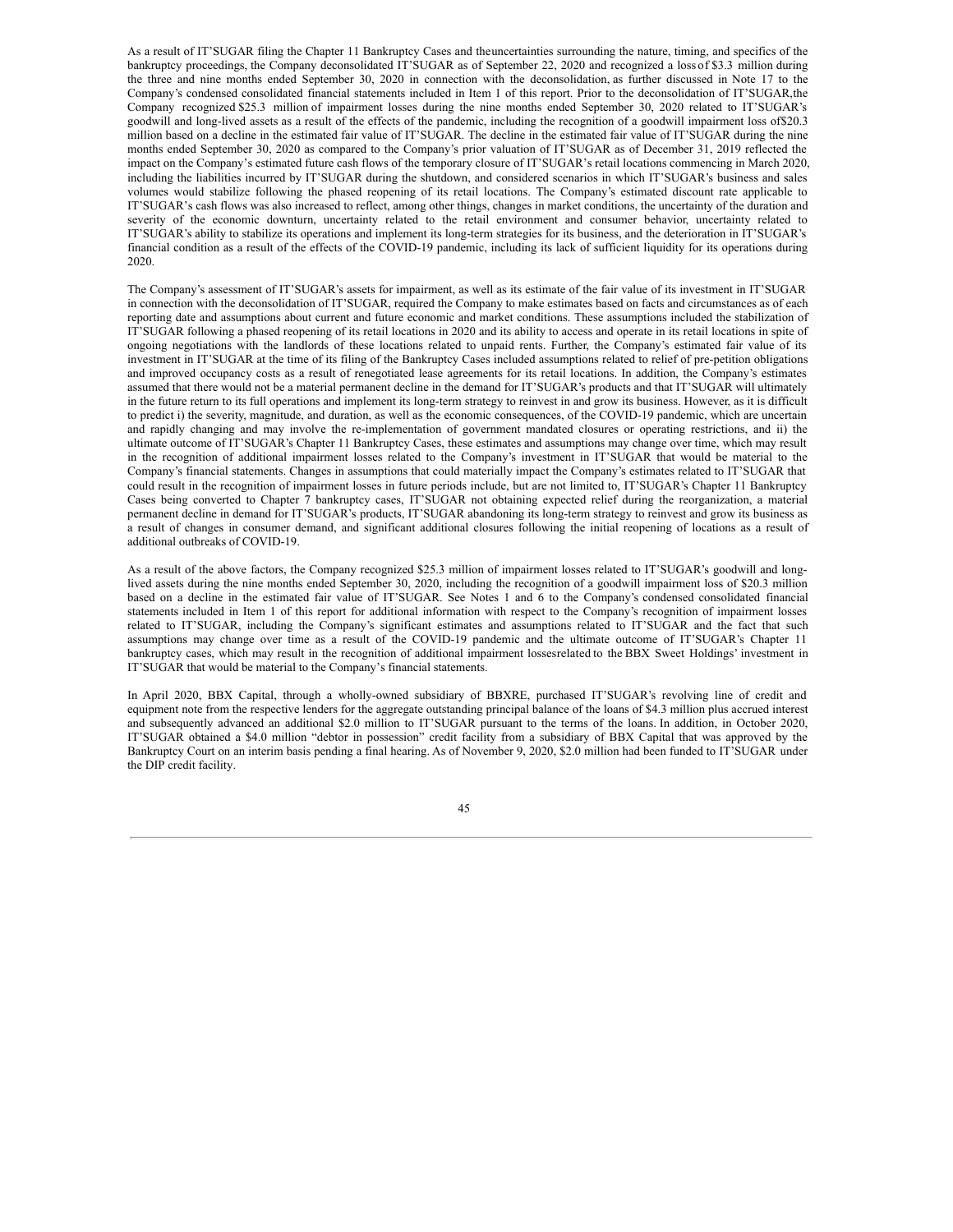As a result of IT'SUGAR filing the Chapter 11 Bankruptcy Cases and theuncertainties surrounding the nature, timing, and specifics of the bankruptcy proceedings, the Company deconsolidated IT'SUGAR as of September 22, 2020 and recognized a loss of \$3.3 million during the three and nine months ended September 30, 2020 in connection with the deconsolidation, as further discussed in Note 17 to the Company's condensed consolidated financial statements included in Item 1 of this report. Prior to the deconsolidation of IT'SUGAR,the Company recognized \$25.3 million of impairment losses during the nine months ended September 30, 2020 related to IT'SUGAR's goodwill and long-lived assets as a result of the effects of the pandemic, including the recognition of a goodwill impairment loss of\$20.3 million based on a decline in the estimated fair value of IT'SUGAR. The decline in the estimated fair value of IT'SUGAR during the nine months ended September 30, 2020 as compared to the Company's prior valuation of IT'SUGAR as of December 31, 2019 reflected the impact on the Company's estimated future cash flows of the temporary closure of IT'SUGAR's retail locations commencing in March 2020, including the liabilities incurred by IT'SUGAR during the shutdown, and considered scenarios in which IT'SUGAR's business and sales volumes would stabilize following the phased reopening of its retail locations. The Company's estimated discount rate applicable to IT'SUGAR's cash flows was also increased to reflect, among other things, changes in market conditions, the uncertainty of the duration and severity of the economic downturn, uncertainty related to the retail environment and consumer behavior, uncertainty related to IT'SUGAR's ability to stabilize its operations and implement its long-term strategies for its business, and the deterioration in IT'SUGAR's financial condition as a result of the effects of the COVID-19 pandemic, including its lack of sufficient liquidity for its operations during 2020.

The Company's assessment of IT'SUGAR's assets for impairment, as well as its estimate of the fair value of its investment in IT'SUGAR in connection with the deconsolidation of IT'SUGAR, required the Company to make estimates based on facts and circumstances as of each reporting date and assumptions about current and future economic and market conditions. These assumptions included the stabilization of IT'SUGAR following a phased reopening of its retail locations in 2020 and its ability to access and operate in its retail locations in spite of ongoing negotiations with the landlords of these locations related to unpaid rents. Further, the Company's estimated fair value of its investment in IT'SUGAR at the time of its filing of the Bankruptcy Cases included assumptions related to relief of pre-petition obligations and improved occupancy costs as a result of renegotiated lease agreements for its retail locations. In addition, the Company's estimates assumed that there would not be a material permanent decline in the demand for IT'SUGAR's products and that IT'SUGAR will ultimately in the future return to its full operations and implement its long-term strategy to reinvest in and grow its business. However, as it is difficult to predict i) the severity, magnitude, and duration, as well as the economic consequences, of the COVID-19 pandemic, which are uncertain and rapidly changing and may involve the re-implementation of government mandated closures or operating restrictions, and ii) the ultimate outcome of IT'SUGAR's Chapter 11 Bankruptcy Cases, these estimates and assumptions may change over time, which may result in the recognition of additional impairment losses related to the Company's investment in IT'SUGAR that would be material to the Company's financial statements. Changes in assumptions that could materially impact the Company's estimates related to IT'SUGAR that could result in the recognition of impairment losses in future periods include, but are not limited to, IT'SUGAR's Chapter 11 Bankruptcy Cases being converted to Chapter 7 bankruptcy cases, IT'SUGAR not obtaining expected relief during the reorganization, a material permanent decline in demand for IT'SUGAR's products, IT'SUGAR abandoning its long-term strategy to reinvest and grow its business as a result of changes in consumer demand, and significant additional closures following the initial reopening of locations as a result of additional outbreaks of COVID-19.

As a result of the above factors, the Company recognized \$25.3 million of impairment losses related to IT'SUGAR's goodwill and longlived assets during the nine months ended September 30, 2020, including the recognition of a goodwill impairment loss of \$20.3 million based on a decline in the estimated fair value of IT'SUGAR. See Notes 1 and 6 to the Company's condensed consolidated financial statements included in Item 1 of this report for additional information with respect to the Company's recognition of impairment losses related to IT'SUGAR, including the Company's significant estimates and assumptions related to IT'SUGAR and the fact that such assumptions may change over time as a result of the COVID-19 pandemic and the ultimate outcome of IT'SUGAR's Chapter 11 bankruptcy cases, which may result in the recognition of additional impairment lossesrelated to the BBX Sweet Holdings' investment in IT'SUGAR that would be material to the Company's financial statements.

In April 2020, BBX Capital, through a wholly-owned subsidiary of BBXRE, purchased IT'SUGAR's revolving line of credit and equipment note from the respective lenders for the aggregate outstanding principal balance of the loans of \$4.3 million plus accrued interest and subsequently advanced an additional \$2.0 million to IT'SUGAR pursuant to the terms of the loans. In addition, in October 2020, IT'SUGAR obtained a \$4.0 million "debtor in possession" credit facility from a subsidiary of BBX Capital that was approved by the Bankruptcy Court on an interim basis pending a final hearing. As of November 9, 2020, \$2.0 million had been funded to IT'SUGAR under the DIP credit facility.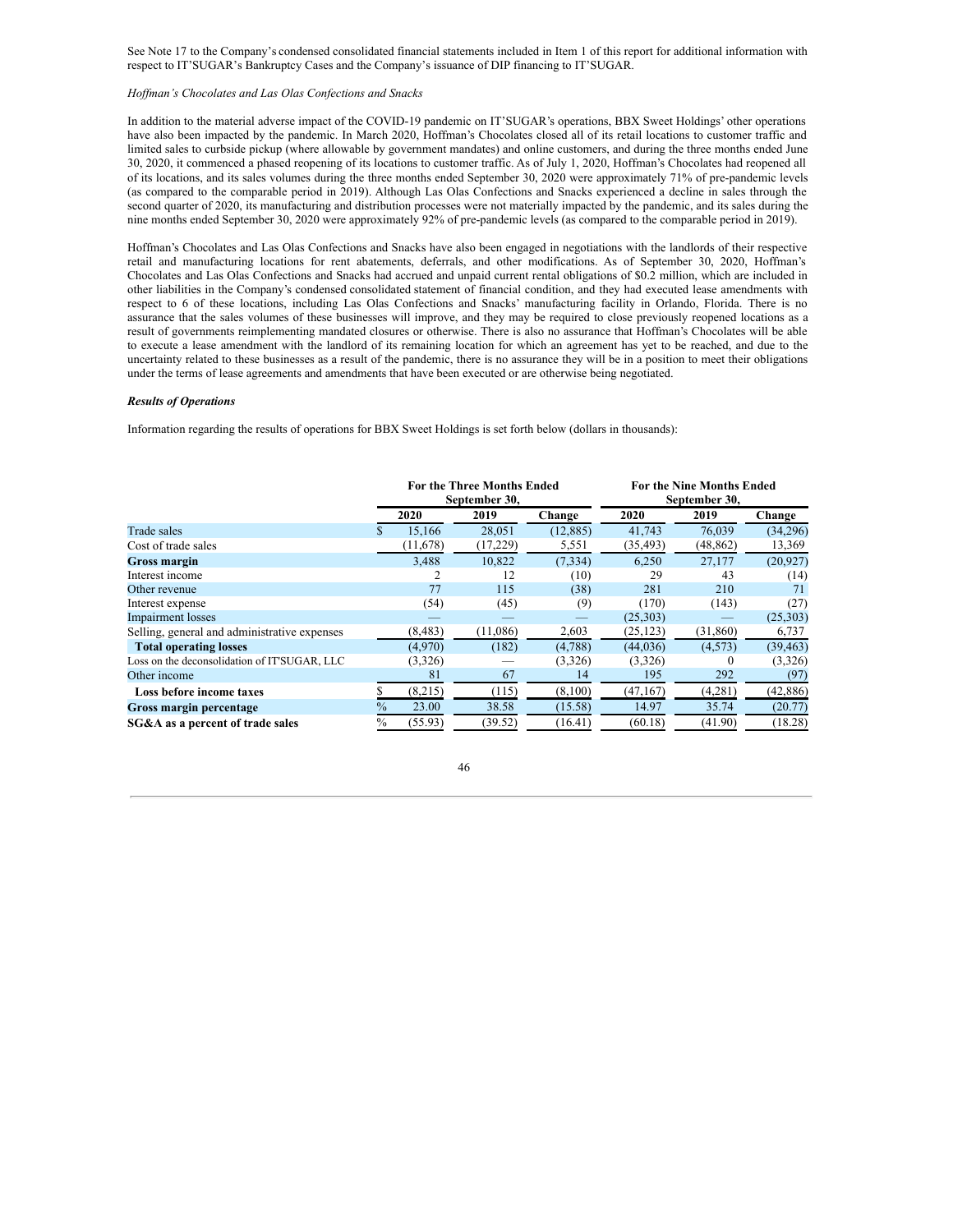See Note 17 to the Company's condensed consolidated financial statements included in Item 1 of this report for additional information with respect to IT'SUGAR's Bankruptcy Cases and the Company's issuance of DIP financing to IT'SUGAR.

## *Hof man's Chocolates and Las Olas Confections and Snacks*

In addition to the material adverse impact of the COVID-19 pandemic on IT'SUGAR's operations, BBX Sweet Holdings' other operations have also been impacted by the pandemic. In March 2020, Hoffman's Chocolates closed all of its retail locations to customer traffic and limited sales to curbside pickup (where allowable by government mandates) and online customers, and during the three months ended June 30, 2020, it commenced a phased reopening of its locations to customer traffic. As of July 1, 2020, Hoffman's Chocolates had reopened all of its locations, and its sales volumes during the three months ended September 30, 2020 were approximately 71% of pre-pandemic levels (as compared to the comparable period in 2019). Although Las Olas Confections and Snacks experienced a decline in sales through the second quarter of 2020, its manufacturing and distribution processes were not materially impacted by the pandemic, and its sales during the nine months ended September 30, 2020 were approximately 92% of pre-pandemic levels (as compared to the comparable period in 2019).

Hoffman's Chocolates and Las Olas Confections and Snacks have also been engaged in negotiations with the landlords of their respective retail and manufacturing locations for rent abatements, deferrals, and other modifications. As of September 30, 2020, Hoffman's Chocolates and Las Olas Confections and Snacks had accrued and unpaid current rental obligations of \$0.2 million, which are included in other liabilities in the Company's condensed consolidated statement of financial condition, and they had executed lease amendments with respect to 6 of these locations, including Las Olas Confections and Snacks' manufacturing facility in Orlando, Florida. There is no assurance that the sales volumes of these businesses will improve, and they may be required to close previously reopened locations as a result of governments reimplementing mandated closures or otherwise. There is also no assurance that Hoffman's Chocolates will be able to execute a lease amendment with the landlord of its remaining location for which an agreement has yet to be reached, and due to the uncertainty related to these businesses as a result of the pandemic, there is no assurance they will be in a position to meet their obligations under the terms of lease agreements and amendments that have been executed or are otherwise being negotiated.

## *Results of Operations*

Information regarding the results of operations for BBX Sweet Holdings is set forth below (dollars in thousands):

|                                              | <b>For the Three Months Ended</b><br>September 30, |          |          |           | <b>For the Nine Months Ended</b><br>September 30, |           |           |
|----------------------------------------------|----------------------------------------------------|----------|----------|-----------|---------------------------------------------------|-----------|-----------|
|                                              |                                                    | 2020     | 2019     | Change    | 2020                                              | 2019      | Change    |
| Trade sales                                  |                                                    | 15,166   | 28,051   | (12, 885) | 41,743                                            | 76,039    | (34,296)  |
| Cost of trade sales                          |                                                    | (11,678) | (17,229) | 5,551     | (35, 493)                                         | (48, 862) | 13,369    |
| <b>Gross margin</b>                          |                                                    | 3,488    | 10,822   | (7, 334)  | 6,250                                             | 27,177    | (20, 927) |
| Interest income                              |                                                    |          | 12       | (10)      | 29                                                | 43        | (14)      |
| Other revenue                                |                                                    | 77       | 115      | (38)      | 281                                               | 210       | 71        |
| Interest expense                             |                                                    | (54)     | (45)     | (9)       | (170)                                             | (143)     | (27)      |
| <b>Impairment</b> losses                     |                                                    |          |          |           | (25,303)                                          |           | (25,303)  |
| Selling, general and administrative expenses |                                                    | (8, 483) | (11,086) | 2,603     | (25, 123)                                         | (31,860)  | 6,737     |
| <b>Total operating losses</b>                |                                                    | (4.970)  | (182)    | (4,788)   | (44, 036)                                         | (4, 573)  | (39, 463) |
| Loss on the deconsolidation of IT'SUGAR, LLC |                                                    | (3,326)  |          | (3,326)   | (3,326)                                           | $\theta$  | (3,326)   |
| Other income                                 |                                                    | 81       | 67       | 14        | 195                                               | 292       | (97)      |
| Loss before income taxes                     |                                                    | (8,215)  | (115)    | (8,100)   | (47, 167)                                         | (4,281)   | (42, 886) |
| Gross margin percentage                      | $\%$                                               | 23.00    | 38.58    | (15.58)   | 14.97                                             | 35.74     | (20.77)   |
| SG&A as a percent of trade sales             | $\frac{0}{0}$                                      | (55.93)  | (39.52)  | (16.41)   | (60.18)                                           | (41.90)   | (18.28)   |

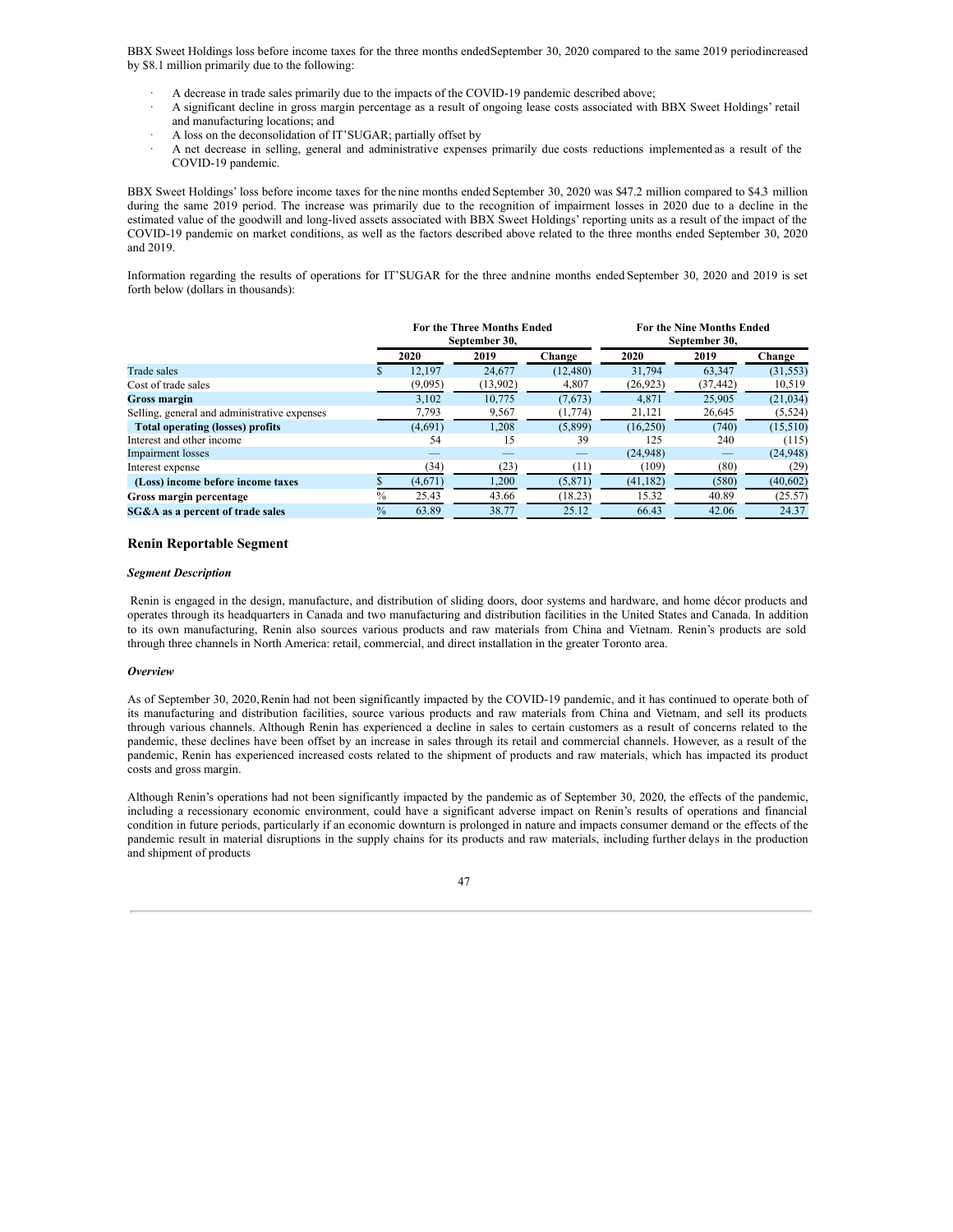BBX Sweet Holdings loss before income taxes for the three months endedSeptember 30, 2020 compared to the same 2019 periodincreased by \$8.1 million primarily due to the following:

- A decrease in trade sales primarily due to the impacts of the COVID-19 pandemic described above;
- · A significant decline in gross margin percentage as a result of ongoing lease costs associated with BBX Sweet Holdings' retail and manufacturing locations; and
- · A loss on the deconsolidation of IT'SUGAR; partially offset by
- · A net decrease in selling, general and administrative expenses primarily due costs reductions implemented as a result of the COVID-19 pandemic.

BBX Sweet Holdings' loss before income taxes for the nine months ended September 30, 2020 was \$47.2 million compared to \$4.3 million during the same 2019 period. The increase was primarily due to the recognition of impairment losses in 2020 due to a decline in the estimated value of the goodwill and long-lived assets associated with BBX Sweet Holdings' reporting units as a result of the impact of the COVID-19 pandemic on market conditions, as well as the factors described above related to the three months ended September 30, 2020 and 2019.

Information regarding the results of operations for IT'SUGAR for the three andnine months ended September 30, 2020 and 2019 is set forth below (dollars in thousands):

|                                              |               |         | <b>For the Three Months Ended</b><br>September 30, | <b>For the Nine Months Ended</b><br>September 30, |           |           |           |
|----------------------------------------------|---------------|---------|----------------------------------------------------|---------------------------------------------------|-----------|-----------|-----------|
|                                              |               | 2020    | 2019                                               | Change                                            | 2020      | 2019      | Change    |
| Trade sales                                  |               | 12,197  | 24,677                                             | (12, 480)                                         | 31,794    | 63,347    | (31, 553) |
| Cost of trade sales                          |               | (9,095) | (13,902)                                           | 4,807                                             | (26, 923) | (37, 442) | 10,519    |
| <b>Gross margin</b>                          |               | 3,102   | 10,775                                             | (7,673)                                           | 4,871     | 25,905    | (21,034)  |
| Selling, general and administrative expenses |               | 7,793   | 9,567                                              | (1,774)                                           | 21,121    | 26,645    | (5, 524)  |
| <b>Total operating (losses) profits</b>      |               | (4,691) | 1,208                                              | (5,899)                                           | (16, 250) | (740)     | (15,510)  |
| Interest and other income                    |               | 54      | 15                                                 | 39                                                | 125       | 240       | (115)     |
| <b>Impairment</b> losses                     |               |         |                                                    |                                                   | (24,948)  |           | (24,948)  |
| Interest expense                             |               | (34)    | (23)                                               | (11)                                              | (109)     | (80)      | (29)      |
| (Loss) income before income taxes            |               | (4,671) | 1,200                                              | (5,871)                                           | (41, 182) | (580)     | (40,602)  |
| Gross margin percentage                      | $\%$          | 25.43   | 43.66                                              | (18.23)                                           | 15.32     | 40.89     | (25.57)   |
| SG&A as a percent of trade sales             | $\frac{0}{0}$ | 63.89   | 38.77                                              | 25.12                                             | 66.43     | 42.06     | 24.37     |

## **Renin Reportable Segment**

#### *Segment Description*

Renin is engaged in the design, manufacture, and distribution of sliding doors, door systems and hardware, and home décor products and operates through its headquarters in Canada and two manufacturing and distribution facilities in the United States and Canada. In addition to its own manufacturing, Renin also sources various products and raw materials from China and Vietnam. Renin's products are sold through three channels in North America: retail, commercial, and direct installation in the greater Toronto area.

#### *Overview*

As of September 30, 2020, Renin had not been significantly impacted by the COVID-19 pandemic, and it has continued to operate both of its manufacturing and distribution facilities, source various products and raw materials from China and Vietnam, and sell its products through various channels. Although Renin has experienced a decline in sales to certain customers as a result of concerns related to the pandemic, these declines have been offset by an increase in sales through its retail and commercial channels. However, as a result of the pandemic, Renin has experienced increased costs related to the shipment of products and raw materials, which has impacted its product costs and gross margin.

Although Renin's operations had not been significantly impacted by the pandemic as of September 30, 2020, the effects of the pandemic, including a recessionary economic environment, could have a significant adverse impact on Renin's results of operations and financial condition in future periods, particularly if an economic downturn is prolonged in nature and impacts consumer demand or the effects of the pandemic result in material disruptions in the supply chains for its products and raw materials, including further delays in the production and shipment of products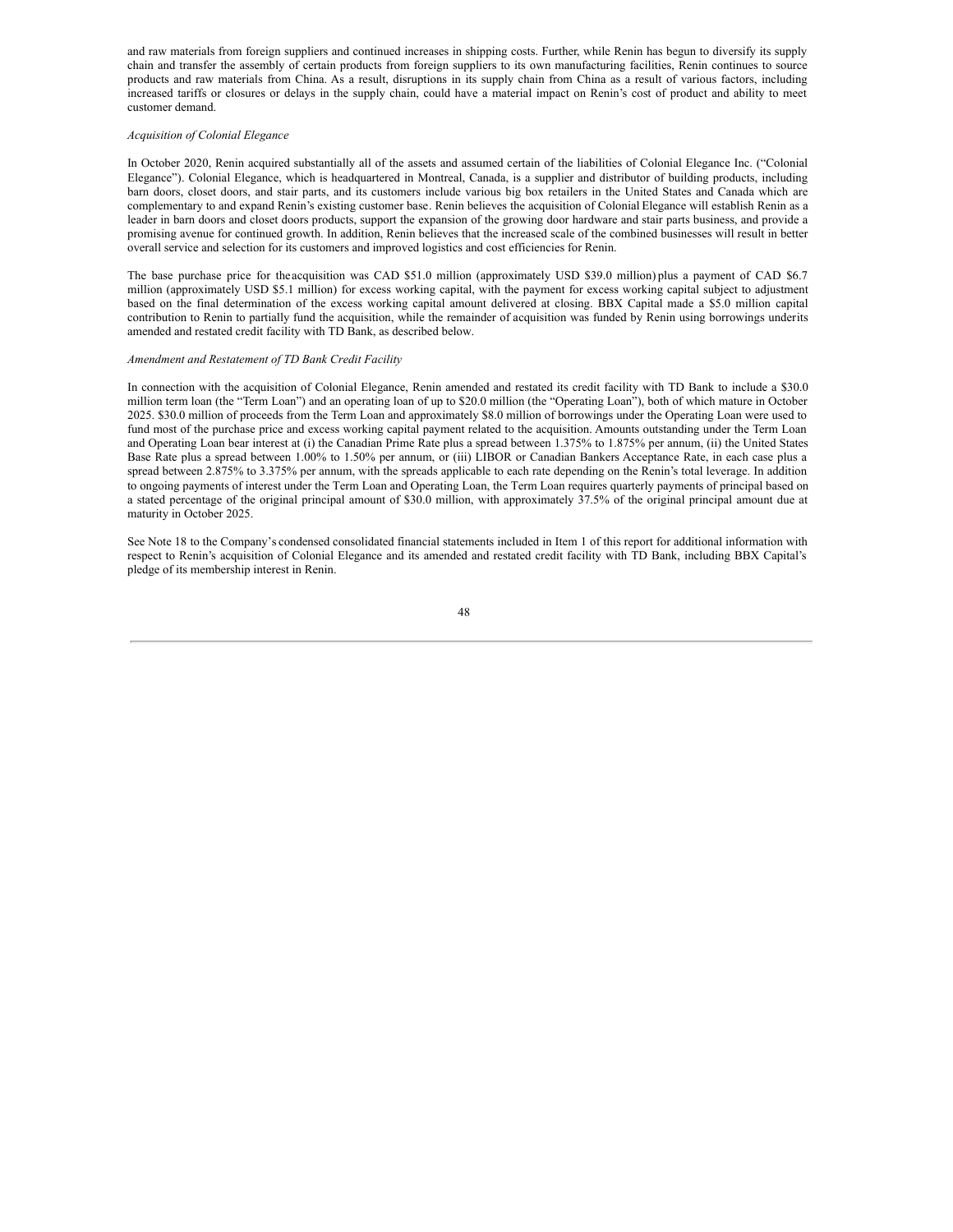and raw materials from foreign suppliers and continued increases in shipping costs. Further, while Renin has begun to diversify its supply chain and transfer the assembly of certain products from foreign suppliers to its own manufacturing facilities, Renin continues to source products and raw materials from China. As a result, disruptions in its supply chain from China as a result of various factors, including increased tariffs or closures or delays in the supply chain, could have a material impact on Renin's cost of product and ability to meet customer demand.

## *Acquisition of Colonial Elegance*

In October 2020, Renin acquired substantially all of the assets and assumed certain of the liabilities of Colonial Elegance Inc. ("Colonial Elegance"). Colonial Elegance, which is headquartered in Montreal, Canada, is a supplier and distributor of building products, including barn doors, closet doors, and stair parts, and its customers include various big box retailers in the United States and Canada which are complementary to and expand Renin's existing customer base. Renin believes the acquisition of Colonial Elegance will establish Renin as a leader in barn doors and closet doors products, support the expansion of the growing door hardware and stair parts business, and provide a promising avenue for continued growth. In addition, Renin believes that the increased scale of the combined businesses will result in better overall service and selection for its customers and improved logistics and cost efficiencies for Renin.

The base purchase price for theacquisition was CAD \$51.0 million (approximately USD \$39.0 million) plus a payment of CAD \$6.7 million (approximately USD \$5.1 million) for excess working capital, with the payment for excess working capital subject to adjustment based on the final determination of the excess working capital amount delivered at closing. BBX Capital made a \$5.0 million capital contribution to Renin to partially fund the acquisition, while the remainder of acquisition was funded by Renin using borrowings underits amended and restated credit facility with TD Bank, as described below.

#### *Amendment and Restatement of TD Bank Credit Facility*

In connection with the acquisition of Colonial Elegance, Renin amended and restated its credit facility with TD Bank to include a \$30.0 million term loan (the "Term Loan") and an operating loan of up to \$20.0 million (the "Operating Loan"), both of which mature in October 2025. \$30.0 million of proceeds from the Term Loan and approximately \$8.0 million of borrowings under the Operating Loan were used to fund most of the purchase price and excess working capital payment related to the acquisition. Amounts outstanding under the Term Loan and Operating Loan bear interest at (i) the Canadian Prime Rate plus a spread between 1.375% to 1.875% per annum, (ii) the United States Base Rate plus a spread between 1.00% to 1.50% per annum, or (iii) LIBOR or Canadian Bankers Acceptance Rate, in each case plus a spread between 2.875% to 3.375% per annum, with the spreads applicable to each rate depending on the Renin's total leverage. In addition to ongoing payments of interest under the Term Loan and Operating Loan, the Term Loan requires quarterly payments of principal based on a stated percentage of the original principal amount of \$30.0 million, with approximately 37.5% of the original principal amount due at maturity in October 2025.

See Note 18 to the Company's condensed consolidated financial statements included in Item 1 of this report for additional information with respect to Renin's acquisition of Colonial Elegance and its amended and restated credit facility with TD Bank, including BBX Capital's pledge of its membership interest in Renin.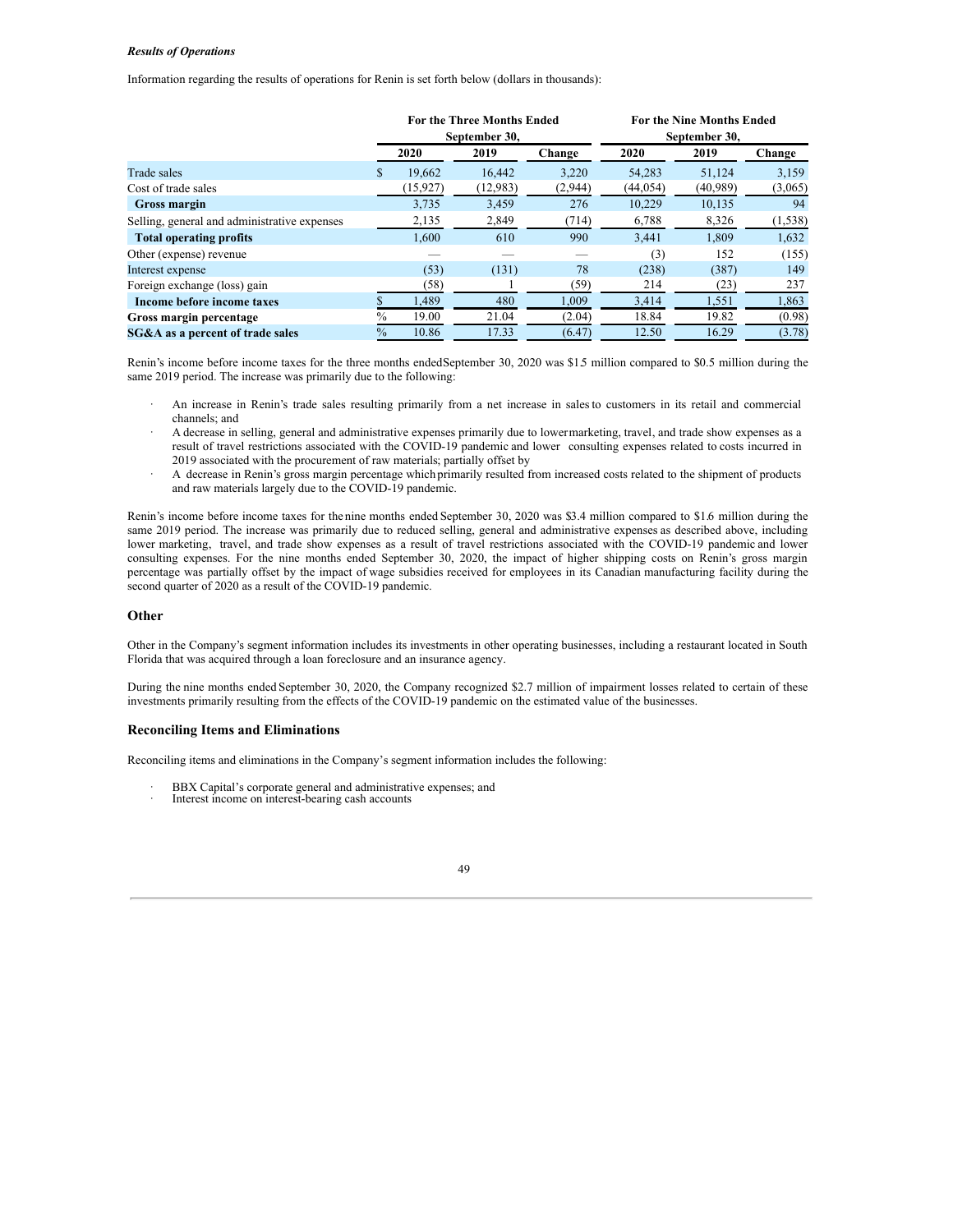#### *Results of Operations*

Information regarding the results of operations for Renin is set forth below (dollars in thousands):

|                                              | <b>For the Three Months Ended</b><br>September 30, |           |          |         | <b>For the Nine Months Ended</b><br>September 30, |          |          |
|----------------------------------------------|----------------------------------------------------|-----------|----------|---------|---------------------------------------------------|----------|----------|
|                                              |                                                    | 2020      | 2019     | Change  | 2020                                              | 2019     | Change   |
| Trade sales                                  | S                                                  | 19.662    | 16.442   | 3,220   | 54,283                                            | 51,124   | 3,159    |
| Cost of trade sales                          |                                                    | (15, 927) | (12,983) | (2,944) | (44, 054)                                         | (40,989) | (3,065)  |
| <b>Gross margin</b>                          |                                                    | 3,735     | 3,459    | 276     | 10,229                                            | 10,135   | 94       |
| Selling, general and administrative expenses |                                                    | 2,135     | 2,849    | (714)   | 6,788                                             | 8,326    | (1, 538) |
| <b>Total operating profits</b>               |                                                    | 1.600     | 610      | 990     | 3,441                                             | 1,809    | 1,632    |
| Other (expense) revenue                      |                                                    |           |          |         | (3)                                               | 152      | (155)    |
| Interest expense                             |                                                    | (53)      | (131)    | 78      | (238)                                             | (387)    | 149      |
| Foreign exchange (loss) gain                 |                                                    | 38)       |          | (59)    | 214                                               | (23)     | 237      |
| Income before income taxes                   |                                                    | 1,489     | 480      | 1,009   | 3,414                                             | 1,551    | 1,863    |
| Gross margin percentage                      | $\%$                                               | 19.00     | 21.04    | (2.04)  | 18.84                                             | 19.82    | (0.98)   |
| SG&A as a percent of trade sales             | $\%$                                               | 10.86     | 17.33    | (6.47)  | 12.50                                             | 16.29    | (3.78)   |

Renin's income before income taxes for the three months endedSeptember 30, 2020 was \$1.5 million compared to \$0.5 million during the same 2019 period. The increase was primarily due to the following:

- · An increase in Renin's trade sales resulting primarily from a net increase in salesto customers in its retail and commercial channels; and
- · A decrease in selling, general and administrative expenses primarily due to lowermarketing, travel, and trade show expenses as a result of travel restrictions associated with the COVID-19 pandemic and lower consulting expenses related to costs incurred in 2019 associated with the procurement of raw materials; partially offset by
- · A decrease in Renin's gross margin percentage which primarily resulted from increased costs related to the shipment of products and raw materials largely due to the COVID-19 pandemic.

Renin's income before income taxes for the nine months ended September 30, 2020 was \$3.4 million compared to \$1.6 million during the same 2019 period. The increase was primarily due to reduced selling, general and administrative expenses as described above, including lower marketing, travel, and trade show expenses as a result of travel restrictions associated with the COVID-19 pandemic and lower consulting expenses. For the nine months ended September 30, 2020, the impact of higher shipping costs on Renin's gross margin percentage was partially offset by the impact of wage subsidies received for employees in its Canadian manufacturing facility during the second quarter of 2020 as a result of the COVID-19 pandemic.

## **Other**

Other in the Company's segment information includes its investments in other operating businesses, including a restaurant located in South Florida that was acquired through a loan foreclosure and an insurance agency.

During the nine months ended September 30, 2020, the Company recognized \$2.7 million of impairment losses related to certain of these investments primarily resulting from the effects of the COVID-19 pandemic on the estimated value of the businesses.

## **Reconciling Items and Eliminations**

Reconciling items and eliminations in the Company's segment information includes the following:

- BBX Capital's corporate general and administrative expenses; and
- Interest income on interest-bearing cash accounts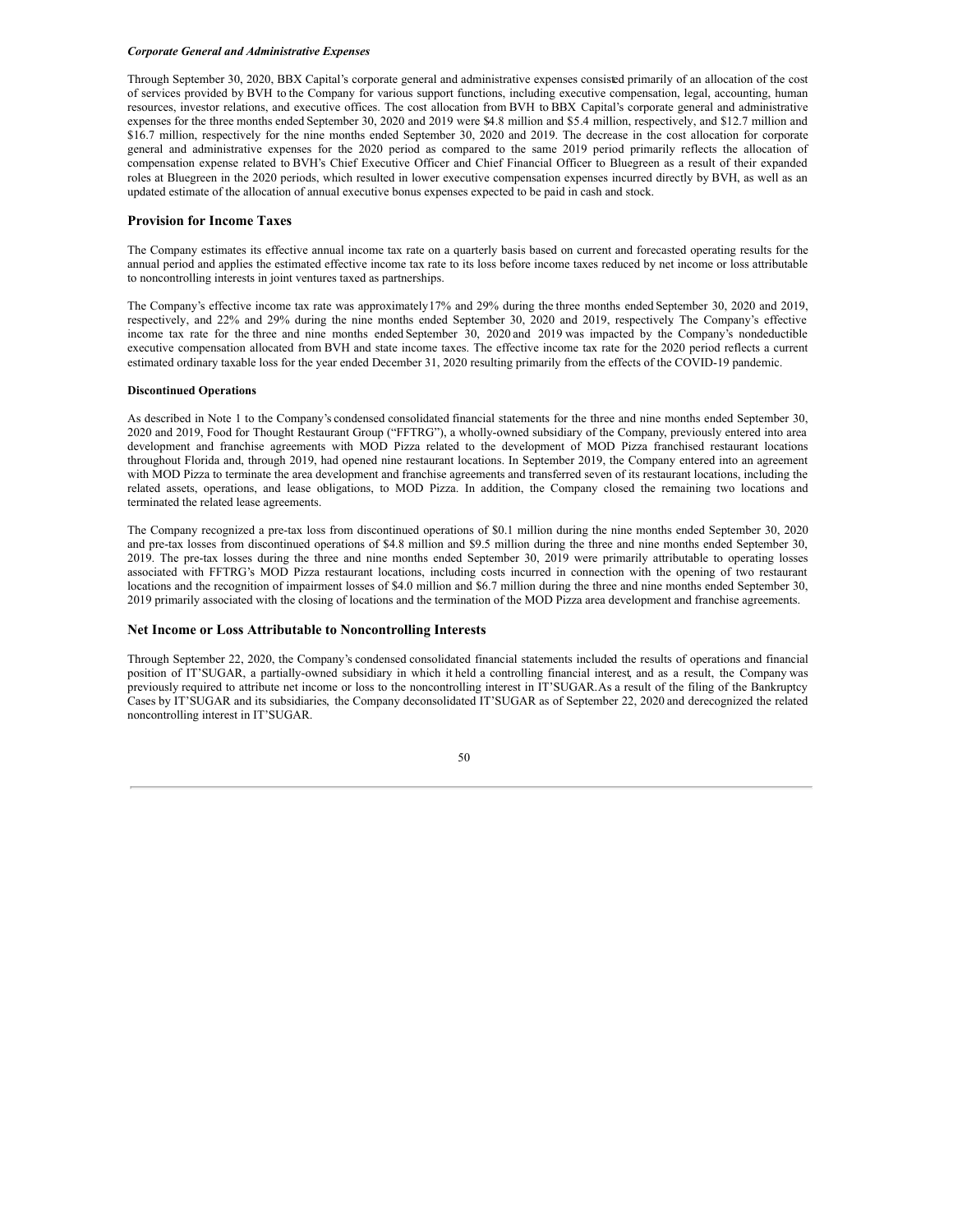#### *Corporate General and Administrative Expenses*

Through September 30, 2020, BBX Capital's corporate general and administrative expenses consisted primarily of an allocation of the cost of services provided by BVH to the Company for various support functions, including executive compensation, legal, accounting, human resources, investor relations, and executive offices. The cost allocation from BVH to BBX Capital's corporate general and administrative expenses for the three months ended September 30, 2020 and 2019 were \$4.8 million and \$5.4 million, respectively, and \$12.7 million and \$16.7 million, respectively for the nine months ended September 30, 2020 and 2019. The decrease in the cost allocation for corporate general and administrative expenses for the 2020 period as compared to the same 2019 period primarily reflects the allocation of compensation expense related to BVH's Chief Executive Officer and Chief Financial Officer to Bluegreen as a result of their expanded roles at Bluegreen in the 2020 periods, which resulted in lower executive compensation expenses incurred directly by BVH, as well as an updated estimate of the allocation of annual executive bonus expenses expected to be paid in cash and stock.

#### **Provision for Income Taxes**

The Company estimates its effective annual income tax rate on a quarterly basis based on current and forecasted operating results for the annual period and applies the estimated effective income tax rate to its loss before income taxes reduced by net income or loss attributable to noncontrolling interests in joint ventures taxed as partnerships.

The Company's effective income tax rate was approximately17% and 29% during the three months ended September 30, 2020 and 2019, respectively, and 22% and 29% during the nine months ended September 30, 2020 and 2019, respectively. The Company's effective income tax rate for the three and nine months ended September 30, 2020 and 2019 was impacted by the Company's nondeductible executive compensation allocated from BVH and state income taxes. The effective income tax rate for the 2020 period reflects a current estimated ordinary taxable loss for the year ended December 31, 2020 resulting primarily from the effects of the COVID-19 pandemic.

#### **Discontinued Operations**

As described in Note 1 to the Company's condensed consolidated financial statements for the three and nine months ended September 30, 2020 and 2019, Food for Thought Restaurant Group ("FFTRG"), a wholly-owned subsidiary of the Company, previously entered into area development and franchise agreements with MOD Pizza related to the development of MOD Pizza franchised restaurant locations throughout Florida and, through 2019, had opened nine restaurant locations. In September 2019, the Company entered into an agreement with MOD Pizza to terminate the area development and franchise agreements and transferred seven of its restaurant locations, including the related assets, operations, and lease obligations, to MOD Pizza. In addition, the Company closed the remaining two locations and terminated the related lease agreements.

The Company recognized a pre-tax loss from discontinued operations of \$0.1 million during the nine months ended September 30, 2020 and pre-tax losses from discontinued operations of \$4.8 million and \$9.5 million during the three and nine months ended September 30, 2019. The pre-tax losses during the three and nine months ended September 30, 2019 were primarily attributable to operating losses associated with FFTRG's MOD Pizza restaurant locations, including costs incurred in connection with the opening of two restaurant locations and the recognition of impairment losses of \$4.0 million and \$6.7 million during the three and nine months ended September 30, 2019 primarily associated with the closing of locations and the termination of the MOD Pizza area development and franchise agreements.

## **Net Income or Loss Attributable to Noncontrolling Interests**

Through September 22, 2020, the Company's condensed consolidated financial statements included the results of operations and financial position of IT'SUGAR, a partially-owned subsidiary in which it held a controlling financial interest, and as a result, the Company was previously required to attribute net income or loss to the noncontrolling interest in IT'SUGAR.As a result of the filing of the Bankruptcy Cases by IT'SUGAR and its subsidiaries, the Company deconsolidated IT'SUGAR as of September 22, 2020 and derecognized the related noncontrolling interest in IT'SUGAR.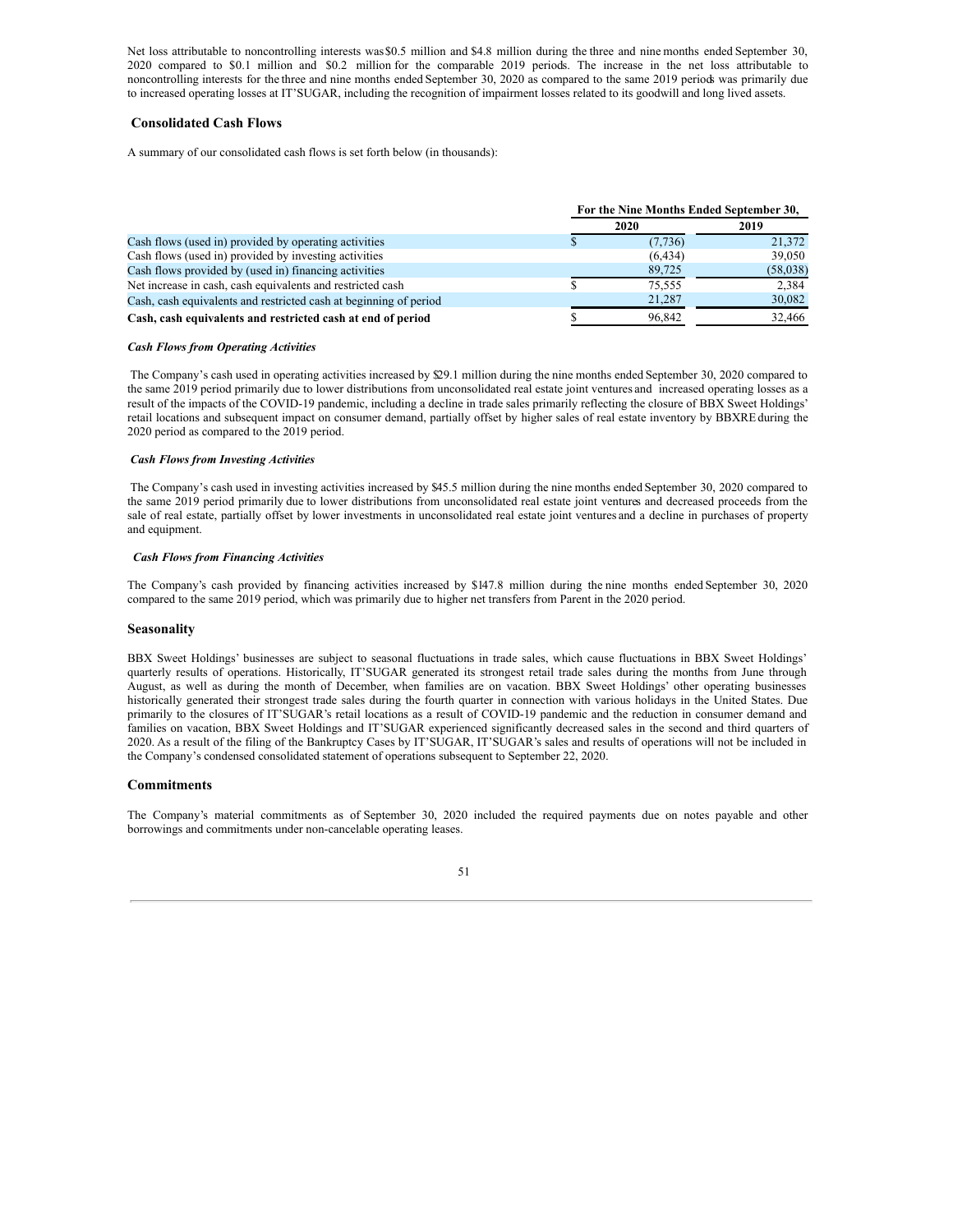Net loss attributable to noncontrolling interests was\$0.5 million and \$4.8 million during the three and nine months ended September 30, 2020 compared to \$0.1 million and \$0.2 million for the comparable 2019 periods. The increase in the net loss attributable to noncontrolling interests for the three and nine months ended September 30, 2020 as compared to the same 2019 periods was primarily due to increased operating losses at IT'SUGAR, including the recognition of impairment losses related to its goodwill and long lived assets.

## **Consolidated Cash Flows**

A summary of our consolidated cash flows is set forth below (in thousands):

|                                                                   | For the Nine Months Ended September 30, |          |
|-------------------------------------------------------------------|-----------------------------------------|----------|
|                                                                   | 2020                                    | 2019     |
| Cash flows (used in) provided by operating activities             | (7, 736)                                | 21,372   |
| Cash flows (used in) provided by investing activities             | (6, 434)                                | 39,050   |
| Cash flows provided by (used in) financing activities             | 89,725                                  | (58,038) |
| Net increase in cash, cash equivalents and restricted cash        | 75.555                                  | 2.384    |
| Cash, cash equivalents and restricted cash at beginning of period | 21,287                                  | 30,082   |
| Cash, cash equivalents and restricted cash at end of period       | 96.842                                  | 32,466   |

## *Cash Flows from Operating Activities*

The Company's cash used in operating activities increased by \$29.1 million during the nine months ended September 30, 2020 compared to the same 2019 period primarily due to lower distributions from unconsolidated real estate joint ventures and increased operating losses as a result of the impacts of the COVID-19 pandemic, including a decline in trade sales primarily reflecting the closure of BBX Sweet Holdings' retail locations and subsequent impact on consumer demand, partially offset by higher sales of real estate inventory by BBXREduring the 2020 period as compared to the 2019 period.

## *Cash Flows from Investing Activities*

The Company's cash used in investing activities increased by \$45.5 million during the nine months ended September 30, 2020 compared to the same 2019 period primarily due to lower distributions from unconsolidated real estate joint ventures and decreased proceeds from the sale of real estate, partially offset by lower investments in unconsolidated real estate joint ventures and a decline in purchases of property and equipment.

### *Cash Flows from Financing Activities*

The Company's cash provided by financing activities increased by \$147.8 million during the nine months ended September 30, 2020 compared to the same 2019 period, which was primarily due to higher net transfers from Parent in the 2020 period.

## **Seasonality**

BBX Sweet Holdings' businesses are subject to seasonal fluctuations in trade sales, which cause fluctuations in BBX Sweet Holdings' quarterly results of operations. Historically, IT'SUGAR generated its strongest retail trade sales during the months from June through August, as well as during the month of December, when families are on vacation. BBX Sweet Holdings' other operating businesses historically generated their strongest trade sales during the fourth quarter in connection with various holidays in the United States. Due primarily to the closures of IT'SUGAR's retail locations as a result of COVID-19 pandemic and the reduction in consumer demand and families on vacation, BBX Sweet Holdings and IT'SUGAR experienced significantly decreased sales in the second and third quarters of 2020. As a result of the filing of the Bankruptcy Cases by IT'SUGAR, IT'SUGAR's sales and results of operations will not be included in the Company's condensed consolidated statement of operations subsequent to September 22, 2020.

## **Commitments**

The Company's material commitments as of September 30, 2020 included the required payments due on notes payable and other borrowings and commitments under non-cancelable operating leases.

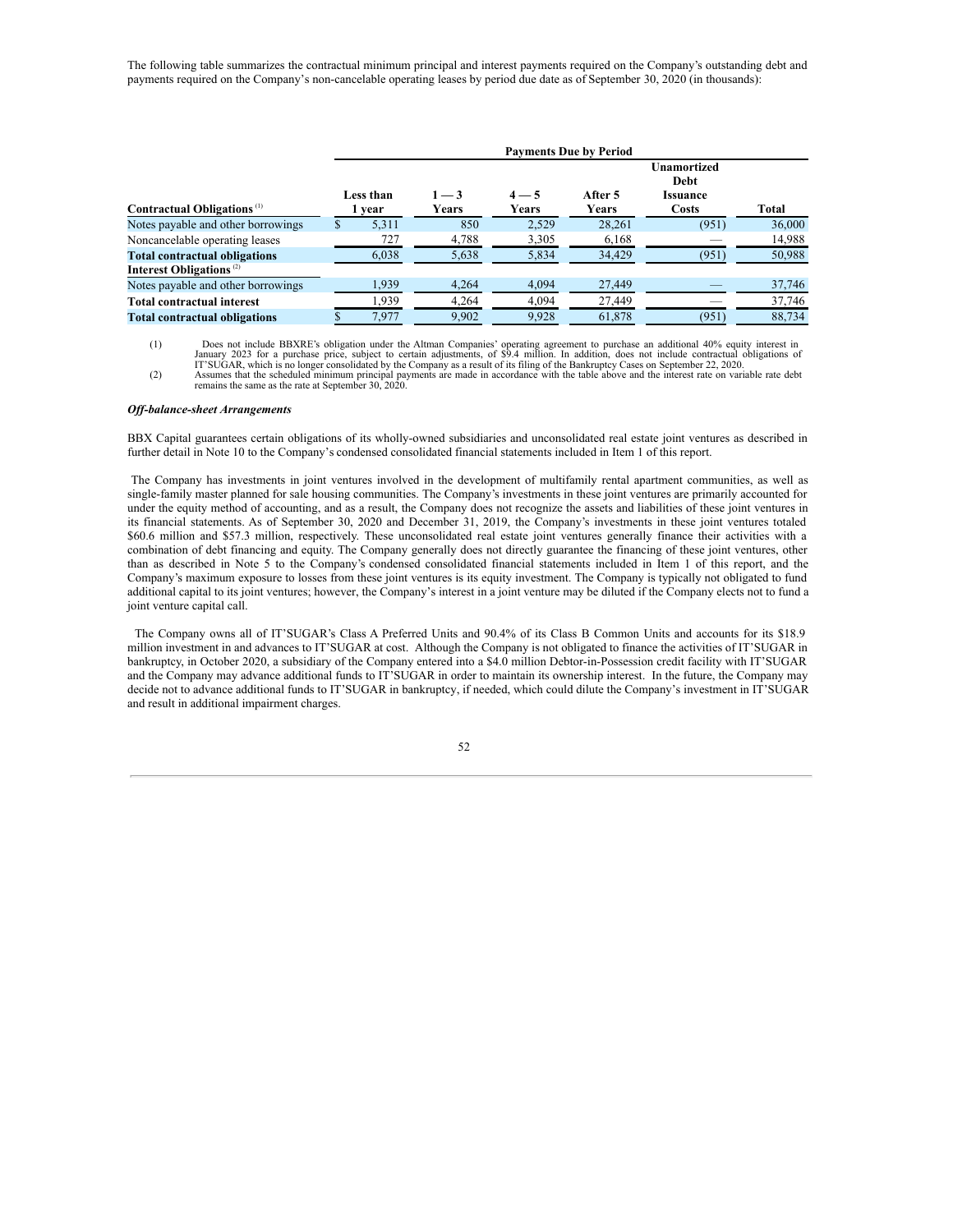The following table summarizes the contractual minimum principal and interest payments required on the Company's outstanding debt and payments required on the Company's non-cancelable operating leases by period due date as of September 30, 2020 (in thousands):

|                                        |    | <b>Payments Due by Period</b> |                  |                                      |        |                                                        |              |  |  |
|----------------------------------------|----|-------------------------------|------------------|--------------------------------------|--------|--------------------------------------------------------|--------------|--|--|
| Contractual Obligations <sup>(1)</sup> |    | Less than<br>vear             | $1 - 3$<br>Years | $4 - 5$<br>After 5<br>Years<br>Years |        | <b>Unamortized</b><br>Debt<br><b>Issuance</b><br>Costs | <b>Total</b> |  |  |
| Notes payable and other borrowings     | D. | 5.311                         | 850              | 2,529                                | 28.261 | (951)                                                  | 36,000       |  |  |
| Noncancelable operating leases         |    | 727                           | 4,788            | 3,305                                | 6,168  |                                                        | 14,988       |  |  |
| <b>Total contractual obligations</b>   |    | 6,038                         | 5,638            | 5,834                                | 34,429 | (951)                                                  | 50,988       |  |  |
| Interest Obligations <sup>(2)</sup>    |    |                               |                  |                                      |        |                                                        |              |  |  |
| Notes payable and other borrowings     |    | 1,939                         | 4,264            | 4,094                                | 27,449 |                                                        | 37,746       |  |  |
| <b>Total contractual interest</b>      |    | 1.939                         | 4.264            | 4.094                                | 27,449 |                                                        | 37,746       |  |  |
| <b>Total contractual obligations</b>   |    | 7,977                         | 9,902            | 9,928                                | 61,878 | (951)                                                  | 88,734       |  |  |

Does not include BBXRE's obligation under the Altman Companies' operating agreement to purchase an additional 40% equity interest in<br>January 2023 for a purchase price, subject to certain adjustments, of \$9.4 million. In ad

remains the same as the rate at September 30, 2020.

#### *Of -balance-sheet Arrangements*

BBX Capital guarantees certain obligations of its wholly-owned subsidiaries and unconsolidated real estate joint ventures as described in further detail in Note 10 to the Company's condensed consolidated financial statements included in Item 1 of this report.

The Company has investments in joint ventures involved in the development of multifamily rental apartment communities, as well as single-family master planned for sale housing communities. The Company's investments in these joint ventures are primarily accounted for under the equity method of accounting, and as a result, the Company does not recognize the assets and liabilities of these joint ventures in its financial statements. As of September 30, 2020 and December 31, 2019, the Company's investments in these joint ventures totaled \$60.6 million and \$57.3 million, respectively. These unconsolidated real estate joint ventures generally finance their activities with a combination of debt financing and equity. The Company generally does not directly guarantee the financing of these joint ventures, other than as described in Note 5 to the Company's condensed consolidated financial statements included in Item 1 of this report, and the Company's maximum exposure to losses from these joint ventures is its equity investment. The Company is typically not obligated to fund additional capital to its joint ventures; however, the Company's interest in a joint venture may be diluted if the Company elects not to fund a joint venture capital call.

The Company owns all of IT'SUGAR's Class A Preferred Units and 90.4% of its Class B Common Units and accounts for its \$18.9 million investment in and advances to IT'SUGAR at cost. Although the Company is not obligated to finance the activities of IT'SUGAR in bankruptcy, in October 2020, a subsidiary of the Company entered into a \$4.0 million Debtor-in-Possession credit facility with IT'SUGAR and the Company may advance additional funds to IT'SUGAR in order to maintain its ownership interest. In the future, the Company may decide not to advance additional funds to IT'SUGAR in bankruptcy, if needed, which could dilute the Company's investment in IT'SUGAR and result in additional impairment charges.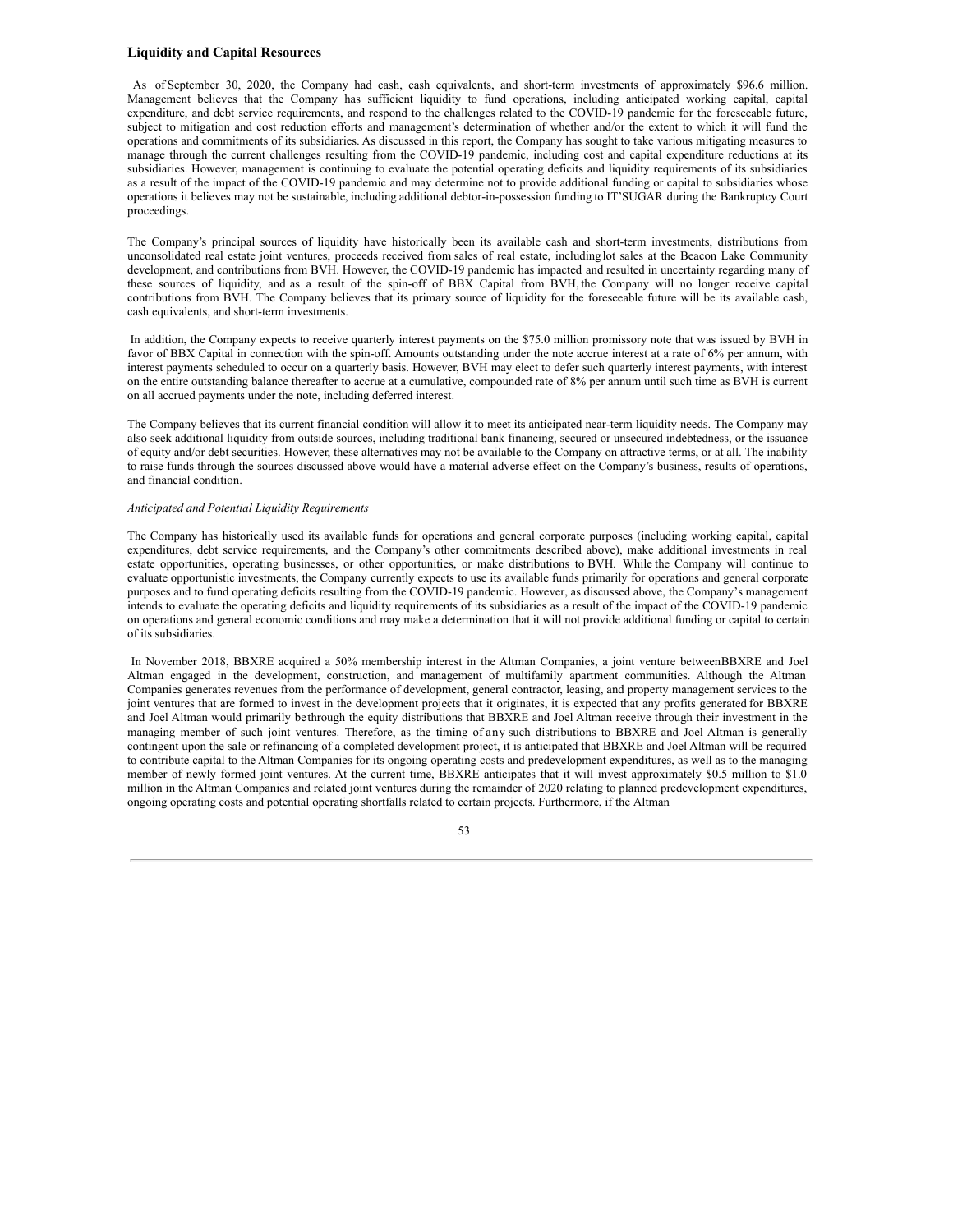## **Liquidity and Capital Resources**

As of September 30, 2020, the Company had cash, cash equivalents, and short-term investments of approximately \$96.6 million. Management believes that the Company has sufficient liquidity to fund operations, including anticipated working capital, capital expenditure, and debt service requirements, and respond to the challenges related to the COVID-19 pandemic for the foreseeable future, subject to mitigation and cost reduction efforts and management's determination of whether and/or the extent to which it will fund the operations and commitments of its subsidiaries. As discussed in this report, the Company has sought to take various mitigating measures to manage through the current challenges resulting from the COVID-19 pandemic, including cost and capital expenditure reductions at its subsidiaries. However, management is continuing to evaluate the potential operating deficits and liquidity requirements of its subsidiaries as a result of the impact of the COVID-19 pandemic and may determine not to provide additional funding or capital to subsidiaries whose operations it believes may not be sustainable, including additional debtor-in-possession funding to IT'SUGAR during the Bankruptcy Court proceedings.

The Company's principal sources of liquidity have historically been its available cash and short-term investments, distributions from unconsolidated real estate joint ventures, proceeds received from sales of real estate, including lot sales at the Beacon Lake Community development, and contributions from BVH. However, the COVID-19 pandemic has impacted and resulted in uncertainty regarding many of these sources of liquidity, and as a result of the spin-off of BBX Capital from BVH, the Company will no longer receive capital contributions from BVH. The Company believes that its primary source of liquidity for the foreseeable future will be its available cash, cash equivalents, and short-term investments.

In addition, the Company expects to receive quarterly interest payments on the \$75.0 million promissory note that was issued by BVH in favor of BBX Capital in connection with the spin-off. Amounts outstanding under the note accrue interest at a rate of 6% per annum, with interest payments scheduled to occur on a quarterly basis. However, BVH may elect to defer such quarterly interest payments, with interest on the entire outstanding balance thereafter to accrue at a cumulative, compounded rate of 8% per annum until such time as BVH is current on all accrued payments under the note, including deferred interest.

The Company believes that its current financial condition will allow it to meet its anticipated near-term liquidity needs. The Company may also seek additional liquidity from outside sources, including traditional bank financing, secured or unsecured indebtedness, or the issuance of equity and/or debt securities. However, these alternatives may not be available to the Company on attractive terms, or at all. The inability to raise funds through the sources discussed above would have a material adverse effect on the Company's business, results of operations, and financial condition.

#### *Anticipated and Potential Liquidity Requirements*

The Company has historically used its available funds for operations and general corporate purposes (including working capital, capital expenditures, debt service requirements, and the Company's other commitments described above), make additional investments in real estate opportunities, operating businesses, or other opportunities, or make distributions to BVH. While the Company will continue to evaluate opportunistic investments, the Company currently expects to use its available funds primarily for operations and general corporate purposes and to fund operating deficits resulting from the COVID-19 pandemic. However, as discussed above, the Company's management intends to evaluate the operating deficits and liquidity requirements of its subsidiaries as a result of the impact of the COVID-19 pandemic on operations and general economic conditions and may make a determination that it will not provide additional funding or capital to certain of its subsidiaries.

In November 2018, BBXRE acquired a 50% membership interest in the Altman Companies, a joint venture betweenBBXRE and Joel Altman engaged in the development, construction, and management of multifamily apartment communities. Although the Altman Companies generates revenues from the performance of development, general contractor, leasing, and property management services to the joint ventures that are formed to invest in the development projects that it originates, it is expected that any profits generated for BBXRE and Joel Altman would primarily be through the equity distributions that BBXRE and Joel Altman receive through their investment in the managing member of such joint ventures. Therefore, as the timing of any such distributions to BBXRE and Joel Altman is generally contingent upon the sale or refinancing of a completed development project, it is anticipated that BBXRE and Joel Altman will be required to contribute capital to the Altman Companies for its ongoing operating costs and predevelopment expenditures, as well as to the managing member of newly formed joint ventures. At the current time, BBXRE anticipates that it will invest approximately \$0.5 million to \$1.0 million in the Altman Companies and related joint ventures during the remainder of 2020 relating to planned predevelopment expenditures, ongoing operating costs and potential operating shortfalls related to certain projects. Furthermore, if the Altman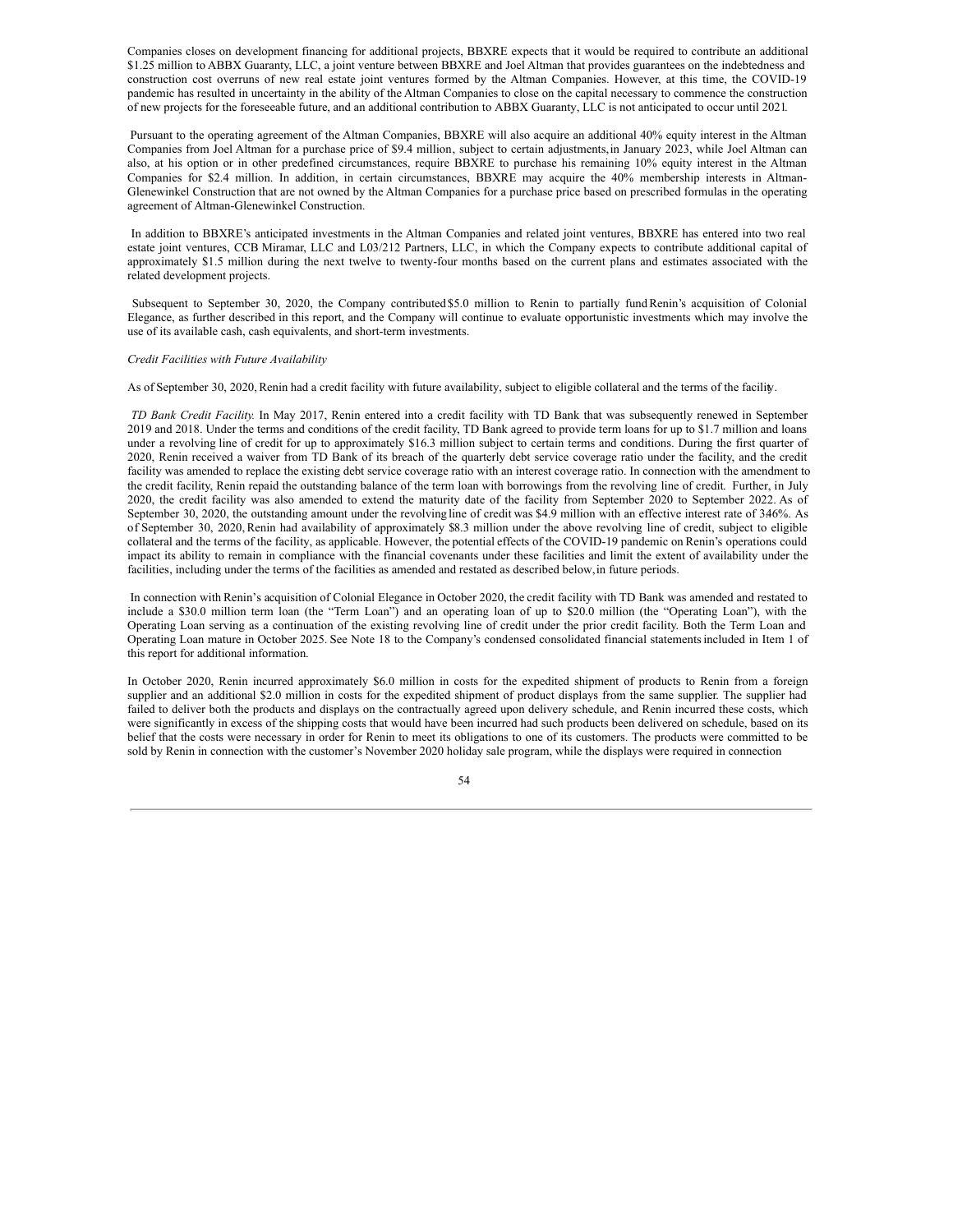Companies closes on development financing for additional projects, BBXRE expects that it would be required to contribute an additional \$1.25 million to ABBX Guaranty, LLC, a joint venture between BBXRE and Joel Altman that provides guarantees on the indebtedness and construction cost overruns of new real estate joint ventures formed by the Altman Companies. However, at this time, the COVID-19 pandemic has resulted in uncertainty in the ability of the Altman Companies to close on the capital necessary to commence the construction of new projects for the foreseeable future, and an additional contribution to ABBX Guaranty, LLC is not anticipated to occur until 2021.

Pursuant to the operating agreement of the Altman Companies, BBXRE will also acquire an additional 40% equity interest in the Altman Companies from Joel Altman for a purchase price of \$9.4 million, subject to certain adjustments,in January 2023, while Joel Altman can also, at his option or in other predefined circumstances, require BBXRE to purchase his remaining 10% equity interest in the Altman Companies for \$2.4 million. In addition, in certain circumstances, BBXRE may acquire the 40% membership interests in Altman-Glenewinkel Construction that are not owned by the Altman Companies for a purchase price based on prescribed formulas in the operating agreement of Altman-Glenewinkel Construction.

In addition to BBXRE's anticipated investments in the Altman Companies and related joint ventures, BBXRE has entered into two real estate joint ventures, CCB Miramar, LLC and L03/212 Partners, LLC, in which the Company expects to contribute additional capital of approximately \$1.5 million during the next twelve to twenty-four months based on the current plans and estimates associated with the related development projects.

Subsequent to September 30, 2020, the Company contributed \$5.0 million to Renin to partially fundRenin's acquisition of Colonial Elegance, as further described in this report, and the Company will continue to evaluate opportunistic investments which may involve the use of its available cash, cash equivalents, and short-term investments.

#### *Credit Facilities with Future Availability*

As of September 30, 2020, Renin had a credit facility with future availability, subject to eligible collateral and the terms of the facility.

*TD Bank Credit Facility.* In May 2017, Renin entered into a credit facility with TD Bank that was subsequently renewed in September 2019 and 2018. Under the terms and conditions of the credit facility, TD Bank agreed to provide term loans for up to \$1.7 million and loans under a revolving line of credit for up to approximately \$16.3 million subject to certain terms and conditions. During the first quarter of 2020, Renin received a waiver from TD Bank of its breach of the quarterly debt service coverage ratio under the facility, and the credit facility was amended to replace the existing debt service coverage ratio with an interest coverage ratio. In connection with the amendment to the credit facility, Renin repaid the outstanding balance of the term loan with borrowings from the revolving line of credit. Further, in July 2020, the credit facility was also amended to extend the maturity date of the facility from September 2020 to September 2022. As of September 30, 2020, the outstanding amount under the revolving line of credit was \$4.9 million with an effective interest rate of 3.46%. As of September 30, 2020,Renin had availability of approximately \$8.3 million under the above revolving line of credit, subject to eligible collateral and the terms of the facility, as applicable. However, the potential effects of the COVID-19 pandemic on Renin's operations could impact its ability to remain in compliance with the financial covenants under these facilities and limit the extent of availability under the facilities, including under the terms of the facilities as amended and restated as described below,in future periods.

In connection with Renin's acquisition of Colonial Elegance in October 2020, the credit facility with TD Bank was amended and restated to include a \$30.0 million term loan (the "Term Loan") and an operating loan of up to \$20.0 million (the "Operating Loan"), with the Operating Loan serving as a continuation of the existing revolving line of credit under the prior credit facility. Both the Term Loan and Operating Loan mature in October 2025. See Note 18 to the Company's condensed consolidated financial statementsincluded in Item 1 of this report for additional information.

In October 2020, Renin incurred approximately \$6.0 million in costs for the expedited shipment of products to Renin from a foreign supplier and an additional \$2.0 million in costs for the expedited shipment of product displays from the same supplier. The supplier had failed to deliver both the products and displays on the contractually agreed upon delivery schedule, and Renin incurred these costs, which were significantly in excess of the shipping costs that would have been incurred had such products been delivered on schedule, based on its belief that the costs were necessary in order for Renin to meet its obligations to one of its customers. The products were committed to be sold by Renin in connection with the customer's November 2020 holiday sale program, while the displays were required in connection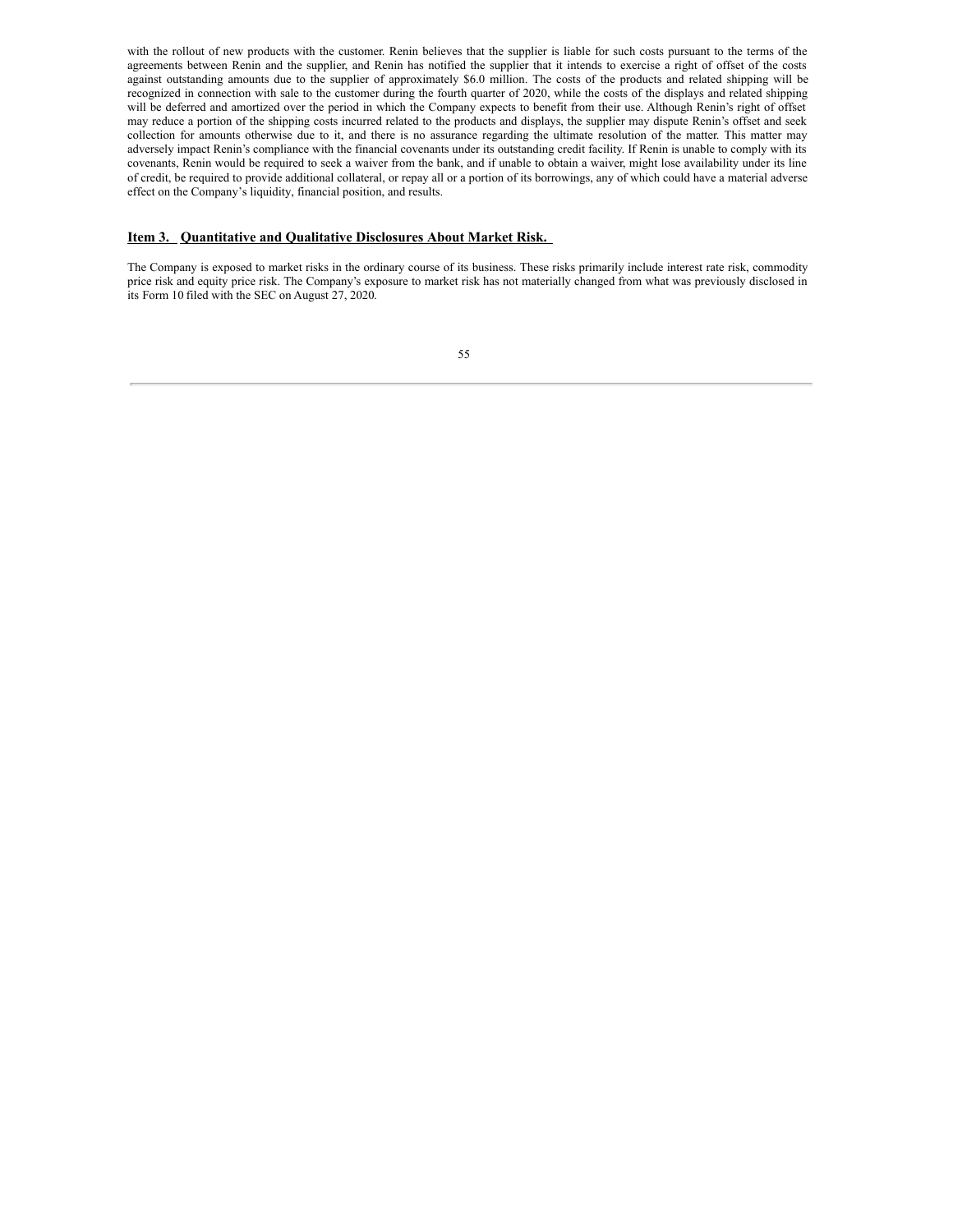with the rollout of new products with the customer. Renin believes that the supplier is liable for such costs pursuant to the terms of the agreements between Renin and the supplier, and Renin has notified the supplier that it intends to exercise a right of offset of the costs against outstanding amounts due to the supplier of approximately \$6.0 million. The costs of the products and related shipping will be recognized in connection with sale to the customer during the fourth quarter of 2020, while the costs of the displays and related shipping will be deferred and amortized over the period in which the Company expects to benefit from their use. Although Renin's right of offset may reduce a portion of the shipping costs incurred related to the products and displays, the supplier may dispute Renin's offset and seek collection for amounts otherwise due to it, and there is no assurance regarding the ultimate resolution of the matter. This matter may adversely impact Renin's compliance with the financial covenants under its outstanding credit facility. If Renin is unable to comply with its covenants, Renin would be required to seek a waiver from the bank, and if unable to obtain a waiver, might lose availability under its line of credit, be required to provide additional collateral, or repay all or a portion of its borrowings, any of which could have a material adverse effect on the Company's liquidity, financial position, and results.

# <span id="page-56-0"></span>**Item 3. Quantitative and Qualitative Disclosures About Market Risk.**

The Company is exposed to market risks in the ordinary course of its business. These risks primarily include interest rate risk, commodity price risk and equity price risk. The Company's exposure to market risk has not materially changed from what was previously disclosed in its Form 10 filed with the SEC on August 27, 2020.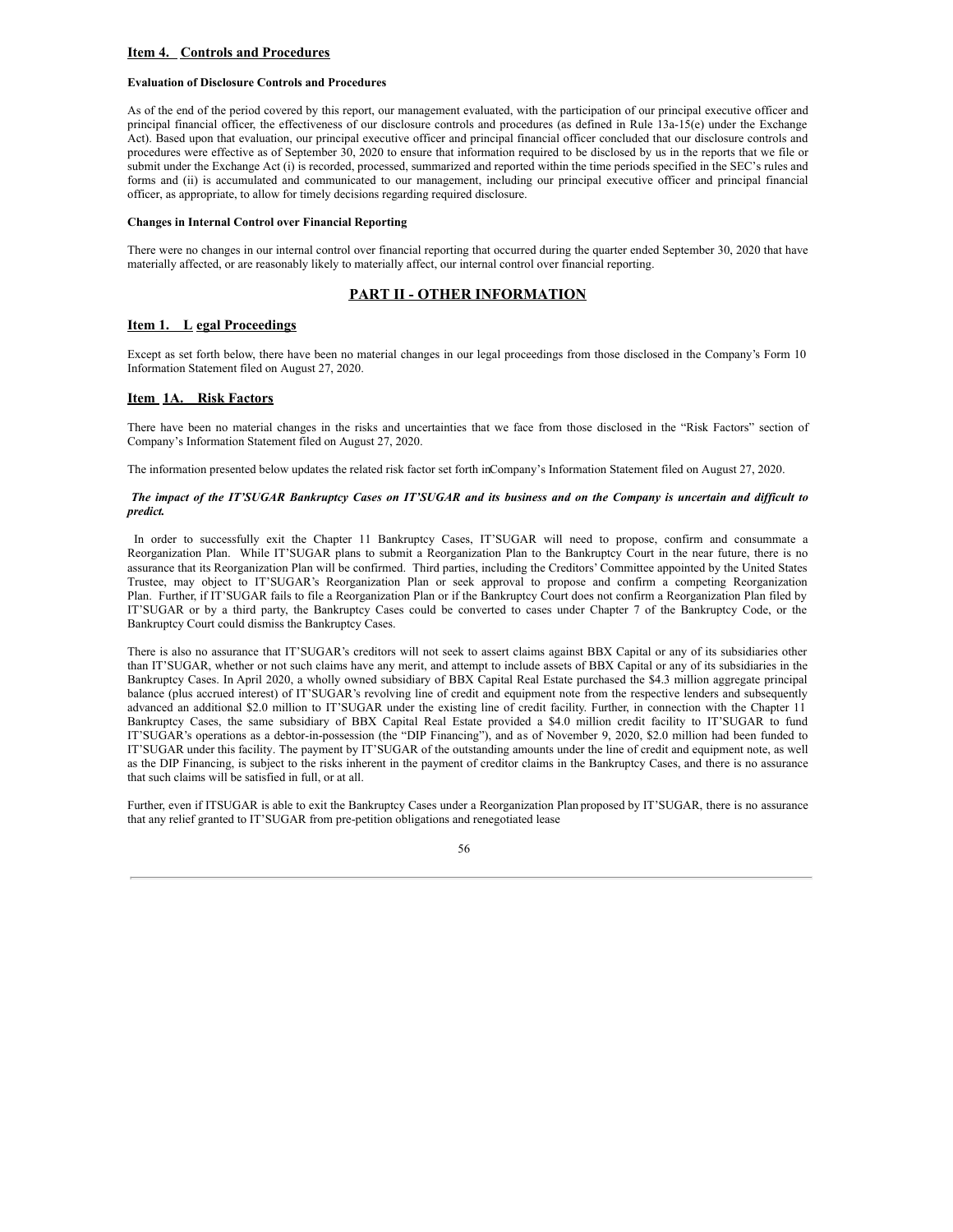## <span id="page-57-0"></span>**Item 4. Controls and Procedures**

## **Evaluation of Disclosure Controls and Procedures**

As of the end of the period covered by this report, our management evaluated, with the participation of our principal executive officer and principal financial officer, the effectiveness of our disclosure controls and procedures (as defined in Rule 13a-15(e) under the Exchange Act). Based upon that evaluation, our principal executive officer and principal financial officer concluded that our disclosure controls and procedures were effective as of September 30, 2020 to ensure that information required to be disclosed by us in the reports that we file or submit under the Exchange Act (i) is recorded, processed, summarized and reported within the time periods specified in the SEC's rules and forms and (ii) is accumulated and communicated to our management, including our principal executive officer and principal financial officer, as appropriate, to allow for timely decisions regarding required disclosure.

## **Changes in Internal Control over Financial Reporting**

There were no changes in our internal control over financial reporting that occurred during the quarter ended September 30, 2020 that have materially affected, or are reasonably likely to materially affect, our internal control over financial reporting.

# **PART II - OTHER INFORMATION**

## <span id="page-57-1"></span>**Item 1. L egal Proceedings**

Except as set forth below, there have been no material changes in our legal proceedings from those disclosed in the Company's Form 10 Information Statement filed on August 27, 2020.

## <span id="page-57-2"></span>**Item 1A. Risk Factors**

There have been no material changes in the risks and uncertainties that we face from those disclosed in the "Risk Factors" section of Company's Information Statement filed on August 27, 2020.

The information presented below updates the related risk factor set forth inCompany's Information Statement filed on August 27, 2020.

## The impact of the IT'SUGAR Bankruptcy Cases on IT'SUGAR and its business and on the Company is uncertain and difficult to *predict.*

In order to successfully exit the Chapter 11 Bankruptcy Cases, IT'SUGAR will need to propose, confirm and consummate a Reorganization Plan. While IT'SUGAR plans to submit a Reorganization Plan to the Bankruptcy Court in the near future, there is no assurance that its Reorganization Plan will be confirmed. Third parties, including the Creditors' Committee appointed by the United States Trustee, may object to IT'SUGAR's Reorganization Plan or seek approval to propose and confirm a competing Reorganization Plan. Further, if IT'SUGAR fails to file a Reorganization Plan or if the Bankruptcy Court does not confirm a Reorganization Plan filed by IT'SUGAR or by a third party, the Bankruptcy Cases could be converted to cases under Chapter 7 of the Bankruptcy Code, or the Bankruptcy Court could dismiss the Bankruptcy Cases.

There is also no assurance that IT'SUGAR's creditors will not seek to assert claims against BBX Capital or any of its subsidiaries other than IT'SUGAR, whether or not such claims have any merit, and attempt to include assets of BBX Capital or any of its subsidiaries in the Bankruptcy Cases. In April 2020, a wholly owned subsidiary of BBX Capital Real Estate purchased the \$4.3 million aggregate principal balance (plus accrued interest) of IT'SUGAR's revolving line of credit and equipment note from the respective lenders and subsequently advanced an additional \$2.0 million to IT'SUGAR under the existing line of credit facility. Further, in connection with the Chapter 11 Bankruptcy Cases, the same subsidiary of BBX Capital Real Estate provided a \$4.0 million credit facility to IT'SUGAR to fund IT'SUGAR's operations as a debtor-in-possession (the "DIP Financing"), and as of November 9, 2020, \$2.0 million had been funded to IT'SUGAR under this facility. The payment by IT'SUGAR of the outstanding amounts under the line of credit and equipment note, as well as the DIP Financing, is subject to the risks inherent in the payment of creditor claims in the Bankruptcy Cases, and there is no assurance that such claims will be satisfied in full, or at all.

Further, even if ITSUGAR is able to exit the Bankruptcy Cases under a Reorganization Plan proposed by IT'SUGAR, there is no assurance that any relief granted to IT'SUGAR from pre-petition obligations and renegotiated lease

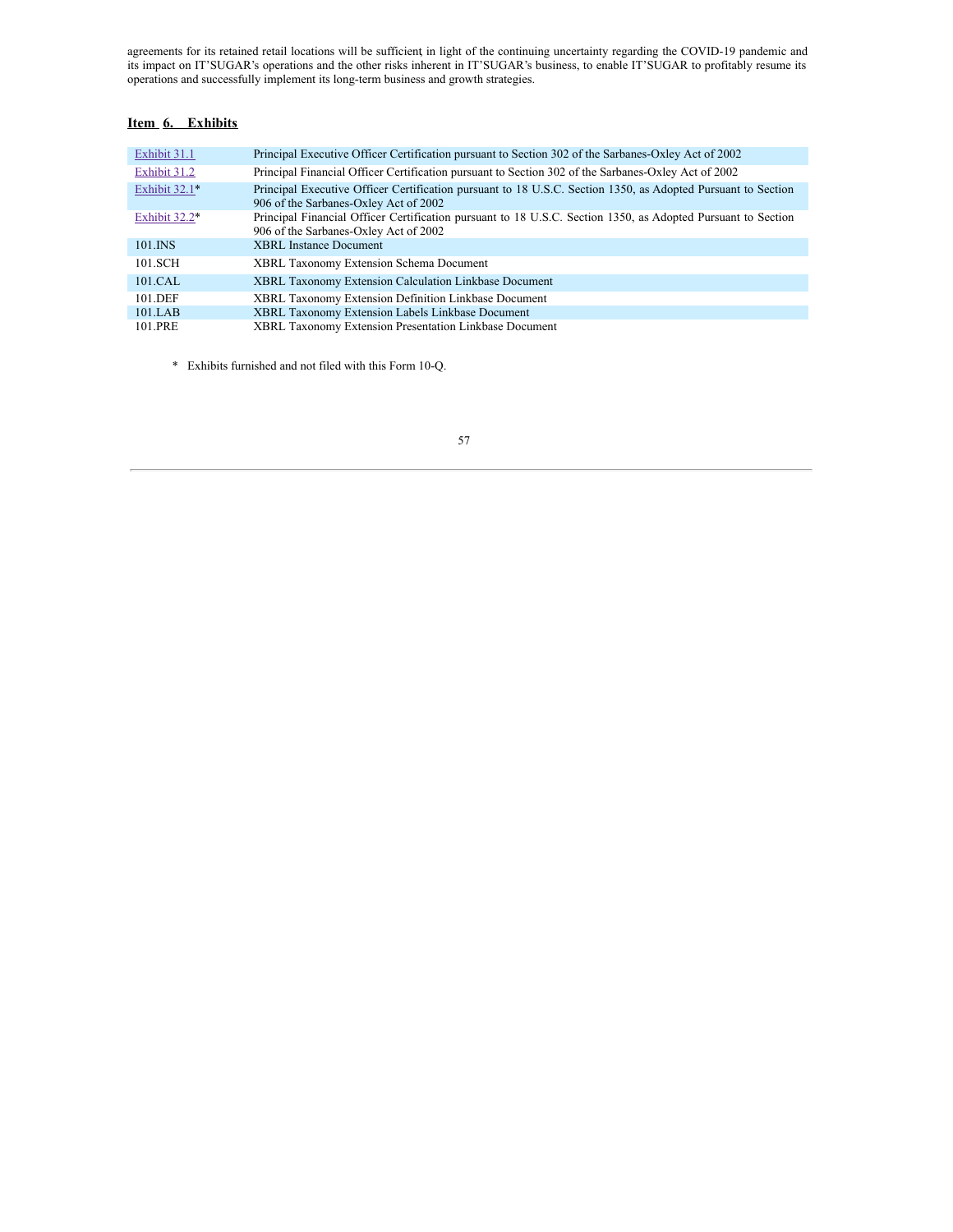agreements for its retained retail locations will be sufficient, in light of the continuing uncertainty regarding the COVID-19 pandemic and its impact on IT'SUGAR's operations and the other risks inherent in IT'SUGAR's business, to enable IT'SUGAR to profitably resume its operations and successfully implement its long-term business and growth strategies.

# <span id="page-58-0"></span>**Item 6. Exhibits**

| Exhibit 31.1  | Principal Executive Officer Certification pursuant to Section 302 of the Sarbanes-Oxley Act of 2002                                                   |
|---------------|-------------------------------------------------------------------------------------------------------------------------------------------------------|
| Exhibit 31.2  | Principal Financial Officer Certification pursuant to Section 302 of the Sarbanes-Oxley Act of 2002                                                   |
| Exhibit 32.1* | Principal Executive Officer Certification pursuant to 18 U.S.C. Section 1350, as Adopted Pursuant to Section<br>906 of the Sarbanes-Oxley Act of 2002 |
| Exhibit 32.2* | Principal Financial Officer Certification pursuant to 18 U.S.C. Section 1350, as Adopted Pursuant to Section<br>906 of the Sarbanes-Oxley Act of 2002 |
| 101.INS       | <b>XBRL</b> Instance Document                                                                                                                         |
| 101.SCH       | XBRL Taxonomy Extension Schema Document                                                                                                               |
| $101$ CAL     | XBRL Taxonomy Extension Calculation Linkbase Document                                                                                                 |
| 101.DEF       | XBRL Taxonomy Extension Definition Linkbase Document                                                                                                  |
| $101$ LAB     | XBRL Taxonomy Extension Labels Linkbase Document                                                                                                      |
| 101.PRE       | XBRL Taxonomy Extension Presentation Linkbase Document                                                                                                |

\* Exhibits furnished and not filed with this Form 10-Q.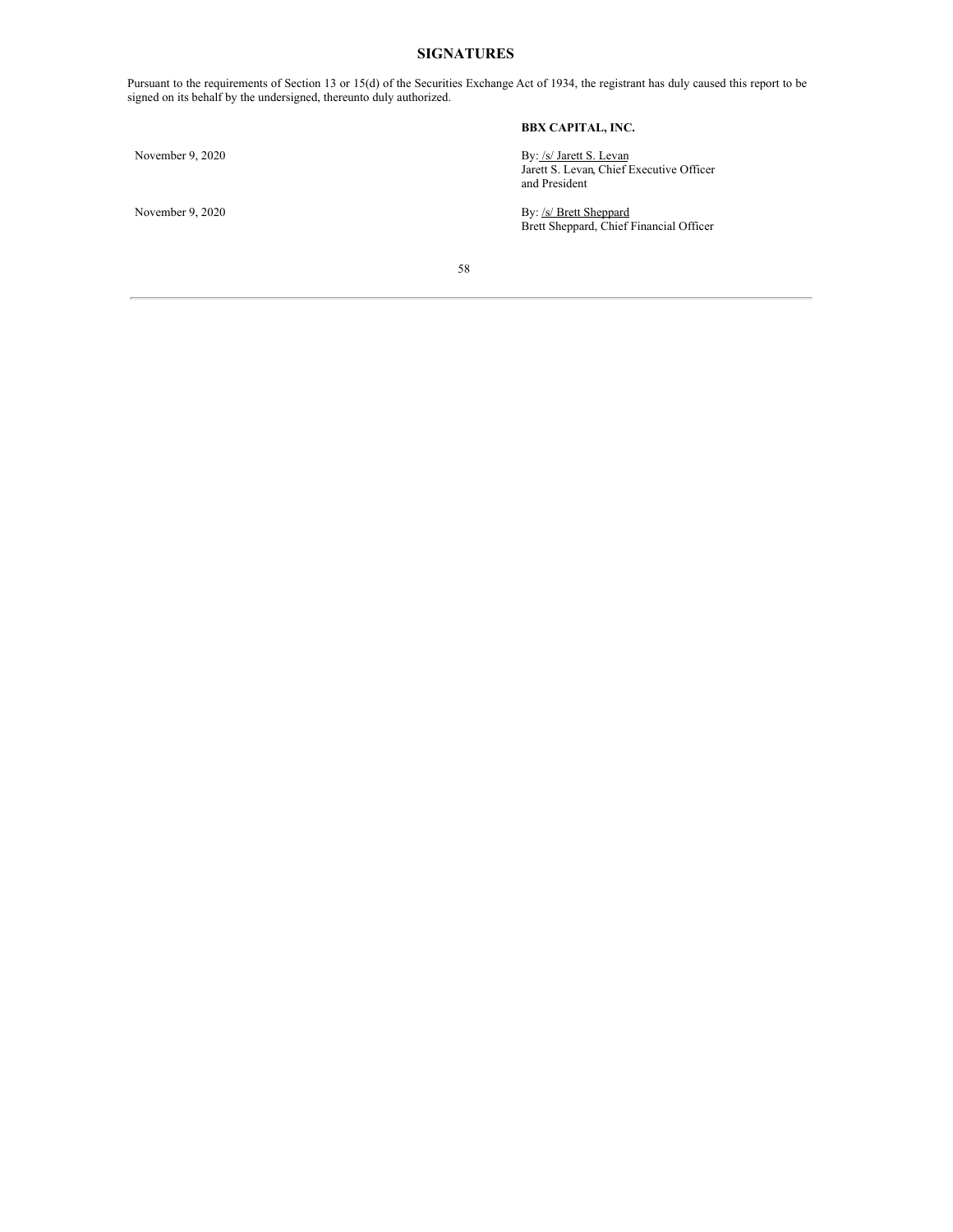# **SIGNATURES**

Pursuant to the requirements of Section 13 or 15(d) of the Securities Exchange Act of 1934, the registrant has duly caused this report to be signed on its behalf by the undersigned, thereunto duly authorized.

# <span id="page-59-0"></span>**BBX CAPITAL, INC.**

November 9, 2020 By: /s/ Jarett S. Levan Jarett S. Levan, Chief Executive Officer and President

November 9, 2020 By: /s/ Brett Sheppard Brett Sheppard, Chief Financial Officer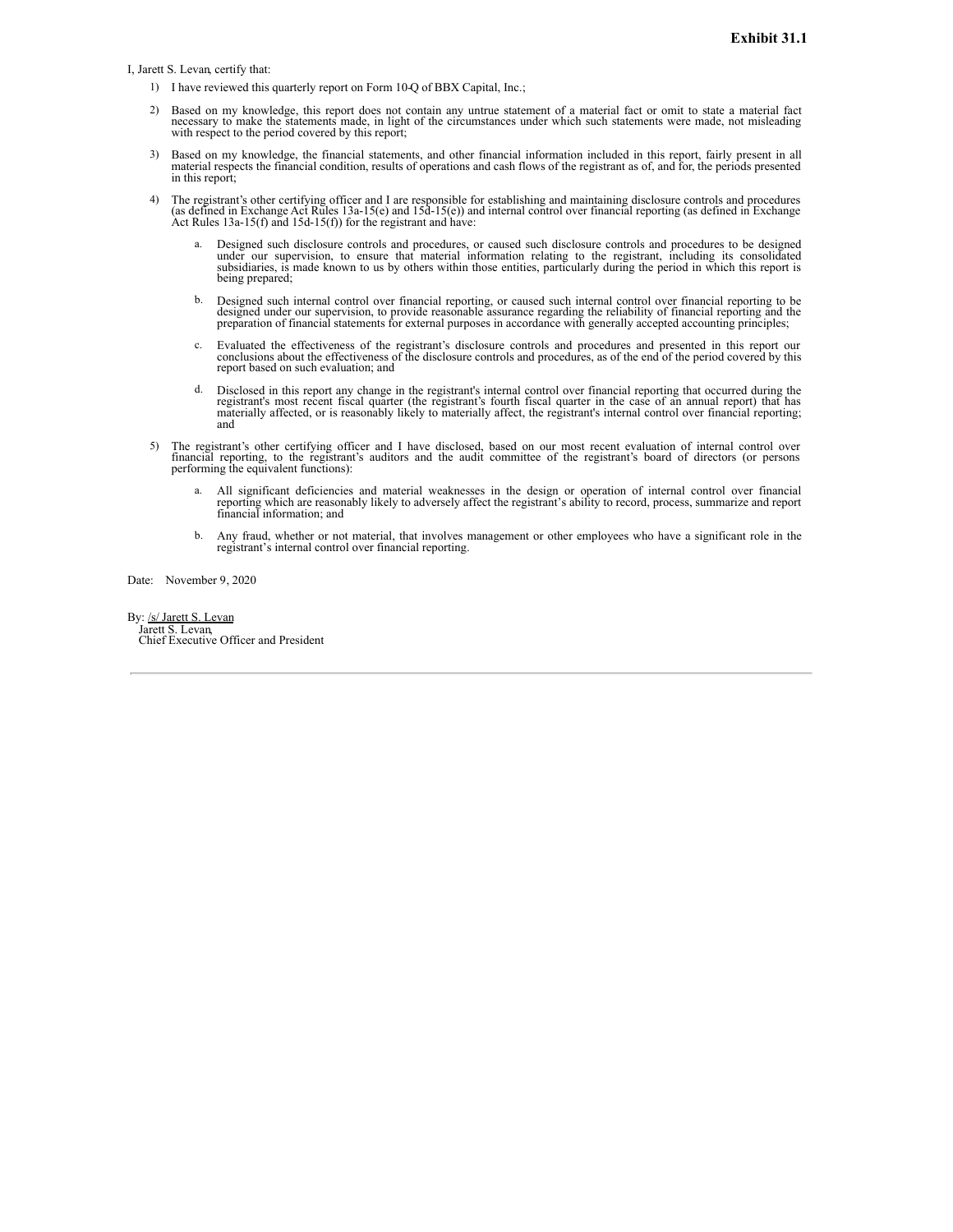<span id="page-60-0"></span>I, Jarett S. Levan, certify that:

- 1) I have reviewed this quarterly report on Form 10-Q of BBX Capital, Inc.;
- 2) Based on my knowledge, this report does not contain any untrue statement of a material fact or omit to state a material fact necessary to make the statements made, in light of the circumstances under which such statements were made, not misleading with respect to the period covered by this report;
- 3) Based on my knowledge, the financial statements, and other financial information included in this report, fairly present in all material respects the financial condition, results of operations and cash flows of the regi in this report;
- 4) The registrant's other certifying officer and I are responsible for establishing and maintaining disclosure controls and procedures (as defined in Exchange Act Rules 13a-15(e) and 15d-15(e)) and internal control over fi Act Rules  $13a-15(f)$  and  $15d-15(f)$ ) for the registrant and have:
	- Designed such disclosure controls and procedures, or caused such disclosure controls and procedures to be designed under our supervision, to ensure that material information relating to the registrant, including its consolidated<br>subsidiaries, is made known to us by others within those entities, particularly during the period in which t being prepared;
	- b. Designed such internal control over financial reporting, or caused such internal control over financial reporting to be designed under our supervision, to provide reasonable assurance regarding the reliability of financ
	- c. Evaluated the effectiveness of the registrant's disclosure controls and procedures and presented in this report our conclusions about the effectiveness of the disclosure controls and procedures, as of the end of the per report based on such evaluation; and
	- Disclosed in this report any change in the registrant's internal control over financial reporting that occurred during the Discovered in this recent fiscal quarter (the registrant's fourth fiscal quarter in the case of an annual report) that has<br>materially affected, or is reasonably likely to materially affect, the registrant's internal contro and
- 5) The registrant's other certifying officer and I have disclosed, based on our most recent evaluation of internal control over financial reporting, to the registrant's auditors and the audit committee of the registrant's board of directors (or persons performing the equivalent functions):
	- a. All significant deficiencies and material weaknesses in the design or operation of internal control over financial reporting which are reasonably likely to adversely affect the registrant's ability to record, process, s
	- b. Any fraud, whether or not material, that involves management or other employees who have a significant role in the registrant's internal control over financial reporting.

Date: November 9, 2020

By: /s/ Jarett S. Levan Jarett S. Levan, Chief Executive Officer and President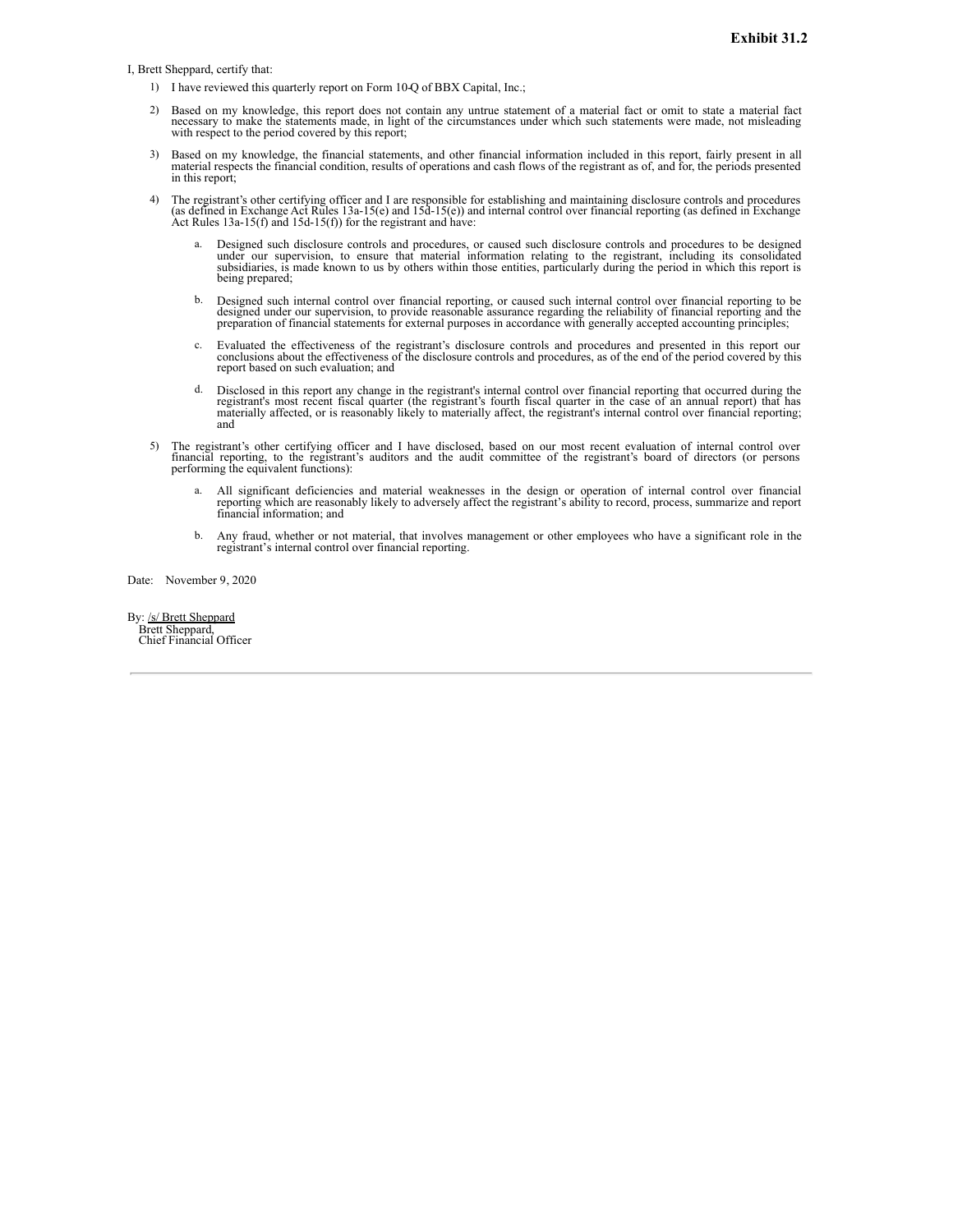<span id="page-61-0"></span>I, Brett Sheppard, certify that:

- 1) I have reviewed this quarterly report on Form 10-Q of BBX Capital, Inc.;
- 2) Based on my knowledge, this report does not contain any untrue statement of a material fact or omit to state a material fact necessary to make the statements made, in light of the circumstances under which such statements were made, not misleading with respect to the period covered by this report;
- 3) Based on my knowledge, the financial statements, and other financial information included in this report, fairly present in all material respects the financial condition, results of operations and cash flows of the regi in this report;
- 4) The registrant's other certifying officer and I are responsible for establishing and maintaining disclosure controls and procedures (as defined in Exchange Act Rules 13a-15(e) and 15d-15(e)) and internal control over fi Act Rules  $13a-15(f)$  and  $15d-15(f)$ ) for the registrant and have:
	- Designed such disclosure controls and procedures, or caused such disclosure controls and procedures to be designed under our supervision, to ensure that material information relating to the registrant, including its consolidated<br>subsidiaries, is made known to us by others within those entities, particularly during the period in which t being prepared;
	- b. Designed such internal control over financial reporting, or caused such internal control over financial reporting to be designed under our supervision, to provide reasonable assurance regarding the reliability of financ
	- c. Evaluated the effectiveness of the registrant's disclosure controls and procedures and presented in this report our conclusions about the effectiveness of the disclosure controls and procedures, as of the end of the per report based on such evaluation; and
	- Disclosed in this report any change in the registrant's internal control over financial reporting that occurred during the Discovered in this recent fiscal quarter (the registrant's fourth fiscal quarter in the case of an annual report) that has<br>materially affected, or is reasonably likely to materially affect, the registrant's internal contro and
- 5) The registrant's other certifying officer and I have disclosed, based on our most recent evaluation of internal control over financial reporting, to the registrant's auditors and the audit committee of the registrant's board of directors (or persons performing the equivalent functions):
	- a. All significant deficiencies and material weaknesses in the design or operation of internal control over financial reporting which are reasonably likely to adversely affect the registrant's ability to record, process, s
	- b. Any fraud, whether or not material, that involves management or other employees who have a significant role in the registrant's internal control over financial reporting.

Date: November 9, 2020

By: /s/ Brett Sheppard Brett Sheppard, Chief Financial Officer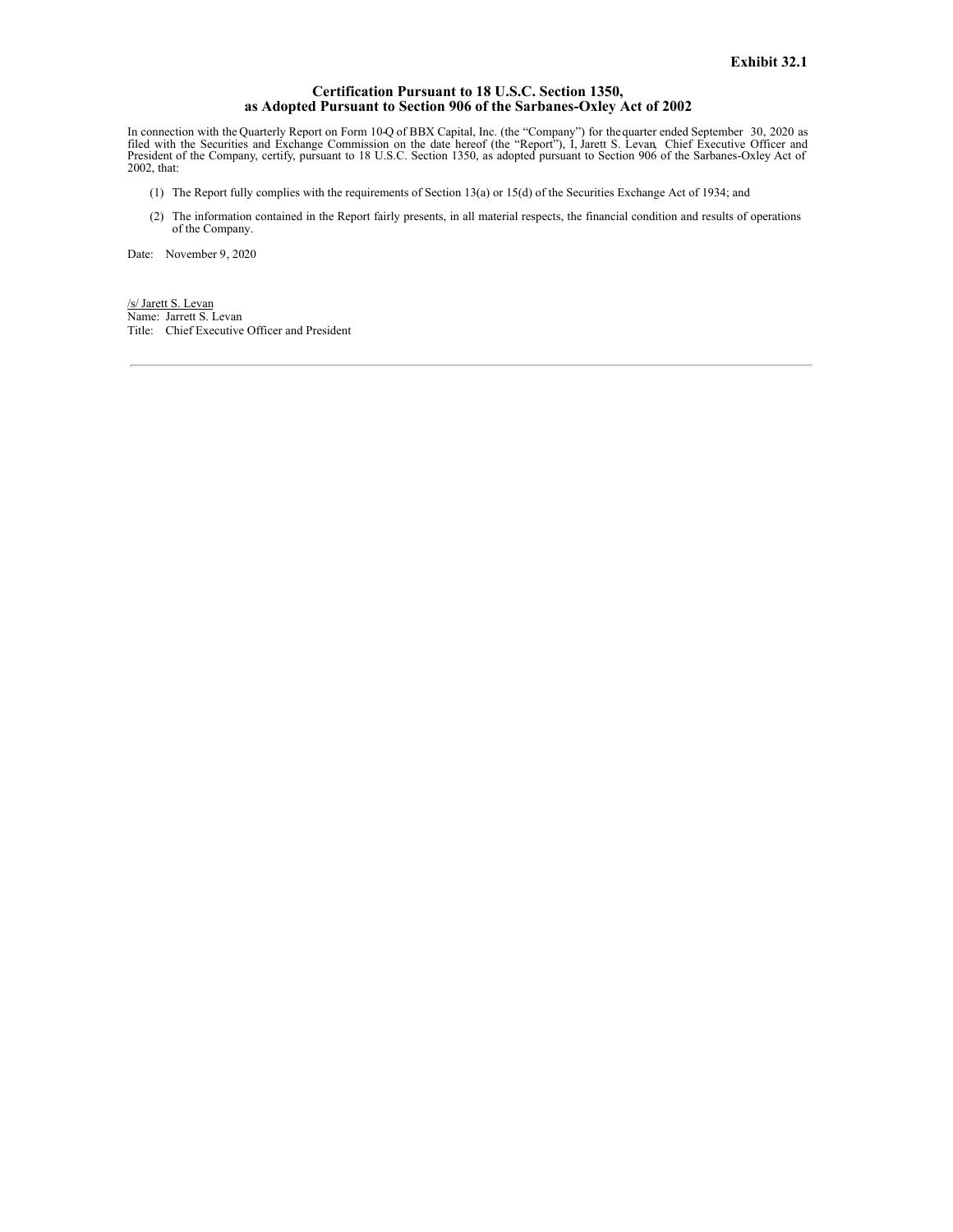## **Certification Pursuant to 18 U.S.C. Section 1350, as Adopted Pursuant to Section 906 of the Sarbanes-Oxley Act of 2002**

<span id="page-62-0"></span>In connection with the Quarterly Report on Form 10-Q of BBX Capital, Inc. (the "Company") for the quarter ended September 30, 2020 as<br>filed with the Securities and Exchange Commission on the date hereof (the "Report"), I, 2002, that:

- (1) The Report fully complies with the requirements of Section 13(a) or 15(d) of the Securities Exchange Act of 1934; and
- (2) The information contained in the Report fairly presents, in all material respects, the financial condition and results of operations of the Company.

Date: November 9, 2020

/s/ Jarett S. Levan Name: Jarrett S. Levan Title: Chief Executive Officer and President